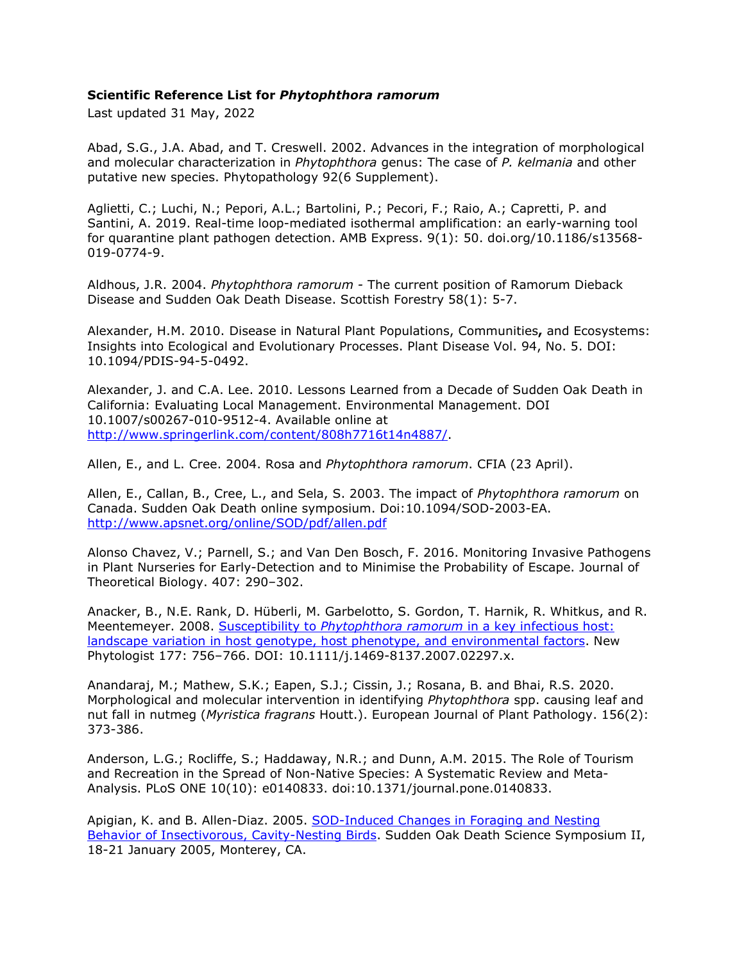## **Scientific Reference List for** *Phytophthora ramorum*

Last updated 31 May, 2022

Abad, S.G., J.A. Abad, and T. Creswell. 2002. Advances in the integration of morphological and molecular characterization in *Phytophthora* genus: The case of *P. kelmania* and other putative new species. Phytopathology 92(6 Supplement).

Aglietti, C.; Luchi, N.; Pepori, A.L.; Bartolini, P.; Pecori, F.; Raio, A.; Capretti, P. and Santini, A. 2019. Real-time loop-mediated isothermal amplification: an early-warning tool for quarantine plant pathogen detection. AMB Express. 9(1): 50. doi.org/10.1186/s13568- 019-0774-9.

Aldhous, J.R. 2004. *Phytophthora ramorum -* The current position of Ramorum Dieback Disease and Sudden Oak Death Disease. Scottish Forestry 58(1): 5-7.

Alexander, H.M. 2010. Disease in Natural Plant Populations, Communities**,** and Ecosystems: Insights into Ecological and Evolutionary Processes. Plant Disease Vol. 94, No. 5. DOI: 10.1094/PDIS-94-5-0492.

Alexander, J. and C.A. Lee. 2010. Lessons Learned from a Decade of Sudden Oak Death in California: Evaluating Local Management. Environmental Management. DOI 10.1007/s00267-010-9512-4. Available online at [http://www.springerlink.com/content/808h7716t14n4887/.](http://www.springerlink.com/content/808h7716t14n4887/)

Allen, E., and L. Cree. 2004. Rosa and *Phytophthora ramorum*. CFIA (23 April).

Allen, E., Callan, B., Cree, L., and Sela, S. 2003. The impact of *Phytophthora ramorum* on Canada. Sudden Oak Death online symposium. Doi:10.1094/SOD-2003-EA. <http://www.apsnet.org/online/SOD/pdf/allen.pdf>

Alonso Chavez, V.; Parnell, S.; and Van Den Bosch, F. 2016. Monitoring Invasive Pathogens in Plant Nurseries for Early-Detection and to Minimise the Probability of Escape. Journal of Theoretical Biology. 407: 290–302.

Anacker, B., N.E. Rank, D. Hüberli, M. Garbelotto, S. Gordon, T. Harnik, R. Whitkus, and R. Meentemeyer. 2008. Susceptibility to *Phytophthora ramorum* [in a key infectious host:](http://nature.berkeley.edu/comtf/pdf/AnackerSummary.pdf) [landscape variation in host genotype, host phenotype, and environmental factors.](http://nature.berkeley.edu/comtf/pdf/AnackerSummary.pdf) New Phytologist 177: 756–766. DOI: 10.1111/j.1469-8137.2007.02297.x.

Anandaraj, M.; Mathew, S.K.; Eapen, S.J.; Cissin, J.; Rosana, B. and Bhai, R.S. 2020. Morphological and molecular intervention in identifying *Phytophthora* spp. causing leaf and nut fall in nutmeg (*Myristica fragrans* Houtt.). European Journal of Plant Pathology. 156(2): 373-386.

Anderson, L.G.; Rocliffe, S.; Haddaway, N.R.; and Dunn, A.M. 2015. The Role of Tourism and Recreation in the Spread of Non-Native Species: A Systematic Review and Meta-Analysis. PLoS ONE 10(10): e0140833. doi:10.1371/journal.pone.0140833.

Apigian, K. and B. Allen-Diaz. 2005. [SOD-Induced Changes in Foraging and Nesting](http://nature.berkeley.edu/comtf/pdf/Bibliography/49Apigian.pdf) [Behavior of Insectivorous, Cavity-Nesting Birds.](http://nature.berkeley.edu/comtf/pdf/Bibliography/49Apigian.pdf) Sudden Oak Death Science Symposium II, 18-21 January 2005, Monterey, CA.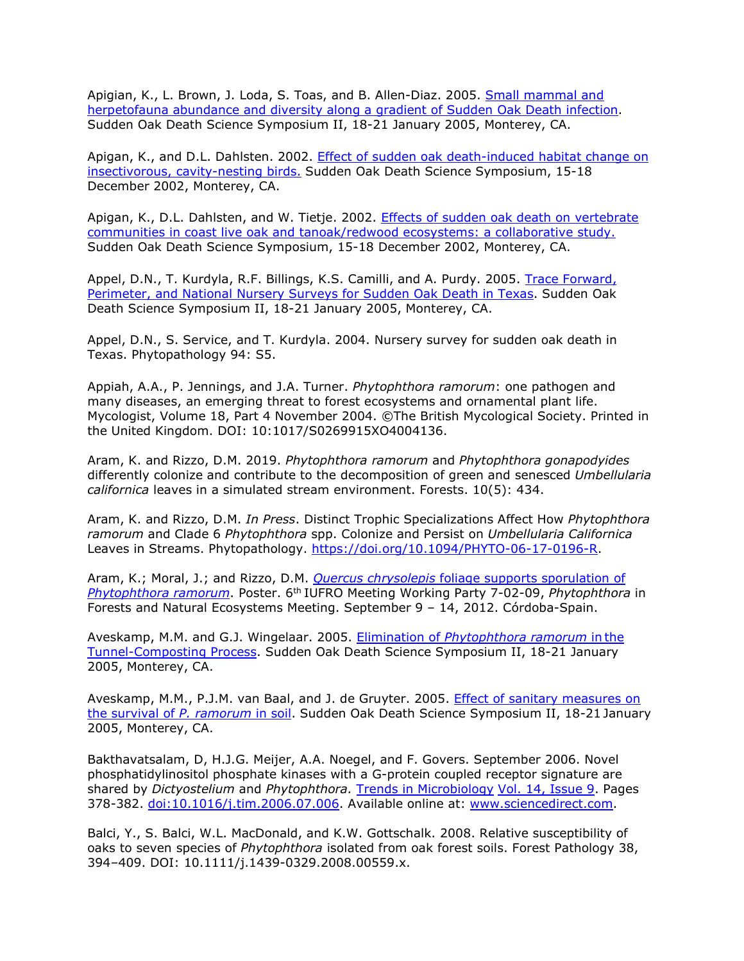Apigian, K., L. Brown, J. Loda, S. Toas, and B. Allen-Diaz. 2005. [Small mammal and](http://nature.berkeley.edu/comtf/pdf/Bibliography/2PosterApigian.pdf) [herpetofauna abundance and diversity along a gradient of Sudden Oak Death infection.](http://nature.berkeley.edu/comtf/pdf/Bibliography/2PosterApigian.pdf) Sudden Oak Death Science Symposium II, 18-21 January 2005, Monterey, CA.

Apigan, K., and D.L. Dahlsten. 2002. [Effect of sudden oak death-induced habitat change on](http://danr.ucop.edu/ihrmp/sodsymp/paper/paper07.html) [insectivorous, cavity-nesting birds.](http://danr.ucop.edu/ihrmp/sodsymp/paper/paper07.html) Sudden Oak Death Science Symposium, 15-18 December 2002, Monterey, CA.

Apigan, K., D.L. Dahlsten, and W. Tietje. 2002. [Effects of sudden oak death on vertebrate](http://danr.ucop.edu/ihrmp/sodsymp/paper/paper07.html) [communities in coast live oak and tanoak/redwood ecosystems: a collaborative study.](http://danr.ucop.edu/ihrmp/sodsymp/paper/paper07.html) Sudden Oak Death Science Symposium, 15-18 December 2002, Monterey, CA.

Appel, D.N., T. Kurdyla, R.F. Billings, K.S. Camilli, and A. Purdy. 2005. [Trace Forward,](http://nature.berkeley.edu/comtf/pdf/Bibliography/2PosterAppel.pdf) [Perimeter, and National Nursery Surveys for Sudden Oak Death in Texas.](http://nature.berkeley.edu/comtf/pdf/Bibliography/2PosterAppel.pdf) Sudden Oak Death Science Symposium II, 18-21 January 2005, Monterey, CA.

Appel, D.N., S. Service, and T. Kurdyla. 2004. Nursery survey for sudden oak death in Texas. Phytopathology 94: S5.

Appiah, A.A., P. Jennings, and J.A. Turner. *Phytophthora ramorum*: one pathogen and many diseases, an emerging threat to forest ecosystems and ornamental plant life. Mycologist, Volume 18, Part 4 November 2004. ©The British Mycological Society. Printed in the United Kingdom. DOI: 10:1017/S0269915XO4004136.

Aram, K. and Rizzo, D.M. 2019. *Phytophthora ramorum* and *Phytophthora gonapodyides*  differently colonize and contribute to the decomposition of green and senesced *Umbellularia californica* leaves in a simulated stream environment. Forests. 10(5): 434.

Aram, K. and Rizzo, D.M. *In Press*. Distinct Trophic Specializations Affect How *Phytophthora ramorum* and Clade 6 *Phytophthora* spp. Colonize and Persist on *Umbellularia Californica*  Leaves in Streams. Phytopathology. [https://doi.org/10.1094/PHYTO-06-17-0196-R.](https://doi.org/10.1094/PHYTO-06-17-0196-R)

Aram, K.; Moral, J.; and Rizzo, D.M. *Quercus chrysolepis* [foliage supports sporulation of](http://www.suddenoakdeath.org/wp-content/uploads/2012/10/QUCH_Sporulation_Poster_IUFRO2012_forTESTprint.pdf) *[Phytophthora ramorum](http://www.suddenoakdeath.org/wp-content/uploads/2012/10/QUCH_Sporulation_Poster_IUFRO2012_forTESTprint.pdf)*. Poster. 6th IUFRO Meeting Working Party 7-02-09, *Phytophthora* in Forests and Natural Ecosystems Meeting. September 9 – 14, 2012. Córdoba-Spain.

Aveskamp, M.M. and G.J. Wingelaar. 2005. Elimination of *[Phytophthora ramorum](http://nature.berkeley.edu/comtf/pdf/Bibliography/47Aveskamp.pdf)* in the [Tunnel-Composting Process.](http://nature.berkeley.edu/comtf/pdf/Bibliography/47Aveskamp.pdf) Sudden Oak Death Science Symposium II, 18-21 January 2005, Monterey, CA.

Aveskamp, M.M., P.J.M. van Baal, and J. de Gruyter. 2005. [Effect of sanitary measures on](http://nature.berkeley.edu/comtf/pdf/Bibliography/48ManagementAveskamp.pdf) [the survival of](http://nature.berkeley.edu/comtf/pdf/Bibliography/48ManagementAveskamp.pdf) *P. ramorum* in soil. Sudden Oak Death Science Symposium II, 18-21 January 2005, Monterey, CA.

Bakthavatsalam, D, H.J.G. Meijer, A.A. Noegel, and F. Govers. September 2006. Novel phosphatidylinositol phosphate kinases with a G-protein coupled receptor signature are shared by *Dictyostelium* and *Phytophthora.* [Trends in Microbiology](http://www.sciencedirect.com/science?_ob=PublicationURL&_cdi=5184&_pubType=J&_auth=y&_acct=C000050221&_version=1&_urlVersion=0&_userid=10&md5=a3cd3b78b0e413aab230797836bde955) Vol. [14, Issue 9.](http://www.sciencedirect.com/science?_ob=PublicationURL&_tockey=%23TOC%235184%232006%23999859990%23630430%23FLA%23&_cdi=5184&_pubType=J&view=c&_auth=y&_acct=C000050221&_version=1&_urlVersion=0&_userid=10&md5=b7711d1f206003a4850232787b795e5b) Pages 378-382. [doi:10.1016/j.tim.2006.07.006.](http://dx.doi.org/10.1016/j.tim.2006.07.006) Available online at: [www.sciencedirect.com.](http://www.sciencedirect.com/)

Balci, Y., S. Balci, W.L. MacDonald, and K.W. Gottschalk. 2008. Relative susceptibility of oaks to seven species of *Phytophthora* isolated from oak forest soils. Forest Pathology 38, 394–409. DOI: 10.1111/j.1439-0329.2008.00559.x.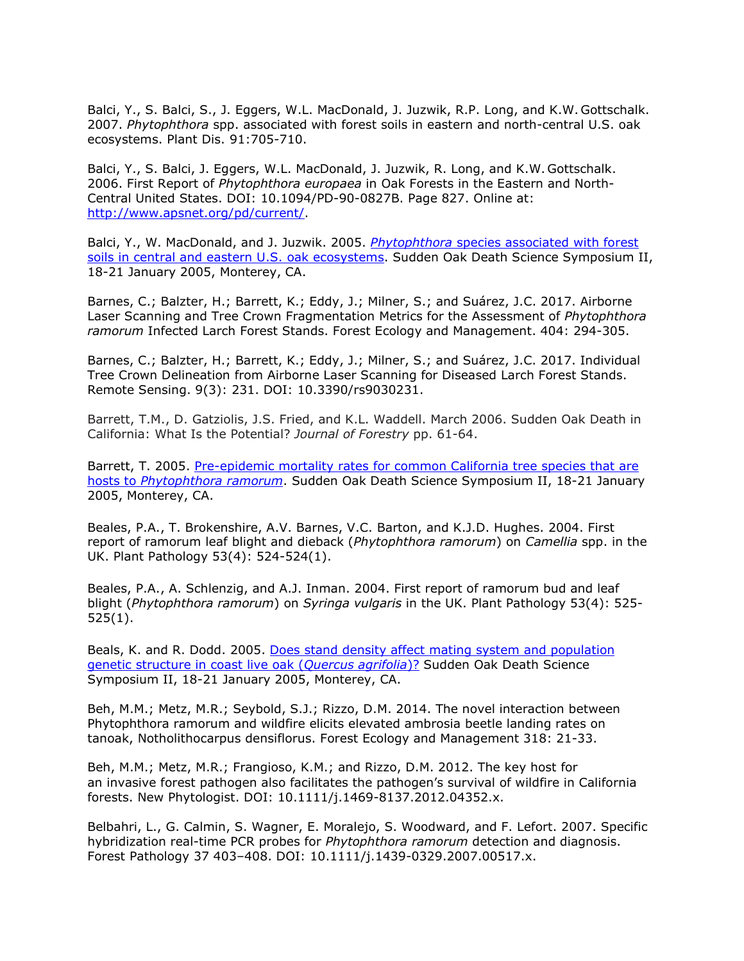Balci, Y., S. Balci, S., J. Eggers, W.L. MacDonald, J. Juzwik, R.P. Long, and K.W. Gottschalk. 2007. *Phytophthora* spp. associated with forest soils in eastern and north-central U.S. oak ecosystems. Plant Dis. 91:705-710.

Balci, Y., S. Balci, J. Eggers, W.L. MacDonald, J. Juzwik, R. Long, and K.W. Gottschalk. 2006. First Report of *Phytophthora europaea* in Oak Forests in the Eastern and North-Central United States. DOI: 10.1094/PD-90-0827B. Page 827. Online at: [http://www.apsnet.org/pd/current/.](http://www.apsnet.org/pd/current/)

Balci, Y., W. MacDonald, and J. Juzwik. 2005. *Phytophthora* [species associated with forest](http://nature.berkeley.edu/comtf/pdf/Bibliography/1Balci.pdf) [soils in central and eastern U.S. oak ecosystems.](http://nature.berkeley.edu/comtf/pdf/Bibliography/1Balci.pdf) Sudden Oak Death Science Symposium II, 18-21 January 2005, Monterey, CA.

Barnes, C.; Balzter, H.; Barrett, K.; Eddy, J.; Milner, S.; and Suárez, J.C. 2017. Airborne Laser Scanning and Tree Crown Fragmentation Metrics for the Assessment of *Phytophthora ramorum* Infected Larch Forest Stands. Forest Ecology and Management. 404: 294-305.

Barnes, C.; Balzter, H.; Barrett, K.; Eddy, J.; Milner, S.; and Suárez, J.C. 2017. Individual Tree Crown Delineation from Airborne Laser Scanning for Diseased Larch Forest Stands. Remote Sensing. 9(3): 231. DOI: 10.3390/rs9030231.

Barrett, T.M., D. Gatziolis, J.S. Fried, and K.L. Waddell. March 2006. Sudden Oak Death in California: What Is the Potential? *Journal of Forestry* pp. 61-64.

Barrett, T. 2005. [Pre-epidemic mortality rates for common California tree species that are](http://nature.berkeley.edu/comtf/pdf/Bibliography/73Barrett.pdf) hosts to *[Phytophthora ramorum](http://nature.berkeley.edu/comtf/pdf/Bibliography/73Barrett.pdf)*. Sudden Oak Death Science Symposium II, 18-21 January 2005, Monterey, CA.

Beales, P.A., T. Brokenshire, A.V. Barnes, V.C. Barton, and K.J.D. Hughes. 2004. First report of ramorum leaf blight and dieback (*Phytophthora ramorum*) on *Camellia* spp. in the UK. Plant Pathology 53(4): 524-524(1).

Beales, P.A., A. Schlenzig, and A.J. Inman. 2004. First report of ramorum bud and leaf blight (*Phytophthora ramorum*) on *Syringa vulgaris* in the UK. Plant Pathology 53(4): 525- 525(1).

Beals, K. and R. Dodd. 2005. [Does stand density affect mating system and population](http://nature.berkeley.edu/comtf/pdf/Bibliography/2GeneticsBeals.pdf) [genetic structure in coast live oak \(](http://nature.berkeley.edu/comtf/pdf/Bibliography/2GeneticsBeals.pdf)*Quercus agrifolia*)? Sudden Oak Death Science Symposium II, 18-21 January 2005, Monterey, CA.

Beh, M.M.; Metz, M.R.; Seybold, S.J.; Rizzo, D.M. 2014. The novel interaction between Phytophthora ramorum and wildfire elicits elevated ambrosia beetle landing rates on tanoak, Notholithocarpus densiflorus. Forest Ecology and Management 318: 21-33.

Beh, M.M.; Metz, M.R.; Frangioso, K.M.; and Rizzo, D.M. 2012. The key host for an invasive forest pathogen also facilitates the pathogen's survival of wildfire in California forests. New Phytologist. DOI: 10.1111/j.1469-8137.2012.04352.x.

Belbahri, L., G. Calmin, S. Wagner, E. Moralejo, S. Woodward, and F. Lefort. 2007. Specific hybridization real-time PCR probes for *Phytophthora ramorum* detection and diagnosis. Forest Pathology 37 403–408. DOI: 10.1111/j.1439-0329.2007.00517.x.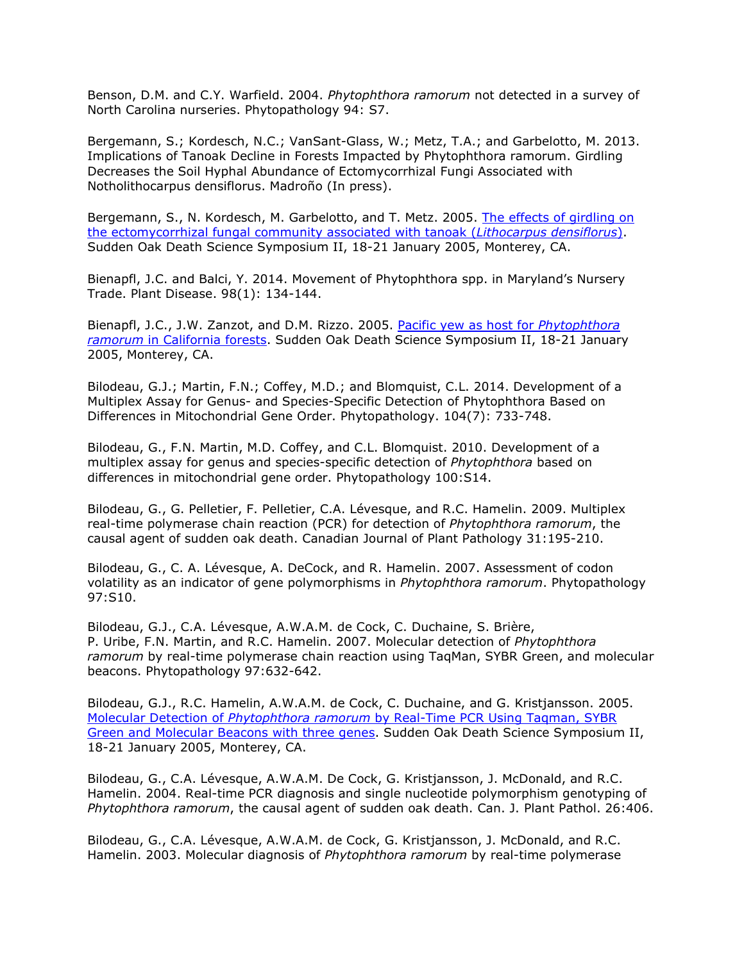Benson, D.M. and C.Y. Warfield. 2004. *Phytophthora ramorum* not detected in a survey of North Carolina nurseries. Phytopathology 94: S7.

Bergemann, S.; Kordesch, N.C.; VanSant-Glass, W.; Metz, T.A.; and Garbelotto, M. 2013. Implications of Tanoak Decline in Forests Impacted by Phytophthora ramorum. Girdling Decreases the Soil Hyphal Abundance of Ectomycorrhizal Fungi Associated with Notholithocarpus densiflorus. Madroño (In press).

Bergemann, S., N. Kordesch, M. Garbelotto, and T. Metz. 2005. [The effects of girdling on](http://nature.berkeley.edu/comtf/pdf/Bibliography/3Bergemann.pdf) [the ectomycorrhizal fungal community associated with tanoak \(](http://nature.berkeley.edu/comtf/pdf/Bibliography/3Bergemann.pdf)*Lithocarpus densiflorus*). Sudden Oak Death Science Symposium II, 18-21 January 2005, Monterey, CA.

Bienapfl, J.C. and Balci, Y. 2014. Movement of Phytophthora spp. in Maryland's Nursery Trade. Plant Disease. 98(1): 134-144.

Bienapfl, J.C., J.W. Zanzot, and D.M. Rizzo. 2005. [Pacific yew as host for](http://nature.berkeley.edu/comtf/pdf/Bibliography/3PosterBienapfl.pdf) *Phytophthora ramorum* [in California forests.](http://nature.berkeley.edu/comtf/pdf/Bibliography/3PosterBienapfl.pdf) Sudden Oak Death Science Symposium II, 18-21 January 2005, Monterey, CA.

Bilodeau, G.J.; Martin, F.N.; Coffey, M.D.; and Blomquist, C.L. 2014. Development of a Multiplex Assay for Genus- and Species-Specific Detection of Phytophthora Based on Differences in Mitochondrial Gene Order. Phytopathology. 104(7): 733-748.

Bilodeau, G., F.N. Martin, M.D. Coffey, and C.L. Blomquist. 2010. Development of a multiplex assay for genus and species-specific detection of *Phytophthora* based on differences in mitochondrial gene order. Phytopathology 100:S14.

Bilodeau, G., G. Pelletier, F. Pelletier, C.A. Lévesque, and R.C. Hamelin. 2009. Multiplex real-time polymerase chain reaction (PCR) for detection of *Phytophthora ramorum*, the causal agent of sudden oak death. Canadian Journal of Plant Pathology 31:195-210.

Bilodeau, G., C. A. Lévesque, A. DeCock, and R. Hamelin. 2007. Assessment of codon volatility as an indicator of gene polymorphisms in *Phytophthora ramorum*. Phytopathology 97:S10.

Bilodeau, G.J., C.A. Lévesque, A.W.A.M. de Cock, C. Duchaine, S. Brière, P. Uribe, F.N. Martin, and R.C. Hamelin. 2007. Molecular detection of *Phytophthora ramorum* by real-time polymerase chain reaction using TaqMan, SYBR Green, and molecular beacons. Phytopathology 97:632-642.

Bilodeau, G.J., R.C. Hamelin, A.W.A.M. de Cock, C. Duchaine, and G. Kristjansson. 2005. Molecular Detection of *Phytophthora ramorum* [by Real-Time PCR Using Taqman, SYBR](http://nature.berkeley.edu/comtf/pdf/Bibliography/14Bilodeau.pdf) [Green and Molecular Beacons with three genes.](http://nature.berkeley.edu/comtf/pdf/Bibliography/14Bilodeau.pdf) Sudden Oak Death Science Symposium II, 18-21 January 2005, Monterey, CA.

Bilodeau, G., C.A. Lévesque, A.W.A.M. De Cock, G. Kristjansson, J. McDonald, and R.C. Hamelin. 2004. Real-time PCR diagnosis and single nucleotide polymorphism genotyping of *Phytophthora ramorum*, the causal agent of sudden oak death. Can. J. Plant Pathol. 26:406.

Bilodeau, G., C.A. Lévesque, A.W.A.M. de Cock, G. Kristjansson, J. McDonald, and R.C. Hamelin. 2003. Molecular diagnosis of *Phytophthora ramorum* by real-time polymerase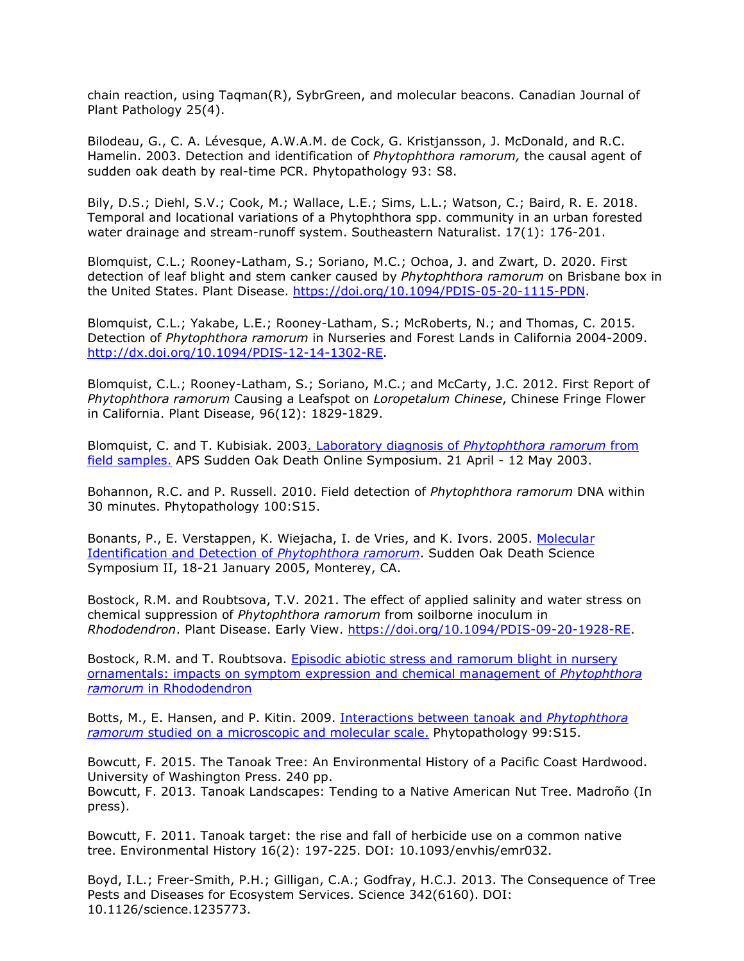chain reaction, using Taqman(R), SybrGreen, and molecular beacons. Canadian Journal of Plant Pathology 25(4).

Bilodeau, G., C. A. Lévesque, A.W.A.M. de Cock, G. Kristjansson, J. McDonald, and R.C. Hamelin. 2003. Detection and identification of *Phytophthora ramorum,* the causal agent of sudden oak death by real-time PCR. Phytopathology 93: S8.

Bily, D.S.; Diehl, S.V.; Cook, M.; Wallace, L.E.; Sims, L.L.; Watson, C.; Baird, R. E. 2018. Temporal and locational variations of a Phytophthora spp. community in an urban forested water drainage and stream-runoff system. Southeastern Naturalist. 17(1): 176-201.

Blomquist, C.L.; Rooney-Latham, S.; Soriano, M.C.; Ochoa, J. and Zwart, D. 2020. First detection of leaf blight and stem canker caused by *Phytophthora ramorum* on Brisbane box in the United States. Plant Disease. [https://doi.org/10.1094/PDIS-05-20-1115-PDN.](https://doi.org/10.1094/PDIS-05-20-1115-PDN)

Blomquist, C.L.; Yakabe, L.E.; Rooney-Latham, S.; McRoberts, N.; and Thomas, C. 2015. Detection of *Phytophthora ramorum* in Nurseries and Forest Lands in California 2004-2009. [http://dx.doi.org/10.1094/PDIS-12-14-1302-RE.](http://dx.doi.org/10.1094/PDIS-12-14-1302-RE)

Blomquist, C.L.; Rooney-Latham, S.; Soriano, M.C.; and McCarty, J.C. 2012. First Report of *Phytophthora ramorum* Causing a Leafspot on *Loropetalum Chinese*, Chinese Fringe Flower in California. Plant Disease, 96(12): 1829-1829.

Blomquist, C. and T. Kubisiak. 200[3. Laboratory diagnosis of](http://www.apsnet.org/online/proceedings/SOD/Papers/blomquist_kubisiak/default.htm) *Phytophthora ramorum* from [field samples.](http://www.apsnet.org/online/proceedings/SOD/Papers/blomquist_kubisiak/default.htm) APS Sudden Oak Death Online Symposium. 21 April - 12 May 2003.

Bohannon, R.C. and P. Russell. 2010. Field detection of *Phytophthora ramorum* DNA within 30 minutes. Phytopathology 100:S15.

Bonants, P., E. Verstappen, K. Wiejacha, I. de Vries, and K. Ivors. 2005. [Molecular](http://nature.berkeley.edu/comtf/pdf/Bibliography/12Bonants.pdf) [Identification and Detection of](http://nature.berkeley.edu/comtf/pdf/Bibliography/12Bonants.pdf) *Phytophthora ramorum*. Sudden Oak Death Science Symposium II, 18-21 January 2005, Monterey, CA.

Bostock, R.M. and Roubtsova, T.V. 2021. The effect of applied salinity and water stress on chemical suppression of *Phytophthora ramorum* from soilborne inoculum in *Rhododendron*. Plant Disease. Early View. [https://doi.org/10.1094/PDIS-09-20-1928-RE.](https://doi.org/10.1094/PDIS-09-20-1928-RE)

Bostock, R.M. and T. Roubtsova. [Episodic abiotic stress and](http://nature.berkeley.edu/comtf/pdf/Monthly%20Reports/Oct2010/Bostock.pdf) ramorum blight in nursery [ornamentals: impacts on symptom expression and chemical management of](http://nature.berkeley.edu/comtf/pdf/Monthly%20Reports/Oct2010/Bostock.pdf) *Phytophthora ramorum* [in Rhododendron](http://nature.berkeley.edu/comtf/pdf/Monthly%20Reports/Oct2010/Bostock.pdf)

Botts, M., E. Hansen, and P. Kitin. 2009. [Interactions between tanoak and](http://nature.berkeley.edu/comtf/pdf/Botts_2009.pdf) *Phytophthora ramorum* [studied on a microscopic and molecular scale.](http://nature.berkeley.edu/comtf/pdf/Botts_2009.pdf) Phytopathology 99:S15.

Bowcutt, F. 2015. The Tanoak Tree: An Environmental History of a Pacific Coast Hardwood. University of Washington Press. 240 pp.

Bowcutt, F. 2013. Tanoak Landscapes: Tending to a Native American Nut Tree. Madroño (In press).

Bowcutt, F. 2011. Tanoak target: the rise and fall of herbicide use on a common native tree. Environmental History 16(2): 197-225. DOI: 10.1093/envhis/emr032.

Boyd, I.L.; Freer-Smith, P.H.; Gilligan, C.A.; Godfray, H.C.J. 2013. The Consequence of Tree Pests and Diseases for Ecosystem Services. Science 342(6160). DOI: 10.1126/science.1235773.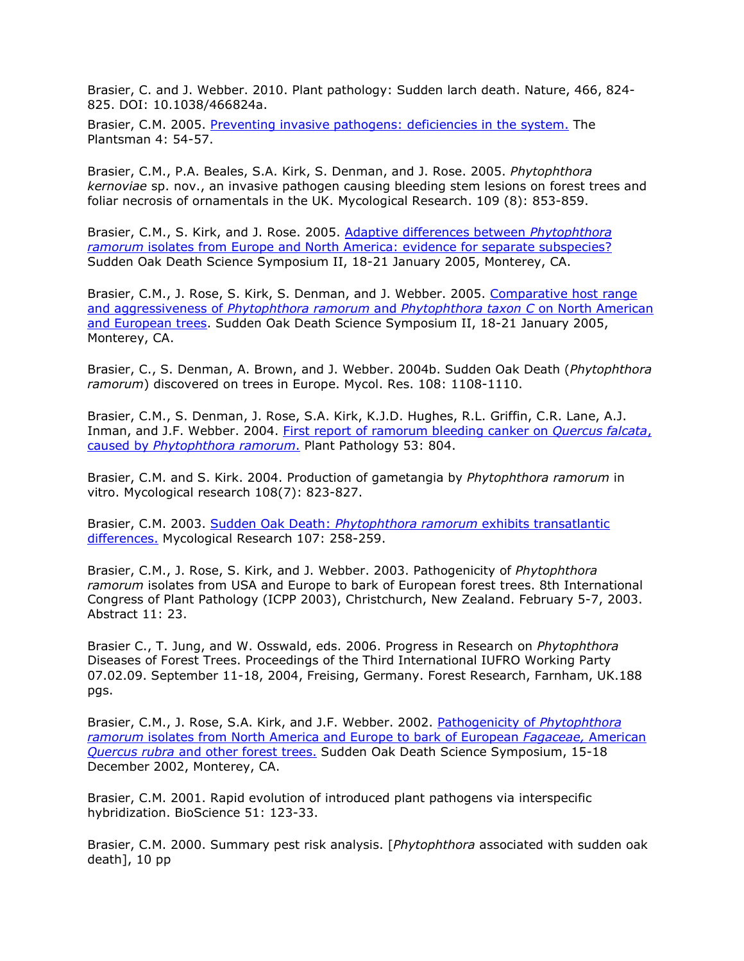Brasier, C. and J. Webber. 2010. Plant pathology: Sudden larch death. Nature, 466, 824- 825. DOI: 10.1038/466824a.

Brasier, C.M. 2005. [Preventing invasive pathogens: deficiencies in the system.](http://www.rhs.org.uk/learning/publications/plantsman/0305/plantsmanmar2005.asp) The Plantsman 4: 54-5[7.](http://www.rhs.org.uk/learning/publications/plantsman/0305/plantsmanmar2005.asp)

Brasier, C.M., P.A. Beales, S.A. Kirk, S. Denman, and J. Rose. 2005. *Phytophthora kernoviae* sp. nov., an invasive pathogen causing bleeding stem lesions on forest trees and foliar necrosis of ornamentals in the UK. Mycological Research. 109 (8): 853-859.

Brasier, C.M., S. Kirk, and J. Rose. 2005. [Adaptive differences between](http://nature.berkeley.edu/comtf/pdf/Bibliography/23Brasier.pdf) *Phytophthora ramorum* [isolates from Europe and North America: evidence for separate subspecies?](http://nature.berkeley.edu/comtf/pdf/Bibliography/23Brasier.pdf) Sudden Oak Death Science Symposium II, 18-21 January 2005, Monterey, CA.

Brasier, C.M., J. Rose, S. Kirk, S. Denman, and J. Webber. 2005. [Comparative host range](http://nature.berkeley.edu/comtf/pdf/Bibliography/27Brasier.pdf) and aggressiveness of *[Phytophthora ramorum](http://nature.berkeley.edu/comtf/pdf/Bibliography/27Brasier.pdf)* and *Phytophthora taxon C* on North American [and European trees.](http://nature.berkeley.edu/comtf/pdf/Bibliography/27Brasier.pdf) Sudden Oak Death Science Symposium II, 18-21 January 2005, Monterey, CA.

Brasier, C., S. Denman, A. Brown, and J. Webber. 2004b. Sudden Oak Death (*Phytophthora ramorum*) discovered on trees in Europe. Mycol. Res. 108: 1108-1110.

Brasier, C.M., S. Denman, J. Rose, S.A. Kirk, K.J.D. Hughes, R.L. Griffin, C.R. Lane, A.J. Inman, and J.F. Webber. 2004. [First report of ramorum bleeding canker on](http://nature.berkeley.edu/comtf/pdf/Bibliography/brasier2004d.pdf) *Quercus falcata*, caused by *[Phytophthora ramorum](http://nature.berkeley.edu/comtf/pdf/Bibliography/brasier2004d.pdf)*. Plant Pathology 53: 804.

Brasier, C.M. and S. Kirk. 2004. Production of gametangia by *Phytophthora ramorum* in vitro. Mycological research 108(7): 823-827.

Brasier, C.M. 2003. Sudden Oak Death: *[Phytophthora ramorum](http://nature.berkeley.edu/comtf/pdf/Bibliography/brasier2003a.pdf)* exhibits transatlantic [differences.](http://nature.berkeley.edu/comtf/pdf/Bibliography/brasier2003a.pdf) Mycological Research 107: 258-259.

Brasier, C.M., J. Rose, S. Kirk, and J. Webber. 2003. Pathogenicity of *Phytophthora ramorum* isolates from USA and Europe to bark of European forest trees. 8th International Congress of Plant Pathology (ICPP 2003), Christchurch, New Zealand. February 5-7, 2003. Abstract 11: 23.

Brasier C., T. Jung, and W. Osswald, eds. 2006. Progress in Research on *Phytophthora* Diseases of Forest Trees. Proceedings of the Third International IUFRO Working Party 07.02.09. September 11-18, 2004, Freising, Germany. Forest Research, Farnham, UK.188 pgs.

Brasier, C.M., J. Rose, S.A. Kirk, and J.F. Webber. 2002. [Pathogenicity of](http://danr.ucop.edu/ihrmp/sodsymp/paper/paper09.html) *Phytophthora ramorum* [isolates from North America and Europe to bark of European](http://danr.ucop.edu/ihrmp/sodsymp/paper/paper09.html) *Fagaceae,* American *Quercus rubra* [and other forest trees.](http://danr.ucop.edu/ihrmp/sodsymp/paper/paper09.html) Sudden Oak Death Science Symposium, 15-18 December 2002, Monterey, CA.

Brasier, C.M. 2001. Rapid evolution of introduced plant pathogens via interspecific hybridization. BioScience 51: 123-33.

Brasier, C.M. 2000. Summary pest risk analysis. [*Phytophthora* associated with sudden oak death], 10 pp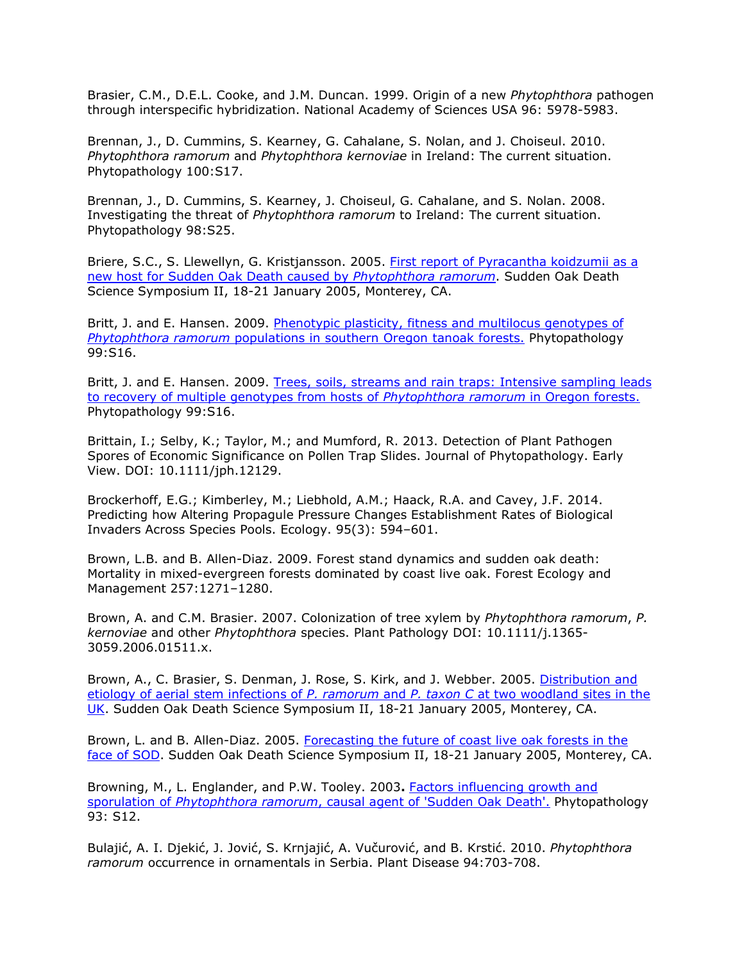Brasier, C.M., D.E.L. Cooke, and J.M. Duncan. 1999. Origin of a new *Phytophthora* pathogen through interspecific hybridization. National Academy of Sciences USA 96: 5978-5983.

Brennan, J., D. Cummins, S. Kearney, G. Cahalane, S. Nolan, and J. Choiseul. 2010. *Phytophthora ramorum* and *Phytophthora kernoviae* in Ireland: The current situation. Phytopathology 100:S17.

Brennan, J., D. Cummins, S. Kearney, J. Choiseul, G. Cahalane, and S. Nolan. 2008. Investigating the threat of *Phytophthora ramorum* to Ireland: The current situation. Phytopathology 98:S25.

Briere, S.C., S. Llewellyn, G. Kristjansson. 2005. [First report of Pyracantha koidzumii as a](http://nature.berkeley.edu/comtf/pdf/Bibliography/4PosterBriere.pdf) [new host for Sudden Oak Death caused by](http://nature.berkeley.edu/comtf/pdf/Bibliography/4PosterBriere.pdf) *Phytophthora ramorum*. Sudden Oak Death Science Symposium II, 18-21 January 2005, Monterey, CA.

Britt, J. and E. Hansen. 2009. [Phenotypic plasticity, fitness and multilocus genotypes of](http://nature.berkeley.edu/comtf/pdf/Britt_2009a.pdf) *Phytophthora ramorum* [populations in southern Oregon tanoak forests.](http://nature.berkeley.edu/comtf/pdf/Britt_2009a.pdf) Phytopathology 99:S16.

Britt, J. and E. Hansen. 2009. [Trees, soils, streams and rain traps: Intensive sampling leads](http://nature.berkeley.edu/comtf/pdf/Britt_2009b.pdf) [to recovery of multiple genotypes from hosts of](http://nature.berkeley.edu/comtf/pdf/Britt_2009b.pdf) *Phytophthora ramorum* in Oregon forests. Phytopathology 99:S16.

Brittain, I.; Selby, K.; Taylor, M.; and Mumford, R. 2013. Detection of Plant Pathogen Spores of Economic Significance on Pollen Trap Slides. Journal of Phytopathology. Early View. DOI: 10.1111/jph.12129.

Brockerhoff, E.G.; Kimberley, M.; Liebhold, A.M.; Haack, R.A. and Cavey, J.F. 2014. Predicting how Altering Propagule Pressure Changes Establishment Rates of Biological Invaders Across Species Pools. Ecology. 95(3): 594–601.

Brown, L.B. and B. Allen-Diaz. 2009. Forest stand dynamics and sudden oak death: Mortality in mixed-evergreen forests dominated by coast live oak. Forest Ecology and Management 257:1271–1280.

Brown, A. and C.M. Brasier. 2007. Colonization of tree xylem by *Phytophthora ramorum*, *P. kernoviae* and other *Phytophthora* species. Plant Pathology DOI: 10.1111/j.1365- 3059.2006.01511.x.

Brown, A., C. Brasier, S. Denman, J. Rose, S. Kirk, and J. Webber. 2005. [Distribution and](http://nature.berkeley.edu/comtf/pdf/Bibliography/25Brown.pdf) [etiology of aerial stem infections of](http://nature.berkeley.edu/comtf/pdf/Bibliography/25Brown.pdf) *P. ramorum* and *P. taxon C* at two woodland sites in the [UK.](http://nature.berkeley.edu/comtf/pdf/Bibliography/25Brown.pdf) Sudden Oak Death Science Symposium II, 18-21 January 2005, Monterey, CA.

Brown, L. and B. Allen-Diaz. 2005. [Forecasting the future of coast live oak forests in the](http://nature.berkeley.edu/comtf/pdf/Bibliography/39Brown.pdf) [face of SOD.](http://nature.berkeley.edu/comtf/pdf/Bibliography/39Brown.pdf) Sudden Oak Death Science Symposium II, 18-21 January 2005, Monterey, CA.

Browning, M., L. Englander, and P.W. Tooley. 2003**.** [Factors influencing growth and](http://www.suddenoakdeath.org/html/aps_resources.html#03aps06) sporulation of *Phytophthora ramorum*[, causal agent of 'Sudden Oak Death'.](http://www.suddenoakdeath.org/html/aps_resources.html#03aps06) Phytopathology 93: S12.

Bulajić, A. I. Djekić, J. Jović, S. Krnjajić, A. Vučurović, and B. Krstić. 2010. *Phytophthora ramorum* occurrence in ornamentals in Serbia. Plant Disease 94:703-708.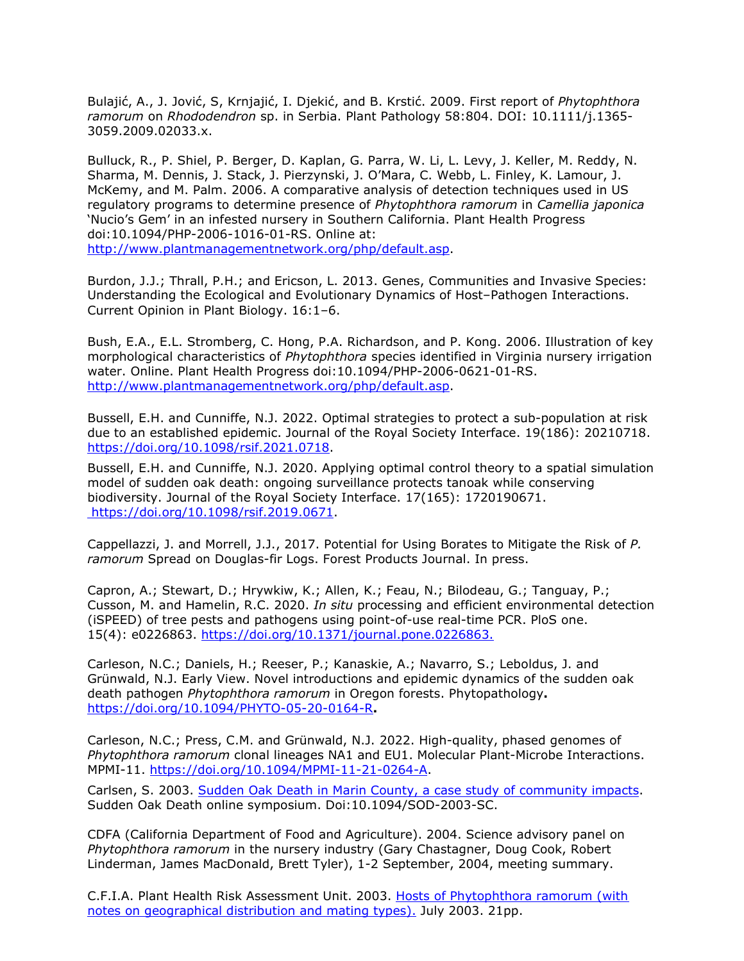Bulajić, A., J. Jović, S, Krnjajić, I. Djekić, and B. Krstić. 2009. First report of *Phytophthora ramorum* on *Rhododendron* sp. in Serbia. Plant Pathology 58:804. DOI: 10.1111/j.1365- 3059.2009.02033.x.

Bulluck, R., P. Shiel, P. Berger, D. Kaplan, G. Parra, W. Li, L. Levy, J. Keller, M. Reddy, N. Sharma, M. Dennis, J. Stack, J. Pierzynski, J. O'Mara, C. Webb, L. Finley, K. Lamour, J. McKemy, and M. Palm. 2006. A comparative analysis of detection techniques used in US regulatory programs to determine presence of *Phytophthora ramorum* in *Camellia japonica*  'Nucio's Gem' in an infested nursery in Southern California. Plant Health Progress doi:10.1094/PHP-2006-1016-01-RS. Online at: [http://www.plantmanagementnetwork.org/php/default.asp.](http://www.plantmanagementnetwork.org/php/default.asp)

Burdon, J.J.; Thrall, P.H.; and Ericson, L. 2013. Genes, Communities and Invasive Species: Understanding the Ecological and Evolutionary Dynamics of Host–Pathogen Interactions. Current Opinion in Plant Biology. 16:1–6.

Bush, E.A., E.L. Stromberg, C. Hong, P.A. Richardson, and P. Kong. 2006. Illustration of key morphological characteristics of *Phytophthora* species identified in Virginia nursery irrigation water. Online. Plant Health Progress doi:10.1094/PHP-2006-0621-01-RS. [http://www.plantmanagementnetwork.org/php/default.asp.](http://www.plantmanagementnetwork.org/php/default.asp)

Bussell, E.H. and Cunniffe, N.J. 2022. Optimal strategies to protect a sub-population at risk due to an established epidemic. Journal of the Royal Society Interface. 19(186): 20210718. [https://doi.org/10.1098/rsif.2021.0718.](https://doi.org/10.1098/rsif.2021.0718)

Bussell, E.H. and Cunniffe, N.J. 2020. Applying optimal control theory to a spatial simulation model of sudden oak death: ongoing surveillance protects tanoak while conserving biodiversity. Journal of the Royal Society Interface. 17(165): 1720190671. [https://doi.org/10.1098/rsif.2019.0671.](https://doi.org/10.1098/rsif.2019.0671)

Cappellazzi, J. and Morrell, J.J., 2017. Potential for Using Borates to Mitigate the Risk of *P. ramorum* Spread on Douglas-fir Logs. Forest Products Journal. In press.

Capron, A.; Stewart, D.; Hrywkiw, K.; Allen, K.; Feau, N.; Bilodeau, G.; Tanguay, P.; Cusson, M. and Hamelin, R.C. 2020. *In situ* processing and efficient environmental detection (iSPEED) of tree pests and pathogens using point-of-use real-time PCR. PloS one. 15(4): e0226863. [https://doi.org/10.1371/journal.pone.0226863.](https://doi.org/10.1371/journal.pone.0226863)

Carleson, N.C.; Daniels, H.; Reeser, P.; Kanaskie, A.; Navarro, S.; Leboldus, J. and Grünwald, N.J. Early View. Novel introductions and epidemic dynamics of the sudden oak death pathogen *Phytophthora ramorum* in Oregon forests. Phytopathology**.** <https://doi.org/10.1094/PHYTO-05-20-0164-R>**.**

Carleson, N.C.; Press, C.M. and Grünwald, N.J. 2022. High-quality, phased genomes of *Phytophthora ramorum* clonal lineages NA1 and EU1. Molecular Plant-Microbe Interactions. MPMI-11. [https://doi.org/10.1094/MPMI-11-21-0264-A.](https://doi.org/10.1094/MPMI-11-21-0264-A)

Carlsen, S. 2003. [Sudden Oak Death in Marin County, a case study of community impacts.](http://www.apsnet.org/online/proceedings/SOD/Papers/Carlsen/default.htm) Sudden Oak Death online symposium. Doi:10.1094/SOD-2003-SC.

CDFA (California Department of Food and Agriculture). 2004. Science advisory panel on *Phytophthora ramorum* in the nursery industry (Gary Chastagner, Doug Cook, Robert Linderman, James MacDonald, Brett Tyler), 1-2 September, 2004, meeting summary.

C.F.I.A. Plant Health Risk Assessment Unit. 2003. [Hosts of Phytophthora ramorum \(with](http://nature.berkeley.edu/comtf/pdf/P.ramorum.hosts.June.2003.pdf) [notes on geographical distribution and mating types\).](http://nature.berkeley.edu/comtf/pdf/P.ramorum.hosts.June.2003.pdf) July 2003. 21pp.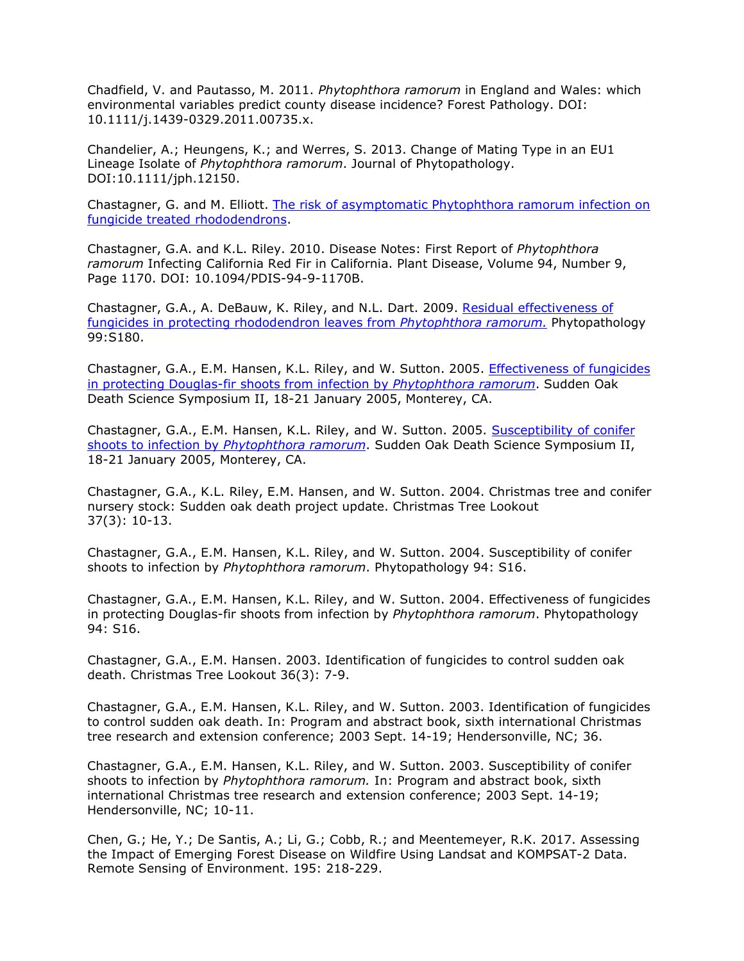Chadfield, V. and Pautasso, M. 2011. *Phytophthora ramorum* in England and Wales: which environmental variables predict county disease incidence? Forest Pathology. DOI: 10.1111/j.1439-0329.2011.00735.x.

Chandelier, A.; Heungens, K.; and Werres, S. 2013. Change of Mating Type in an EU1 Lineage Isolate of *Phytophthora ramorum*. Journal of Phytopathology. DOI:10.1111/jph.12150.

Chastagner, G. and M. Elliott. [The risk of asymptomatic Phytophthora ramorum infection on](http://nature.berkeley.edu/comtf/pdf/Monthly%20Reports/Oct2010/Chastagner.pdf) [fungicide treated rhododendrons.](http://nature.berkeley.edu/comtf/pdf/Monthly%20Reports/Oct2010/Chastagner.pdf)

Chastagner, G.A. and K.L. Riley. 2010. Disease Notes: First Report of *Phytophthora ramorum* Infecting California Red Fir in California. Plant Disease, Volume 94, Number 9, Page 1170. DOI: 10.1094/PDIS-94-9-1170B.

Chastagner, G.A., A. DeBauw, K. Riley, and N.L. Dart. 2009. [Residual effectiveness of](http://nature.berkeley.edu/comtf/pdf/Chastagner_2009.pdf) [fungicides in protecting rhododendron leaves from](http://nature.berkeley.edu/comtf/pdf/Chastagner_2009.pdf) *Phytophthora ramorum.* Phytopathology 99:S180.

Chastagner, G.A., E.M. Hansen, K.L. Riley, and W. Sutton. 2005. [Effectiveness of fungicides](http://nature.berkeley.edu/comtf/pdf/Bibliography/ChastagnerAbstract2.pdf) [in protecting Douglas-fir shoots from infection by](http://nature.berkeley.edu/comtf/pdf/Bibliography/ChastagnerAbstract2.pdf) *Phytophthora ramorum*. Sudden Oak Death Science Symposium II, 18-21 January 2005, Monterey, CA.

Chastagner, G.A., E.M. Hansen, K.L. Riley, and W. Sutton. 2005. [Susceptibility of conifer](http://nature.berkeley.edu/comtf/pdf/Bibliography/ChastagnerAbstract.pdf) shoots to infection by *[Phytophthora ramorum](http://nature.berkeley.edu/comtf/pdf/Bibliography/ChastagnerAbstract.pdf)*. Sudden Oak Death Science Symposium II, 18-21 January 2005, Monterey, CA.

Chastagner, G.A., K.L. Riley, E.M. Hansen, and W. Sutton. 2004. Christmas tree and conifer nursery stock: Sudden oak death project update. Christmas Tree Lookout 37(3): 10-13.

Chastagner, G.A., E.M. Hansen, K.L. Riley, and W. Sutton. 2004. Susceptibility of conifer shoots to infection by *Phytophthora ramorum*. Phytopathology 94: S16.

Chastagner, G.A., E.M. Hansen, K.L. Riley, and W. Sutton. 2004. Effectiveness of fungicides in protecting Douglas-fir shoots from infection by *Phytophthora ramorum*. Phytopathology 94: S16.

Chastagner, G.A., E.M. Hansen. 2003. Identification of fungicides to control sudden oak death. Christmas Tree Lookout 36(3): 7-9.

Chastagner, G.A., E.M. Hansen, K.L. Riley, and W. Sutton. 2003. Identification of fungicides to control sudden oak death. In: Program and abstract book, sixth international Christmas tree research and extension conference; 2003 Sept. 14-19; Hendersonville, NC; 36.

Chastagner, G.A., E.M. Hansen, K.L. Riley, and W. Sutton. 2003. Susceptibility of conifer shoots to infection by *Phytophthora ramorum.* In: Program and abstract book, sixth international Christmas tree research and extension conference; 2003 Sept. 14-19; Hendersonville, NC; 10-11.

Chen, G.; He, Y.; De Santis, A.; Li, G.; Cobb, R.; and Meentemeyer, R.K. 2017. Assessing the Impact of Emerging Forest Disease on Wildfire Using Landsat and KOMPSAT-2 Data. Remote Sensing of Environment. 195: 218-229.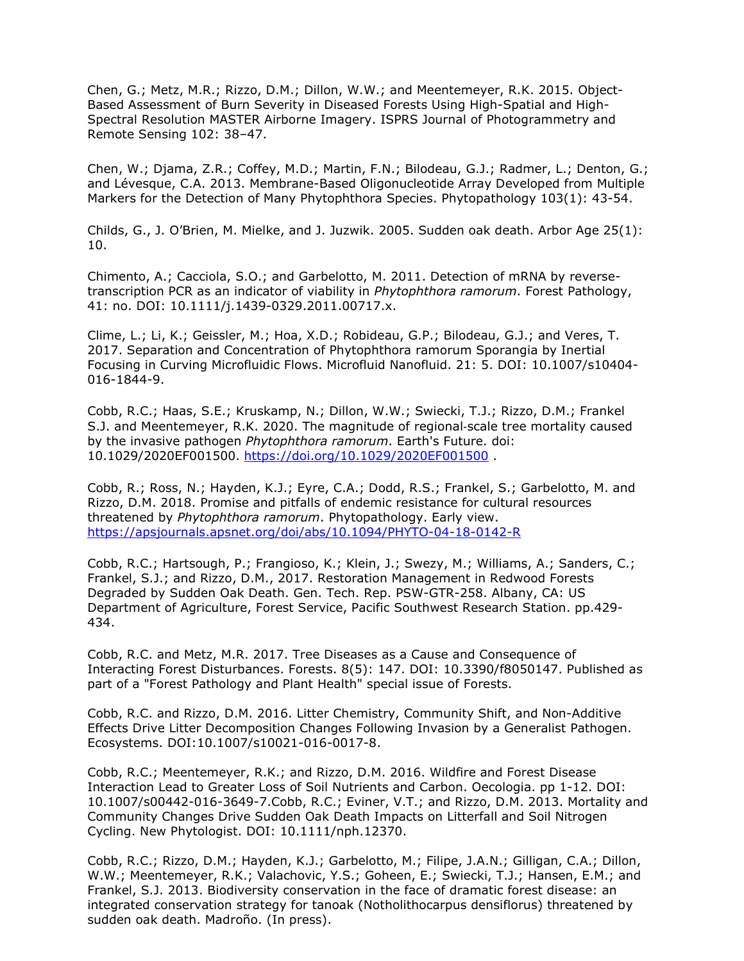Chen, G.; Metz, M.R.; Rizzo, D.M.; Dillon, W.W.; and Meentemeyer, R.K. 2015. Object-Based Assessment of Burn Severity in Diseased Forests Using High-Spatial and High-Spectral Resolution MASTER Airborne Imagery. ISPRS Journal of Photogrammetry and Remote Sensing 102: 38–47.

Chen, W.; Djama, Z.R.; Coffey, M.D.; Martin, F.N.; Bilodeau, G.J.; Radmer, L.; Denton, G.; and Lévesque, C.A. 2013. Membrane-Based Oligonucleotide Array Developed from Multiple Markers for the Detection of Many Phytophthora Species. Phytopathology 103(1): 43-54.

Childs, G., J. O'Brien, M. Mielke, and J. Juzwik. 2005. Sudden oak death. Arbor Age 25(1): 10.

Chimento, A.; Cacciola, S.O.; and Garbelotto, M. 2011. Detection of mRNA by reversetranscription PCR as an indicator of viability in *Phytophthora ramorum*. Forest Pathology, 41: no. DOI: 10.1111/j.1439-0329.2011.00717.x.

Clime, L.; Li, K.; Geissler, M.; Hoa, X.D.; Robideau, G.P.; Bilodeau, G.J.; and Veres, T. 2017. Separation and Concentration of Phytophthora ramorum Sporangia by Inertial Focusing in Curving Microfluidic Flows. Microfluid Nanofluid. 21: 5. DOI: 10.1007/s10404- 016-1844-9.

Cobb, R.C.; Haas, S.E.; Kruskamp, N.; Dillon, W.W.; Swiecki, T.J.; Rizzo, D.M.; Frankel S.J. and Meentemeyer, R.K. 2020. The magnitude of regional‐scale tree mortality caused by the invasive pathogen *Phytophthora ramorum*. Earth's Future. doi: 10.1029/2020EF001500. <https://doi.org/10.1029/2020EF001500> .

Cobb, R.; Ross, N.; Hayden, K.J.; Eyre, C.A.; Dodd, R.S.; Frankel, S.; Garbelotto, M. and Rizzo, D.M. 2018. Promise and pitfalls of endemic resistance for cultural resources threatened by *Phytophthora ramorum*. Phytopathology. Early view. <https://apsjournals.apsnet.org/doi/abs/10.1094/PHYTO-04-18-0142-R>

Cobb, R.C.; Hartsough, P.; Frangioso, K.; Klein, J.; Swezy, M.; Williams, A.; Sanders, C.; Frankel, S.J.; and Rizzo, D.M., 2017. Restoration Management in Redwood Forests Degraded by Sudden Oak Death. Gen. Tech. Rep. PSW-GTR-258. Albany, CA: US Department of Agriculture, Forest Service, Pacific Southwest Research Station. pp.429- 434.

Cobb, R.C. and Metz, M.R. 2017. Tree Diseases as a Cause and Consequence of Interacting Forest Disturbances. Forests. 8(5): 147. DOI: 10.3390/f8050147. Published as part of a "Forest Pathology and Plant Health" special issue of Forests.

Cobb, R.C. and Rizzo, D.M. 2016. Litter Chemistry, Community Shift, and Non-Additive Effects Drive Litter Decomposition Changes Following Invasion by a Generalist Pathogen. Ecosystems. DOI:10.1007/s10021-016-0017-8.

Cobb, R.C.; Meentemeyer, R.K.; and Rizzo, D.M. 2016. Wildfire and Forest Disease Interaction Lead to Greater Loss of Soil Nutrients and Carbon. Oecologia. pp 1-12. DOI: 10.1007/s00442-016-3649-7.Cobb, R.C.; Eviner, V.T.; and Rizzo, D.M. 2013. Mortality and Community Changes Drive Sudden Oak Death Impacts on Litterfall and Soil Nitrogen Cycling. New Phytologist. DOI: 10.1111/nph.12370.

Cobb, R.C.; Rizzo, D.M.; Hayden, K.J.; Garbelotto, M.; Filipe, J.A.N.; Gilligan, C.A.; Dillon, W.W.; Meentemeyer, R.K.; Valachovic, Y.S.; Goheen, E.; Swiecki, T.J.; Hansen, E.M.; and Frankel, S.J. 2013. Biodiversity conservation in the face of dramatic forest disease: an integrated conservation strategy for tanoak (Notholithocarpus densiflorus) threatened by sudden oak death. Madroño. (In press).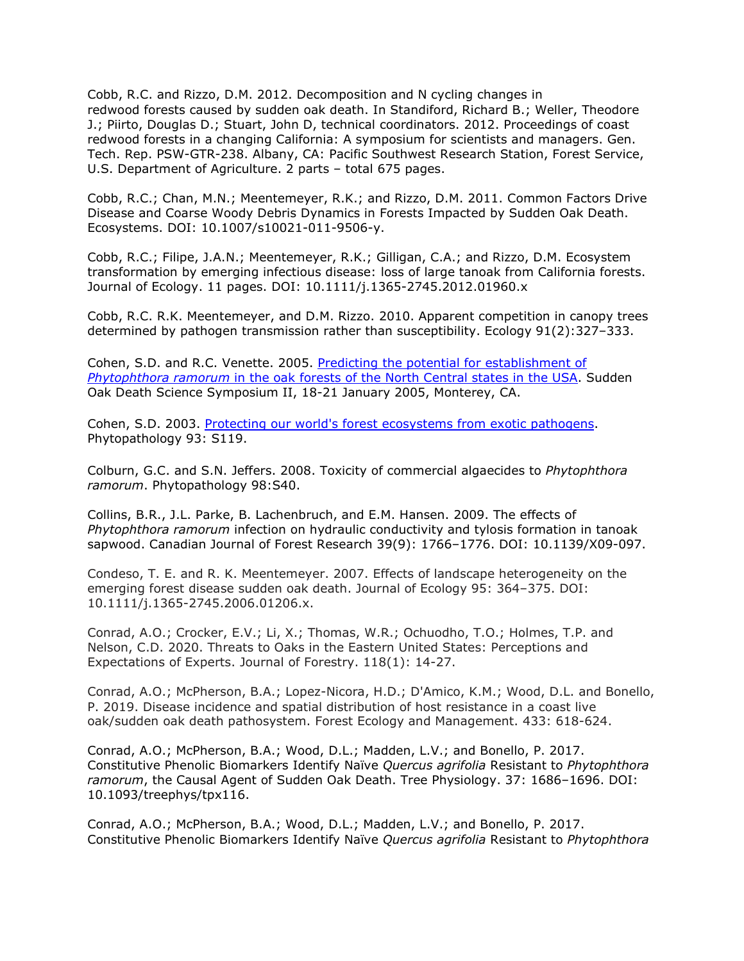Cobb, R.C. and Rizzo, D.M. 2012. Decomposition and N cycling changes in redwood forests caused by sudden oak death. In Standiford, Richard B.; Weller, Theodore J.; Piirto, Douglas D.; Stuart, John D, technical coordinators. 2012. Proceedings of coast redwood forests in a changing California: A symposium for scientists and managers. Gen. Tech. Rep. PSW-GTR-238. Albany, CA: Pacific Southwest Research Station, Forest Service, U.S. Department of Agriculture. 2 parts – total 675 pages.

Cobb, R.C.; Chan, M.N.; Meentemeyer, R.K.; and Rizzo, D.M. 2011. Common Factors Drive Disease and Coarse Woody Debris Dynamics in Forests Impacted by Sudden Oak Death. Ecosystems. DOI: 10.1007/s10021-011-9506-y.

Cobb, R.C.; Filipe, J.A.N.; Meentemeyer, R.K.; Gilligan, C.A.; and Rizzo, D.M. Ecosystem transformation by emerging infectious disease: loss of large tanoak from California forests. Journal of Ecology. 11 pages. DOI: 10.1111/j.1365-2745.2012.01960.x

Cobb, R.C. R.K. Meentemeyer, and D.M. Rizzo. 2010. Apparent competition in canopy trees determined by pathogen transmission rather than susceptibility. Ecology 91(2):327–333.

Cohen, S.D. and R.C. Venette. 2005. [Predicting the potential for establishment of](http://nature.berkeley.edu/comtf/pdf/Bibliography/5PosterCohen.pdf) *Phytophthora ramorum* [in the oak forests of the North Central states in the USA.](http://nature.berkeley.edu/comtf/pdf/Bibliography/5PosterCohen.pdf) Sudden Oak Death Science Symposium II, 18-21 January 2005, Monterey, CA.

Cohen, S.D. 2003. [Protecting our world's forest ecosystems from exotic pathogens.](http://www.suddenoakdeath.org/html/aps_resources.html#03aps11) Phytopathology 93: S119.

Colburn, G.C. and S.N. Jeffers. 2008. Toxicity of commercial algaecides to *Phytophthora ramorum*. Phytopathology 98:S40.

Collins, B.R., J.L. Parke, B. Lachenbruch, and E.M. Hansen. 2009. The effects of *Phytophthora ramorum* infection on hydraulic conductivity and tylosis formation in tanoak sapwood. Canadian Journal of Forest Research 39(9): 1766–1776. DOI: 10.1139/X09-097.

Condeso, T. E. and R. K. Meentemeyer. 2007. Effects of landscape heterogeneity on the emerging forest disease sudden oak death. Journal of Ecology 95: 364–375. DOI: 10.1111/j.1365-2745.2006.01206.x.

Conrad, A.O.; Crocker, E.V.; Li, X.; Thomas, W.R.; Ochuodho, T.O.; Holmes, T.P. and Nelson, C.D. 2020. Threats to Oaks in the Eastern United States: Perceptions and Expectations of Experts. Journal of Forestry. 118(1): 14-27.

Conrad, A.O.; McPherson, B.A.; Lopez-Nicora, H.D.; D'Amico, K.M.; Wood, D.L. and Bonello, P. 2019. Disease incidence and spatial distribution of host resistance in a coast live oak/sudden oak death pathosystem. Forest Ecology and Management. 433: 618-624.

Conrad, A.O.; McPherson, B.A.; Wood, D.L.; Madden, L.V.; and Bonello, P. 2017. Constitutive Phenolic Biomarkers Identify Naïve *Quercus agrifolia* Resistant to *Phytophthora ramorum*, the Causal Agent of Sudden Oak Death. Tree Physiology. 37: 1686–1696. DOI: 10.1093/treephys/tpx116.

Conrad, A.O.; McPherson, B.A.; Wood, D.L.; Madden, L.V.; and Bonello, P. 2017. Constitutive Phenolic Biomarkers Identify Naïve *Quercus agrifolia* Resistant to *Phytophthora*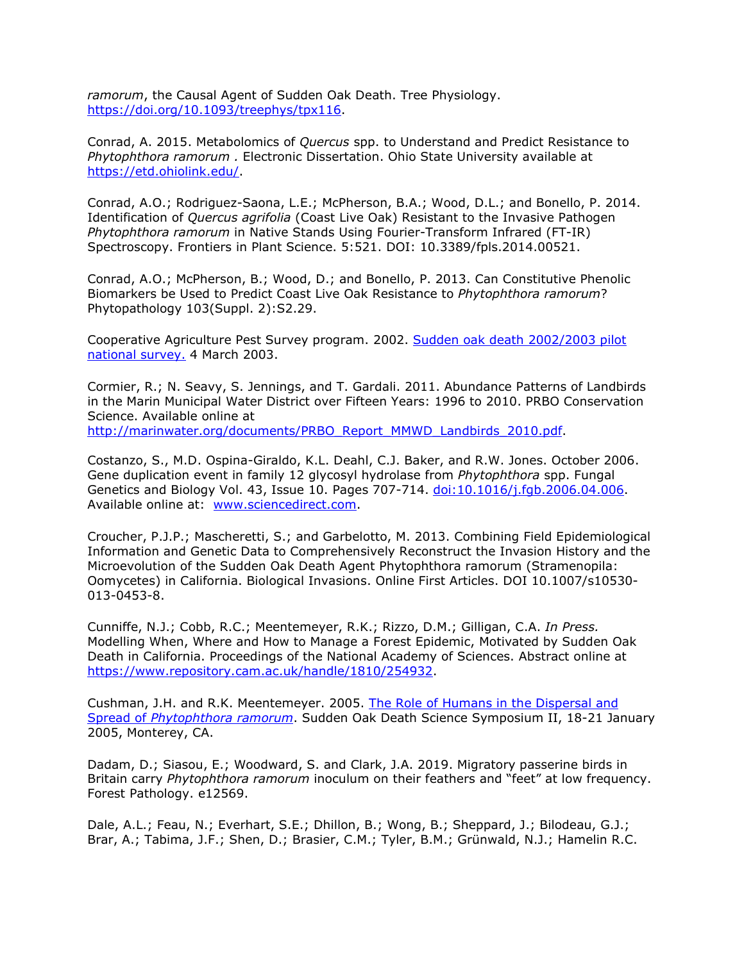*ramorum*, the Causal Agent of Sudden Oak Death. Tree Physiology. [https://doi.org/10.1093/treephys/tpx116.](https://doi.org/10.1093/treephys/tpx116)

Conrad, A. 2015. Metabolomics of *Quercus* spp. to Understand and Predict Resistance to *Phytophthora ramorum .* Electronic Dissertation. Ohio State University available at [https://etd.ohiolink.edu/.](https://etd.ohiolink.edu/)

Conrad, A.O.; Rodriguez-Saona, L.E.; McPherson, B.A.; Wood, D.L.; and Bonello, P. 2014. Identification of *Quercus agrifolia* (Coast Live Oak) Resistant to the Invasive Pathogen *Phytophthora ramorum* in Native Stands Using Fourier-Transform Infrared (FT-IR) Spectroscopy. Frontiers in Plant Science. 5:521. DOI: 10.3389/fpls.2014.00521.

Conrad, A.O.; McPherson, B.; Wood, D.; and Bonello, P. 2013. Can Constitutive Phenolic Biomarkers be Used to Predict Coast Live Oak Resistance to *Phytophthora ramorum*? Phytopathology 103(Suppl. 2):S2.29.

Cooperative Agriculture Pest Survey program. 2002. [Sudden oak death 2002/2003 pilot](http://www.ceris.purdue.edu/napis/pests/sod/natplan/nplan02.html) [national survey.](http://www.ceris.purdue.edu/napis/pests/sod/natplan/nplan02.html) 4 March 2003.

Cormier, R.; N. Seavy, S. Jennings, and T. Gardali. 2011. Abundance Patterns of Landbirds in the Marin Municipal Water District over Fifteen Years: 1996 to 2010. PRBO Conservation Science. Available online at [http://marinwater.org/documents/PRBO\\_Report\\_MMWD\\_Landbirds\\_2010.pdf.](http://marinwater.org/documents/PRBO_Report_MMWD_Landbirds_2010.pdf)

Costanzo, S., M.D. Ospina-Giraldo, K.L. Deahl, C.J. Baker, and R.W. Jones. October 2006. Gene duplication event in family 12 glycosyl hydrolase from *Phytophthora* spp. Fungal Genetics and Biology Vol. 43, Issue 10. Pages 707-714. [doi:10.1016/j.fgb.2006.04.006.](http://dx.doi.org/10.1016/j.fgb.2006.04.006) Available online at: [www.sciencedirect.com.](http://www.sciencedirect.com/)

Croucher, P.J.P.; Mascheretti, S.; and Garbelotto, M. 2013. Combining Field Epidemiological Information and Genetic Data to Comprehensively Reconstruct the Invasion History and the Microevolution of the Sudden Oak Death Agent Phytophthora ramorum (Stramenopila: Oomycetes) in California. Biological Invasions. Online First Articles. DOI 10.1007/s10530- 013-0453-8.

Cunniffe, N.J.; Cobb, R.C.; Meentemeyer, R.K.; Rizzo, D.M.; Gilligan, C.A. *In Press.*  Modelling When, Where and How to Manage a Forest Epidemic, Motivated by Sudden Oak Death in California. Proceedings of the National Academy of Sciences. Abstract online at [https://www.repository.cam.ac.uk/handle/1810/254932.](https://www.repository.cam.ac.uk/handle/1810/254932)

Cushman, J.H. and R.K. Meentemeyer. 2005. [The Role of Humans in the Dispersal and](http://nature.berkeley.edu/comtf/pdf/Bibliography/31Cushman.pdf) Spread of *[Phytophthora ramorum](http://nature.berkeley.edu/comtf/pdf/Bibliography/31Cushman.pdf)*. Sudden Oak Death Science Symposium II, 18-21 January 2005, Monterey, CA.

Dadam, D.; Siasou, E.; Woodward, S. and Clark, J.A. 2019. Migratory passerine birds in Britain carry *Phytophthora ramorum* inoculum on their feathers and "feet" at low frequency. Forest Pathology. e12569.

Dale, A.L.; Feau, N.; Everhart, S.E.; Dhillon, B.; Wong, B.; Sheppard, J.; Bilodeau, G.J.; Brar, A.; Tabima, J.F.; Shen, D.; Brasier, C.M.; Tyler, B.M.; Grünwald, N.J.; Hamelin R.C.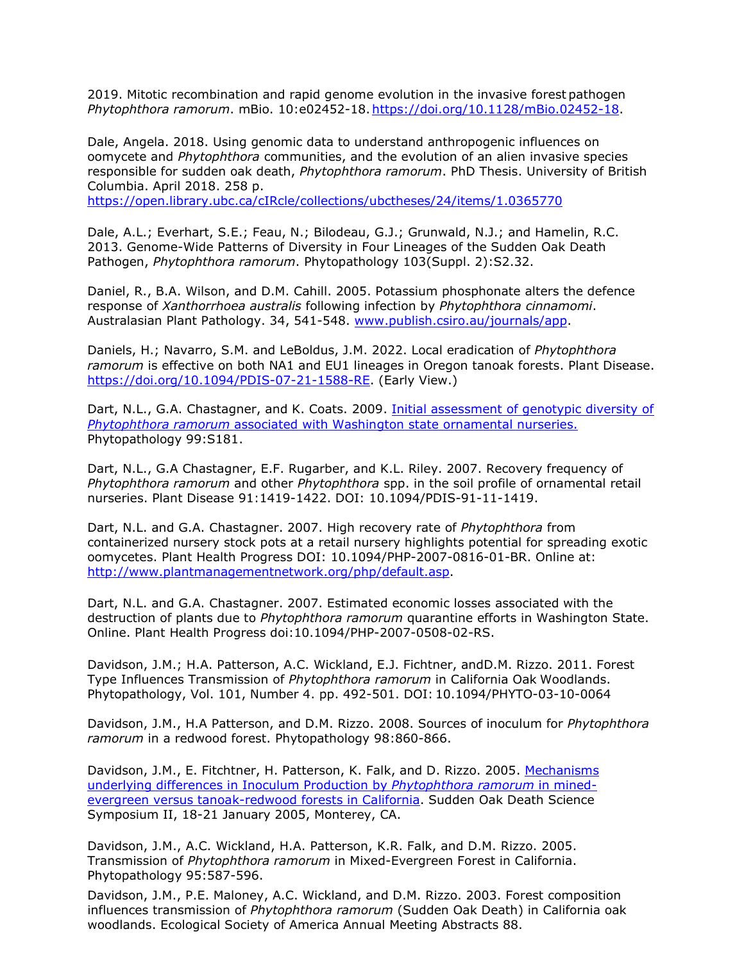2019. Mitotic recombination and rapid genome evolution in the invasive forest pathogen *Phytophthora ramorum*. mBio. 10:e02452-18[.https://doi.org/10.1128/mBio.02452-18.](https://doi.org/10.1128/mBio.02452-18)

Dale, Angela. 2018. Using genomic data to understand anthropogenic influences on oomycete and *Phytophthora* communities, and the evolution of an alien invasive species responsible for sudden oak death, *Phytophthora ramorum*. PhD Thesis. University of British Columbia. April 2018. 258 p.

<https://open.library.ubc.ca/cIRcle/collections/ubctheses/24/items/1.0365770>

Dale, A.L.; Everhart, S.E.; Feau, N.; Bilodeau, G.J.; Grunwald, N.J.; and Hamelin, R.C. 2013. Genome-Wide Patterns of Diversity in Four Lineages of the Sudden Oak Death Pathogen, *Phytophthora ramorum*. Phytopathology 103(Suppl. 2):S2.32.

Daniel, R., B.A. Wilson, and D.M. Cahill. 2005. Potassium phosphonate alters the defence response of *Xanthorrhoea australis* following infection by *Phytophthora cinnamomi*. Australasian Plant Pathology. 34, 541-548. [www.publish.csiro.au/journals/app.](http://www.publish.csiro.au/journals/app)

Daniels, H.; Navarro, S.M. and LeBoldus, J.M. 2022. Local eradication of *Phytophthora ramorum* is effective on both NA1 and EU1 lineages in Oregon tanoak forests. Plant Disease. [https://doi.org/10.1094/PDIS-07-21-1588-RE.](https://doi.org/10.1094/PDIS-07-21-1588-RE) (Early View.)

Dart, N.L., G.A. Chastagner, and K. Coats. 2009. [Initial assessment of genotypic diversity of](http://nature.berkeley.edu/comtf/pdf/Dart_2009.pdf) *Phytophthora ramorum* [associated with Washington state ornamental nurseries.](http://nature.berkeley.edu/comtf/pdf/Dart_2009.pdf) Phytopathology 99:S181.

Dart, N.L., G.A Chastagner, E.F. Rugarber, and K.L. Riley. 2007. Recovery frequency of *Phytophthora ramorum* and other *Phytophthora* spp. in the soil profile of ornamental retail nurseries. Plant Disease 91:1419-1422. DOI: 10.1094/PDIS-91-11-1419.

Dart, N.L. and G.A. Chastagner. 2007. High recovery rate of *Phytophthora* from containerized nursery stock pots at a retail nursery highlights potential for spreading exotic oomycetes. Plant Health Progress DOI: 10.1094/PHP-2007-0816-01-BR. Online at: [http://www.plantmanagementnetwork.org/php/default.asp.](http://www.plantmanagementnetwork.org/php/default.asp)

Dart, N.L. and G.A. Chastagner. 2007. Estimated economic losses associated with the destruction of plants due to *Phytophthora ramorum* quarantine efforts in Washington State. Online. Plant Health Progress doi:10.1094/PHP-2007-0508-02-RS.

Davidson, J.M.; H.A. Patterson, A.C. Wickland, E.J. Fichtner, andD.M. Rizzo. 2011. Forest Type Influences Transmission of *Phytophthora ramorum* in California Oak Woodlands. Phytopathology, Vol. 101, Number 4. pp. 492-501. DOI: 10.1094/PHYTO-03-10-0064

Davidson, J.M., H.A Patterson, and D.M. Rizzo. 2008. Sources of inoculum for *Phytophthora ramorum* in a redwood forest. Phytopathology 98:860-866.

Davidson, J.M., E. Fitchtner, H. Patterson, K. Falk, and D. Rizzo. 2005. [Mechanisms](http://nature.berkeley.edu/comtf/pdf/Bibliography/6PosterDavidson.pdf) [underlying differences in Inoculum Production by](http://nature.berkeley.edu/comtf/pdf/Bibliography/6PosterDavidson.pdf) *Phytophthora ramorum* in mined[evergreen versus tanoak-redwood forests in California.](http://nature.berkeley.edu/comtf/pdf/Bibliography/6PosterDavidson.pdf) Sudden Oak Death Science Symposium II, 18-21 January 2005, Monterey, CA.

Davidson, J.M., A.C. Wickland, H.A. Patterson, K.R. Falk, and D.M. Rizzo. 2005. Transmission of *Phytophthora ramorum* in Mixed-Evergreen Forest in California. Phytopathology 95:587-596.

Davidson, J.M., P.E. Maloney, A.C. Wickland, and D.M. Rizzo. 2003. Forest composition influences transmission of *Phytophthora ramorum* (Sudden Oak Death) in California oak woodlands. Ecological Society of America Annual Meeting Abstracts 88.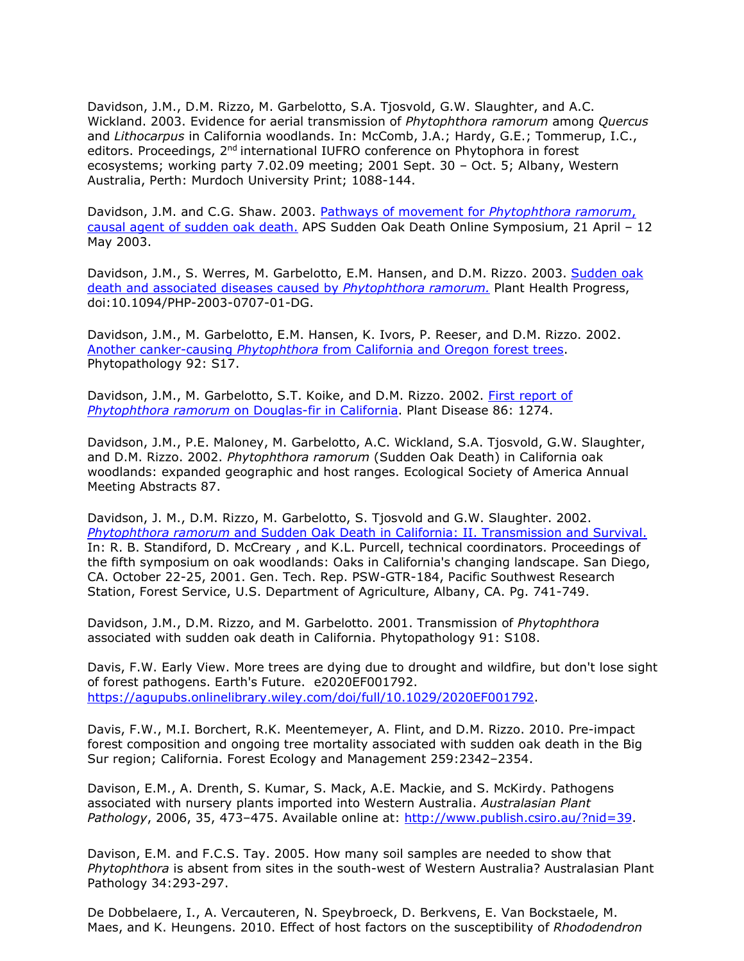Davidson, J.M., D.M. Rizzo, M. Garbelotto, S.A. Tjosvold, G.W. Slaughter, and A.C. Wickland. 2003. Evidence for aerial transmission of *Phytophthora ramorum* among *Quercus*  and *Lithocarpus* in California woodlands. In: McComb, J.A.; Hardy, G.E.; Tommerup, I.C., editors. Proceedings, 2<sup>nd</sup> international IUFRO conference on Phytophora in forest ecosystems; working party 7.02.09 meeting; 2001 Sept. 30 – Oct. 5; Albany, Western Australia, Perth: Murdoch University Print; 1088-144.

Davidson, J.M. and C.G. Shaw. 2003. [Pathways of movement for](http://nature.berkeley.edu/comtf/pdf/Bibliography/davidson2003b.pdf) *Phytophthora ramorum*, [causal agent of sudden oak death.](http://nature.berkeley.edu/comtf/pdf/Bibliography/davidson2003b.pdf) APS Sudden Oak Death Online Symposium, 21 April – 12 May 2003.

Davidson, J.M., S. Werres, M. Garbelotto, E.M. Hansen, and D.M. Rizzo. 2003. [Sudden oak](http://nature.berkeley.edu/comtf/pdf/Bibliography/davidson2003a.pdf) [death and associated diseases caused by](http://nature.berkeley.edu/comtf/pdf/Bibliography/davidson2003a.pdf) *Phytophthora ramorum.* Plant Health Progress, doi:10.1094/PHP-2003-0707-01-DG.

Davidson, J.M., M. Garbelotto, E.M. Hansen, K. Ivors, P. Reeser, and D.M. Rizzo. 2002. Another canker-causing *Phytophthora* [from California and Oregon forest trees.](http://apsnet.org/meetings/2002/abstracts/a02ma122.htm) Phytopathology 92: S17.

Davidson, J.M., M. Garbelotto, S.T. Koike, and D.M. Rizzo. 2002. [First report of](http://www.apsnet.org/online/proceedings/sod/papers/aps/pdnote_86-11b.html) *Phytophthora ramorum* [on Douglas-fir in California.](http://www.apsnet.org/online/proceedings/sod/papers/aps/pdnote_86-11b.html) Plant Disease 86: 1274.

Davidson, J.M., P.E. Maloney, M. Garbelotto, A.C. Wickland, S.A. Tjosvold, G.W. Slaughter, and D.M. Rizzo. 2002. *Phytophthora ramorum* (Sudden Oak Death) in California oak woodlands: expanded geographic and host ranges. Ecological Society of America Annual Meeting Abstracts 87.

Davidson, J. M., D.M. Rizzo, M. Garbelotto, S. Tjosvold and G.W. Slaughter. 2002. *Phytophthora ramorum* [and Sudden Oak Death in California: II. Transmission and Survival.](http://nature.berkeley.edu/comtf/pdf/Bibliography/davidson2001a.pdf) In: R. B. Standiford, D. McCreary , and K.L. Purcell, technical coordinators. Proceedings of the fifth symposium on oak woodlands: Oaks in California's changing landscape. San Diego, CA. October 22-25, 2001. Gen. Tech. Rep. PSW-GTR-184, Pacific Southwest Research Station, Forest Service, U.S. Department of Agriculture, Albany, CA. Pg. 741-749.

Davidson, J.M., D.M. Rizzo, and M. Garbelotto. 2001. Transmission of *Phytophthora* associated with sudden oak death in California. Phytopathology 91: S108.

Davis, F.W. Early View. More trees are dying due to drought and wildfire, but don't lose sight of forest pathogens. Earth's Future. e2020EF001792. [https://agupubs.onlinelibrary.wiley.com/doi/full/10.1029/2020EF001792.](https://agupubs.onlinelibrary.wiley.com/doi/full/10.1029/2020EF001792)

Davis, F.W., M.I. Borchert, R.K. Meentemeyer, A. Flint, and D.M. Rizzo. 2010. Pre-impact forest composition and ongoing tree mortality associated with sudden oak death in the Big Sur region; California. Forest Ecology and Management 259:2342–2354.

Davison, E.M., A. Drenth, S. Kumar, S. Mack, A.E. Mackie, and S. McKirdy. Pathogens associated with nursery plants imported into Western Australia. *Australasian Plant Pathology*, 2006, 35, 473–475. Available online at: [http://www.publish.csiro.au/?nid=39.](http://www.publish.csiro.au/?nid=39)

Davison, E.M. and F.C.S. Tay. 2005. How many soil samples are needed to show that *Phytophthora* is absent from sites in the south-west of Western Australia? Australasian Plant Pathology 34:293-297.

De Dobbelaere, I., A. Vercauteren, N. Speybroeck, D. Berkvens, E. Van Bockstaele, M. Maes, and K. Heungens. 2010. Effect of host factors on the susceptibility of *Rhododendron*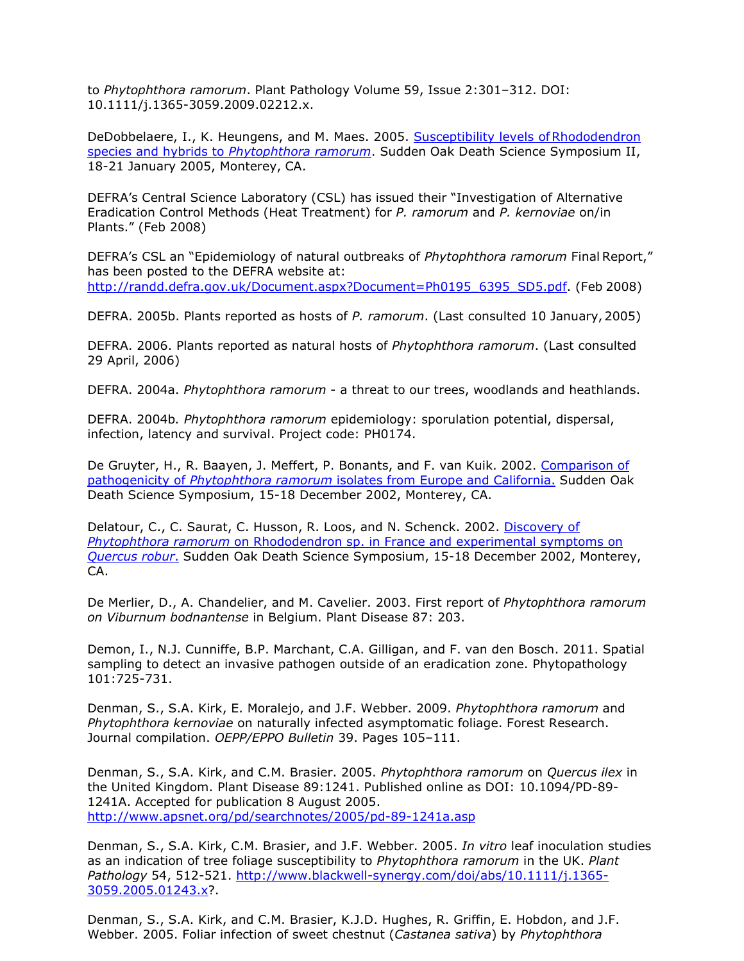to *Phytophthora ramorum*. Plant Pathology Volume 59, Issue 2:301–312. DOI: 10.1111/j.1365-3059.2009.02212.x.

DeDobbelaere, I., K. Heungens, and M. Maes. 2005. [Susceptibility levels ofRhododendron](http://nature.berkeley.edu/comtf/pdf/Bibliography/15DeDobbelaere.pdf) species and hybrids to *[Phytophthora ramorum](http://nature.berkeley.edu/comtf/pdf/Bibliography/15DeDobbelaere.pdf)*. Sudden Oak Death Science Symposium II, 18-21 January 2005, Monterey, CA.

DEFRA's Central Science Laboratory (CSL) has issued their "Investigation of Alternative Eradication Control Methods (Heat Treatment) for *P. ramorum* and *P. kernoviae* on/in Plants." (Feb 2008)

DEFRA's CSL an "Epidemiology of natural outbreaks of *Phytophthora ramorum* Final Report," has been posted to the DEFRA website at: [http://randd.defra.gov.uk/Document.aspx?Document=Ph0195\\_6395\\_SD5.pdf.](http://randd.defra.gov.uk/Document.aspx?Document=Ph0195_6395_SD5.pdf) (Feb 2008)

DEFRA. 2005b. Plants reported as hosts of *P. ramorum*. (Last consulted 10 January, 2005)

DEFRA. 2006. Plants reported as natural hosts of *Phytophthora ramorum*. (Last consulted 29 April, 2006)

DEFRA. 2004a. *Phytophthora ramorum* - a threat to our trees, woodlands and heathlands.

DEFRA. 2004b*. Phytophthora ramorum* epidemiology: sporulation potential, dispersal, infection, latency and survival. Project code: PH0174.

De Gruyter, H., R. Baayen, J. Meffert, P. Bonants, and F. van Kuik. 2002. [Comparison of](http://danr.ucop.edu/ihrmp/sodsymp/paper/paper10.html) pathogenicity of *Phytophthora ramorum* [isolates from Europe and California.](http://danr.ucop.edu/ihrmp/sodsymp/paper/paper10.html) Sudden Oak Death Science Symposium, 15-18 December 2002, Monterey, CA.

Delatour, C., C. Saurat, C. Husson, R. Loos, and N. Schenck. 2002. [Discovery of](http://danr.ucop.edu/ihrmp/sodsymp/poster/poster57.html) *Phytophthora ramorum* [on Rhododendron sp. in France and experimental symptoms on](http://danr.ucop.edu/ihrmp/sodsymp/poster/poster57.html) *[Quercus robur](http://danr.ucop.edu/ihrmp/sodsymp/poster/poster57.html)*. Sudden Oak Death Science Symposium, 15-18 December 2002, Monterey,  $CA$ .

De Merlier, D., A. Chandelier, and M. Cavelier. 2003. First report of *Phytophthora ramorum on Viburnum bodnantense* in Belgium. Plant Disease 87: 203.

Demon, I., N.J. Cunniffe, B.P. Marchant, C.A. Gilligan, and F. van den Bosch. 2011. Spatial sampling to detect an invasive pathogen outside of an eradication zone. Phytopathology 101:725-731.

Denman, S., S.A. Kirk, E. Moralejo, and J.F. Webber. 2009. *Phytophthora ramorum* and *Phytophthora kernoviae* on naturally infected asymptomatic foliage. Forest Research. Journal compilation. *OEPP/EPPO Bulletin* 39. Pages 105–111.

Denman, S., S.A. Kirk, and C.M. Brasier. 2005. *Phytophthora ramorum* on *Quercus ilex* in the United Kingdom. Plant Disease 89:1241. Published online as DOI: 10.1094/PD-89- 1241A. Accepted for publication 8 August 2005. <http://www.apsnet.org/pd/searchnotes/2005/pd-89-1241a.asp>

Denman, S., S.A. Kirk, C.M. Brasier, and J.F. Webber. 2005. *In vitro* leaf inoculation studies as an indication of tree foliage susceptibility to *Phytophthora ramorum* in the UK. *Plant Pathology* 54, 512-521. [http://www.blackwell-synergy.com/doi/abs/10.1111/j.1365-](http://www.blackwell-synergy.com/doi/abs/10.1111/j.1365-3059.2005.01243.x) [3059.2005.01243.x?](http://www.blackwell-synergy.com/doi/abs/10.1111/j.1365-3059.2005.01243.x).

Denman, S., S.A. Kirk, and C.M. Brasier, K.J.D. Hughes, R. Griffin, E. Hobdon, and J.F. Webber. 2005. Foliar infection of sweet chestnut (*Castanea sativa*) by *Phytophthora*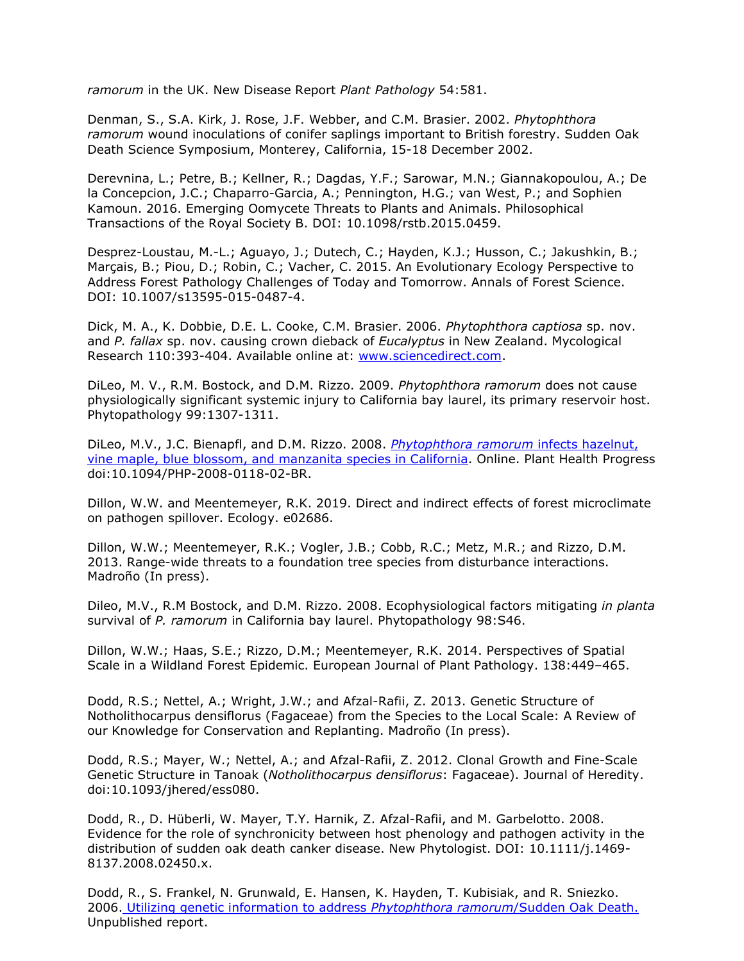*ramorum* in the UK. New Disease Report *Plant Pathology* 54:581.

Denman, S., S.A. Kirk, J. Rose, J.F. Webber, and C.M. Brasier. 2002. *Phytophthora ramorum* wound inoculations of conifer saplings important to British forestry. Sudden Oak Death Science Symposium, Monterey, California, 15-18 December 2002.

Derevnina, L.; Petre, B.; Kellner, R.; Dagdas, Y.F.; Sarowar, M.N.; Giannakopoulou, A.; De la Concepcion, J.C.; Chaparro-Garcia, A.; Pennington, H.G.; van West, P.; and Sophien Kamoun. 2016. Emerging Oomycete Threats to Plants and Animals. Philosophical Transactions of the Royal Society B. DOI: 10.1098/rstb.2015.0459.

Desprez-Loustau, M.-L.; Aguayo, J.; Dutech, C.; Hayden, K.J.; Husson, C.; Jakushkin, B.; Marçais, B.; Piou, D.; Robin, C.; Vacher, C. 2015. An Evolutionary Ecology Perspective to Address Forest Pathology Challenges of Today and Tomorrow. Annals of Forest Science. DOI: 10.1007/s13595-015-0487-4.

Dick, M. A., K. Dobbie, D.E. L. Cooke, C.M. Brasier. 2006. *Phytophthora captiosa* sp. nov. and *P. fallax* sp. nov. causing crown dieback of *Eucalyptus* in New Zealand. Mycological Research 110:393-404. Available online at: [www.sciencedirect.com.](http://www.sciencedirect.com/)

DiLeo, M. V., R.M. Bostock, and D.M. Rizzo. 2009. *Phytophthora ramorum* does not cause physiologically significant systemic injury to California bay laurel, its primary reservoir host. Phytopathology 99:1307-1311.

DiLeo, M.V., J.C. Bienapfl, and D.M. Rizzo. 2008. *[Phytophthora ramorum](http://nature.berkeley.edu/comtf/pdf/pramorum.hazelnut.vinemaple.pdf)* infects hazelnut, [vine maple, blue blossom, and manzanita species in California.](http://nature.berkeley.edu/comtf/pdf/pramorum.hazelnut.vinemaple.pdf) Online. Plant Health Progress doi:10.1094/PHP-2008-0118-02-BR.

Dillon, W.W. and Meentemeyer, R.K. 2019. Direct and indirect effects of forest microclimate on pathogen spillover. Ecology. e02686.

Dillon, W.W.; Meentemeyer, R.K.; Vogler, J.B.; Cobb, R.C.; Metz, M.R.; and Rizzo, D.M. 2013. Range-wide threats to a foundation tree species from disturbance interactions. Madroño (In press).

Dileo, M.V., R.M Bostock, and D.M. Rizzo. 2008. Ecophysiological factors mitigating *in planta* survival of *P. ramorum* in California bay laurel. Phytopathology 98:S46.

Dillon, W.W.; Haas, S.E.; Rizzo, D.M.; Meentemeyer, R.K. 2014. Perspectives of Spatial Scale in a Wildland Forest Epidemic. European Journal of Plant Pathology. 138:449–465.

Dodd, R.S.; Nettel, A.; Wright, J.W.; and Afzal-Rafii, Z. 2013. Genetic Structure of Notholithocarpus densiflorus (Fagaceae) from the Species to the Local Scale: A Review of our Knowledge for Conservation and Replanting. Madroño (In press).

Dodd, R.S.; Mayer, W.; Nettel, A.; and Afzal-Rafii, Z. 2012. Clonal Growth and Fine-Scale Genetic Structure in Tanoak (*Notholithocarpus densiflorus*: Fagaceae). Journal of Heredity. doi:10.1093/jhered/ess080.

Dodd, R., D. Hüberli, W. Mayer, T.Y. Harnik, Z. Afzal-Rafii, and M. Garbelotto. 2008. Evidence for the role of synchronicity between host phenology and pathogen activity in the distribution of sudden oak death canker disease. New Phytologist. DOI: 10.1111/j.1469- 8137.2008.02450.x.

Dodd, R., S. Frankel, N. Grunwald, E. Hansen, K. Hayden, T. Kubisiak, and R. Sniezko. 2006. [Utilizing genetic information to address](http://nature.berkeley.edu/comtf/pdf/Bibliography/SODgenpaper.082206.final.pdf) *Phytophthora ramorum*/Sudden Oak Death. Unpublished report.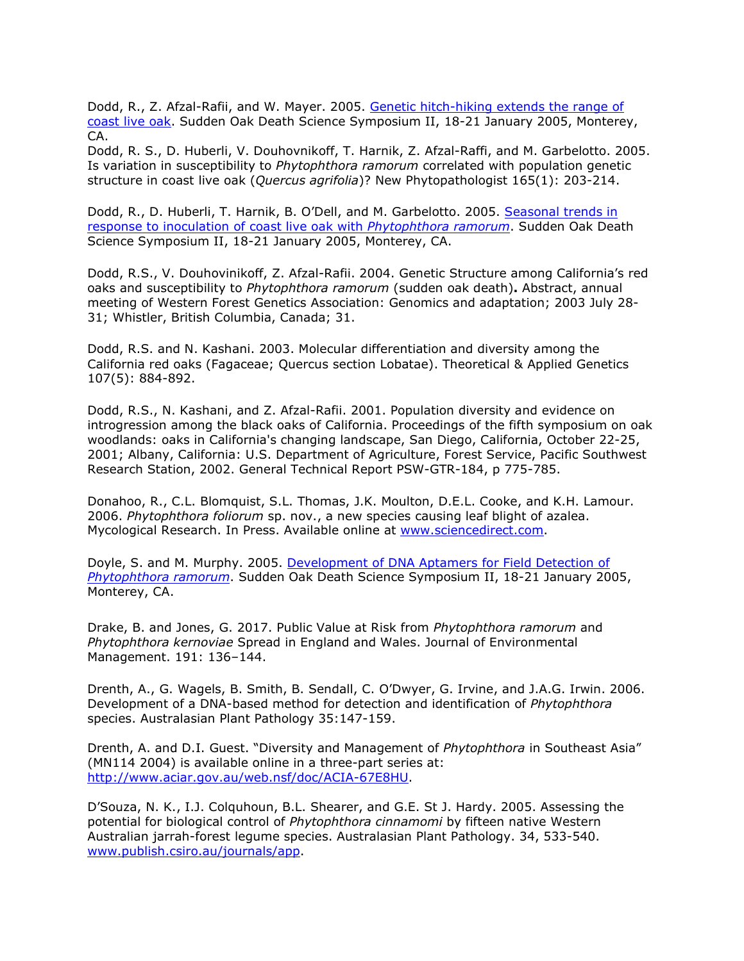Dodd, R., Z. Afzal-Rafii, and W. Mayer. 2005. [Genetic hitch-hiking extends the range of](http://nature.berkeley.edu/comtf/pdf/Bibliography/4Dodd%2520Abstract.pdf) [coast live oak.](http://nature.berkeley.edu/comtf/pdf/Bibliography/4Dodd%2520Abstract.pdf) Sudden Oak Death Science Symposium II, 18-21 January 2005, Monterey, CA.

Dodd, R. S., D. Huberli, V. Douhovnikoff, T. Harnik, Z. Afzal-Raffi, and M. Garbelotto. 2005. Is variation in susceptibility to *Phytophthora ramorum* correlated with population genetic structure in coast live oak (*Quercus agrifolia*)? New Phytopathologist 165(1): 203-214.

Dodd, R., D. Huberli, T. Harnik, B. O'Dell, and M. Garbelotto. 2005. [Seasonal trends in](http://nature.berkeley.edu/comtf/pdf/Bibliography/6Dodd.pdf) [response to inoculation of coast live oak with](http://nature.berkeley.edu/comtf/pdf/Bibliography/6Dodd.pdf) *Phytophthora ramorum*. Sudden Oak Death Science Symposium II, 18-21 January 2005, Monterey, CA.

Dodd, R.S., V. Douhovinikoff, Z. Afzal-Rafii. 2004. Genetic Structure among California's red oaks and susceptibility to *Phytophthora ramorum* (sudden oak death)**.** Abstract, annual meeting of Western Forest Genetics Association: Genomics and adaptation; 2003 July 28- 31; Whistler, British Columbia, Canada; 31.

Dodd, R.S. and N. Kashani. 2003. Molecular differentiation and diversity among the California red oaks (Fagaceae; Quercus section Lobatae). Theoretical & Applied Genetics 107(5): 884-892.

Dodd, R.S., N. Kashani, and Z. Afzal-Rafii. 2001. Population diversity and evidence on introgression among the black oaks of California. Proceedings of the fifth symposium on oak woodlands: oaks in California's changing landscape, San Diego, California, October 22-25, 2001; Albany, California: U.S. Department of Agriculture, Forest Service, Pacific Southwest Research Station, 2002. General Technical Report PSW-GTR-184, p 775-785.

Donahoo, R., C.L. Blomquist, S.L. Thomas, J.K. Moulton, D.E.L. Cooke, and K.H. Lamour. 2006. *Phytophthora foliorum* sp. nov., a new species causing leaf blight of azalea. Mycological Research. In Press. Available online at [www.sciencedirect.com.](http://www.sciencedirect.com/)

Doyle, S. and M. Murphy. 2005. [Development of DNA Aptamers for Field Detection of](http://nature.berkeley.edu/comtf/pdf/Bibliography/28Doyle.pdf) *[Phytophthora ramorum](http://nature.berkeley.edu/comtf/pdf/Bibliography/28Doyle.pdf)*. Sudden Oak Death Science Symposium II, 18-21 January 2005, Monterey, CA.

Drake, B. and Jones, G. 2017. Public Value at Risk from *Phytophthora ramorum* and *Phytophthora kernoviae* Spread in England and Wales. Journal of Environmental Management. 191: 136–144.

Drenth, A., G. Wagels, B. Smith, B. Sendall, C. O'Dwyer, G. Irvine, and J.A.G. Irwin. 2006. Development of a DNA-based method for detection and identification of *Phytophthora*  species. Australasian Plant Pathology 35:147-159.

Drenth, A. and D.I. Guest. "Diversity and Management of *Phytophthora* in Southeast Asia" (MN114 2004) is available online in a three-part series at: [http://www.aciar.gov.au/web.nsf/doc/ACIA-67E8HU.](http://www.aciar.gov.au/web.nsf/doc/ACIA-67E8HU)

D'Souza, N. K., I.J. Colquhoun, B.L. Shearer, and G.E. St J. Hardy. 2005. Assessing the potential for biological control of *Phytophthora cinnamomi* by fifteen native Western Australian jarrah-forest legume species. Australasian Plant Pathology. 34, 533-540. [www.publish.csiro.au/journals/app.](http://www.publish.csiro.au/journals/app)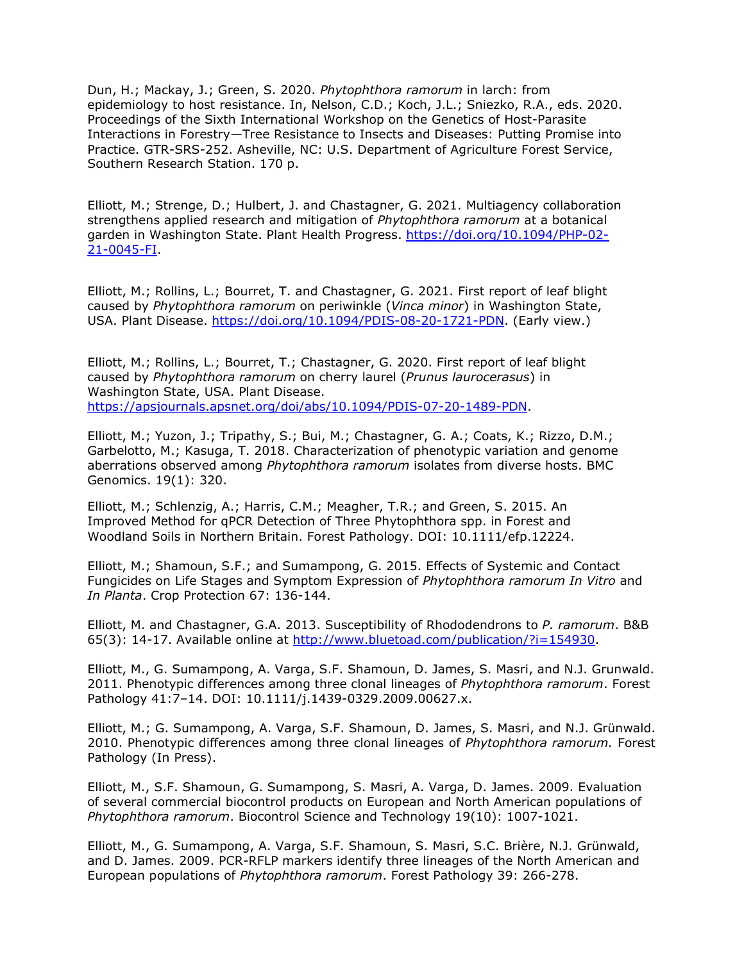Dun, H.; Mackay, J.; Green, S. 2020. *Phytophthora ramorum* in larch: from epidemiology to host resistance. In, Nelson, C.D.; Koch, J.L.; Sniezko, R.A., eds. 2020. Proceedings of the Sixth International Workshop on the Genetics of Host-Parasite Interactions in Forestry—Tree Resistance to Insects and Diseases: Putting Promise into Practice. GTR-SRS-252. Asheville, NC: U.S. Department of Agriculture Forest Service, Southern Research Station. 170 p.

Elliott, M.; Strenge, D.; Hulbert, J. and Chastagner, G. 2021. Multiagency collaboration strengthens applied research and mitigation of *Phytophthora ramorum* at a botanical garden in Washington State. Plant Health Progress. [https://doi.org/10.1094/PHP-02-](https://doi.org/10.1094/PHP-02-21-0045-FI) [21-0045-FI.](https://doi.org/10.1094/PHP-02-21-0045-FI)

Elliott, M.; Rollins, L.; Bourret, T. and Chastagner, G. 2021. First report of leaf blight caused by *Phytophthora ramorum* on periwinkle (*Vinca minor*) in Washington State, USA. Plant Disease. [https://doi.org/10.1094/PDIS-08-20-1721-PDN.](https://doi.org/10.1094/PDIS-08-20-1721-PDN) (Early view.)

Elliott, M.; Rollins, L.; Bourret, T.; Chastagner, G. 2020. First report of leaf blight caused by *Phytophthora ramorum* on cherry laurel (*Prunus laurocerasus*) in Washington State, USA. Plant Disease. [https://apsjournals.apsnet.org/doi/abs/10.1094/PDIS-07-20-1489-PDN.](https://apsjournals.apsnet.org/doi/abs/10.1094/PDIS-07-20-1489-PDN)

Elliott, M.; Yuzon, J.; Tripathy, S.; Bui, M.; Chastagner, G. A.; Coats, K.; Rizzo, D.M.; Garbelotto, M.; Kasuga, T. 2018. Characterization of phenotypic variation and genome aberrations observed among *Phytophthora ramorum* isolates from diverse hosts. BMC Genomics. 19(1): 320.

Elliott, M.; Schlenzig, A.; Harris, C.M.; Meagher, T.R.; and Green, S. 2015. An Improved Method for qPCR Detection of Three Phytophthora spp. in Forest and Woodland Soils in Northern Britain. Forest Pathology. DOI: 10.1111/efp.12224.

Elliott, M.; Shamoun, S.F.; and Sumampong, G. 2015. Effects of Systemic and Contact Fungicides on Life Stages and Symptom Expression of *Phytophthora ramorum In Vitro* and *In Planta*. Crop Protection 67: 136-144.

Elliott, M. and Chastagner, G.A. 2013. Susceptibility of Rhododendrons to *P. ramorum*. B&B 65(3): 14-17. Available online at [http://www.bluetoad.com/publication/?i=154930.](http://www.bluetoad.com/publication/?i=154930)

Elliott, M., G. Sumampong, A. Varga, S.F. Shamoun, D. James, S. Masri, and N.J. Grunwald. 2011. Phenotypic differences among three clonal lineages of *Phytophthora ramorum*. Forest Pathology 41:7–14. DOI: 10.1111/j.1439-0329.2009.00627.x.

Elliott, M.; G. Sumampong, A. Varga, S.F. Shamoun, D. James, S. Masri, and N.J. Grünwald. 2010. Phenotypic differences among three clonal lineages of *Phytophthora ramorum.* Forest Pathology (In Press).

Elliott, M., S.F. Shamoun, G. Sumampong, S. Masri, A. Varga, D. James. 2009. Evaluation of several commercial biocontrol products on European and North American populations of *Phytophthora ramorum*. Biocontrol Science and Technology 19(10): 1007-1021.

Elliott, M., G. Sumampong, A. Varga, S.F. Shamoun, S. Masri, S.C. Brière, N.J. Grünwald, and D. James. 2009. PCR-RFLP markers identify three lineages of the North American and European populations of *Phytophthora ramorum*. Forest Pathology 39: 266-278.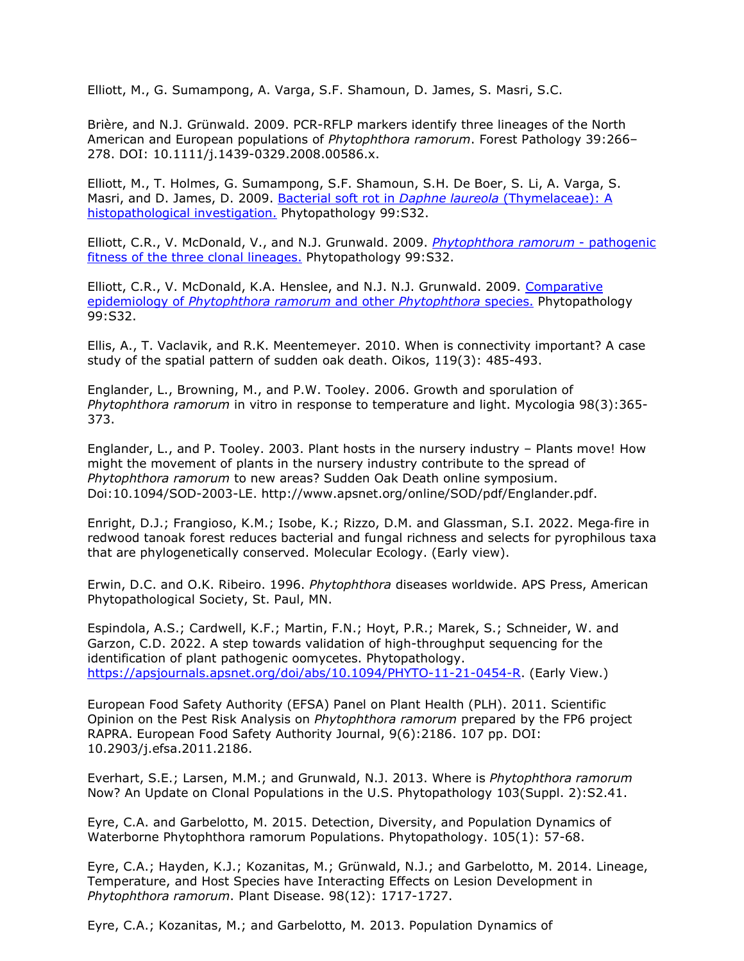Elliott, M., G. Sumampong, A. Varga, S.F. Shamoun, D. James, S. Masri, S.C.

Brière, and N.J. Grünwald. 2009. PCR-RFLP markers identify three lineages of the North American and European populations of *Phytophthora ramorum*. Forest Pathology 39:266– 278. DOI: 10.1111/j.1439-0329.2008.00586.x.

Elliott, M., T. Holmes, G. Sumampong, S.F. Shamoun, S.H. De Boer, S. Li, A. Varga, S. Masri, and D. James, D. 2009. [Bacterial soft rot in](http://nature.berkeley.edu/comtf/pdf/Elliott_M_2009.pdf) *Daphne laureola* (Thymelaceae): A [histopathological investigation.](http://nature.berkeley.edu/comtf/pdf/Elliott_M_2009.pdf) Phytopathology 99:S32.

Elliott, C.R., V. McDonald, V., and N.J. Grunwald. 2009. *[Phytophthora ramorum](http://nature.berkeley.edu/comtf/pdf/Elliott_CR_2009a.pdf)* - pathogenic [fitness of the three clonal lineages.](http://nature.berkeley.edu/comtf/pdf/Elliott_CR_2009a.pdf) Phytopathology 99:S32.

Elliott, C.R., V. McDonald, K.A. Henslee, and N.J. N.J. Grunwald. 2009. [Comparative](http://nature.berkeley.edu/comtf/pdf/Elliott_CR_2009b.pdf) epidemiology of *[Phytophthora ramorum](http://nature.berkeley.edu/comtf/pdf/Elliott_CR_2009b.pdf)* and other *Phytophthora* species. Phytopathology 99:S32.

Ellis, A., T. Vaclavik, and R.K. Meentemeyer. 2010. When is connectivity important? A case study of the spatial pattern of sudden oak death. Oikos, 119(3): 485-493.

Englander, L., Browning, M., and P.W. Tooley. 2006. Growth and sporulation of *Phytophthora ramorum* in vitro in response to temperature and light. Mycologia 98(3):365- 373.

Englander, L., and P. Tooley. 2003. Plant hosts in the nursery industry – Plants move! How might the movement of plants in the nursery industry contribute to the spread of *Phytophthora ramorum* to new areas? Sudden Oak Death online symposium. Doi:10.1094/SOD-2003-LE. [http://www.apsnet.org/online/SOD/pdf/Englander.pdf.](http://www.apsnet.org/online/SOD/pdf/Englander.pdf)

Enright, D.J.; Frangioso, K.M.; Isobe, K.; Rizzo, D.M. and Glassman, S.I. 2022. Mega‐fire in redwood tanoak forest reduces bacterial and fungal richness and selects for pyrophilous taxa that are phylogenetically conserved. Molecular Ecology. (Early view).

Erwin, D.C. and O.K. Ribeiro. 1996. *Phytophthora* diseases worldwide. APS Press, American Phytopathological Society, St. Paul, MN.

Espindola, A.S.; Cardwell, K.F.; Martin, F.N.; Hoyt, P.R.; Marek, S.; Schneider, W. and Garzon, C.D. 2022. A step towards validation of high-throughput sequencing for the identification of plant pathogenic oomycetes. Phytopathology. [https://apsjournals.apsnet.org/doi/abs/10.1094/PHYTO-11-21-0454-R.](https://apsjournals.apsnet.org/doi/abs/10.1094/PHYTO-11-21-0454-R) (Early View.)

European Food Safety Authority (EFSA) Panel on Plant Health (PLH). 2011. Scientific Opinion on the Pest Risk Analysis on *Phytophthora ramorum* prepared by the FP6 project RAPRA. European Food Safety Authority Journal, 9(6):2186. 107 pp. DOI: 10.2903/j.efsa.2011.2186.

Everhart, S.E.; Larsen, M.M.; and Grunwald, N.J. 2013. Where is *Phytophthora ramorum* Now? An Update on Clonal Populations in the U.S. Phytopathology 103(Suppl. 2):S2.41.

Eyre, C.A. and Garbelotto, M. 2015. Detection, Diversity, and Population Dynamics of Waterborne Phytophthora ramorum Populations. Phytopathology. 105(1): 57-68.

Eyre, C.A.; Hayden, K.J.; Kozanitas, M.; Grünwald, N.J.; and Garbelotto, M. 2014. Lineage, Temperature, and Host Species have Interacting Effects on Lesion Development in *Phytophthora ramorum*. Plant Disease. 98(12): 1717-1727.

Eyre, C.A.; Kozanitas, M.; and Garbelotto, M. 2013. Population Dynamics of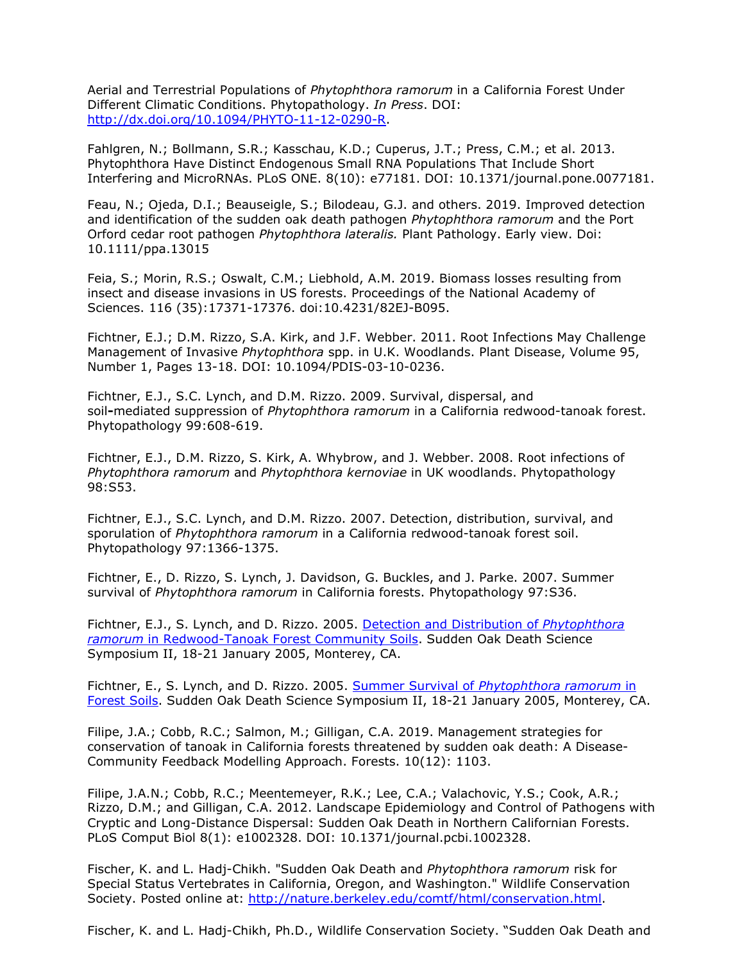Aerial and Terrestrial Populations of *Phytophthora ramorum* in a California Forest Under Different Climatic Conditions. Phytopathology. *In Press*. DOI: [http://dx.doi.org/10.1094/PHYTO-11-12-0290-R.](http://dx.doi.org/10.1094/PHYTO-11-12-0290-R)

Fahlgren, N.; Bollmann, S.R.; Kasschau, K.D.; Cuperus, J.T.; Press, C.M.; et al. 2013. Phytophthora Have Distinct Endogenous Small RNA Populations That Include Short Interfering and MicroRNAs. PLoS ONE. 8(10): e77181. DOI: 10.1371/journal.pone.0077181.

Feau, N.; Ojeda, D.I.; Beauseigle, S.; Bilodeau, G.J. and others. 2019. Improved detection and identification of the sudden oak death pathogen *Phytophthora ramorum* and the Port Orford cedar root pathogen *Phytophthora lateralis.* Plant Pathology. Early view. Doi: 10.1111/ppa.13015

Feia, S.; Morin, R.S.; Oswalt, C.M.; Liebhold, A.M. 2019. Biomass losses resulting from insect and disease invasions in US forests. Proceedings of the National Academy of Sciences. 116 (35):17371-17376. doi:10.4231/82EJ-B095.

Fichtner, E.J.; D.M. Rizzo, S.A. Kirk, and J.F. Webber. 2011. Root Infections May Challenge Management of Invasive *Phytophthora* spp. in U.K. Woodlands. Plant Disease, Volume 95, Number 1, Pages 13-18. DOI: 10.1094/PDIS-03-10-0236.

Fichtner, E.J., S.C. Lynch, and D.M. Rizzo. 2009. Survival, dispersal, and soil**-**mediated suppression of *Phytophthora ramorum* in a California redwood-tanoak forest. Phytopathology 99:608-619.

Fichtner, E.J., D.M. Rizzo, S. Kirk, A. Whybrow, and J. Webber. 2008. Root infections of *Phytophthora ramorum* and *Phytophthora kernoviae* in UK woodlands. Phytopathology 98:S53.

Fichtner, E.J., S.C. Lynch, and D.M. Rizzo. 2007. Detection, distribution, survival, and sporulation of *Phytophthora ramorum* in a California redwood-tanoak forest soil. Phytopathology 97:1366-1375.

Fichtner, E., D. Rizzo, S. Lynch, J. Davidson, G. Buckles, and J. Parke. 2007. Summer survival of *Phytophthora ramorum* in California forests. Phytopathology 97:S36.

Fichtner, E.J., S. Lynch, and D. Rizzo. 2005. [Detection and Distribution of](http://nature.berkeley.edu/comtf/pdf/Bibliography/7PosterFichtner.pdf) *Phytophthora ramorum* [in Redwood-Tanoak Forest Community Soils.](http://nature.berkeley.edu/comtf/pdf/Bibliography/7PosterFichtner.pdf) Sudden Oak Death Science Symposium II, 18-21 January 2005, Monterey, CA.

Fichtner, E., S. Lynch, and D. Rizzo. 2005. Summer Survival of *[Phytophthora ramorum](http://nature.berkeley.edu/comtf/pdf/Bibliography/33BiologyFichtner.pdf)* in [Forest Soils.](http://nature.berkeley.edu/comtf/pdf/Bibliography/33BiologyFichtner.pdf) Sudden Oak Death Science Symposium II, 18-21 January 2005, Monterey, CA.

Filipe, J.A.; Cobb, R.C.; Salmon, M.; Gilligan, C.A. 2019. Management strategies for conservation of tanoak in California forests threatened by sudden oak death: A Disease-Community Feedback Modelling Approach. Forests. 10(12): 1103.

Filipe, J.A.N.; Cobb, R.C.; Meentemeyer, R.K.; Lee, C.A.; Valachovic, Y.S.; Cook, A.R.; Rizzo, D.M.; and Gilligan, C.A. 2012. Landscape Epidemiology and Control of Pathogens with Cryptic and Long-Distance Dispersal: Sudden Oak Death in Northern Californian Forests. PLoS Comput Biol 8(1): e1002328. DOI: 10.1371/journal.pcbi.1002328.

Fischer, K. and L. Hadj-Chikh. "Sudden Oak Death and *Phytophthora ramorum* risk for Special Status Vertebrates in California, Oregon, and Washington." Wildlife Conservation Society. Posted online at: [http://nature.berkeley.edu/comtf/html/conservation.html.](http://nature.berkeley.edu/comtf/html/conservation.html)

Fischer, K. and L. Hadj-Chikh, Ph.D., Wildlife Conservation Society. "Sudden Oak Death and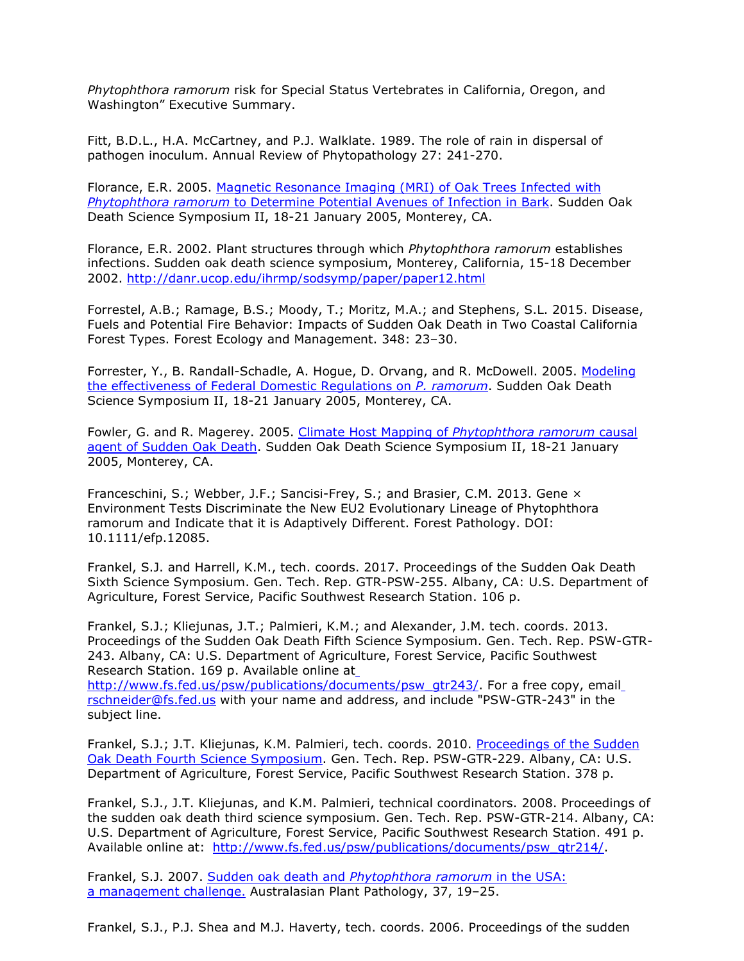*Phytophthora ramorum* risk for Special Status Vertebrates in California, Oregon, and Washington" Executive Summary.

Fitt, B.D.L., H.A. McCartney, and P.J. Walklate. 1989. The role of rain in dispersal of pathogen inoculum. Annual Review of Phytopathology 27: 241-270.

Florance, E.R. 2005. [Magnetic Resonance Imaging \(MRI\) of Oak Trees Infected with](http://nature.berkeley.edu/comtf/pdf/Bibliography/21Florance.pdf) *Phytophthora ramorum* [to Determine Potential Avenues of Infection in Bark.](http://nature.berkeley.edu/comtf/pdf/Bibliography/21Florance.pdf) Sudden Oak Death Science Symposium II, 18-21 January 2005, Monterey, CA.

Florance, E.R. 2002. Plant structures through which *Phytophthora ramorum* establishes infections. Sudden oak death science symposium, Monterey, California, 15-18 December 2002.<http://danr.ucop.edu/ihrmp/sodsymp/paper/paper12.html>

Forrestel, A.B.; Ramage, B.S.; Moody, T.; Moritz, M.A.; and Stephens, S.L. 2015. Disease, Fuels and Potential Fire Behavior: Impacts of Sudden Oak Death in Two Coastal California Forest Types. Forest Ecology and Management. 348: 23–30.

Forrester, Y., B. Randall-Schadle, A. Hogue, D. Orvang, and R. McDowell. 2005. [Modeling](http://nature.berkeley.edu/comtf/pdf/Bibliography/8PosterForrester.pdf) [the effectiveness of Federal Domestic Regulations on](http://nature.berkeley.edu/comtf/pdf/Bibliography/8PosterForrester.pdf) *P. ramorum*. Sudden Oak Death Science Symposium II, 18-21 January 2005, Monterey, CA.

Fowler, G. and R. Magerey. 2005. [Climate Host Mapping of](http://nature.berkeley.edu/comtf/pdf/Bibliography/61MonitoringFowler.pdf) *Phytophthora ramorum* causal [agent of Sudden Oak Death.](http://nature.berkeley.edu/comtf/pdf/Bibliography/61MonitoringFowler.pdf) Sudden Oak Death Science Symposium II, 18-21 January 2005, Monterey, CA.

Franceschini, S.; Webber, J.F.; Sancisi-Frey, S.; and Brasier, C.M. 2013. Gene × Environment Tests Discriminate the New EU2 Evolutionary Lineage of Phytophthora ramorum and Indicate that it is Adaptively Different. Forest Pathology. DOI: 10.1111/efp.12085.

Frankel, S.J. and Harrell, K.M., tech. coords. 2017. Proceedings of the Sudden Oak Death Sixth Science Symposium. Gen. Tech. Rep. GTR-PSW-255. Albany, CA: U.S. Department of Agriculture, Forest Service, Pacific Southwest Research Station. 106 p.

Frankel, S.J.; Kliejunas, J.T.; Palmieri, K.M.; and Alexander, J.M. tech. coords. 2013. Proceedings of the Sudden Oak Death Fifth Science Symposium. Gen. Tech. Rep. PSW-GTR-243. Albany, CA: U.S. Department of Agric[ulture, Forest Service, Pacific Southwest](http://www.fs.fed.us/psw/publications/documents/psw_gtr243/)  Research Station. 169 p. Available online at

[http://www.fs.fed.us/psw/publications/documents/psw\\_gtr243/.](http://www.fs.fed.us/psw/publications/documents/psw_gtr243/) For a free copy, emai[l](mailto:rschneider@fs.fed.us) [rschneider@fs.fed.us](mailto:rschneider@fs.fed.us) with your name and address, and include "PSW-GTR-243" in the subject line.

Frankel, S.J.; J.T. Kliejunas, K.M. Palmieri, tech. coords. 2010. [Proceedings of the Sudden](http://www.fs.fed.us/psw/publications/documents/psw_gtr229/) [Oak Death Fourth Science Symposium.](http://www.fs.fed.us/psw/publications/documents/psw_gtr229/) Gen. Tech. Rep. PSW-GTR-229. Albany, CA: U.S. Department of Agriculture, Forest Service, Pacific Southwest Research Station. 378 p.

Frankel, S.J., J.T. Kliejunas, and K.M. Palmieri, technical coordinators. 2008. Proceedings of the sudden oak death third science symposium. Gen. Tech. Rep. PSW-GTR-214. Albany, CA: U.S. Department of Agriculture, Forest Service, Pacific Southwest Research Station. 491 p. Available online at: [http://www.fs.fed.us/psw/publications/documents/psw\\_gtr214/.](http://www.fs.fed.us/psw/publications/documents/psw_gtr214/)

Frankel, S.J. 2007. Sudden oak death and *[Phytophthora ramorum](http://nature.berkeley.edu/comtf/pdf/FrankelAbstract.pdf)* in the USA: [a management challenge.](http://nature.berkeley.edu/comtf/pdf/FrankelAbstract.pdf) Australasian Plant Pathology, 37, 19–25.

Frankel, S.J., P.J. Shea and M.J. Haverty, tech. coords. 2006. Proceedings of the sudden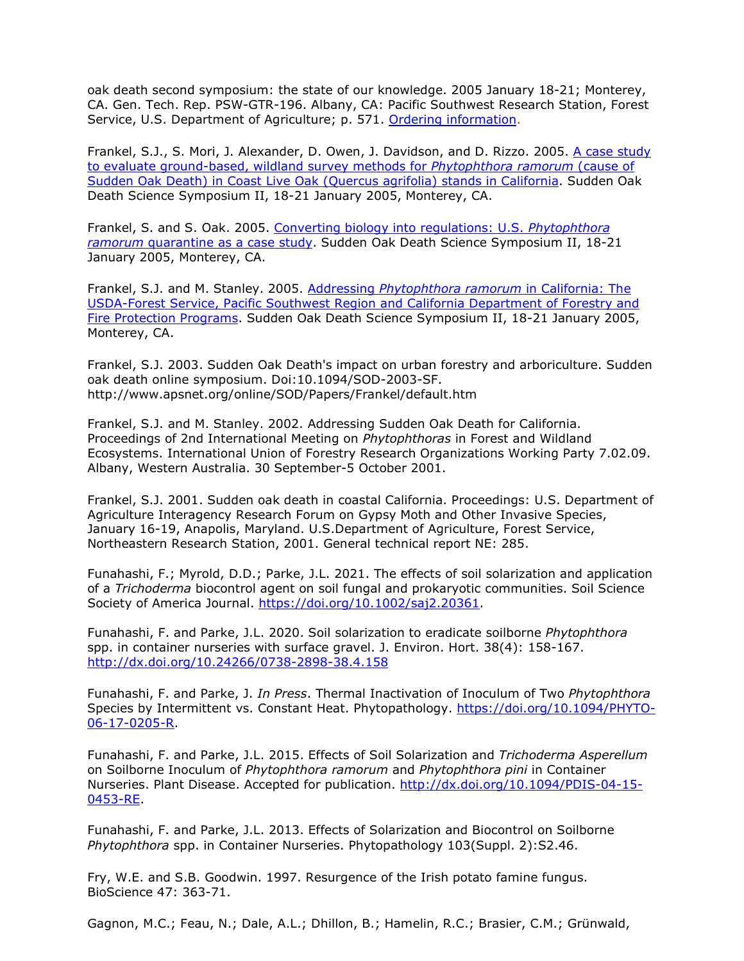oak death second symposium: the state of our knowledge. 2005 January 18-21; Monterey, CA. Gen. Tech. Rep. PSW-GTR-196. Albany, CA: Pacific Southwest Research Station, Forest Service, U.S. Department of Agriculture; p. 571. [Ordering information.](http://nature.berkeley.edu/comtf/pdf/Bibliography/SODflyer-%20Susan_email.pdf)

Frankel, S.J., S. Mori, J. Alexander, D. Owen, J. Davidson, and D. Rizzo. 2005. [A case study](http://nature.berkeley.edu/comtf/pdf/Bibliography/9PosterFrankel.pdf) [to evaluate ground-based, wildland survey methods for](http://nature.berkeley.edu/comtf/pdf/Bibliography/9PosterFrankel.pdf) *Phytophthora ramorum* (cause of [Sudden Oak Death\) in Coast Live Oak \(Quercus agrifolia\) stands in California.](http://nature.berkeley.edu/comtf/pdf/Bibliography/9PosterFrankel.pdf) Sudden Oak Death Science Symposium II, 18-21 January 2005, Monterey, CA.

Frankel, S. and S. Oak. 2005. [Converting biology into regulations: U.S.](http://nature.berkeley.edu/comtf/pdf/Bibliography/66ManagementFrankel.pdf) *Phytophthora ramorum* [quarantine as a case study.](http://nature.berkeley.edu/comtf/pdf/Bibliography/66ManagementFrankel.pdf) Sudden Oak Death Science Symposium II, 18-21 January 2005, Monterey, CA.

Frankel, S.J. and M. Stanley. 2005. Addressing *[Phytophthora ramorum](http://nature.berkeley.edu/comtf/pdf/Bibliography/10PosterFrankel.pdf)* in California: The [USDA-Forest Service, Pacific Southwest Region and California Department of Forestry and](http://nature.berkeley.edu/comtf/pdf/Bibliography/10PosterFrankel.pdf) [Fire Protection Programs.](http://nature.berkeley.edu/comtf/pdf/Bibliography/10PosterFrankel.pdf) Sudden Oak Death Science Symposium II, 18-21 January 2005, Monterey, CA.

Frankel, S.J. 2003. Sudden Oak Death's impact on urban [forestry and arboriculture. Sudden](http://www.apsnet.org/online/SOD/Papers/Frankel/default.htm)  oak death online symposium. Doi:10.1094/SOD-2003-SF. <http://www.apsnet.org/online/SOD/Papers/Frankel/default.htm>

Frankel, S.J. and M. Stanley. 2002. Addressing Sudden Oak Death for California. Proceedings of 2nd International Meeting on *Phytophthoras* in Forest and Wildland Ecosystems. International Union of Forestry Research Organizations Working Party 7.02.09. Albany, Western Australia. 30 September-5 October 2001.

Frankel, S.J. 2001. Sudden oak death in coastal California. Proceedings: U.S. Department of Agriculture Interagency Research Forum on Gypsy Moth and Other Invasive Species, January 16-19, Anapolis, Maryland. U.S.Department of Agriculture, Forest Service, Northeastern Research Station, 2001. General technical report NE: 285.

Funahashi, F.; Myrold, D.D.; Parke, J.L. 2021. The effects of soil solarization and application of a *Trichoderma* biocontrol agent on soil fungal and prokaryotic communities. Soil Science Society of America Journal. [https://doi.org/10.1002/saj2.20361.](https://doi.org/10.1002/saj2.20361)

Funahashi, F. and Parke, J.L. 2020. Soil solarization to eradicate soilborne *Phytophthora* spp. in container nurseries with surface gravel. J. Environ. Hort. 38(4): 158-167. <http://dx.doi.org/10.24266/0738-2898-38.4.158>

Funahashi, F. and Parke, J. *In Press*. Thermal Inactivation of Inoculum of Two *Phytophthora*  Species by Intermittent vs. Constant Heat. Phytopathology. [https://doi.org/10.1094/PHYTO-](https://doi.org/10.1094/PHYTO-06-17-0205-R)[06-17-0205-R.](https://doi.org/10.1094/PHYTO-06-17-0205-R)

Funahashi, F. and Parke, J.L. 2015. Effects of Soil Solarization and *Trichoderma Asperellum*  on Soilborne Inoculum of *Phytophthora ramorum* and *Phytophthora pini* in Container Nurseries. Plant Disease. Accepted for publication. [http://dx.doi.org/10.1094/PDIS-04-15-](http://dx.doi.org/10.1094/PDIS-04-15-0453-RE) [0453-RE.](http://dx.doi.org/10.1094/PDIS-04-15-0453-RE)

Funahashi, F. and Parke, J.L. 2013. Effects of Solarization and Biocontrol on Soilborne *Phytophthora* spp. in Container Nurseries. Phytopathology 103(Suppl. 2):S2.46.

Fry, W.E. and S.B. Goodwin. 1997. Resurgence of the Irish potato famine fungus. BioScience 47: 363-71.

Gagnon, M.C.; Feau, N.; Dale, A.L.; Dhillon, B.; Hamelin, R.C.; Brasier, C.M.; Grünwald,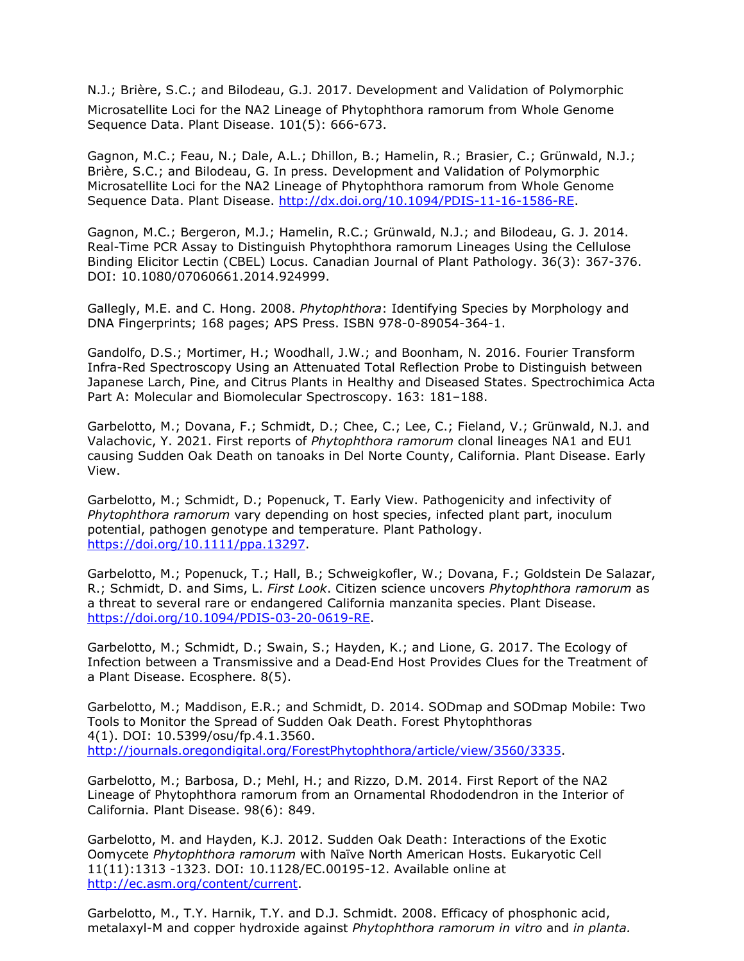N.J.; Brière, S.C.; and Bilodeau, G.J. 2017. Development and Validation of Polymorphic Microsatellite Loci for the NA2 Lineage of Phytophthora ramorum from Whole Genome Sequence Data. Plant Disease. 101(5): 666-673.

Gagnon, M.C.; Feau, N.; Dale, A.L.; Dhillon, B.; Hamelin, R.; Brasier, C.; Grünwald, N.J.; Brière, S.C.; and Bilodeau, G. In press. Development and Validation of Polymorphic Microsatellite Loci for the NA2 Lineage of Phytophthora ramorum from Whole Genome Sequence Data. Plant Disease. [http://dx.doi.org/10.1094/PDIS-11-16-1586-RE.](http://dx.doi.org/10.1094/PDIS-11-16-1586-RE)

Gagnon, M.C.; Bergeron, M.J.; Hamelin, R.C.; Grünwald, N.J.; and Bilodeau, G. J. 2014. Real-Time PCR Assay to Distinguish Phytophthora ramorum Lineages Using the Cellulose Binding Elicitor Lectin (CBEL) Locus. Canadian Journal of Plant Pathology. 36(3): 367-376. DOI: 10.1080/07060661.2014.924999.

Gallegly, M.E. and C. Hong. 2008. *Phytophthora*: Identifying Species by Morphology and DNA Fingerprints; 168 pages; APS Press. ISBN 978-0-89054-364-1.

Gandolfo, D.S.; Mortimer, H.; Woodhall, J.W.; and Boonham, N. 2016. Fourier Transform Infra-Red Spectroscopy Using an Attenuated Total Reflection Probe to Distinguish between Japanese Larch, Pine, and Citrus Plants in Healthy and Diseased States. Spectrochimica Acta Part A: Molecular and Biomolecular Spectroscopy. 163: 181–188.

Garbelotto, M.; Dovana, F.; Schmidt, D.; Chee, C.; Lee, C.; Fieland, V.; Grünwald, N.J. and Valachovic, Y. 2021. First reports of *Phytophthora ramorum* clonal lineages NA1 and EU1 causing Sudden Oak Death on tanoaks in Del Norte County, California. Plant Disease. Early View.

Garbelotto, M.; Schmidt, D.; Popenuck, T. Early View. Pathogenicity and infectivity of *Phytophthora ramorum* vary depending on host species, infected plant part, inoculum potential, pathogen genotype and temperature. Plant Pathology. [https://doi.org/10.1111/ppa.13297.](https://doi.org/10.1111/ppa.13297)

Garbelotto, M.; Popenuck, T.; Hall, B.; Schweigkofler, W.; Dovana, F.; Goldstein De Salazar, R.; Schmidt, D. and Sims, L. *First Look*. Citizen science uncovers *Phytophthora ramorum* as a threat to several rare or endangered California manzanita species. Plant Disease. [https://doi.org/10.1094/PDIS-03-20-0619-RE.](https://doi.org/10.1094/PDIS-03-20-0619-RE)

Garbelotto, M.; Schmidt, D.; Swain, S.; Hayden, K.; and Lione, G. 2017. The Ecology of Infection between a Transmissive and a Dead‐End Host Provides Clues for the Treatment of a Plant Disease. Ecosphere. 8(5).

Garbelotto, M.; Maddison, E.R.; and Schmidt, D. 2014. SODmap and SODmap Mobile: Two Tools to Monitor the Spread of Sudden Oak Death. Forest Phytophthoras 4(1). DOI: 10.5399/osu/fp.4.1.3560. [http://journals.oregondigital.org/ForestPhytophthora/article/view/3560/3335.](http://journals.oregondigital.org/ForestPhytophthora/article/view/3560/3335)

Garbelotto, M.; Barbosa, D.; Mehl, H.; and Rizzo, D.M. 2014. First Report of the NA2 Lineage of Phytophthora ramorum from an Ornamental Rhododendron in the Interior of California. Plant Disease. 98(6): 849.

Garbelotto, M. and Hayden, K.J. 2012. Sudden Oak Death: Interactions of the Exotic Oomycete *Phytophthora ramorum* with Naïve North American Hosts. Eukaryotic Cell 11(11):1313 -1323. DOI: 10.1128/EC.00195-12. Available online at [http://ec.asm.org/content/current.](http://ec.asm.org/content/current)

Garbelotto, M., T.Y. Harnik, T.Y. and D.J. Schmidt. 2008. Efficacy of phosphonic acid, metalaxyl-M and copper hydroxide against *Phytophthora ramorum in vitro* and *in planta.*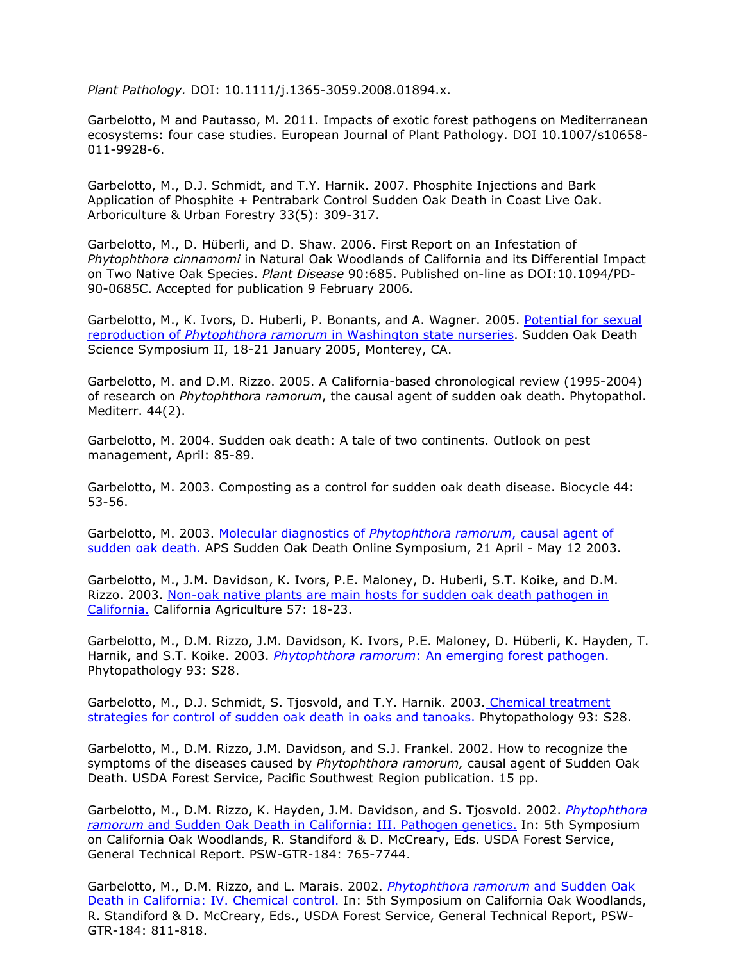*Plant Pathology.* DOI: 10.1111/j.1365-3059.2008.01894.x.

Garbelotto, M and Pautasso, M. 2011. Impacts of exotic forest pathogens on Mediterranean ecosystems: four case studies. European Journal of Plant Pathology. DOI 10.1007/s10658- 011-9928-6.

Garbelotto, M., D.J. Schmidt, and T.Y. Harnik. 2007. Phosphite Injections and Bark Application of Phosphite + Pentrabark Control Sudden Oak Death in Coast Live Oak. Arboriculture & Urban Forestry 33(5): 309-317.

Garbelotto, M., D. Hüberli, and D. Shaw. 2006. First Report on an Infestation of *Phytophthora cinnamomi* in Natural Oak Woodlands of California and its Differential Impact on Two Native Oak Species. *Plant Disease* 90:685. Published on-line as DOI:10.1094/PD-90-0685C. Accepted for publication 9 February 2006.

Garbelotto, M., K. Ivors, D. Huberli, P. Bonants, and A. Wagner. 2005. [Potential for sexual](http://nature.berkeley.edu/comtf/pdf/Bibliography/8Garbelotto.pdf) reproduction of *Phytophthora ramorum* [in Washington state nurseries.](http://nature.berkeley.edu/comtf/pdf/Bibliography/8Garbelotto.pdf) Sudden Oak Death Science Symposium II, 18-21 January 2005, Monterey, CA.

Garbelotto, M. and D.M. Rizzo. 2005. A California-based chronological review (1995-2004) of research on *Phytophthora ramorum*, the causal agent of sudden oak death. Phytopathol. Mediterr. 44(2).

Garbelotto, M. 2004. Sudden oak death: A tale of two continents. Outlook on pest management, April: 85-89.

Garbelotto, M. 2003. Composting as a control for sudden oak death disease. Biocycle 44: 53-56.

Garbelotto, M. 2003. [Molecular diagnostics of](http://www.apsnet.org/online/proceedings/SOD/Papers/garbelotto/default.htm) *Phytophthora ramorum*, causal agent of [sudden oak death.](http://www.apsnet.org/online/proceedings/SOD/Papers/garbelotto/default.htm) APS Sudden Oak Death Online Symposium, 21 April - May 12 2003.

Garbelotto, M., J.M. Davidson, K. Ivors, P.E. Maloney, D. Huberli, S.T. Koike, and D.M. Rizzo. 2003. [Non-oak native plants are main hosts for sudden oak death pathogen in](http://nature.berkeley.edu/comtf/pdf/Bibliography/garbelotto2003a.pdf) [California.](http://nature.berkeley.edu/comtf/pdf/Bibliography/garbelotto2003a.pdf) California Agriculture 57: 18-23.

Garbelotto, M., D.M. Rizzo, J.M. Davidson, K. Ivors, P.E. Maloney, D. Hüberli, K. Hayden, T. Harnik, and S.T. Koike. 2003. *Phytophthora ramorum*[: An emerging forest pathogen.](http://nature.berkeley.edu/comtf/html/aps_resources.html#03aps04) Phytopathology 93: S28.

Garbelotto, M., D.J. Schmidt, S. Tjosvold, and T.Y. Harnik. 2003. [Chemical treatment](http://nature.berkeley.edu/comtf/html/aps_resources.html#03aps07) [strategies for control of sudden oak death in oaks and tanoaks.](http://nature.berkeley.edu/comtf/html/aps_resources.html#03aps07) Phytopathology 93: S28.

Garbelotto, M., D.M. Rizzo, J.M. Davidson, and S.J. Frankel. 2002. How to recognize the symptoms of the diseases caused by *Phytophthora ramorum,* causal agent of Sudden Oak Death. USDA Forest Service, Pacific Southwest Region publication. 15 pp.

Garbelotto, M., D.M. Rizzo, K. Hayden, J.M. Davidson, and S. Tjosvold. 2002. *[Phytophthora](http://nature.berkeley.edu/comtf/pdf/Bibliography/garbelotto2002b.pdf) ramorum* [and Sudden Oak Death in California: III. Pathogen genetics.](http://nature.berkeley.edu/comtf/pdf/Bibliography/garbelotto2002b.pdf) In: 5th Symposium on California Oak Woodlands, R. Standiford & D. McCreary, Eds. USDA Forest Service, General Technical Report. PSW-GTR-184: 765-7744.

Garbelotto, M., D.M. Rizzo, and L. Marais. 2002. *[Phytophthora ramorum](http://nature.berkeley.edu/comtf/pdf/Bibliography/garbelotto2002a.pdf)* and Sudden Oak [Death in California: IV. Chemical control.](http://nature.berkeley.edu/comtf/pdf/Bibliography/garbelotto2002a.pdf) In: 5th Symposium on California Oak Woodlands, R. Standiford & D. McCreary, Eds., USDA Forest Service, General Technical Report, PSW-GTR-184: 811-818.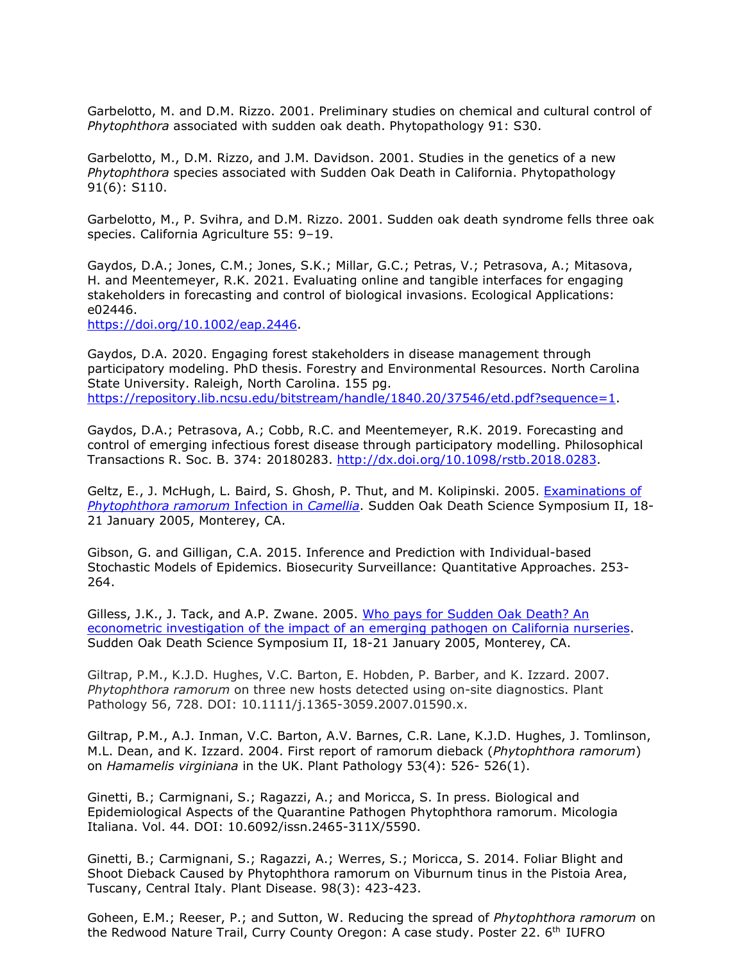Garbelotto, M. and D.M. Rizzo. 2001. Preliminary studies on chemical and cultural control of *Phytophthora* associated with sudden oak death. Phytopathology 91: S30.

Garbelotto, M., D.M. Rizzo, and J.M. Davidson. 2001. Studies in the genetics of a new *Phytophthora* species associated with Sudden Oak Death in California. Phytopathology 91(6): S110.

Garbelotto, M., P. Svihra, and D.M. Rizzo. 2001. Sudden oak death syndrome fells three oak species. California Agriculture 55: 9–19.

Gaydos, D.A.; Jones, C.M.; Jones, S.K.; Millar, G.C.; Petras, V.; Petrasova, A.; Mitasova, H. and Meentemeyer, R.K. 2021. Evaluating online and tangible interfaces for engaging stakeholders in forecasting and control of biological invasions. Ecological Applications: e02446.

[https://doi.org/10.1002/eap.2446.](https://doi.org/10.1002/eap.2446)

Gaydos, D.A. 2020. Engaging forest stakeholders in disease management through participatory modeling. PhD thesis. Forestry and Environmental Resources. North Carolina State University. Raleigh, North Carolina. 155 pg. [https://repository.lib.ncsu.edu/bitstream/handle/1840.20/37546/etd.pdf?sequence=1.](https://repository.lib.ncsu.edu/bitstream/handle/1840.20/37546/etd.pdf?sequence=1)

Gaydos, D.A.; Petrasova, A.; Cobb, R.C. and Meentemeyer, R.K. 2019. Forecasting and control of emerging infectious forest disease through participatory modelling. Philosophical Transactions R. Soc. B. 374: 20180283. [http://dx.doi.org/10.1098/rstb.2018.0283.](http://dx.doi.org/10.1098/rstb.2018.0283)

Geltz, E., J. McHugh, L. Baird, S. Ghosh, P. Thut, and M. Kolipinski. 2005. [Examinations of](http://nature.berkeley.edu/comtf/pdf/Bibliography/11PosterGeltz.pdf) *[Phytophthora ramorum](http://nature.berkeley.edu/comtf/pdf/Bibliography/11PosterGeltz.pdf)* Infection in *Camellia*. Sudden Oak Death Science Symposium II, 18- 21 January 2005, Monterey, CA.

Gibson, G. and Gilligan, C.A. 2015. Inference and Prediction with Individual-based Stochastic Models of Epidemics. Biosecurity Surveillance: Quantitative Approaches. 253- 264.

Gilless, J.K., J. Tack, and A.P. Zwane. 2005. [Who pays for Sudden Oak Death? An](http://nature.berkeley.edu/comtf/pdf/Bibliography/68Gilless.pdf) [econometric investigation of the impact of an emerging pathogen on California nurseries.](http://nature.berkeley.edu/comtf/pdf/Bibliography/68Gilless.pdf) Sudden Oak Death Science Symposium II, 18-21 January 2005, Monterey, CA.

Giltrap, P.M., K.J.D. Hughes, V.C. Barton, E. Hobden, P. Barber, and K. Izzard. 2007. *Phytophthora ramorum* on three new hosts detected using on-site diagnostics. Plant Pathology 56, 728. DOI: 10.1111/j.1365-3059.2007.01590.x.

Giltrap, P.M., A.J. Inman, V.C. Barton, A.V. Barnes, C.R. Lane, K.J.D. Hughes, J. Tomlinson, M.L. Dean, and K. Izzard. 2004. First report of ramorum dieback (*Phytophthora ramorum*) on *Hamamelis virginiana* in the UK. Plant Pathology 53(4): 526- 526(1).

Ginetti, B.; Carmignani, S.; Ragazzi, A.; and Moricca, S. In press. Biological and Epidemiological Aspects of the Quarantine Pathogen Phytophthora ramorum. Micologia Italiana. Vol. 44. DOI: 10.6092/issn.2465-311X/5590.

Ginetti, B.; Carmignani, S.; Ragazzi, A.; Werres, S.; Moricca, S. 2014. Foliar Blight and Shoot Dieback Caused by Phytophthora ramorum on Viburnum tinus in the Pistoia Area, Tuscany, Central Italy. Plant Disease. 98(3): 423-423.

Goheen, E.M.; Reeser, P.; and Sutton, W. Reducing the spread of *Phytophthora ramorum* on the Redwood Nature Trail, Curry County Oregon: A case study. Poster 22. 6th IUFRO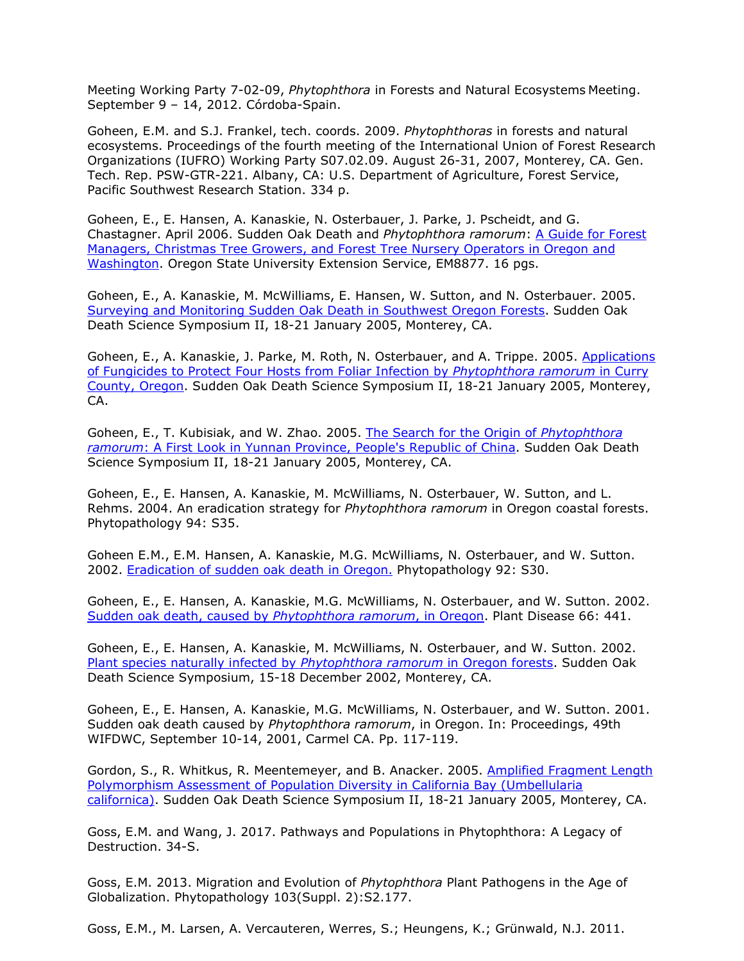Meeting Working Party 7-02-09, *Phytophthora* in Forests and Natural Ecosystems Meeting. September 9 – 14, 2012. Córdoba-Spain.

Goheen, E.M. and S.J. Frankel, tech. coords. 2009. *Phytophthoras* in forests and natural ecosystems. Proceedings of the fourth meeting of the International Union of Forest Research Organizations (IUFRO) Working Party S07.02.09. August 26-31, 2007, Monterey, CA. Gen. Tech. Rep. PSW-GTR-221. Albany, CA: U.S. Department of Agriculture, Forest Service, Pacific Southwest Research Station. 334 p.

Goheen, E., E. Hansen, A. Kanaskie, N. Osterbauer, J. Parke, J. Pscheidt, and G. Chastagner. April 2006. Sudden Oak Death and *Phytophthora ramorum*: [A Guide for Forest](http://extension.oregonstate.edu/catalog/pdf/em/em8877.pdf) [Managers, Christmas Tree Growers, and Forest Tree Nursery Operators in Oregon and](http://extension.oregonstate.edu/catalog/pdf/em/em8877.pdf) [Washington.](http://extension.oregonstate.edu/catalog/pdf/em/em8877.pdf) Oregon State University Extension Service, EM8877. 16 pgs.

Goheen, E., A. Kanaskie, M. McWilliams, E. Hansen, W. Sutton, and N. Osterbauer. 2005. [Surveying and Monitoring Sudden Oak Death in Southwest Oregon Forests.](http://nature.berkeley.edu/comtf/pdf/Bibliography/79Goheen.pdf) Sudden Oak Death Science Symposium II, 18-21 January 2005, Monterey, CA.

Goheen, E., A. Kanaskie, J. Parke, M. Roth, N. Osterbauer, and A. Trippe. 2005. [Applications](http://nature.berkeley.edu/comtf/pdf/Bibliography/12Goheen.pdf) [of Fungicides to Protect Four Hosts from Foliar Infection by](http://nature.berkeley.edu/comtf/pdf/Bibliography/12Goheen.pdf) *Phytophthora ramorum* in Curry [County, Oregon.](http://nature.berkeley.edu/comtf/pdf/Bibliography/12Goheen.pdf) Sudden Oak Death Science Symposium II, 18-21 January 2005, Monterey, CA.

Goheen, E., T. Kubisiak, and W. Zhao. 2005. [The Search for the Origin of](http://nature.berkeley.edu/comtf/pdf/Bibliography/29Goheen.pdf) *Phytophthora ramorum*[: A First Look in Yunnan Province, People's Republic of China.](http://nature.berkeley.edu/comtf/pdf/Bibliography/29Goheen.pdf) Sudden Oak Death Science Symposium II, 18-21 January 2005, Monterey, CA.

Goheen, E., E. Hansen, A. Kanaskie, M. McWilliams, N. Osterbauer, W. Sutton, and L. Rehms. 2004. An eradication strategy for *Phytophthora ramorum* in Oregon coastal forests. Phytopathology 94: S35.

Goheen E.M., E.M. Hansen, A. Kanaskie, M.G. McWilliams, N. Osterbauer, and W. Sutton. 2002. [Eradication of sudden oak death in Oregon.](http://apsnet.org/meetings/2002/abstracts/a02ma212.htm) Phytopathology 92: S30.

Goheen, E., E. Hansen, A. Kanaskie, M.G. McWilliams, N. Osterbauer, and W. Sutton. 2002. [Sudden oak death, caused by](http://www.apsnet.org/online/proceedings/sod/Papers/APS/PDnote_86-4.html) *Phytophthora ramorum*, in Oregon. Plant Disease 66: 441.

Goheen, E., E. Hansen, A. Kanaskie, M. McWilliams, N. Osterbauer, and W. Sutton. 2002. [Plant species naturally infected by](http://danr.ucop.edu/ihrmp/sodsymp/poster/poster37.html) *Phytophthora ramorum* in Oregon forests. Sudden Oak Death Science Symposium, 15-18 December 2002, Monterey, CA.

Goheen, E., E. Hansen, A. Kanaskie, M.G. McWilliams, N. Osterbauer, and W. Sutton. 2001. Sudden oak death caused by *Phytophthora ramorum*, in Oregon. In: Proceedings, 49th WIFDWC, September 10-14, 2001, Carmel CA. Pp. 117-119.

Gordon, S., R. Whitkus, R. Meentemeyer, and B. Anacker. 2005. [Amplified Fragment Length](http://nature.berkeley.edu/comtf/pdf/Bibliography/13PosterGordon.pdf) [Polymorphism Assessment of Population Diversity in California Bay \(Umbellularia](http://nature.berkeley.edu/comtf/pdf/Bibliography/13PosterGordon.pdf) [californica\).](http://nature.berkeley.edu/comtf/pdf/Bibliography/13PosterGordon.pdf) Sudden Oak Death Science Symposium II, 18-21 January 2005, Monterey, CA.

Goss, E.M. and Wang, J. 2017. Pathways and Populations in Phytophthora: A Legacy of Destruction. 34-S.

Goss, E.M. 2013. Migration and Evolution of *Phytophthora* Plant Pathogens in the Age of Globalization. Phytopathology 103(Suppl. 2):S2.177.

Goss, E.M., M. Larsen, A. Vercauteren, Werres, S.; Heungens, K.; Grünwald, N.J. 2011.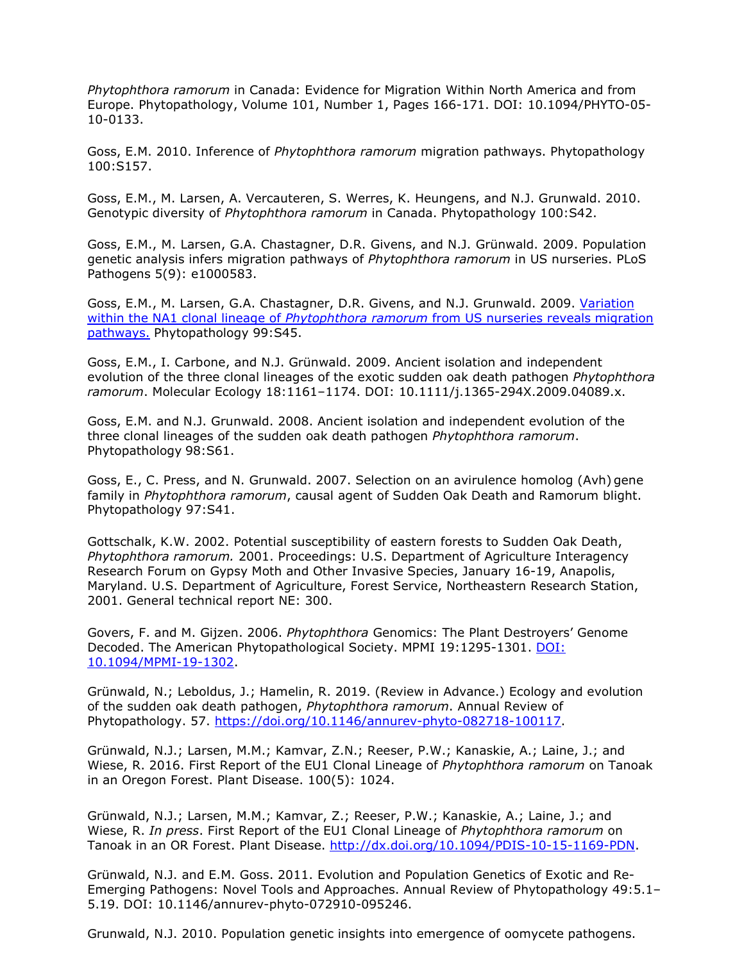*Phytophthora ramorum* in Canada: Evidence for Migration Within North America and from Europe. Phytopathology, Volume 101, Number 1, Pages 166-171. DOI: 10.1094/PHYTO-05- 10-0133.

Goss, E.M. 2010. Inference of *Phytophthora ramorum* migration pathways. Phytopathology 100:S157.

Goss, E.M., M. Larsen, A. Vercauteren, S. Werres, K. Heungens, and N.J. Grunwald. 2010. Genotypic diversity of *Phytophthora ramorum* in Canada. Phytopathology 100:S42.

Goss, E.M., M. Larsen, G.A. Chastagner, D.R. Givens, and N.J. Grünwald. 2009. Population genetic analysis infers migration pathways of *Phytophthora ramorum* in US nurseries. PLoS Pathogens 5(9): e1000583.

Goss, E.M., M. Larsen, G.A. Chastagner, D.R. Givens, and N.J. Grunwald. 2009. [Variation](http://nature.berkeley.edu/comtf/pdf/Goss_2009.pdf) within the NA1 clonal lineage of *Phytophthora ramorum* [from US nurseries reveals migration](http://nature.berkeley.edu/comtf/pdf/Goss_2009.pdf) [pathways.](http://nature.berkeley.edu/comtf/pdf/Goss_2009.pdf) Phytopathology 99:S45.

Goss, E.M., I. Carbone, and N.J. Grünwald. 2009. Ancient isolation and independent evolution of the three clonal lineages of the exotic sudden oak death pathogen *Phytophthora ramorum*. Molecular Ecology 18:1161–1174. DOI: 10.1111/j.1365-294X.2009.04089.x.

Goss, E.M. and N.J. Grunwald. 2008. Ancient isolation and independent evolution of the three clonal lineages of the sudden oak death pathogen *Phytophthora ramorum*. Phytopathology 98:S61.

Goss, E., C. Press, and N. Grunwald. 2007. Selection on an avirulence homolog (Avh) gene family in *Phytophthora ramorum*, causal agent of Sudden Oak Death and Ramorum blight. Phytopathology 97:S41.

Gottschalk, K.W. 2002. Potential susceptibility of eastern forests to Sudden Oak Death, *Phytophthora ramorum.* 2001. Proceedings: U.S. Department of Agriculture Interagency Research Forum on Gypsy Moth and Other Invasive Species, January 16-19, Anapolis, Maryland. U.S. Department of Agriculture, Forest Service, Northeastern Research Station, 2001. General technical report NE: 300.

Govers, F. and M. Gijzen. 2006. *Phytophthora* Genomics: The Plant Destroyers' Genome Decoded. The American Phytopathological Society. MPMI 19:1295-1301. [DOI:](http://www.ismpminet.org/mpmi/SubscriberContent/2006/MPMI-19-1302.pdf) [10.1094/MPMI-19-1302.](http://www.ismpminet.org/mpmi/SubscriberContent/2006/MPMI-19-1302.pdf)

Grünwald, N.; Leboldus, J.; Hamelin, R. 2019. (Review in Advance.) Ecology and evolution of the sudden oak death pathogen, *Phytophthora ramorum*. Annual Review of Phytopathology. 57. [https://doi.org/10.1146/annurev-phyto-082718-100117.](https://doi.org/10.1146/annurev-phyto-082718-100117)

Grünwald, N.J.; Larsen, M.M.; Kamvar, Z.N.; Reeser, P.W.; Kanaskie, A.; Laine, J.; and Wiese, R. 2016. First Report of the EU1 Clonal Lineage of *Phytophthora ramorum* on Tanoak in an Oregon Forest. Plant Disease. 100(5): 1024.

Grünwald, N.J.; Larsen, M.M.; Kamvar, Z.; Reeser, P.W.; Kanaskie, A.; Laine, J.; and Wiese, R. *In press*. First Report of the EU1 Clonal Lineage of *Phytophthora ramorum* on Tanoak in an OR Forest. Plant Disease. [http://dx.doi.org/10.1094/PDIS-10-15-1169-PDN.](http://dx.doi.org/10.1094/PDIS-10-15-1169-PDN)

Grünwald, N.J. and E.M. Goss. 2011. Evolution and Population Genetics of Exotic and Re-Emerging Pathogens: Novel Tools and Approaches. Annual Review of Phytopathology 49:5.1– 5.19. DOI: 10.1146/annurev-phyto-072910-095246.

Grunwald, N.J. 2010. Population genetic insights into emergence of oomycete pathogens.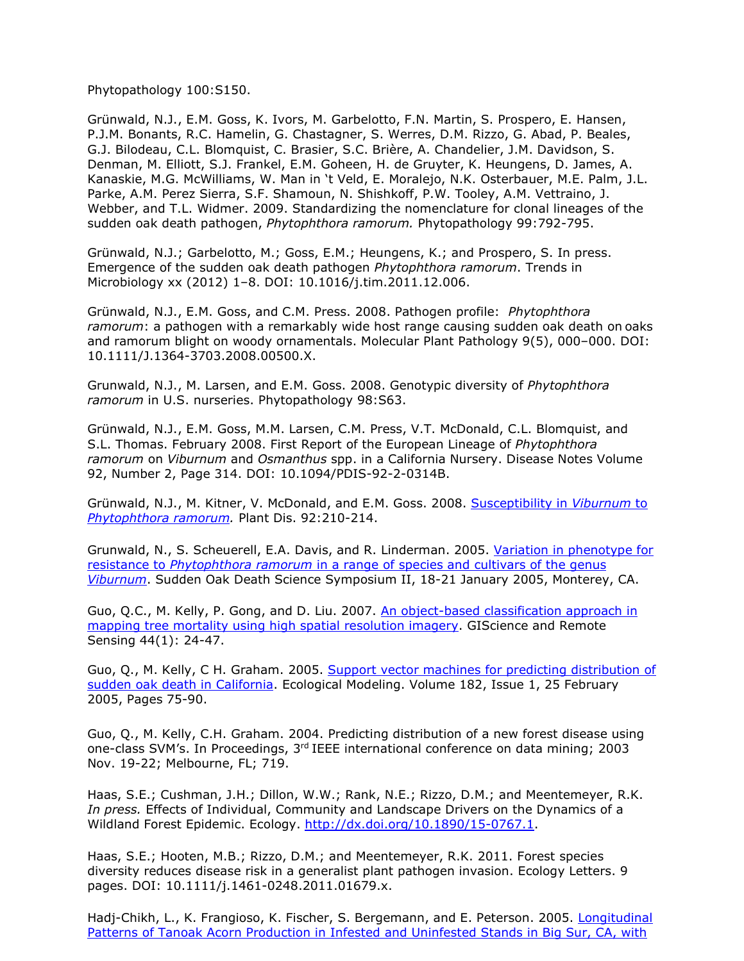Phytopathology 100:S150.

Grünwald, N.J., E.M. Goss, K. Ivors, M. Garbelotto, F.N. Martin, S. Prospero, E. Hansen, P.J.M. Bonants, R.C. Hamelin, G. Chastagner, S. Werres, D.M. Rizzo, G. Abad, P. Beales, G.J. Bilodeau, C.L. Blomquist, C. Brasier, S.C. Brière, A. Chandelier, J.M. Davidson, S. Denman, M. Elliott, S.J. Frankel, E.M. Goheen, H. de Gruyter, K. Heungens, D. James, A. Kanaskie, M.G. McWilliams, W. Man in 't Veld, E. Moralejo, N.K. Osterbauer, M.E. Palm, J.L. Parke, A.M. Perez Sierra, S.F. Shamoun, N. Shishkoff, P.W. Tooley, A.M. Vettraino, J. Webber, and T.L. Widmer. 2009. Standardizing the nomenclature for clonal lineages of the sudden oak death pathogen, *Phytophthora ramorum.* Phytopathology 99:792-795.

Grünwald, N.J.; Garbelotto, M.; Goss, E.M.; Heungens, K.; and Prospero, S. In press. Emergence of the sudden oak death pathogen *Phytophthora ramorum*. Trends in Microbiology xx (2012) 1–8. DOI: 10.1016/j.tim.2011.12.006.

Grünwald, N.J., E.M. Goss, and C.M. Press. 2008. Pathogen profile: *Phytophthora ramorum*: a pathogen with a remarkably wide host range causing sudden oak death on oaks and ramorum blight on woody ornamentals. Molecular Plant Pathology 9(5), 000–000. DOI: 10.1111/J.1364-3703.2008.00500.X.

Grunwald, N.J., M. Larsen, and E.M. Goss. 2008. Genotypic diversity of *Phytophthora ramorum* in U.S. nurseries. Phytopathology 98:S63.

Grünwald, N.J., E.M. Goss, M.M. Larsen, C.M. Press, V.T. McDonald, C.L. Blomquist, and S.L. Thomas. February 2008. First Report of the European Lineage of *Phytophthora ramorum* on *Viburnum* and *Osmanthus* spp. in a California Nursery. Disease Notes Volume 92, Number 2, Page 314. DOI: 10.1094/PDIS-92-2-0314B.

Grünwald, N.J., M. Kitner, V. McDonald, and E.M. Goss. 2008. [Susceptibility in](http://nature.berkeley.edu/comtf/pdf/GrunwaldAbstract.pdf) *Viburnum* to *[Phytophthora ramorum.](http://nature.berkeley.edu/comtf/pdf/GrunwaldAbstract.pdf)* Plant Dis. 92:210-214.

Grunwald, N., S. Scheuerell, E.A. Davis, and R. Linderman. 2005. [Variation in phenotype for](http://nature.berkeley.edu/comtf/pdf/Bibliography/17BiologyGrunwaldAbstract.pdf) resistance to *Phytophthora ramorum* [in a range of species and cultivars of the genus](http://nature.berkeley.edu/comtf/pdf/Bibliography/17BiologyGrunwaldAbstract.pdf) *[Viburnum](http://nature.berkeley.edu/comtf/pdf/Bibliography/17BiologyGrunwaldAbstract.pdf)*. Sudden Oak Death Science Symposium II, 18-21 January 2005, Monterey, CA.

Guo, Q.C., M. Kelly, P. Gong, and D. Liu. 2007. [An object-based classification approach in](http://nature.berkeley.edu/comtf/pdf/GuoAbstract.pdf) [mapping tree mortality using high spatial resolution imagery.](http://nature.berkeley.edu/comtf/pdf/GuoAbstract.pdf) GIScience and Remote Sensing 44(1): 24-47.

Guo, Q., M. Kelly, C H. Graham. 2005. [Support vector machines for predicting distribution of](http://nature.berkeley.edu/comtf/pdf/2005.GuoKellyGraham.EM.pdf) [sudden oak death in California.](http://nature.berkeley.edu/comtf/pdf/2005.GuoKellyGraham.EM.pdf) Ecological Modeling. Volume 182, Issue 1, 25 February 2005, Pages 75-90.

Guo, Q., M. Kelly, C.H. Graham. 2004. Predicting distribution of a new forest disease using one-class SVM's. In Proceedings, 3<sup>rd</sup> IEEE international conference on data mining; 2003 Nov. 19-22; Melbourne, FL; 719.

Haas, S.E.; Cushman, J.H.; Dillon, W.W.; Rank, N.E.; Rizzo, D.M.; and Meentemeyer, R.K. *In press.* Effects of Individual, Community and Landscape Drivers on the Dynamics of a Wildland Forest Epidemic. Ecology. [http://dx.doi.org/10.1890/15-0767.1.](http://dx.doi.org/10.1890/15-0767.1)

Haas, S.E.; Hooten, M.B.; Rizzo, D.M.; and Meentemeyer, R.K. 2011. Forest species diversity reduces disease risk in a generalist plant pathogen invasion. Ecology Letters. 9 pages. DOI: 10.1111/j.1461-0248.2011.01679.x.

Hadj-Chikh, L., K. Frangioso, K. Fischer, S. Bergemann, and E. Peterson. 2005. [Longitudinal](http://nature.berkeley.edu/comtf/pdf/Bibliography/51EcologyHadj-Chikh.pdf) [Patterns of Tanoak Acorn Production in Infested and Uninfested Stands in Big Sur, CA, with](http://nature.berkeley.edu/comtf/pdf/Bibliography/51EcologyHadj-Chikh.pdf)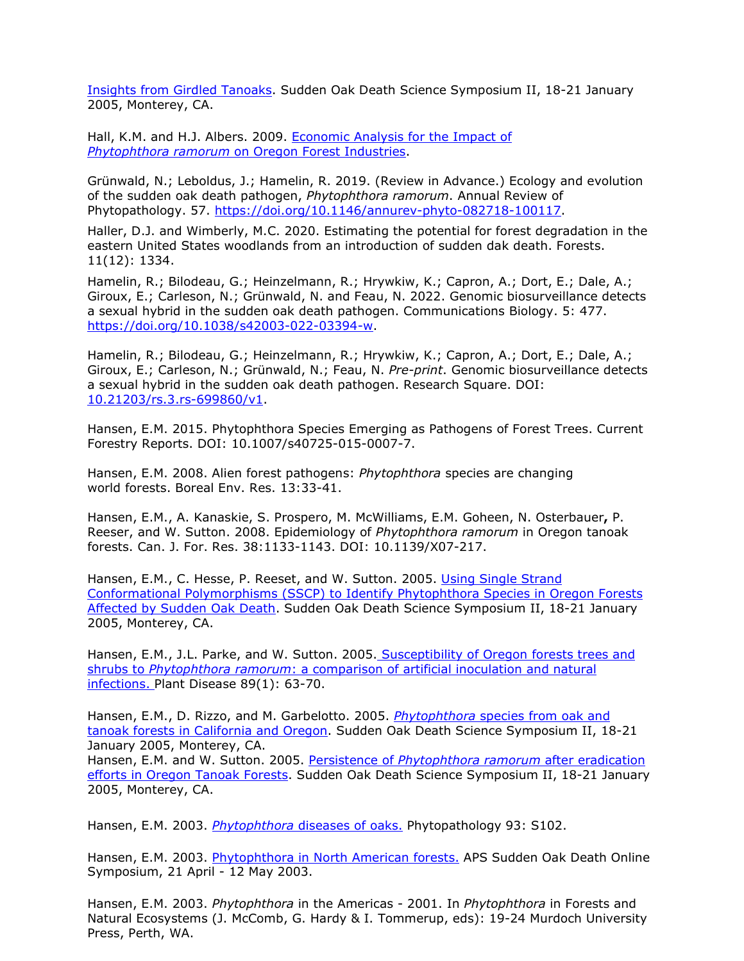[Insights from Girdled Tanoaks.](http://nature.berkeley.edu/comtf/pdf/Bibliography/51EcologyHadj-Chikh.pdf) Sudden Oak Death Science Symposium II, 18-21 January 2005, Monterey, CA.

Hall, K.M. and H.J. Albers. 2009. [Economic Analysis for the Impact of](http://nature.berkeley.edu/comtf/pdf/SOD_ECON_ANALYSIS_%20Report_5-1-09.pdf) *Phytophthora ramorum* [on Oregon Forest Industries.](http://nature.berkeley.edu/comtf/pdf/SOD_ECON_ANALYSIS_%20Report_5-1-09.pdf)

Grünwald, N.; Leboldus, J.; Hamelin, R. 2019. (Review in Advance.) Ecology and evolution of the sudden oak death pathogen, *Phytophthora ramorum*. Annual Review of Phytopathology. 57. [https://doi.org/10.1146/annurev-phyto-082718-100117.](https://doi.org/10.1146/annurev-phyto-082718-100117)

Haller, D.J. and Wimberly, M.C. 2020. Estimating the potential for forest degradation in the eastern United States woodlands from an introduction of sudden dak death. Forests. 11(12): 1334.

Hamelin, R.; Bilodeau, G.; Heinzelmann, R.; Hrywkiw, K.; Capron, A.; Dort, E.; Dale, A.; Giroux, E.; Carleson, N.; Grünwald, N. and Feau, N. 2022. Genomic biosurveillance detects a sexual hybrid in the sudden oak death pathogen. Communications Biology. 5: 477. [https://doi.org/10.1038/s42003-022-03394-w.](https://doi.org/10.1038/s42003-022-03394-w)

Hamelin, R.; Bilodeau, G.; Heinzelmann, R.; Hrywkiw, K.; Capron, A.; Dort, E.; Dale, A.; Giroux, E.; Carleson, N.; Grünwald, N.; Feau, N. *Pre-print*. Genomic biosurveillance detects a sexual hybrid in the sudden oak death pathogen. Research Square. DOI: [10.21203/rs.3.rs-699860/v1.](https://doi.org/10.21203/rs.3.rs-699860/v1)

Hansen, E.M. 2015. Phytophthora Species Emerging as Pathogens of Forest Trees. Current Forestry Reports. DOI: 10.1007/s40725-015-0007-7.

Hansen, E.M. 2008. Alien forest pathogens: *Phytophthora* species are changing world forests. Boreal Env. Res. 13:33-41.

Hansen, E.M., A. Kanaskie, S. Prospero, M. McWilliams, E.M. Goheen, N. Osterbauer**,** P. Reeser, and W. Sutton. 2008. Epidemiology of *Phytophthora ramorum* in Oregon tanoak forests. Can. J. For. Res. 38:1133-1143. DOI: 10.1139/X07-217.

Hansen, E.M., C. Hesse, P. Reeset, and W. Sutton. 2005. [Using Single Strand](http://nature.berkeley.edu/comtf/pdf/Bibliography/16Hansen.pdf) Conformational Polymorphisms [\(SSCP\) to Identify Phytophthora Species in Oregon Forests](http://nature.berkeley.edu/comtf/pdf/Bibliography/16Hansen.pdf) [Affected by Sudden Oak Death.](http://nature.berkeley.edu/comtf/pdf/Bibliography/16Hansen.pdf) Sudden Oak Death Science Symposium II, 18-21 January 2005, Monterey, CA.

Hansen, E.M., J.L. Parke, and W. Sutton. 2005. [Susceptibility of Oregon forests trees and](http://nature.berkeley.edu/comtf/pdf/Bibliography/Hansen%202005.pdf) shrubs to *Phytophthora ramorum*[: a comparison of artificial inoculation and natural](http://nature.berkeley.edu/comtf/pdf/Bibliography/Hansen%202005.pdf) [infections. P](http://nature.berkeley.edu/comtf/pdf/Bibliography/Hansen%202005.pdf)lant Disease 89(1): 63-70.

Hansen, E.M., D. Rizzo, and M. Garbelotto. 2005. *Phytophthora* [species from oak and](http://nature.berkeley.edu/comtf/pdf/Bibliography/5Hansen.pdf) [tanoak forests in California and Oregon.](http://nature.berkeley.edu/comtf/pdf/Bibliography/5Hansen.pdf) Sudden Oak Death Science Symposium II, 18-21 January 2005, Monterey, CA. Hansen, E.M. and W. Sutton. 2005. Persistence of *[Phytophthora ramorum](http://nature.berkeley.edu/comtf/pdf/Bibliography/14PosterHansen.pdf)* after eradication [efforts in Oregon Tanoak Forests.](http://nature.berkeley.edu/comtf/pdf/Bibliography/14PosterHansen.pdf) Sudden Oak Death Science Symposium II, 18-21 January

Hansen, E.M. 2003. *Phytophthora* [diseases of oaks.](http://nature.berkeley.edu/comtf/html/aps_resources.html#03aps10) Phytopathology 93: S102.

2005, Monterey, CA.

Hansen, E.M. 2003. [Phytophthora in North American forests.](http://nature.berkeley.edu/comtf/pdf/Bibliography/hansen2003a.pdf) APS Sudden Oak Death Online Symposium, 21 April - 12 May 2003.

Hansen, E.M. 2003. *Phytophthora* in the Americas - 2001. In *Phytophthora* in Forests and Natural Ecosystems (J. McComb, G. Hardy & I. Tommerup, eds): 19-24 Murdoch University Press, Perth, WA.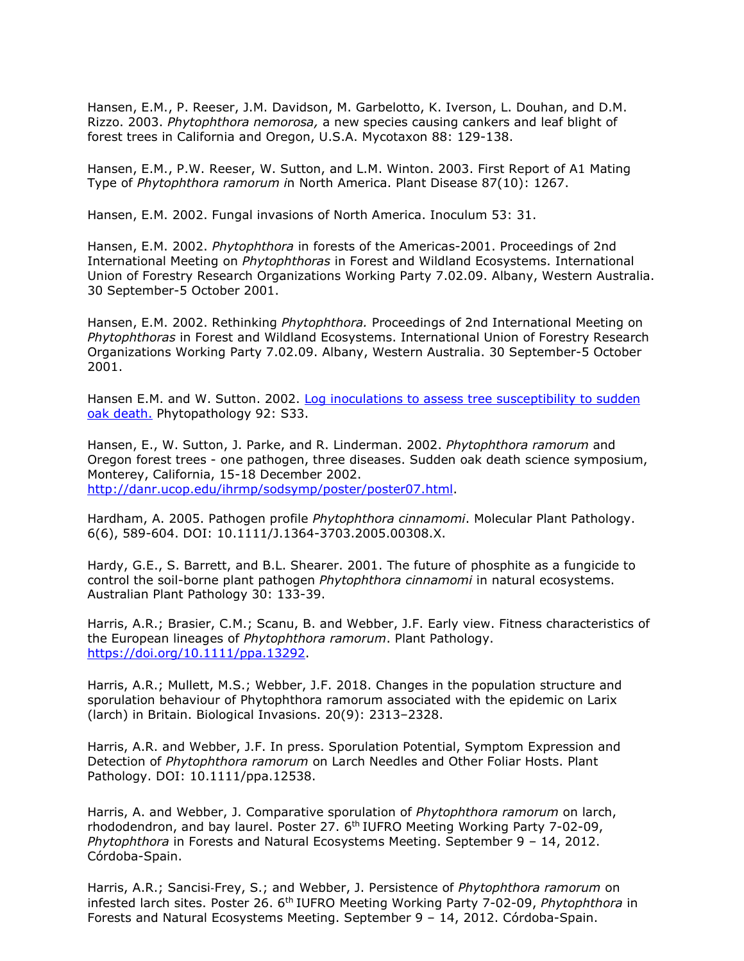Hansen, E.M., P. Reeser, J.M. Davidson, M. Garbelotto, K. Iverson, L. Douhan, and D.M. Rizzo. 2003. *Phytophthora nemorosa,* a new species causing cankers and leaf blight of forest trees in California and Oregon, U.S.A. Mycotaxon 88: 129-138.

Hansen, E.M., P.W. Reeser, W. Sutton, and L.M. Winton. 2003. First Report of A1 Mating Type of *Phytophthora ramorum i*n North America. Plant Disease 87(10): 1267.

Hansen, E.M. 2002. Fungal invasions of North America. Inoculum 53: 31.

Hansen, E.M. 2002. *Phytophthora* in forests of the Americas-2001. Proceedings of 2nd International Meeting on *Phytophthoras* in Forest and Wildland Ecosystems. International Union of Forestry Research Organizations Working Party 7.02.09. Albany, Western Australia. 30 September-5 October 2001.

Hansen, E.M. 2002. Rethinking *Phytophthora.* Proceedings of 2nd International Meeting on *Phytophthoras* in Forest and Wildland Ecosystems. International Union of Forestry Research Organizations Working Party 7.02.09. Albany, Western Australia. 30 September-5 October 2001.

Hansen E.M. and W. Sutton. 2002. [Log inoculations to assess tree susceptibility to sudden](http://apsnet.org/meetings/2002/abstracts/a02ma237.htm) [oak death.](http://apsnet.org/meetings/2002/abstracts/a02ma237.htm) Phytopathology 92: S33.

Hansen, E., W. Sutton, J. Parke, and R. Linderman. 2002. *Phytophthora ramorum* and Oregon forest trees - one pathogen, three diseases. Sudden oak death science symposium, Monterey, California, 15-18 December 2002. [http://danr.ucop.edu/ihrmp/sodsymp/poster/poster07.html.](http://danr.ucop.edu/ihrmp/sodsymp/poster/poster07.html)

Hardham, A. 2005. Pathogen profile *Phytophthora cinnamomi*. Molecular Plant Pathology. 6(6), 589-604. DOI: 10.1111/J.1364-3703.2005.00308.X.

Hardy, G.E., S. Barrett, and B.L. Shearer. 2001. The future of phosphite as a fungicide to control the soil-borne plant pathogen *Phytophthora cinnamomi* in natural ecosystems. Australian Plant Pathology 30: 133-39.

Harris, A.R.; Brasier, C.M.; Scanu, B. and Webber, J.F. Early view. Fitness characteristics of the European lineages of *Phytophthora ramorum*. Plant Pathology. [https://doi.org/10.1111/ppa.13292.](https://doi.org/10.1111/ppa.13292)

Harris, A.R.; Mullett, M.S.; Webber, J.F. 2018. Changes in the population structure and sporulation behaviour of Phytophthora ramorum associated with the epidemic on Larix (larch) in Britain. Biological Invasions. 20(9): 2313–2328.

Harris, A.R. and Webber, J.F. In press. Sporulation Potential, Symptom Expression and Detection of *Phytophthora ramorum* on Larch Needles and Other Foliar Hosts. Plant Pathology. DOI: 10.1111/ppa.12538.

Harris, A. and Webber, J. Comparative sporulation of *Phytophthora ramorum* on larch, rhododendron, and bay laurel. Poster 27.  $6<sup>th</sup>$  IUFRO Meeting Working Party 7-02-09, *Phytophthora* in Forests and Natural Ecosystems Meeting. September 9 – 14, 2012. Córdoba-Spain.

Harris, A.R.; Sancisi‐Frey, S.; and Webber, J. Persistence of *Phytophthora ramorum* on infested larch sites. Poster 26. 6th IUFRO Meeting Working Party 7-02-09, *Phytophthora* in Forests and Natural Ecosystems Meeting. September 9 – 14, 2012. Córdoba-Spain.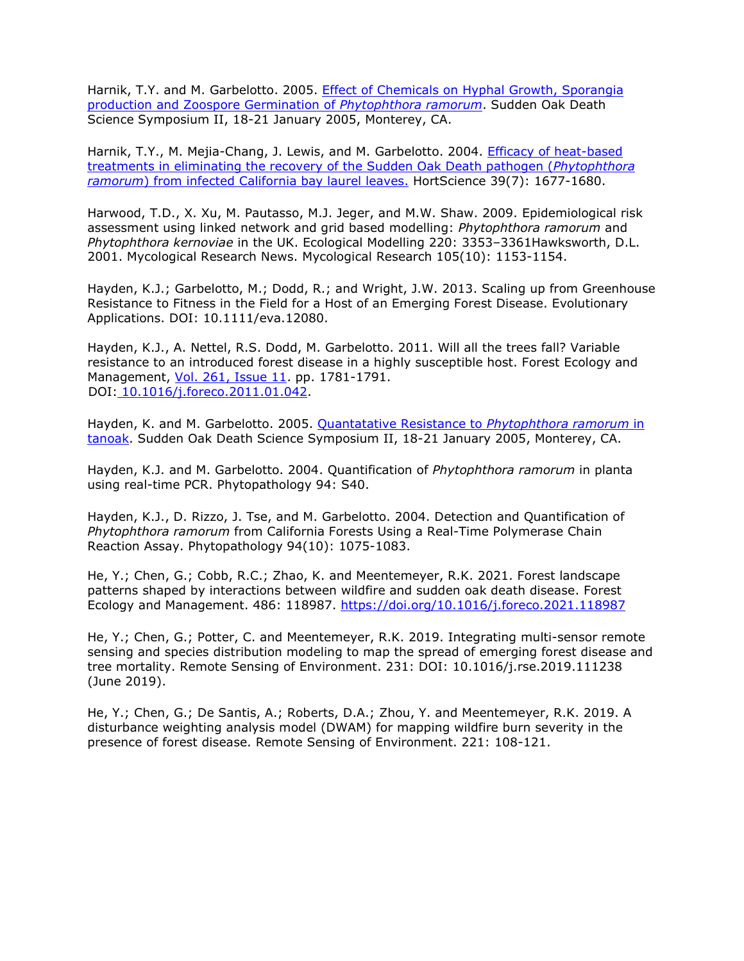Harnik, T.Y. and M. Garbelotto. 2005. [Effect of Chemicals on Hyphal Growth, Sporangia](http://nature.berkeley.edu/comtf/pdf/Bibliography/15PosterHarnik.pdf) [production and Zoospore Germination of](http://nature.berkeley.edu/comtf/pdf/Bibliography/15PosterHarnik.pdf) *Phytophthora ramorum*. Sudden Oak Death Science Symposium II, 18-21 January 2005, Monterey, CA.

Harnik, T.Y., M. Mejia-Chang, J. Lewis, and M. Garbelotto. 2004. [Efficacy of heat-based](http://nature.berkeley.edu/comtf/pdf/Bibliography/harnik2004.pdf) [treatments in eliminating the recovery of the Sudden Oak Death pathogen \(](http://nature.berkeley.edu/comtf/pdf/Bibliography/harnik2004.pdf)*Phytophthora ramorum*[\) from infected California bay laurel leaves.](http://nature.berkeley.edu/comtf/pdf/Bibliography/harnik2004.pdf) HortScience 39(7): 1677-1680.

Harwood, T.D., X. Xu, M. Pautasso, M.J. Jeger, and M.W. Shaw. 2009. Epidemiological risk assessment using linked network and grid based modelling: *Phytophthora ramorum* and *Phytophthora kernoviae* in the UK. Ecological Modelling 220: 3353–3361Hawksworth, D.L. 2001. Mycological Research News. Mycological Research 105(10): 1153-1154.

Hayden, K.J.; Garbelotto, M.; Dodd, R.; and Wright, J.W. 2013. Scaling up from Greenhouse Resistance to Fitness in the Field for a Host of an Emerging Forest Disease. Evolutionary Applications. DOI: 10.1111/eva.12080.

Hayden, K.J., A. Nettel, R.S. Dodd, M. Garbelotto. 2011. Will all the trees fall? Variable resistance to an introduced forest disease in a highly susceptible host. Forest Ecology and Management, [Vol. 261, Issue 11.](http://www.sciencedirect.com/science?_ob=PublicationURL&_tockey=%23TOC%235042%232011%23997389988%233124744%23FLA%23&_cdi=5042&_pubType=J&view=c&_auth=y&_acct=C000050221&_version=1&_urlVersion=0&_userid=10&md5=8cb0ef1bef6313505b0e8dce16f912b2) pp. 1781-1791. DOI: [10.1016/j.foreco.2011.01.042.](http://dx.doi.org/10.1016/j.foreco.2011.01.042)

Hayden, K. and M. Garbelotto. 2005. [Quantatative Resistance to](http://nature.berkeley.edu/comtf/pdf/Bibliography/16PosterHayden.pdf) *Phytophthora ramorum* in [tanoak.](http://nature.berkeley.edu/comtf/pdf/Bibliography/16PosterHayden.pdf) Sudden Oak Death Science Symposium II, 18-21 January 2005, Monterey, CA.

Hayden, K.J. and M. Garbelotto. 2004. Quantification of *Phytophthora ramorum* in planta using real-time PCR. Phytopathology 94: S40.

Hayden, K.J., D. Rizzo, J. Tse, and M. Garbelotto. 2004. Detection and Quantification of *Phytophthora ramorum* from California Forests Using a Real-Time Polymerase Chain Reaction Assay. Phytopathology 94(10): 1075-1083.

He, Y.; Chen, G.; Cobb, R.C.; Zhao, K. and Meentemeyer, R.K. 2021. Forest landscape patterns shaped by interactions between wildfire and sudden oak death disease. Forest Ecology and Management. 486: 118987.<https://doi.org/10.1016/j.foreco.2021.118987>

He, Y.; Chen, G.; Potter, C. and Meentemeyer, R.K. 2019. Integrating multi-sensor remote sensing and species distribution modeling to map the spread of emerging forest disease and tree mortality. Remote Sensing of Environment. 231: DOI: 10.1016/j.rse.2019.111238 (June 2019).

He, Y.; Chen, G.; De Santis, A.; Roberts, D.A.; Zhou, Y. and Meentemeyer, R.K. 2019. A disturbance weighting analysis model (DWAM) for mapping wildfire burn severity in the presence of forest disease. Remote Sensing of Environment. 221: 108-121.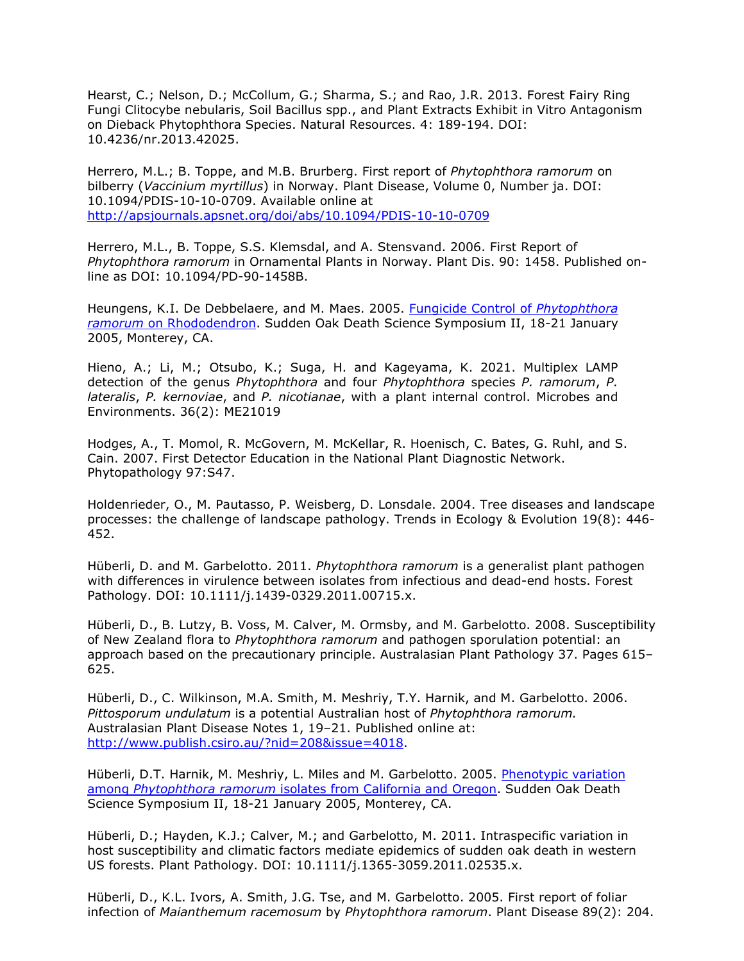Hearst, C.; Nelson, D.; McCollum, G.; Sharma, S.; and Rao, J.R. 2013. Forest Fairy Ring Fungi Clitocybe nebularis, Soil Bacillus spp., and Plant Extracts Exhibit in Vitro Antagonism on Dieback Phytophthora Species. Natural Resources. 4: 189-194. DOI: 10.4236/nr.2013.42025.

Herrero, M.L.; B. Toppe, and M.B. Brurberg. First report of *Phytophthora ramorum* on bilberry (*Vaccinium myrtillus*) in Norway. Plant Disease, Volume 0, Number ja. DOI: 10.1094/PDIS-10-10-0709. Available online at <http://apsjournals.apsnet.org/doi/abs/10.1094/PDIS-10-10-0709>

Herrero, M.L., B. Toppe, S.S. Klemsdal, and A. Stensvand. 2006. First Report of *Phytophthora ramorum* in Ornamental Plants in Norway. Plant Dis. 90: 1458. Published online as DOI: 10.1094/PD-90-1458B.

Heungens, K.I. De Debbelaere, and M. Maes. 2005. [Fungicide Control of](http://nature.berkeley.edu/comtf/pdf/Bibliography/34Heungen.pdf) *Phytophthora ramorum* [on Rhododendron.](http://nature.berkeley.edu/comtf/pdf/Bibliography/34Heungen.pdf) Sudden Oak Death Science Symposium II, 18-21 January 2005, Monterey, CA.

Hieno, A.; Li, M.; Otsubo, K.; Suga, H. and Kageyama, K. 2021. Multiplex LAMP detection of the genus *Phytophthora* and four *Phytophthora* species *P. ramorum*, *P. lateralis*, *P. kernoviae*, and *P. nicotianae*, with a plant internal control. Microbes and Environments. 36(2): ME21019

Hodges, A., T. Momol, R. McGovern, M. McKellar, R. Hoenisch, C. Bates, G. Ruhl, and S. Cain. 2007. First Detector Education in the National Plant Diagnostic Network. Phytopathology 97:S47.

Holdenrieder, O., M. Pautasso, P. Weisberg, D. Lonsdale. 2004. Tree diseases and landscape processes: the challenge of landscape pathology. Trends in Ecology & Evolution 19(8): 446- 452.

Hüberli, D. and M. Garbelotto. 2011. *Phytophthora ramorum* is a generalist plant pathogen with differences in virulence between isolates from infectious and dead-end hosts. Forest Pathology. DOI: 10.1111/j.1439-0329.2011.00715.x.

Hüberli, D., B. Lutzy, B. Voss, M. Calver, M. Ormsby, and M. Garbelotto. 2008. Susceptibility of New Zealand flora to *Phytophthora ramorum* and pathogen sporulation potential: an approach based on the precautionary principle. Australasian Plant Pathology 37. Pages 615– 625.

Hüberli, D., C. Wilkinson, M.A. Smith, M. Meshriy, T.Y. Harnik, and M. Garbelotto. 2006. *Pittosporum undulatum* is a potential Australian host of *Phytophthora ramorum.*  Australasian Plant Disease Notes 1, 19–21. Published online at: [http://www.publish.csiro.au/?nid=208&issue=4018.](http://www.publish.csiro.au/?nid=208&issue=4018)

Hüberli, D.T. Harnik, M. Meshriy, L. Miles and M. Garbelotto. 2005. [Phenotypic variation](http://nature.berkeley.edu/comtf/pdf/Bibliography/10huberli.pdf) among *Phytophthora ramorum* [isolates from California and Oregon.](http://nature.berkeley.edu/comtf/pdf/Bibliography/10huberli.pdf) Sudden Oak Death Science Symposium II, 18-21 January 2005, Monterey, CA.

Hüberli, D.; Hayden, K.J.; Calver, M.; and Garbelotto, M. 2011. Intraspecific variation in host susceptibility and climatic factors mediate epidemics of sudden oak death in western US forests. Plant Pathology. DOI: 10.1111/j.1365-3059.2011.02535.x.

Hüberli, D., K.L. Ivors, A. Smith, J.G. Tse, and M. Garbelotto. 2005. First report of foliar infection of *Maianthemum racemosum* by *Phytophthora ramorum*. Plant Disease 89(2): 204.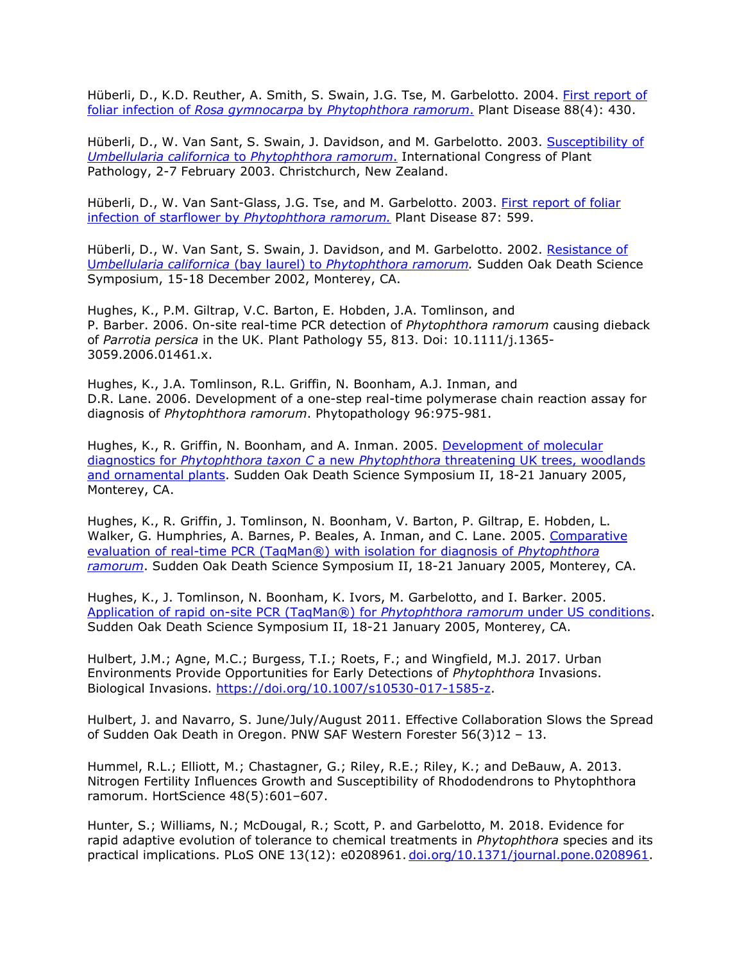Hüberli, D., K.D. Reuther, A. Smith, S. Swain, J.G. Tse, M. Garbelotto. 2004. [First report of](http://www.suddenoakdeath.org/pdf/April04.APS.Disease.Notes.pdf) foliar infection of *Rosa gymnocarpa* by *[Phytophthora ramorum](http://www.suddenoakdeath.org/pdf/April04.APS.Disease.Notes.pdf)*. Plant Disease 88(4): 430.

Hüberli, D., W. Van Sant, S. Swain, J. Davidson, and M. Garbelotto. 2003. [Susceptibility of](http://nature.berkeley.edu/comtf/pdf/Bibliography/Huberliposter.pdf) *[Umbellularia californica](http://nature.berkeley.edu/comtf/pdf/Bibliography/Huberliposter.pdf)* to *Phytophthora ramorum*. International Congress of Plant Pathology, 2-7 February 2003. Christchurch, New Zealand.

Hüberli, D., W. Van Sant-Glass, J.G. Tse, and M. Garbelotto. 2003. [First report of foliar](http://www.suddenoakdeath.org/pdf/huberli2003.pdf) [infection of starflower by](http://www.suddenoakdeath.org/pdf/huberli2003.pdf) *Phytophthora ramorum.* Plant Disease 87: 599.

Hüberli, D., W. Van Sant, S. Swain, J. Davidson, and M. Garbelotto. 2002. [Resistance of](http://danr.ucop.edu/ihrmp/sodsymp/paper/paper16.html) U*mbellularia californica* (bay laurel) to *[Phytophthora ramorum.](http://danr.ucop.edu/ihrmp/sodsymp/paper/paper16.html)* Sudden Oak Death Science Symposium, 15-18 December 2002, Monterey, CA.

Hughes, K., P.M. Giltrap, V.C. Barton, E. Hobden, J.A. Tomlinson, and P. Barber. 2006. On-site real-time PCR detection of *Phytophthora ramorum* causing dieback of *Parrotia persica* in the UK. Plant Pathology 55, 813. Doi: 10.1111/j.1365- 3059.2006.01461.x.

Hughes, K., J.A. Tomlinson, R.L. Griffin, N. Boonham, A.J. Inman, and D.R. Lane. 2006. Development of a one-step real-time polymerase chain reaction assay for diagnosis of *Phytophthora ramorum*. Phytopathology 96:975-981.

Hughes, K., R. Griffin, N. Boonham, and A. Inman. 2005. [Development of molecular](http://nature.berkeley.edu/comtf/pdf/Bibliography/44PosterHughes.pdf) diagnostics for *Phytophthora taxon C* a new *Phytophthora* [threatening UK trees, woodlands](http://nature.berkeley.edu/comtf/pdf/Bibliography/44PosterHughes.pdf) [and ornamental plants.](http://nature.berkeley.edu/comtf/pdf/Bibliography/44PosterHughes.pdf) Sudden Oak Death Science Symposium II, 18-21 January 2005, Monterey, CA.

Hughes, K., R. Griffin, J. Tomlinson, N. Boonham, V. Barton, P. Giltrap, E. Hobden, L. Walker, G. Humphries, A. Barnes, P. Beales, A. Inman, and C. Lane. 2005. [Comparative](http://nature.berkeley.edu/comtf/pdf/Bibliography/43PosterHughes.pdf) [evaluation of real-time PCR \(TaqMan®\) with isolation for diagnosis of](http://nature.berkeley.edu/comtf/pdf/Bibliography/43PosterHughes.pdf) *Phytophthora [ramorum](http://nature.berkeley.edu/comtf/pdf/Bibliography/43PosterHughes.pdf)*. Sudden Oak Death Science Symposium II, 18-21 January 2005, Monterey, CA.

Hughes, K., J. Tomlinson, N. Boonham, K. Ivors, M. Garbelotto, and I. Barker. 2005. [Application of rapid on-site PCR \(TaqMan®\) for](http://nature.berkeley.edu/comtf/pdf/Bibliography/18MolecularHughes.pdf) *Phytophthora ramorum* under US conditions. Sudden Oak Death Science Symposium II, 18-21 January 2005, Monterey, CA.

Hulbert, J.M.; Agne, M.C.; Burgess, T.I.; Roets, F.; and Wingfield, M.J. 2017. Urban Environments Provide Opportunities for Early Detections of *Phytophthora* Invasions. Biological Invasions. [https://doi.org/10.1007/s10530-017-1585-z.](https://doi.org/10.1007/s10530-017-1585-z)

Hulbert, J. and Navarro, S. June/July/August 2011. Effective Collaboration Slows the Spread of Sudden Oak Death in Oregon. PNW SAF Western Forester 56(3)12 – 13.

Hummel, R.L.; Elliott, M.; Chastagner, G.; Riley, R.E.; Riley, K.; and DeBauw, A. 2013. Nitrogen Fertility Influences Growth and Susceptibility of Rhododendrons to Phytophthora ramorum. HortScience 48(5):601–607.

Hunter, S.; Williams, N.; McDougal, R.; Scott, P. and Garbelotto, M. 2018. Evidence for rapid adaptive evolution of tolerance to chemical treatments in *Phytophthora* species and its practical implications. PLoS ONE 13(12): e0208961. [doi.org/10.1371/journal.pone.0208961.](https://doi.org/10.1371/journal.pone.0208961)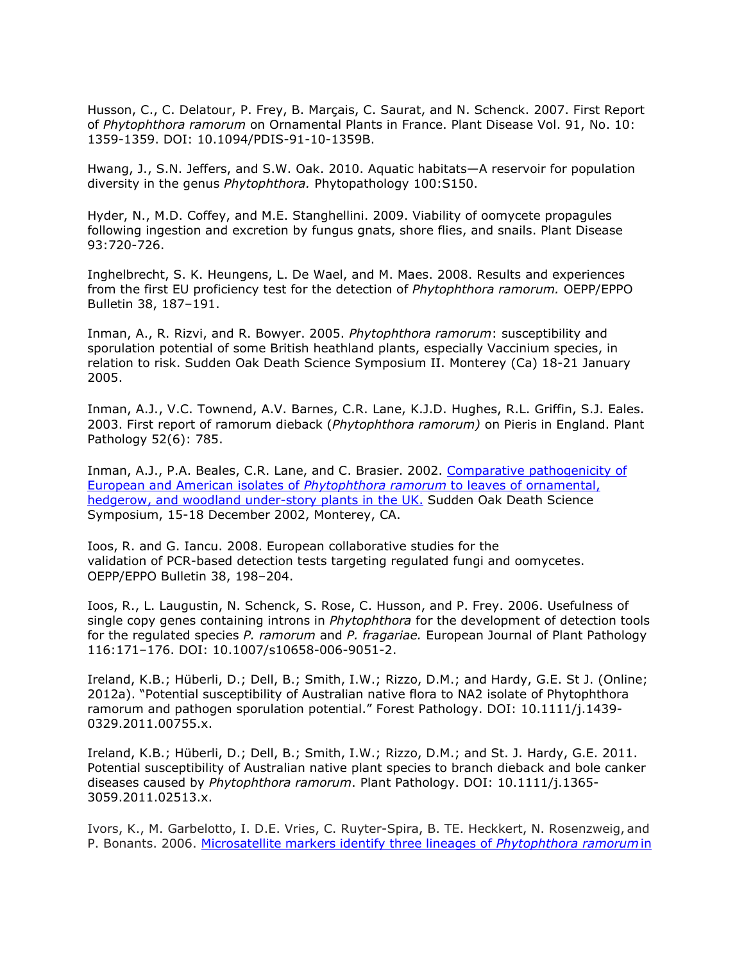Husson, C., C. Delatour, P. Frey, B. Marçais, C. Saurat, and N. Schenck. 2007. First Report of *Phytophthora ramorum* on Ornamental Plants in France. Plant Disease Vol. 91, No. 10: 1359-1359. DOI: 10.1094/PDIS-91-10-1359B.

Hwang, J., S.N. Jeffers, and S.W. Oak. 2010. Aquatic habitats—A reservoir for population diversity in the genus *Phytophthora.* Phytopathology 100:S150.

Hyder, N., M.D. Coffey, and M.E. Stanghellini. 2009. Viability of oomycete propagules following ingestion and excretion by fungus gnats, shore flies, and snails. Plant Disease 93:720-726.

Inghelbrecht, S. K. Heungens, L. De Wael, and M. Maes. 2008. Results and experiences from the first EU proficiency test for the detection of *Phytophthora ramorum.* OEPP/EPPO Bulletin 38, 187–191.

Inman, A., R. Rizvi, and R. Bowyer. 2005. *Phytophthora ramorum*: susceptibility and sporulation potential of some British heathland plants, especially Vaccinium species, in relation to risk. Sudden Oak Death Science Symposium II. Monterey (Ca) 18-21 January 2005.

Inman, A.J., V.C. Townend, A.V. Barnes, C.R. Lane, K.J.D. Hughes, R.L. Griffin, S.J. Eales. 2003. First report of ramorum dieback (*Phytophthora ramorum)* on Pieris in England. Plant Pathology 52(6): 785.

Inman, A.J., P.A. Beales, C.R. Lane, and C. Brasier. 2002. [Comparative pathogenicity of](http://danr.ucop.edu/ihrmp/sodsymp/poster/poster49.html) [European and American isolates of](http://danr.ucop.edu/ihrmp/sodsymp/poster/poster49.html) *Phytophthora ramorum* to leaves of ornamental, [hedgerow, and woodland under-story plants in the UK.](http://danr.ucop.edu/ihrmp/sodsymp/poster/poster49.html) Sudden Oak Death Science Symposium, 15-18 December 2002, Monterey, CA.

Ioos, R. and G. Iancu. 2008. European collaborative studies for the validation of PCR-based detection tests targeting regulated fungi and oomycetes. OEPP/EPPO Bulletin 38, 198–204.

Ioos, R., L. Laugustin, N. Schenck, S. Rose, C. Husson, and P. Frey. 2006. Usefulness of single copy genes containing introns in *Phytophthora* for the development of detection tools for the regulated species *P. ramorum* and *P. fragariae.* European Journal of Plant Pathology 116:171–176. DOI: 10.1007/s10658-006-9051-2.

Ireland, K.B.; Hüberli, D.; Dell, B.; Smith, I.W.; Rizzo, D.M.; and Hardy, G.E. St J. (Online; 2012a). "Potential susceptibility of Australian native flora to NA2 isolate of Phytophthora ramorum and pathogen sporulation potential." Forest Pathology. DOI: 10.1111/j.1439- 0329.2011.00755.x.

Ireland, K.B.; Hüberli, D.; Dell, B.; Smith, I.W.; Rizzo, D.M.; and St. J. Hardy, G.E. 2011. Potential susceptibility of Australian native plant species to branch dieback and bole canker diseases caused by *Phytophthora ramorum*. Plant Pathology. DOI: 10.1111/j.1365- 3059.2011.02513.x.

Ivors, K., M. Garbelotto, I. D.E. Vries, C. Ruyter-Spira, B. TE. Heckkert, N. Rosenzweig, and P. Bonants. 2006. [Microsatellite markers identify three lineages of](http://nature.berkeley.edu/comtf/pdf/Bibliography/Ivors%20et%20al%2006%20Pramorum%20microsatellites.pdf) *Phytophthora ramorum*in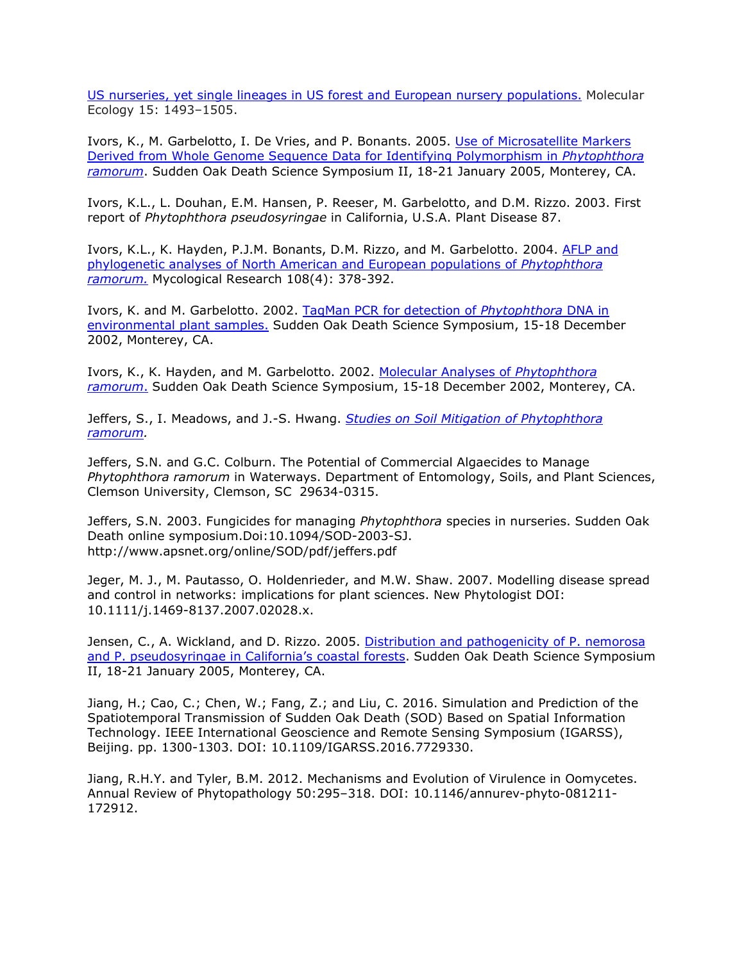[US nurseries, yet single lineages in US forest and European nursery populations.](http://nature.berkeley.edu/comtf/pdf/Bibliography/Ivors%20et%20al%2006%20Pramorum%20microsatellites.pdf) Molecular Ecology 15: 1493–1505.

Ivors, K., M. Garbelotto, I. De Vries, and P. Bonants. 2005. [Use of Microsatellite Markers](http://nature.berkeley.edu/comtf/pdf/Bibliography/20MolecularIvors.pdf) [Derived from Whole Genome Sequence Data for Identifying Polymorphism in](http://nature.berkeley.edu/comtf/pdf/Bibliography/20MolecularIvors.pdf) *Phytophthora [ramorum](http://nature.berkeley.edu/comtf/pdf/Bibliography/20MolecularIvors.pdf)*. Sudden Oak Death Science Symposium II, 18-21 January 2005, Monterey, CA.

Ivors, K.L., L. Douhan, E.M. Hansen, P. Reeser, M. Garbelotto, and D.M. Rizzo. 2003. First report of *Phytophthora pseudosyringae* in California, U.S.A. Plant Disease 87.

Ivors, K.L., K. Hayden, P.J.M. Bonants, D.M. Rizzo, and M. Garbelotto. 2004. [AFLP and](http://nature.berkeley.edu/comtf/pdf/Bibliography/Ivors2004a.pdf) [phylogenetic analyses of North American and European populations of](http://nature.berkeley.edu/comtf/pdf/Bibliography/Ivors2004a.pdf) *Phytophthora [ramorum.](http://nature.berkeley.edu/comtf/pdf/Bibliography/Ivors2004a.pdf)* Mycological Research 108(4): 378-392.

Ivors, K. and M. Garbelotto. 2002. [TaqMan PCR for](http://danr.ucop.edu/ihrmp/sodsymp/poster/poster10.html) detection of *Phytophthora* DNA in [environmental plant samples.](http://danr.ucop.edu/ihrmp/sodsymp/poster/poster10.html) Sudden Oak Death Science Symposium, 15-18 December 2002, Monterey, CA.

Ivors, K., K. Hayden, and M. Garbelotto. 2002. [Molecular Analyses of](http://danr.ucop.edu/ihrmp/sodsymp/paper/paper17.html) *Phytophthora [ramorum](http://danr.ucop.edu/ihrmp/sodsymp/paper/paper17.html)*. Sudden Oak Death Science Symposium, 15-18 December 2002, Monterey, CA.

Jeffers, S., I. Meadows, and J.-S. Hwang. *[Studies on Soil Mitigation of Phytophthora](http://nature.berkeley.edu/comtf/pdf/Monthly%20Reports/Oct2010/Jeffers.pdf) [ramorum.](http://nature.berkeley.edu/comtf/pdf/Monthly%20Reports/Oct2010/Jeffers.pdf)*

Jeffers, S.N. and G.C. Colburn. The Potential of Commercial Algaecides to Manage *Phytophthora ramorum* in Waterways. Department of Entomology, Soils, and Plant Sciences, Clemson University, Clemson, SC 29634-0315.

Jeffers, S.N. 2003. Fungicides for managing *Phytophthora* species in nurseries. Sudden Oak Death online symposium.Doi:10.1094/SOD-2003-SJ[.](http://www.apsnet.org/online/SOD/pdf/jeffers.pdf) <http://www.apsnet.org/online/SOD/pdf/jeffers.pdf>

Jeger, M. J., M. Pautasso, O. Holdenrieder, and M.W. Shaw. 2007. Modelling disease spread and control in networks: implications for plant sciences. New Phytologist DOI: 10.1111/j.1469-8137.2007.02028.x.

Jensen, C., A. Wickland, and D. Rizzo. 2005. [Distribution and pathogenicity of P. nemorosa](http://nature.berkeley.edu/comtf/pdf/Bibliography/17PosterJensen.pdf) [and P. pseudosyringae in California's coastal forests.](http://nature.berkeley.edu/comtf/pdf/Bibliography/17PosterJensen.pdf) Sudden Oak Death Science Symposium II, 18-21 January 2005, Monterey, CA.

Jiang, H.; Cao, C.; Chen, W.; Fang, Z.; and Liu, C. 2016. Simulation and Prediction of the Spatiotemporal Transmission of Sudden Oak Death (SOD) Based on Spatial Information Technology. IEEE International Geoscience and Remote Sensing Symposium (IGARSS), Beijing. pp. 1300-1303. DOI: 10.1109/IGARSS.2016.7729330.

Jiang, R.H.Y. and Tyler, B.M. 2012. Mechanisms and Evolution of Virulence in Oomycetes. Annual Review of Phytopathology 50:295–318. DOI: 10.1146/annurev-phyto-081211- 172912.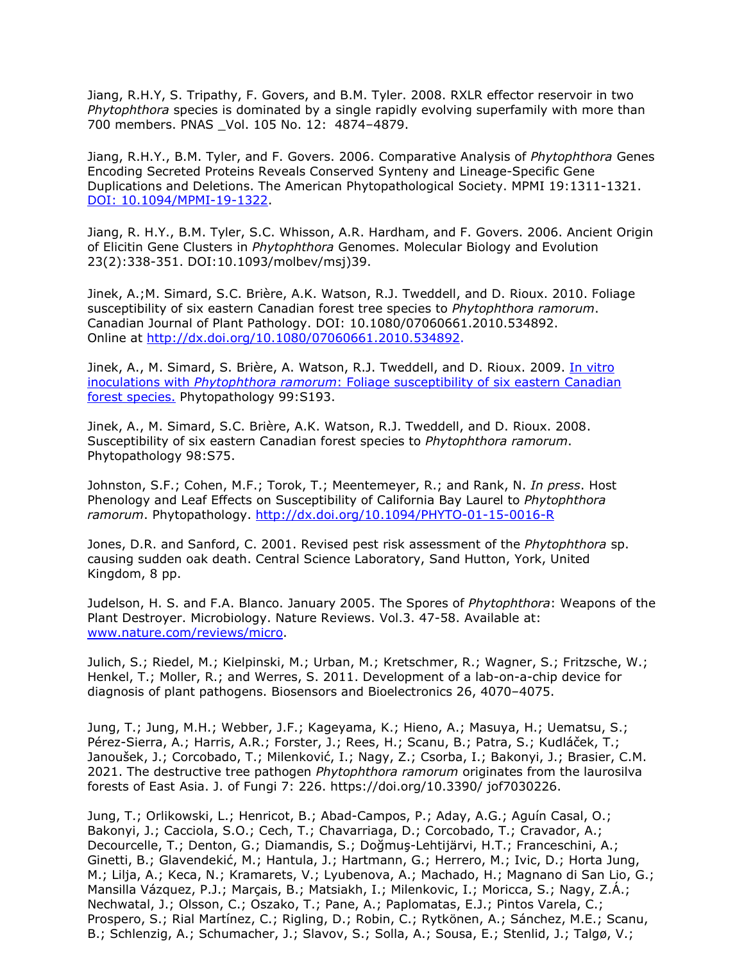Jiang, R.H.Y, S. Tripathy, F. Govers, and B.M. Tyler. 2008. RXLR effector reservoir in two *Phytophthora* species is dominated by a single rapidly evolving superfamily with more than 700 members. PNAS \_Vol. 105 No. 12: 4874–4879.

Jiang, R.H.Y., B.M. Tyler, and F. Govers. 2006. Comparative Analysis of *Phytophthora* Genes Encoding Secreted Proteins Reveals Conserved Synteny and Lineage-Specific Gene Duplications and Deletions. The American Phytopathological Society. MPMI 19:1311-1321. [DOI: 10.1094/MPMI-19-1322.](http://www.ismpminet.org/mpmi/SubscriberContent/2006/MPMI-19-1322.pdf)

Jiang, R. H.Y., B.M. Tyler, S.C. Whisson, A.R. Hardham, and F. Govers. 2006. Ancient Origin of Elicitin Gene Clusters in *Phytophthora* Genomes. Molecular Biology and Evolution 23(2):338-351. DOI:10.1093/molbev/msj)39.

Jinek, A.;M. Simard, S.C. Brière, A.K. Watson, R.J. Tweddell, and D. Rioux. 2010. Foliage susceptibility of six eastern Canadian forest tree species to *Phytophthora ramorum*. Canadian Journal of Plant Pathology. DOI: 10.1080/07060661.2010.534892. Online at [http://dx.doi.org/10.1080/07060661.2010.534892.](http://dx.doi.org/10.1080/07060661.2010.534892)

Jinek, A., M. Simard, S. Brière, A. Watson, R.J. Tweddell, and D. Rioux. 2009. [In vitro](http://nature.berkeley.edu/comtf/pdf/Jinek_2009.pdf) inoculations with *Phytophthora ramorum*[: Foliage susceptibility of six eastern Canadian](http://nature.berkeley.edu/comtf/pdf/Jinek_2009.pdf) [forest species.](http://nature.berkeley.edu/comtf/pdf/Jinek_2009.pdf) Phytopathology 99:S193.

Jinek, A., M. Simard, S.C. Brière, A.K. Watson, R.J. Tweddell, and D. Rioux. 2008. Susceptibility of six eastern Canadian forest species to *Phytophthora ramorum*. Phytopathology 98:S75.

Johnston, S.F.; Cohen, M.F.; Torok, T.; Meentemeyer, R.; and Rank, N. *In press*. Host Phenology and Leaf Effects on Susceptibility of California Bay Laurel to *Phytophthora ramorum*. Phytopathology.<http://dx.doi.org/10.1094/PHYTO-01-15-0016-R>

Jones, D.R. and Sanford, C. 2001. Revised pest risk assessment of the *Phytophthora* sp. causing sudden oak death. Central Science Laboratory, Sand Hutton, York, United Kingdom, 8 pp.

Judelson, H. S. and F.A. Blanco. January 2005. The Spores of *Phytophthora*: Weapons of the Plant Destroyer. Microbiology. Nature Reviews. Vol.3. 47-58. Available at: [www.nature.com/reviews/micro.](http://www.nature.com/reviews/micro)

Julich, S.; Riedel, M.; Kielpinski, M.; Urban, M.; Kretschmer, R.; Wagner, S.; Fritzsche, W.; Henkel, T.; Moller, R.; and Werres, S. 2011. Development of a lab-on-a-chip device for diagnosis of plant pathogens. Biosensors and Bioelectronics 26, 4070–4075.

Jung, T.; Jung, M.H.; Webber, J.F.; Kageyama, K.; Hieno, A.; Masuya, H.; Uematsu, S.; Pérez-Sierra, A.; Harris, A.R.; Forster, J.; Rees, H.; Scanu, B.; Patra, S.; Kudláček, T.; Janoušek, J.; Corcobado, T.; Milenković, I.; Nagy, Z.; Csorba, I.; Bakonyi, J.; Brasier, C.M. 2021. The destructive tree pathogen *Phytophthora ramorum* originates from the laurosilva forests of East Asia. J. of Fungi 7: 226. https://doi.org/10.3390/ jof7030226.

Jung, T.; Orlikowski, L.; Henricot, B.; Abad-Campos, P.; Aday, A.G.; Aguín Casal, O.; Bakonyi, J.; Cacciola, S.O.; Cech, T.; Chavarriaga, D.; Corcobado, T.; Cravador, A.; Decourcelle, T.; Denton, G.; Diamandis, S.; Doğmuş-Lehtijärvi, H.T.; Franceschini, A.; Ginetti, B.; Glavendekić, M.; Hantula, J.; Hartmann, G.; Herrero, M.; Ivic, D.; Horta Jung, M.; Lilja, A.; Keca, N.; Kramarets, V.; Lyubenova, A.; Machado, H.; Magnano di San Lio, G.; Mansilla Vázquez, P.J.; Marçais, B.; Matsiakh, I.; Milenkovic, I.; Moricca, S.; Nagy, Z.Á.; Nechwatal, J.; Olsson, C.; Oszako, T.; Pane, A.; Paplomatas, E.J.; Pintos Varela, C.; Prospero, S.; Rial Martínez, C.; Rigling, D.; Robin, C.; Rytkönen, A.; Sánchez, M.E.; Scanu, B.; Schlenzig, A.; Schumacher, J.; Slavov, S.; Solla, A.; Sousa, E.; Stenlid, J.; Talgø, V.;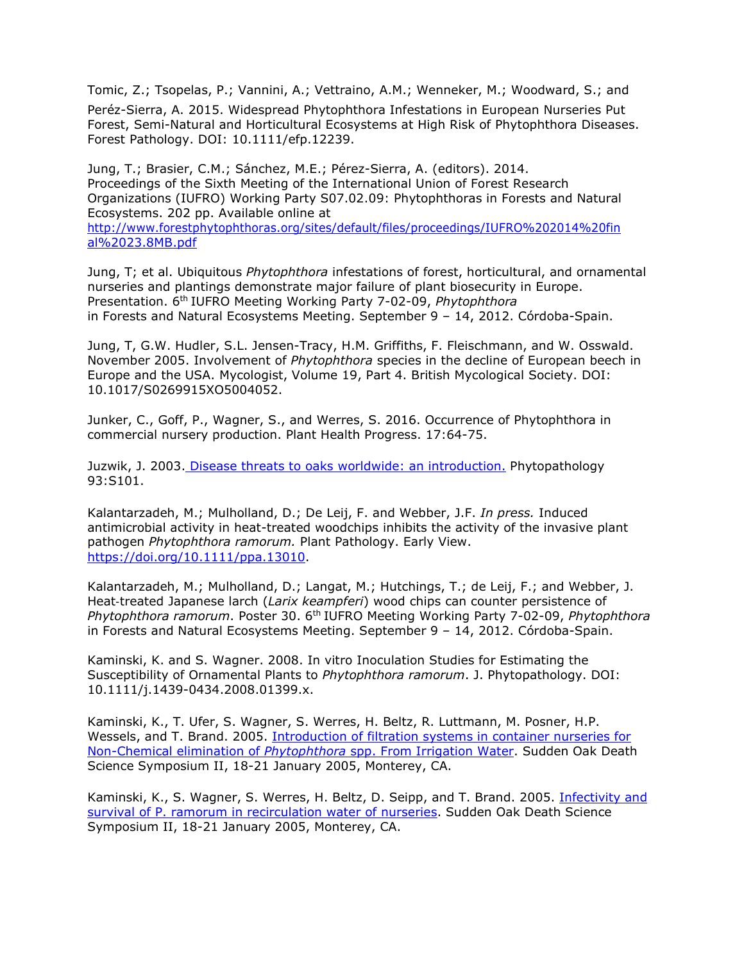Tomic, Z.; Tsopelas, P.; Vannini, A.; Vettraino, A.M.; Wenneker, M.; Woodward, S.; and

Peréz-Sierra, A. 2015. Widespread Phytophthora Infestations in European Nurseries Put Forest, Semi-Natural and Horticultural Ecosystems at High Risk of Phytophthora Diseases. Forest Pathology. DOI: 10.1111/efp.12239.

Jung, T.; Brasier, C.M.; Sánchez, M.E.; Pérez-Sierra, A. (editors). 2014. Proceedings of the Sixth Meeting of the International Union of Forest Research Organizations (IUFRO) Working Party S07.02.09: Phytophthoras in Forests and Natural Ecosystems. 202 pp. Available online at [http://www.forestphytophthoras.org/sites/default/files/proceedings/IUFRO%202014%20fin](http://www.forestphytophthoras.org/sites/default/files/proceedings/IUFRO%202014%20final%2023.8MB.pdf) [al%2023.8MB.pdf](http://www.forestphytophthoras.org/sites/default/files/proceedings/IUFRO%202014%20final%2023.8MB.pdf)

Jung, T; et al. Ubiquitous *Phytophthora* infestations of forest, horticultural, and ornamental nurseries and plantings demonstrate major failure of plant biosecurity in Europe. Presentation. 6th IUFRO Meeting Working Party 7-02-09, *Phytophthora* in Forests and Natural Ecosystems Meeting. September 9 – 14, 2012. Córdoba-Spain.

Jung, T, G.W. Hudler, S.L. Jensen-Tracy, H.M. Griffiths, F. Fleischmann, and W. Osswald. November 2005. Involvement of *Phytophthora* species in the decline of European beech in Europe and the USA. Mycologist, Volume 19, Part 4. British Mycological Society. DOI: 10.1017/S0269915XO5004052.

Junker, C., Goff, P., Wagner, S., and Werres, S. 2016. Occurrence of Phytophthora in commercial nursery production. Plant Health Progress. 17:64-75.

Juzwik, J. 2003. [Disease threats to oaks worldwide: an introduction.](http://nature.berkeley.edu/comtf/html/aps_resources.html#03aps13) Phytopathology 93:S101.

Kalantarzadeh, M.; Mulholland, D.; De Leij, F. and Webber, J.F. *In press.* Induced antimicrobial activity in heat-treated woodchips inhibits the activity of the invasive plant pathogen *Phytophthora ramorum.* Plant Pathology. Early View. [https://doi.org/10.1111/ppa.13010.](https://doi.org/10.1111/ppa.13010)

Kalantarzadeh, M.; Mulholland, D.; Langat, M.; Hutchings, T.; de Leij, F.; and Webber, J. Heat‐treated Japanese larch (*Larix keampferi*) wood chips can counter persistence of *Phytophthora ramorum*. Poster 30. 6th IUFRO Meeting Working Party 7-02-09, *Phytophthora*  in Forests and Natural Ecosystems Meeting. September 9 – 14, 2012. Córdoba-Spain.

Kaminski, K. and S. Wagner. 2008. In vitro Inoculation Studies for Estimating the Susceptibility of Ornamental Plants to *Phytophthora ramorum*. J. Phytopathology. DOI: 10.1111/j.1439-0434.2008.01399.x.

Kaminski, K., T. Ufer, S. Wagner, S. Werres, H. Beltz, R. Luttmann, M. Posner, H.P. Wessels, and T. Brand. 2005. [Introduction of filtration systems in container nurseries for](http://nature.berkeley.edu/comtf/pdf/Bibliography/52ManagmentKaminski.pdf) [Non-Chemical elimination of](http://nature.berkeley.edu/comtf/pdf/Bibliography/52ManagmentKaminski.pdf) *Phytophthora* spp. From Irrigation Water. Sudden Oak Death Science Symposium II, 18-21 January 2005, Monterey, CA.

Kaminski, K., S. Wagner, S. Werres, H. Beltz, D. Seipp, and T. Brand. 2005. [Infectivity and](http://nature.berkeley.edu/comtf/pdf/Bibliography/19PosterKaminski.pdf) [survival of P. ramorum in recirculation water of nurseries.](http://nature.berkeley.edu/comtf/pdf/Bibliography/19PosterKaminski.pdf) Sudden Oak Death Science Symposium II, 18-21 January 2005, Monterey, CA.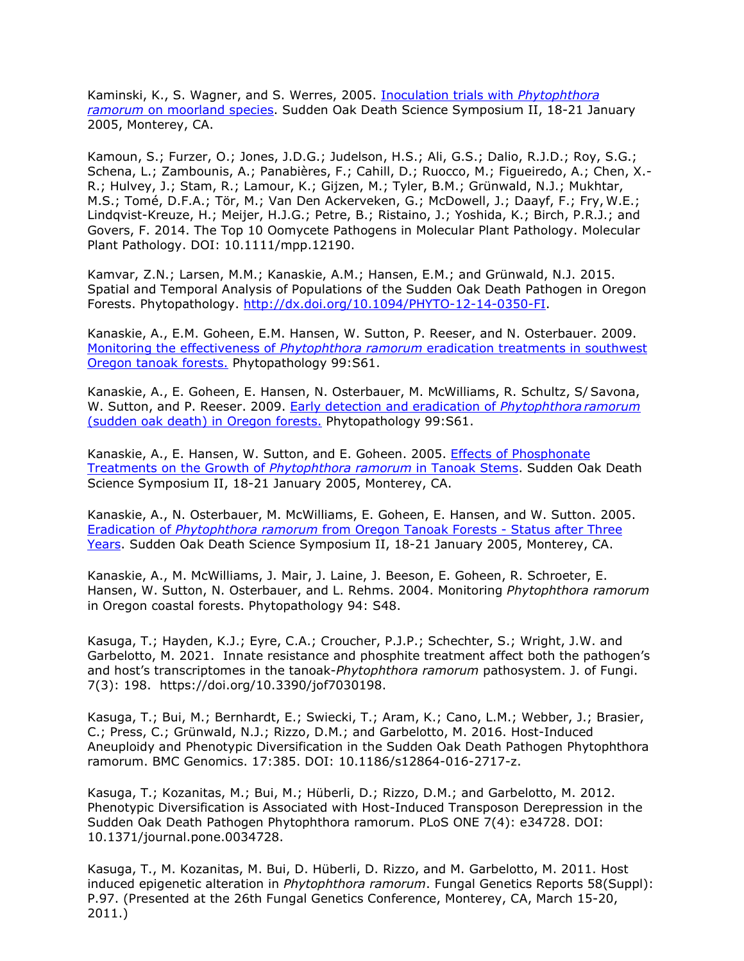Kaminski, K., S. Wagner, and S. Werres, 2005. [Inoculation trials with](http://nature.berkeley.edu/comtf/pdf/Bibliography/18PosterKaminski.pdf) *Phytophthora ramorum* [on moorland species.](http://nature.berkeley.edu/comtf/pdf/Bibliography/18PosterKaminski.pdf) Sudden Oak Death Science Symposium II, 18-21 January 2005, Monterey, CA.

Kamoun, S.; Furzer, O.; Jones, J.D.G.; Judelson, H.S.; Ali, G.S.; Dalio, R.J.D.; Roy, S.G.; Schena, L.; Zambounis, A.; Panabières, F.; Cahill, D.; Ruocco, M.; Figueiredo, A.; Chen, X.- R.; Hulvey, J.; Stam, R.; Lamour, K.; Gijzen, M.; Tyler, B.M.; Grünwald, N.J.; Mukhtar, M.S.; Tomé, D.F.A.; Tör, M.; Van Den Ackerveken, G.; McDowell, J.; Daayf, F.; Fry, W.E.; Lindqvist-Kreuze, H.; Meijer, H.J.G.; Petre, B.; Ristaino, J.; Yoshida, K.; Birch, P.R.J.; and Govers, F. 2014. The Top 10 Oomycete Pathogens in Molecular Plant Pathology. Molecular Plant Pathology. DOI: 10.1111/mpp.12190.

Kamvar, Z.N.; Larsen, M.M.; Kanaskie, A.M.; Hansen, E.M.; and Grünwald, N.J. 2015. Spatial and Temporal Analysis of Populations of the Sudden Oak Death Pathogen in Oregon Forests. Phytopathology. [http://dx.doi.org/10.1094/PHYTO-12-14-0350-FI.](http://dx.doi.org/10.1094/PHYTO-12-14-0350-FI)

Kanaskie, A., E.M. Goheen, E.M. Hansen, W. Sutton, P. Reeser, and N. Osterbauer. 2009. Monitoring the effectiveness of *Phytophthora ramorum* [eradication treatments in southwest](http://nature.berkeley.edu/comtf/pdf/Kanaskie_2009a.pdf) [Oregon tanoak forests.](http://nature.berkeley.edu/comtf/pdf/Kanaskie_2009a.pdf) Phytopathology 99:S61.

Kanaskie, A., E. Goheen, E. Hansen, N. Osterbauer, M. McWilliams, R. Schultz, S/ Savona, W. Sutton, and P. Reeser. 2009. [Early detection and eradication of](http://nature.berkeley.edu/comtf/pdf/Kanaskie_2009b.pdf) *Phytophthora ramorum* [\(sudden oak death\) in Oregon forests.](http://nature.berkeley.edu/comtf/pdf/Kanaskie_2009b.pdf) Phytopathology 99:S61.

Kanaskie, A., E. Hansen, W. Sutton, and E. Goheen. 2005. [Effects of Phosphonate](http://nature.berkeley.edu/comtf/pdf/Bibliography/36ManagementKanaskie.pdf) [Treatments on the Growth of](http://nature.berkeley.edu/comtf/pdf/Bibliography/36ManagementKanaskie.pdf) *Phytophthora ramorum* in Tanoak Stems. Sudden Oak Death Science Symposium II, 18-21 January 2005, Monterey, CA.

Kanaskie, A., N. Osterbauer, M. McWilliams, E. Goheen, E. Hansen, and W. Sutton. 2005. Eradication of *Phytophthora ramorum* [from Oregon Tanoak Forests -](http://nature.berkeley.edu/comtf/pdf/Bibliography/76ManagementKanaskie.pdf) Status after Three [Years.](http://nature.berkeley.edu/comtf/pdf/Bibliography/76ManagementKanaskie.pdf) Sudden Oak Death Science Symposium II, 18-21 January 2005, Monterey, CA.

Kanaskie, A., M. McWilliams, J. Mair, J. Laine, J. Beeson, E. Goheen, R. Schroeter, E. Hansen, W. Sutton, N. Osterbauer, and L. Rehms. 2004. Monitoring *Phytophthora ramorum*  in Oregon coastal forests. Phytopathology 94: S48.

Kasuga, T.; Hayden, K.J.; Eyre, C.A.; Croucher, P.J.P.; Schechter, S.; Wright, J.W. and Garbelotto, M. 2021. Innate resistance and phosphite treatment affect both the pathogen's and host's transcriptomes in the tanoak-*Phytophthora ramorum* pathosystem. J. of Fungi. 7(3): 198. https://doi.org/10.3390/jof7030198.

Kasuga, T.; Bui, M.; Bernhardt, E.; Swiecki, T.; Aram, K.; Cano, L.M.; Webber, J.; Brasier, C.; Press, C.; Grünwald, N.J.; Rizzo, D.M.; and Garbelotto, M. 2016. Host-Induced Aneuploidy and Phenotypic Diversification in the Sudden Oak Death Pathogen Phytophthora ramorum. BMC Genomics. 17:385. DOI: 10.1186/s12864-016-2717-z.

Kasuga, T.; Kozanitas, M.; Bui, M.; Hüberli, D.; Rizzo, D.M.; and Garbelotto, M. 2012. Phenotypic Diversification is Associated with Host-Induced Transposon Derepression in the Sudden Oak Death Pathogen Phytophthora ramorum. PLoS ONE 7(4): e34728. DOI: 10.1371/journal.pone.0034728.

Kasuga, T., M. Kozanitas, M. Bui, D. Hüberli, D. Rizzo, and M. Garbelotto, M. 2011. Host induced epigenetic alteration in *Phytophthora ramorum*. Fungal Genetics Reports 58(Suppl): P.97. (Presented at the 26th Fungal Genetics Conference, Monterey, CA, March 15-20, 2011.)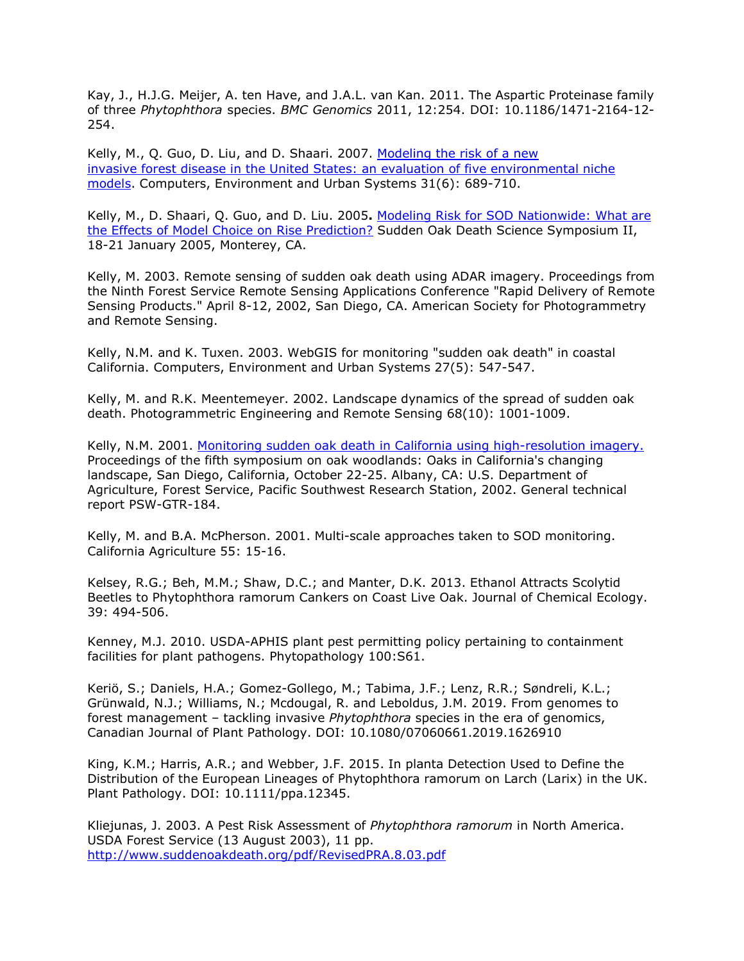Kay, J., H.J.G. Meijer, A. ten Have, and J.A.L. van Kan. 2011. The Aspartic Proteinase family of three *Phytophthora* species. *BMC Genomics* 2011, 12:254. DOI: 10.1186/1471-2164-12- 254.

Kelly, M., Q. Guo, D. Liu, and D. Shaari. 2007. [Modeling the risk of a new](http://nature.berkeley.edu/comtf/pdf/KellyAbstract.pdf) [invasive forest disease in the United States: an evaluation of five environmental niche](http://nature.berkeley.edu/comtf/pdf/KellyAbstract.pdf) [models.](http://nature.berkeley.edu/comtf/pdf/KellyAbstract.pdf) Computers, Environment and Urban Systems 31(6): 689-710.

Kelly, M., D. Shaari, Q. Guo, and D. Liu. 2005**.** [Modeling Risk for SOD Nationwide: What are](http://nature.berkeley.edu/comtf/pdf/KellyetalSOD2-22-05.pdf) [the Effects of Model Choice on Rise Prediction?](http://nature.berkeley.edu/comtf/pdf/KellyetalSOD2-22-05.pdf) Sudden Oak Death Science Symposium II, 18-21 January 2005, Monterey, CA.

Kelly, M. 2003. Remote sensing of sudden oak death using ADAR imagery. Proceedings from the Ninth Forest Service Remote Sensing Applications Conference "Rapid Delivery of Remote Sensing Products." April 8-12, 2002, San Diego, CA. American Society for Photogrammetry and Remote Sensing.

Kelly, N.M. and K. Tuxen. 2003. WebGIS for monitoring "sudden oak death" in coastal California. Computers, Environment and Urban Systems 27(5): 547-547.

Kelly, M. and R.K. Meentemeyer. 2002. Landscape dynamics of the spread of sudden oak death. Photogrammetric Engineering and Remote Sensing 68(10): 1001-1009.

Kelly, N.M. 2001. [Monitoring sudden oak death in California using high-resolution imagery.](http://nature.berkeley.edu/comtf/pdf/Bibliography/kelly2002a.pdf) Proceedings of the fifth symposium on oak woodlands: Oaks in California's changing landscape, San Diego, California, October 22-25. Albany, CA: U.S. Department of Agriculture, Forest Service, Pacific Southwest Research Station, 2002. General technical report PSW-GTR-184.

Kelly, M. and B.A. McPherson. 2001. Multi-scale approaches taken to SOD monitoring. California Agriculture 55: 15-16.

Kelsey, R.G.; Beh, M.M.; Shaw, D.C.; and Manter, D.K. 2013. Ethanol Attracts Scolytid Beetles to Phytophthora ramorum Cankers on Coast Live Oak. Journal of Chemical Ecology. 39: 494-506.

Kenney, M.J. 2010. USDA-APHIS plant pest permitting policy pertaining to containment facilities for plant pathogens. Phytopathology 100:S61.

Keriö, S.; Daniels, H.A.; Gomez-Gollego, M.; Tabima, J.F.; Lenz, R.R.; Søndreli, K.L.; Grünwald, N.J.; Williams, N.; Mcdougal, R. and Leboldus, J.M. 2019. From genomes to forest management – tackling invasive *Phytophthora* species in the era of genomics, Canadian Journal of Plant Pathology. DOI: 10.1080/07060661.2019.1626910

King, K.M.; Harris, A.R.; and Webber, J.F. 2015. In planta Detection Used to Define the Distribution of the European Lineages of Phytophthora ramorum on Larch (Larix) in the UK. Plant Pathology. DOI: 10.1111/ppa.12345.

Kliejunas, J. 2003. A Pest Risk Assessment of *Phytophthora ramorum* in North America. USDA Forest Service (13 August 2003), 11 pp. <http://www.suddenoakdeath.org/pdf/RevisedPRA.8.03.pdf>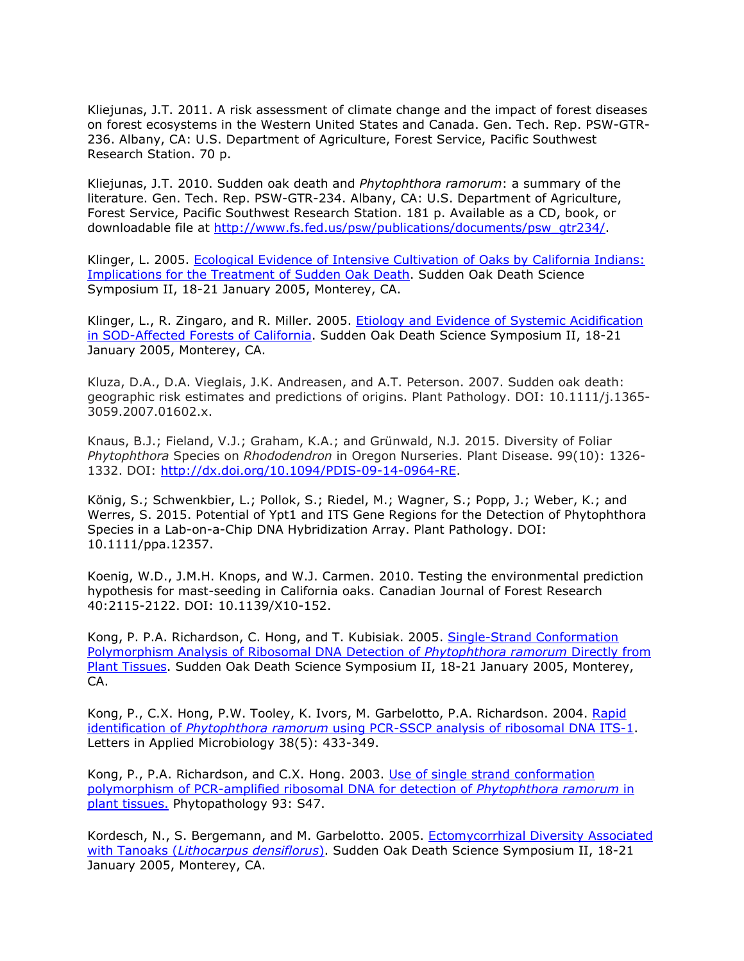Kliejunas, J.T. 2011. A risk assessment of climate change and the impact of forest diseases on forest ecosystems in the Western United States and Canada. Gen. Tech. Rep. PSW-GTR-236. Albany, CA: U.S. Department of Agriculture, Forest Service, Pacific Southwest Research Station. 70 p.

Kliejunas, J.T. 2010. Sudden oak death and *Phytophthora ramorum*: a summary of the literature. Gen. Tech. Rep. PSW-GTR-234. Albany, CA: U.S. Department of Agriculture, Forest Service, Pacific Southwest Research Station. 181 p. Available as a CD, book, or downloadable file at [http://www.fs.fed.us/psw/publications/documents/psw\\_gtr234/.](http://www.fs.fed.us/psw/publications/documents/psw_gtr234/)

Klinger, L. 2005. Ecological Evidence of Intensive [Cultivation of Oaks by California Indians:](http://nature.berkeley.edu/comtf/pdf/Bibliography/74Klinger.pdf) [Implications for the Treatment of Sudden Oak Death.](http://nature.berkeley.edu/comtf/pdf/Bibliography/74Klinger.pdf) Sudden Oak Death Science Symposium II, 18-21 January 2005, Monterey, CA.

Klinger, L., R. Zingaro, and R. Miller. 2005. [Etiology and Evidence of Systemic Acidification](http://nature.berkeley.edu/comtf/pdf/Bibliography/41EcologyKlinger.pdf) [in SOD-Affected Forests of California.](http://nature.berkeley.edu/comtf/pdf/Bibliography/41EcologyKlinger.pdf) Sudden Oak Death Science Symposium II, 18-21 January 2005, Monterey, CA.

Kluza, D.A., D.A. Vieglais, J.K. Andreasen, and A.T. Peterson. 2007. Sudden oak death: geographic risk estimates and predictions of origins. Plant Pathology. DOI: 10.1111/j.1365- 3059.2007.01602.x.

Knaus, B.J.; Fieland, V.J.; Graham, K.A.; and Grünwald, N.J. 2015. Diversity of Foliar *Phytophthora* Species on *Rhododendron* in Oregon Nurseries. Plant Disease. 99(10): 1326- 1332. DOI: [http://dx.doi.org/10.1094/PDIS-09-14-0964-RE.](http://dx.doi.org/10.1094/PDIS-09-14-0964-RE)

König, S.; Schwenkbier, L.; Pollok, S.; Riedel, M.; Wagner, S.; Popp, J.; Weber, K.; and Werres, S. 2015. Potential of Ypt1 and ITS Gene Regions for the Detection of Phytophthora Species in a Lab-on-a-Chip DNA Hybridization Array. Plant Pathology. DOI: 10.1111/ppa.12357.

Koenig, W.D., J.M.H. Knops, and W.J. Carmen. 2010. Testing the environmental prediction hypothesis for mast-seeding in California oaks. Canadian Journal of Forest Research 40:2115-2122. DOI: 10.1139/X10-152.

Kong, P. P.A. Richardson, C. Hong, and T. Kubisiak. 2005. [Single-Strand Conformation](http://nature.berkeley.edu/comtf/pdf/Bibliography/22MolecularKong.pdf) [Polymorphism Analysis of Ribosomal DNA Detection of](http://nature.berkeley.edu/comtf/pdf/Bibliography/22MolecularKong.pdf) *Phytophthora ramorum* Directly from [Plant Tissues.](http://nature.berkeley.edu/comtf/pdf/Bibliography/22MolecularKong.pdf) Sudden Oak Death Science Symposium II, 18-21 January 2005, Monterey, CA.

Kong, P., C.X. Hong, P.W. Tooley, K. Ivors, M. Garbelotto, P.A. Richardson. 2004. [Rapid](http://assets0.pubget.com/pdf/15059217.pdf) identification of *Phytophthora ramorum* [using PCR-SSCP analysis of ribosomal DNA ITS-1.](http://assets0.pubget.com/pdf/15059217.pdf) Letters in Applied Microbiology 38(5): 433-349.

Kong, P., P.A. Richardson, and C.X. Hong. 2003. [Use of single strand conformation](http://nature.berkeley.edu/comtf/html/aps_resources.html#03aps05) [polymorphism of PCR-amplified ribosomal DNA for detection of](http://nature.berkeley.edu/comtf/html/aps_resources.html#03aps05) *Phytophthora ramorum* in [plant tissues.](http://nature.berkeley.edu/comtf/html/aps_resources.html#03aps05) Phytopathology 93: S47.

Kordesch, N., S. Bergemann, and M. Garbelotto. 2005. [Ectomycorrhizal Diversity Associated](http://nature.berkeley.edu/comtf/pdf/Bibliography/20PosterKordesch.pdf) with Tanoaks (*[Lithocarpus densiflorus](http://nature.berkeley.edu/comtf/pdf/Bibliography/20PosterKordesch.pdf)*). Sudden Oak Death Science Symposium II, 18-21 January 2005, Monterey, CA.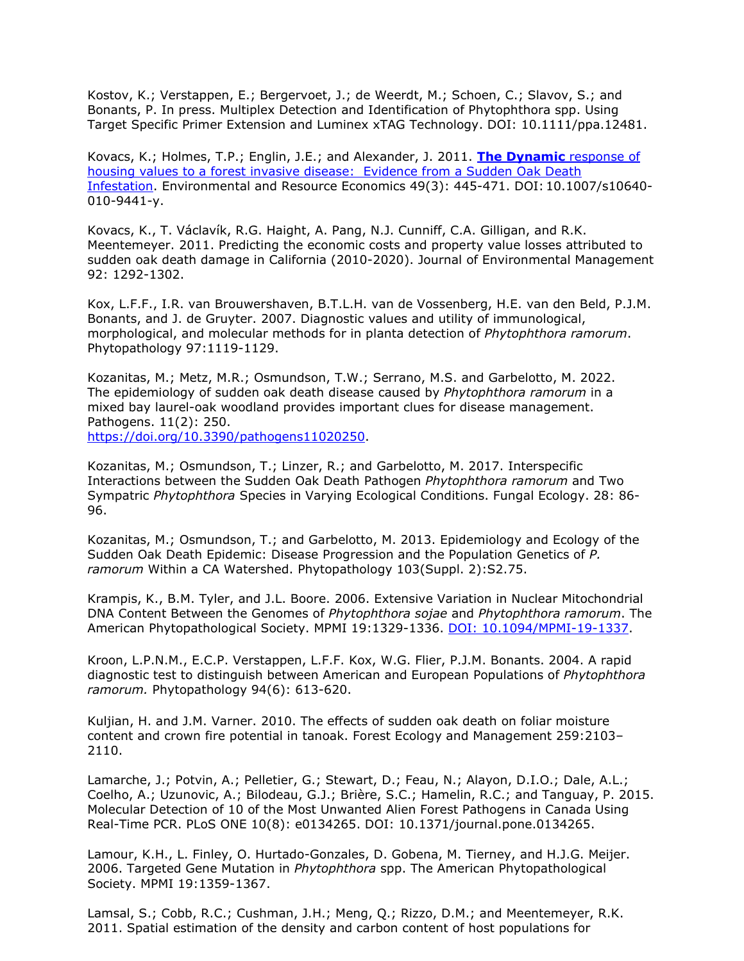Kostov, K.; Verstappen, E.; Bergervoet, J.; de Weerdt, M.; Schoen, C.; Slavov, S.; and Bonants, P. In press. Multiplex Detection and Identification of Phytophthora spp. Using Target Specific Primer Extension and Luminex xTAG Technology. DOI: 10.1111/ppa.12481.

Kovacs, K.; Holmes, T.P.; Englin, J.E.; and Alexander, J. 2011. **[The Dynamic](http://www.springerlink.com/content/j775637q72215396/)** response of [housing values to a forest invasive disease: Evidence from a Sudden Oak Death](http://www.springerlink.com/content/j775637q72215396/) [Infestation.](http://www.springerlink.com/content/j775637q72215396/) [Environmental and Resource Economics](http://www.springerlink.com/content/0924-6460/) [49\(3\)](http://www.springerlink.com/content/0924-6460/49/3/): 445-471. DOI: 10.1007/s10640- 010-9441-y.

Kovacs, K., T. Václavík, R.G. Haight, A. Pang, N.J. Cunniff, C.A. Gilligan, and R.K. Meentemeyer. 2011. Predicting the economic costs and property value losses attributed to sudden oak death damage in California (2010-2020). Journal of Environmental Management 92: 1292-1302.

Kox, L.F.F., I.R. van Brouwershaven, B.T.L.H. van de Vossenberg, H.E. van den Beld, P.J.M. Bonants, and J. de Gruyter. 2007. Diagnostic values and utility of immunological, morphological, and molecular methods for in planta detection of *Phytophthora ramorum*. Phytopathology 97:1119-1129.

Kozanitas, M.; Metz, M.R.; Osmundson, T.W.; Serrano, M.S. and Garbelotto, M. 2022. The epidemiology of sudden oak death disease caused by *Phytophthora ramorum* in a mixed bay laurel-oak woodland provides important clues for disease management. Pathogens. 11(2): 250.

[https://doi.org/10.3390/pathogens11020250.](https://doi.org/10.3390/pathogens11020250)

Kozanitas, M.; Osmundson, T.; Linzer, R.; and Garbelotto, M. 2017. Interspecific Interactions between the Sudden Oak Death Pathogen *Phytophthora ramorum* and Two Sympatric *Phytophthora* Species in Varying Ecological Conditions. Fungal Ecology. 28: 86- 96.

Kozanitas, M.; Osmundson, T.; and Garbelotto, M. 2013. Epidemiology and Ecology of the Sudden Oak Death Epidemic: Disease Progression and the Population Genetics of *P. ramorum* Within a CA Watershed. Phytopathology 103(Suppl. 2):S2.75.

Krampis, K., B.M. Tyler, and J.L. Boore. 2006. Extensive Variation in Nuclear Mitochondrial DNA Content Between the Genomes of *Phytophthora sojae* and *Phytophthora ramorum*. The American Phytopathological Society. MPMI 19:1329-1336. [DOI: 10.1094/MPMI-19-1337.](http://www.ismpminet.org/mpmi/SubscriberContent/2006/MPMI-19-1337.pdf)

Kroon, L.P.N.M., E.C.P. Verstappen, L.F.F. Kox, W.G. Flier, P.J.M. Bonants. 2004. A rapid diagnostic test to distinguish between American and European Populations of *Phytophthora ramorum.* Phytopathology 94(6): 613-620.

Kuljian, H. and J.M. Varner. 2010. The effects of sudden oak death on foliar moisture content and crown fire potential in tanoak. Forest Ecology and Management 259:2103– 2110.

Lamarche, J.; Potvin, A.; Pelletier, G.; Stewart, D.; Feau, N.; Alayon, D.I.O.; Dale, A.L.; Coelho, A.; Uzunovic, A.; Bilodeau, G.J.; Brière, S.C.; Hamelin, R.C.; and Tanguay, P. 2015. Molecular Detection of 10 of the Most Unwanted Alien Forest Pathogens in Canada Using Real-Time PCR. PLoS ONE 10(8): e0134265. DOI: 10.1371/journal.pone.0134265.

Lamour, K.H., L. Finley, O. Hurtado-Gonzales, D. Gobena, M. Tierney, and H.J.G. Meijer. 2006. Targeted Gene Mutation in *Phytophthora* spp. The American Phytopathological Society. MPMI 19:1359-1367.

Lamsal, S.; Cobb, R.C.; Cushman, J.H.; Meng, Q.; Rizzo, D.M.; and Meentemeyer, R.K. 2011. Spatial estimation of the density and carbon content of host populations for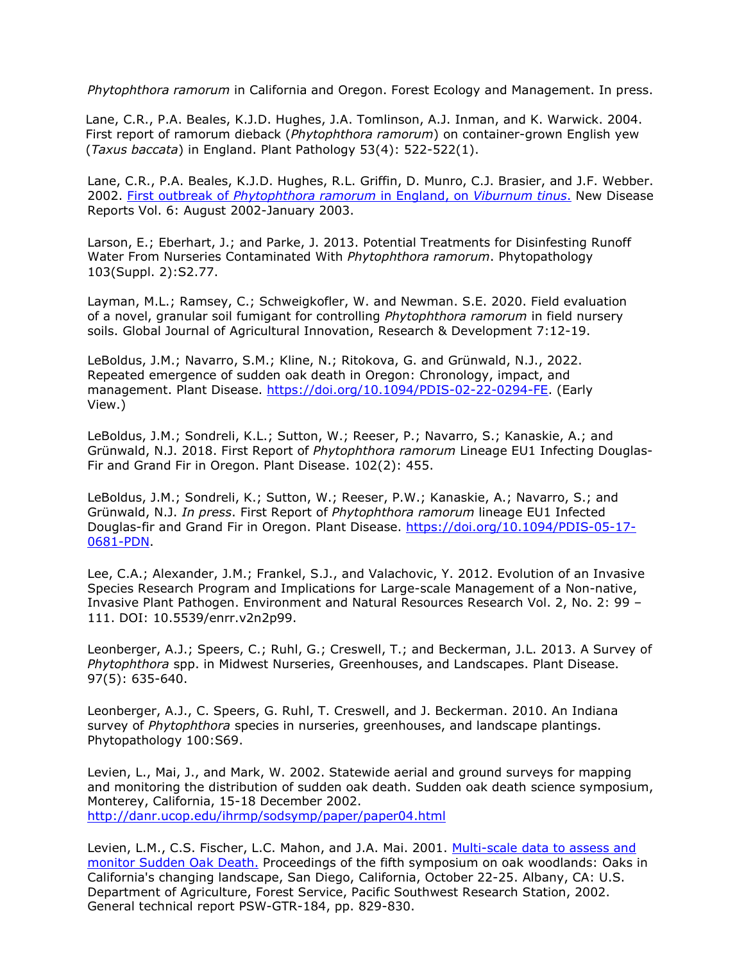*Phytophthora ramorum* in California and Oregon. Forest Ecology and Management. In press.

Lane, C.R., P.A. Beales, K.J.D. Hughes, J.A. Tomlinson, A.J. Inman, and K. Warwick. 2004. First report of ramorum dieback (*Phytophthora ramorum*) on container-grown English yew (*Taxus baccata*) in England. Plant Pathology 53(4): 522-522(1).

Lane, C.R., P.A. Beales, K.J.D. Hughes, R.L. Griffin, D. Munro, C.J. Brasier, and J.F. Webber. 2002. First outbreak of *[Phytophthora ramorum](http://www.bspp.org.uk/ndr/jan2003/2002-39.asp)* in England, on *Viburnum tinus*. New Disease Reports Vol. 6: August 2002-January 2003.

Larson, E.; Eberhart, J.; and Parke, J. 2013. Potential Treatments for Disinfesting Runoff Water From Nurseries Contaminated With *Phytophthora ramorum*. Phytopathology 103(Suppl. 2):S2.77.

Layman, M.L.; Ramsey, C.; Schweigkofler, W. and Newman. S.E. 2020. Field evaluation of a novel, granular soil fumigant for controlling *Phytophthora ramorum* in field nursery soils. Global Journal of Agricultural Innovation, Research & Development 7:12-19.

LeBoldus, J.M.; Navarro, S.M.; Kline, N.; Ritokova, G. and Grünwald, N.J., 2022. Repeated emergence of sudden oak death in Oregon: Chronology, impact, and management. Plant Disease. [https://doi.org/10.1094/PDIS-02-22-0294-FE.](https://doi.org/10.1094/PDIS-02-22-0294-FE) (Early View.)

LeBoldus, J.M.; Sondreli, K.L.; Sutton, W.; Reeser, P.; Navarro, S.; Kanaskie, A.; and Grünwald, N.J. 2018. First Report of *Phytophthora ramorum* Lineage EU1 Infecting Douglas-Fir and Grand Fir in Oregon. Plant Disease. 102(2): 455.

LeBoldus, J.M.; Sondreli, K.; Sutton, W.; Reeser, P.W.; Kanaskie, A.; Navarro, S.; and Grünwald, N.J. *In press*. First Report of *Phytophthora ramorum* lineage EU1 Infected Douglas-fir and Grand Fir in Oregon. Plant Disease. [https://doi.org/10.1094/PDIS-05-17-](https://doi.org/10.1094/PDIS-05-17-0681-PDN) [0681-PDN.](https://doi.org/10.1094/PDIS-05-17-0681-PDN)

Lee, C.A.; Alexander, J.M.; Frankel, S.J., and Valachovic, Y. 2012. Evolution of an Invasive Species Research Program and Implications for Large-scale Management of a Non-native, Invasive Plant Pathogen. Environment and Natural Resources Research Vol. 2, No. 2: 99 – 111. DOI: 10.5539/enrr.v2n2p99.

Leonberger, A.J.; Speers, C.; Ruhl, G.; Creswell, T.; and Beckerman, J.L. 2013. A Survey of *Phytophthora* spp. in Midwest Nurseries, Greenhouses, and Landscapes. Plant Disease. 97(5): 635-640.

Leonberger, A.J., C. Speers, G. Ruhl, T. Creswell, and J. Beckerman. 2010. An Indiana survey of *Phytophthora* species in nurseries, greenhouses, and landscape plantings. Phytopathology 100:S69.

Levien, L., Mai, J., and Mark, W. 2002. Statewide aerial and ground surveys for mapping and monitoring the distribution of sudden oak death. Sudden oak death science symposium, Monterey, California, 15-18 December 2002. <http://danr.ucop.edu/ihrmp/sodsymp/paper/paper04.html>

Levien, L.M., C.S. Fischer, L.C. Mahon, and J.A. Mai. 2001. [Multi-scale data to assess and](http://danr.ucop.edu/ihrmp/proceed/symproc76.html) [monitor Sudden Oak Death.](http://danr.ucop.edu/ihrmp/proceed/symproc76.html) Proceedings of the fifth symposium on oak woodlands: Oaks in California's changing landscape, San Diego, California, October 22-25. Albany, CA: U.S. Department of Agriculture, Forest Service, Pacific Southwest Research Station, 2002. General technical report PSW-GTR-184, pp. 829-830.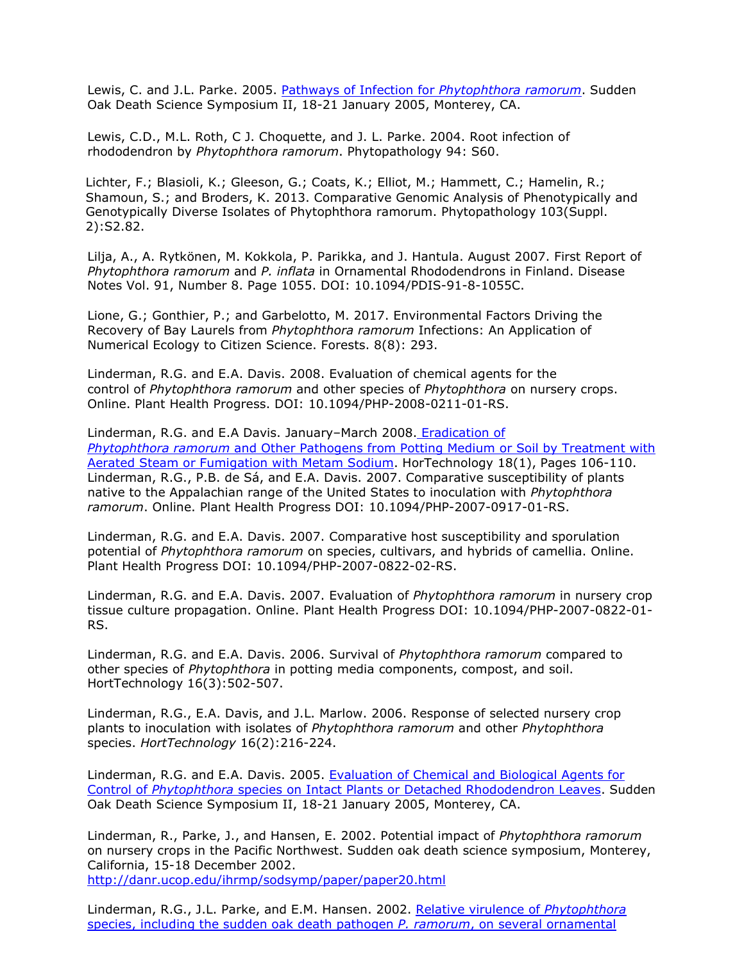Lewis, C. and J.L. Parke. 2005. [Pathways of Infection for](http://nature.berkeley.edu/comtf/pdf/Bibliography/56ManagementLewis.pdf) *Phytophthora ramorum*. Sudden Oak Death Science Symposium II, 18-21 January 2005, Monterey, CA.

Lewis, C.D., M.L. Roth, C J. Choquette, and J. L. Parke. 2004. Root infection of rhododendron by *Phytophthora ramorum*. Phytopathology 94: S60.

Lichter, F.; Blasioli, K.; Gleeson, G.; Coats, K.; Elliot, M.; Hammett, C.; Hamelin, R.; Shamoun, S.; and Broders, K. 2013. Comparative Genomic Analysis of Phenotypically and Genotypically Diverse Isolates of Phytophthora ramorum. Phytopathology 103(Suppl. 2):S2.82.

Lilja, A., A. Rytkönen, M. Kokkola, P. Parikka, and J. Hantula. August 2007. First Report of *Phytophthora ramorum* and *P. inflata* in Ornamental Rhododendrons in Finland. Disease Notes Vol. 91, Number 8. Page 1055. DOI: 10.1094/PDIS-91-8-1055C.

Lione, G.; Gonthier, P.; and Garbelotto, M. 2017. Environmental Factors Driving the Recovery of Bay Laurels from *Phytophthora ramorum* Infections: An Application of Numerical Ecology to Citizen Science. Forests. 8(8): 293.

Linderman, R.G. and E.A. Davis. 2008. Evaluation of chemical agents for the control of *Phytophthora ramorum* and other species of *Phytophthora* on nursery crops. Online. Plant Health Progress. DOI: 10.1094/PHP-2008-0211-01-RS.

Linderman, R.G. and E.A Davis. January–March 2008. [Eradication of](http://nature.berkeley.edu/comtf/pdf/LindermanSummary.pdf) *Phytophthora ramorum* [and Other Pathogens from Potting Medium or Soil by Treatment with](http://nature.berkeley.edu/comtf/pdf/LindermanSummary.pdf) [Aerated Steam or Fumigation with Metam Sodium.](http://nature.berkeley.edu/comtf/pdf/LindermanSummary.pdf) HorTechnology 18(1), Pages 106-110. Linderman, R.G., P.B. de Sá, and E.A. Davis. 2007. Comparative susceptibility of plants native to the Appalachian range of the United States to inoculation with *Phytophthora ramorum*. Online. Plant Health Progress DOI: 10.1094/PHP-2007-0917-01-RS.

Linderman, R.G. and E.A. Davis. 2007. Comparative host susceptibility and sporulation potential of *Phytophthora ramorum* on species, cultivars, and hybrids of camellia. Online. Plant Health Progress DOI: 10.1094/PHP-2007-0822-02-RS.

Linderman, R.G. and E.A. Davis. 2007. Evaluation of *Phytophthora ramorum* in nursery crop tissue culture propagation. Online. Plant Health Progress DOI: 10.1094/PHP-2007-0822-01- RS.

Linderman, R.G. and E.A. Davis. 2006. Survival of *Phytophthora ramorum* compared to other species of *Phytophthora* in potting media components, compost, and soil. HortTechnology 16(3):502-507.

Linderman, R.G., E.A. Davis, and J.L. Marlow. 2006. Response of selected nursery crop plants to inoculation with isolates of *Phytophthora ramorum* and other *Phytophthora*  species. *HortTechnology* 16(2):216-224.

Linderman, R.G. and E.A. Davis. 2005. [Evaluation of Chemical and Biological Agents for](http://nature.berkeley.edu/comtf/pdf/Bibliography/40ManagementLinderman.pdf) Control of *Phytophthora* [species on Intact Plants or Detached Rhododendron Leaves.](http://nature.berkeley.edu/comtf/pdf/Bibliography/40ManagementLinderman.pdf) Sudden Oak Death Science Symposium II, 18-21 January 2005, Monterey, CA.

Linderman, R., Parke, J., and Hansen, E. 2002. Potential impact of *Phytophthora ramorum*  on nursery crops in the Pacific Northwest. Sudden oak death science symposium, Monterey, California, 15-18 December 2002. <http://danr.ucop.edu/ihrmp/sodsymp/paper/paper20.html>

Linderman, R.G., J.L. Parke, and E.M. Hansen. 2002. [Relative virulence of](http://apsnet.org/meetings/2002/abstracts/a02ma342.htm) *Phytophthora* [species, including the sudden oak death pathogen](http://apsnet.org/meetings/2002/abstracts/a02ma342.htm) *P. ramorum*, on several ornamental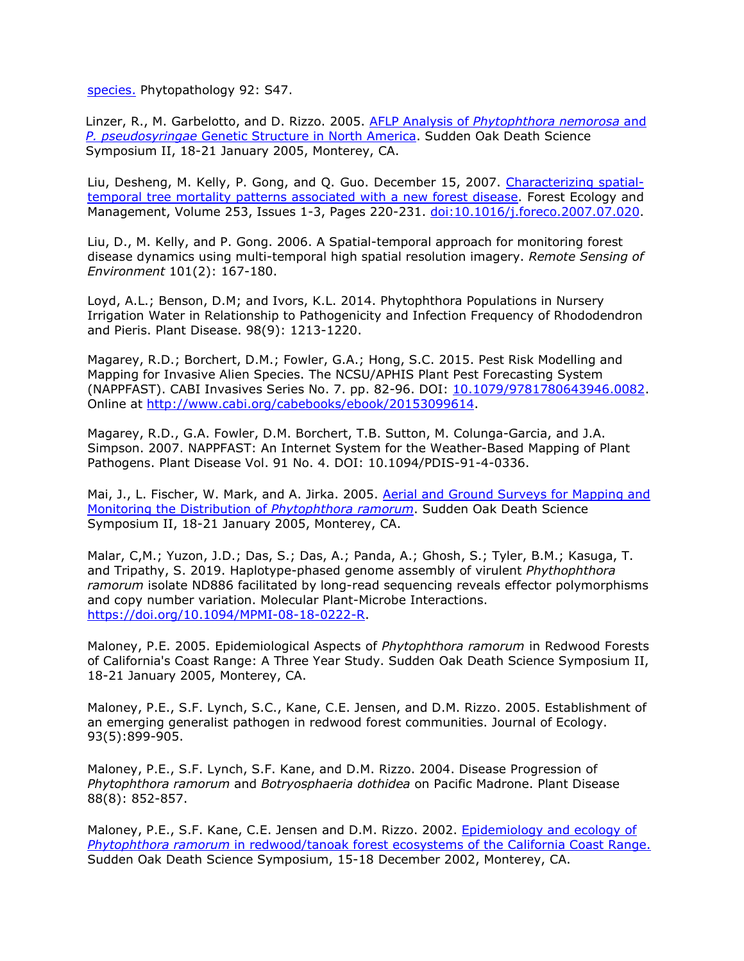[species.](http://apsnet.org/meetings/2002/abstracts/a02ma342.htm) Phytopathology 92: S47.

Linzer, R., M. Garbelotto, and D. Rizzo. 2005. AFLP Analysis of *[Phytophthora nemorosa](http://nature.berkeley.edu/comtf/pdf/Bibliography/24Linzer.pdf)* and *P. pseudosyringae* [Genetic Structure in North America. Sudden Oak Death Science](http://nature.berkeley.edu/comtf/pdf/Bibliography/24Linzer.pdf) Symposium II, 18-21 January 2005, Monterey, CA.

Liu, Desheng, M. Kelly, P. Gong, and Q. Guo. December 15, 2007. [Characterizing spatial](http://nature.berkeley.edu/comtf/pdf/LiuAbstract.pdf)[temporal tree mortality patterns associated with a new forest disease.](http://nature.berkeley.edu/comtf/pdf/LiuAbstract.pdf) Forest Ecology and Management, Volume 253, Issues 1-3, Pages 220-231. [doi:10.1016/j.foreco.2007.07.020.](http://dx.doi.org/10.1016/j.foreco.2007.07.020)

Liu, D., M. Kelly, and P. Gong. 2006. A Spatial-temporal approach for monitoring forest disease dynamics using multi-temporal high spatial resolution imagery. *Remote Sensing of Environment* 101(2): 167-180.

Loyd, A.L.; Benson, D.M; and Ivors, K.L. 2014. Phytophthora Populations in Nursery Irrigation Water in Relationship to Pathogenicity and Infection Frequency of Rhododendron and Pieris. Plant Disease. 98(9): 1213-1220.

[Magarey, R.D.;](http://www.cabdirect.org/search.html?q=au%3A%22Magarey%2C%2BR.%2BD.%22) [Borchert, D.M.;](http://www.cabdirect.org/search.html?q=au%3A%22Borchert%2C%2BD.%2BM.%22) [Fowler, G.A.;](http://www.cabdirect.org/search.html?q=au%3A%22Fowler%2C%2BG.%2BA.%22) [Hong, S.C. 2](http://www.cabdirect.org/search.html?q=au%3A%22Hong%2C%2BS.%2BC.%22)015. Pest Risk Modelling and Mapping for Invasive Alien Species. The NCSU/APHIS Plant Pest Forecasting System (NAPPFAST). [CABI Invasives Series No. 7.](http://www.cabdirect.org/search.html?q=at%3A%22CABI%2BInvasives%2BSeries%2BNo.%2B7%22) pp. 82-96. DOI: [10.1079/9781780643946.0082.](http://dx.doi.org/10.1079/9781780643946.0082) Online at [http://www.cabi.org/cabebooks/ebook/20153099614.](http://www.cabi.org/cabebooks/ebook/20153099614)

Magarey, R.D., G.A. Fowler, D.M. Borchert, T.B. Sutton, M. Colunga-Garcia, and J.A. Simpson. 2007. NAPPFAST: An Internet System for the Weather-Based Mapping of Plant Pathogens. Plant Disease Vol. 91 No. 4. DOI: 10.1094/PDIS-91-4-0336.

Mai, J., L. Fischer, W. Mark, and A. Jirka. 2005. [Aerial and Ground Surveys for Mapping and](http://nature.berkeley.edu/comtf/pdf/Bibliography/65Mai.pdf) [Monitoring the Distribution of](http://nature.berkeley.edu/comtf/pdf/Bibliography/65Mai.pdf) *Phytophthora ramorum*. Sudden Oak Death Science Symposium II, 18-21 January 2005, Monterey, CA.

Malar, C,M.; Yuzon, J.D.; Das, S.; Das, A.; Panda, A.; Ghosh, S.; Tyler, B.M.; Kasuga, T. and Tripathy, S. 2019. Haplotype-phased genome assembly of virulent *Phythophthora ramorum* isolate ND886 facilitated by long-read sequencing reveals effector polymorphisms and copy number variation. Molecular Plant-Microbe Interactions. [https://doi.org/10.1094/MPMI-08-18-0222-R.](https://doi.org/10.1094/MPMI-08-18-0222-R)

Maloney, P.E. 2005. Epidemiological Aspects of *Phytophthora ramorum* in Redwood Forests of California's Coast Range: A Three Year Study. Sudden Oak Death Science Symposium II, 18-21 January 2005, Monterey, CA.

Maloney, P.E., S.F. Lynch, S.C., Kane, C.E. Jensen, and D.M. Rizzo. 2005. Establishment of an emerging generalist pathogen in redwood forest communities. Journal of Ecology. 93(5):899-905.

Maloney, P.E., S.F. Lynch, S.F. Kane, and D.M. Rizzo. 2004. Disease Progression of *Phytophthora ramorum* and *Botryosphaeria dothidea* on Pacific Madrone. Plant Disease 88(8): 852-857.

Maloney, P.E., S.F. Kane, C.E. Jensen and D.M. Rizzo. 2002. [Epidemiology and ecology of](http://danr.ucop.edu/ihrmp/sodsymp/paper/paper21.html) *Phytophthora ramorum* [in redwood/tanoak forest ecosystems of the California Coast Range.](http://danr.ucop.edu/ihrmp/sodsymp/paper/paper21.html) Sudden Oak Death Science Symposium, 15-18 December 2002, Monterey, CA.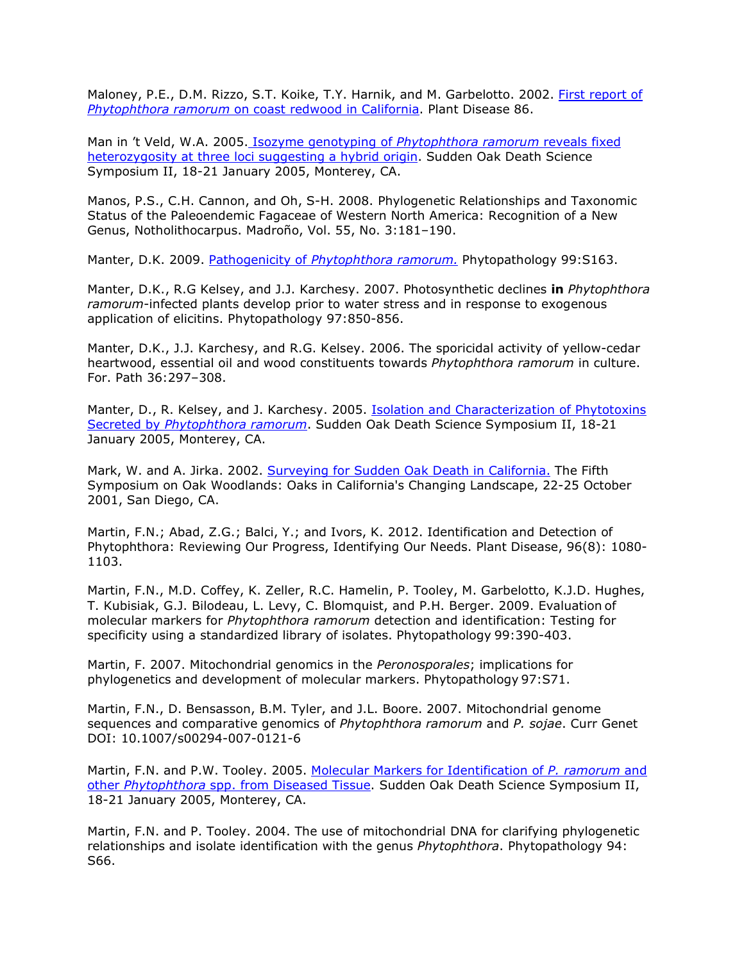Maloney, P.E., D.M. Rizzo, S.T. Koike, T.Y. Harnik, and M. Garbelotto. 2002. [First report of](http://www.apsnet.org/online/proceedings/sod/Papers/APS/PDnote_86-11a.html) *Phytophthora ramorum* [on coast redwood in California.](http://www.apsnet.org/online/proceedings/sod/Papers/APS/PDnote_86-11a.html) Plant Disease 86.

Man in 't Veld, W.A. 2005. Isozyme genotyping of *[Phytophthora ramorum](http://nature.berkeley.edu/comtf/pdf/Bibliography/45PosetManin%2527tVeld.pdf)* reveals fixed [heterozygosity at three loci suggesting a hybrid origin.](http://nature.berkeley.edu/comtf/pdf/Bibliography/45PosetManin%2527tVeld.pdf) Sudden Oak Death Science Symposium II, 18-21 January 2005, Monterey, CA.

Manos, P.S., C.H. Cannon, and Oh, S-H. 2008. Phylogenetic Relationships and Taxonomic Status of the Paleoendemic Fagaceae of Western North America: Recognition of a New Genus, Notholithocarpus. Madroño, Vol. 55, No. 3:181–190.

Manter, D.K. 2009. Pathogenicity of *[Phytophthora ramorum.](http://nature.berkeley.edu/comtf/pdf/Manter_2009.pdf)* Phytopathology 99:S163.

Manter, D.K., R.G Kelsey, and J.J. Karchesy. 2007. Photosynthetic declines **in** *Phytophthora ramorum*-infected plants develop prior to water stress and in response to exogenous application of elicitins. Phytopathology 97:850-856.

Manter, D.K., J.J. Karchesy, and R.G. Kelsey. 2006. The sporicidal activity of yellow-cedar heartwood, essential oil and wood constituents towards *Phytophthora ramorum* in culture. For. Path 36:297–308.

Manter, D., R. Kelsey, and J. Karchesy. 2005. **Isolation and Characterization of Phytotoxins** Secreted by *[Phytophthora ramorum](http://nature.berkeley.edu/comtf/pdf/Bibliography/7BiologyManter.pdf)*. Sudden Oak Death Science Symposium II, 18-21 January 2005, Monterey, CA.

Mark, W. and A. Jirka. 2002. [Surveying for Sudden Oak Death in California.](http://nature.berkeley.edu/comtf/pdf/Bibliography/mark2002a.pdf) The Fifth Symposium on Oak Woodlands: Oaks in California's Changing Landscape, 22-25 October 2001, San Diego, CA.

Martin, F.N.; Abad, Z.G.; Balci, Y.; and Ivors, K. 2012. Identification and Detection of Phytophthora: Reviewing Our Progress, Identifying Our Needs. Plant Disease, 96(8): 1080- 1103.

Martin, F.N., M.D. Coffey, K. Zeller, R.C. Hamelin, P. Tooley, M. Garbelotto, K.J.D. Hughes, T. Kubisiak, G.J. Bilodeau, L. Levy, C. Blomquist, and P.H. Berger. 2009. Evaluation of molecular markers for *Phytophthora ramorum* detection and identification: Testing for specificity using a standardized library of isolates. Phytopathology 99:390-403.

Martin, F. 2007. Mitochondrial genomics in the *Peronosporales*; implications for phylogenetics and development of molecular markers. Phytopathology 97:S71.

Martin, F.N., D. Bensasson, B.M. Tyler, and J.L. Boore. 2007. Mitochondrial genome sequences and comparative genomics of *Phytophthora ramorum* and *P. sojae*. Curr Genet DOI: 10.1007/s00294-007-0121-6

Martin, F.N. and P.W. Tooley. 2005. [Molecular Markers for Identification of](http://nature.berkeley.edu/comtf/pdf/Bibliography/26Martin.pdf) *P. ramorum* and other *Phytophthora* [spp. from Diseased Tissue.](http://nature.berkeley.edu/comtf/pdf/Bibliography/26Martin.pdf) Sudden Oak Death Science Symposium II, 18-21 January 2005, Monterey, CA.

Martin, F.N. and P. Tooley. 2004. The use of mitochondrial DNA for clarifying phylogenetic relationships and isolate identification with the genus *Phytophthora*. Phytopathology 94: S66.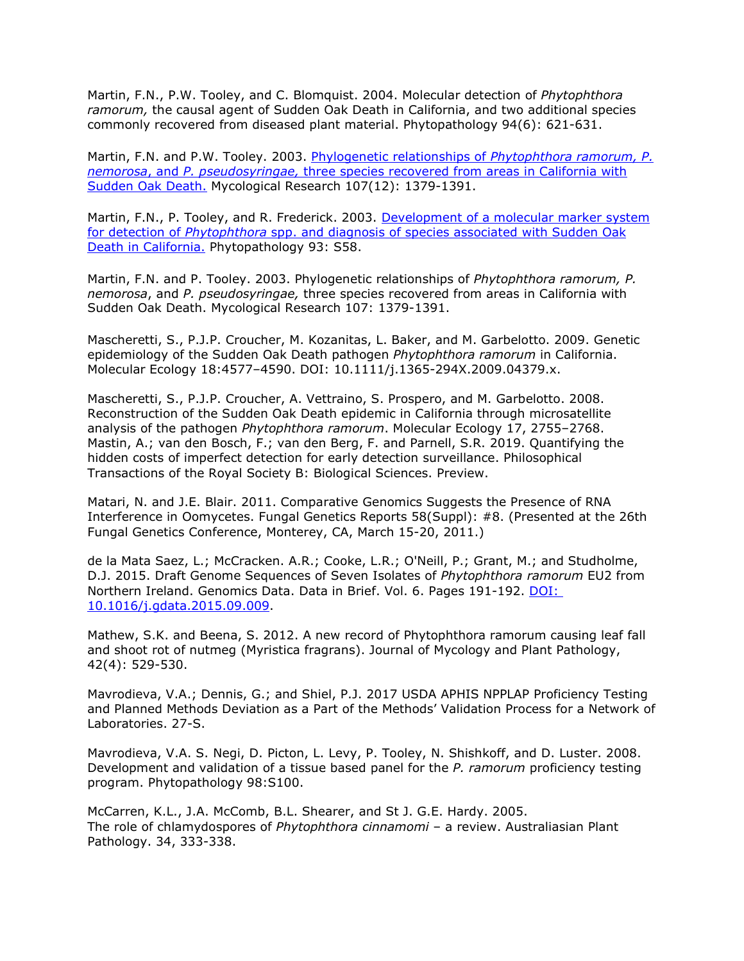Martin, F.N., P.W. Tooley, and C. Blomquist. 2004. Molecular detection of *Phytophthora ramorum,* the causal agent of Sudden Oak Death in California, and two additional species commonly recovered from diseased plant material. Phytopathology 94(6): 621-631.

Martin, F.N. and P.W. Tooley. 2003. [Phylogenetic relationships of](http://nature.berkeley.edu/comtf/pdf/Bibliography/martin2003a.pdf) *Phytophthora ramorum, P. nemorosa*, and *P. pseudosyringae,* [three species recovered from areas in California with](http://nature.berkeley.edu/comtf/pdf/Bibliography/martin2003a.pdf) [Sudden Oak Death.](http://nature.berkeley.edu/comtf/pdf/Bibliography/martin2003a.pdf) Mycological Research 107(12): 1379-1391.

Martin, F.N., P. Tooley, and R. Frederick. 2003. [Development of a molecular marker system](http://nature.berkeley.edu/comtf/html/aps_resources.html#03aps08) for detection of *Phytophthora* [spp. and diagnosis of species associated with Sudden Oak](http://nature.berkeley.edu/comtf/html/aps_resources.html#03aps08) [Death in California.](http://nature.berkeley.edu/comtf/html/aps_resources.html#03aps08) Phytopathology 93: S58.

Martin, F.N. and P. Tooley. 2003. Phylogenetic relationships of *Phytophthora ramorum, P. nemorosa*, and *P. pseudosyringae,* three species recovered from areas in California with Sudden Oak Death. Mycological Research 107: 1379-1391.

Mascheretti, S., P.J.P. Croucher, M. Kozanitas, L. Baker, and M. Garbelotto. 2009. Genetic epidemiology of the Sudden Oak Death pathogen *Phytophthora ramorum* in California. Molecular Ecology 18:4577–4590. DOI: 10.1111/j.1365-294X.2009.04379.x.

Mascheretti, S., P.J.P. Croucher, A. Vettraino, S. Prospero, and M. Garbelotto. 2008. Reconstruction of the Sudden Oak Death epidemic in California through microsatellite analysis of the pathogen *Phytophthora ramorum*. Molecular Ecology 17, 2755–2768. Mastin, A.; van den Bosch, F.; van den Berg, F. and Parnell, S.R. 2019. Quantifying the hidden costs of imperfect detection for early detection surveillance. Philosophical Transactions of the Royal Society B: Biological Sciences. Preview.

Matari, N. and J.E. Blair. 2011. Comparative Genomics Suggests the Presence of RNA Interference in Oomycetes. Fungal Genetics Reports 58(Suppl): #8. (Presented at the 26th Fungal Genetics Conference, Monterey, CA, March 15-20, 2011.)

de la Mata Saez, L.; McCracken. A.R.; Cooke, L.R.; O'Neill, P.; Grant, M.; and Studholme, D.J. 2015. Draft Genome Sequences of Seven Isolates of *Phytophthora ramorum* [EU2 from](http://dx.doi.org/10.1016/j.gdata.2015.09.009)  Northern Ireland. Genomics Data. Data in Brief. Vol. 6. Pages 191-192. [DOI:](http://dx.doi.org/10.1016/j.gdata.2015.09.009) [10.1016/j.gdata.2015.09.009.](http://dx.doi.org/10.1016/j.gdata.2015.09.009)

Mathew, S.K. and Beena, S. 2012. A new record of Phytophthora ramorum causing leaf fall and shoot rot of nutmeg (Myristica fragrans). Journal of Mycology and Plant Pathology, 42(4): 529-530.

Mavrodieva, V.A.; Dennis, G.; and Shiel, P.J. 2017 USDA APHIS NPPLAP Proficiency Testing and Planned Methods Deviation as a Part of the Methods' Validation Process for a Network of Laboratories. 27-S.

Mavrodieva, V.A. S. Negi, D. Picton, L. Levy, P. Tooley, N. Shishkoff, and D. Luster. 2008. Development and validation of a tissue based panel for the *P. ramorum* proficiency testing program. Phytopathology 98:S100.

McCarren, K.L., J.A. McComb, B.L. Shearer, and St J. G.E. Hardy. 2005. The role of chlamydospores of *Phytophthora cinnamomi* – a review. Australiasian Plant Pathology. 34, 333-338.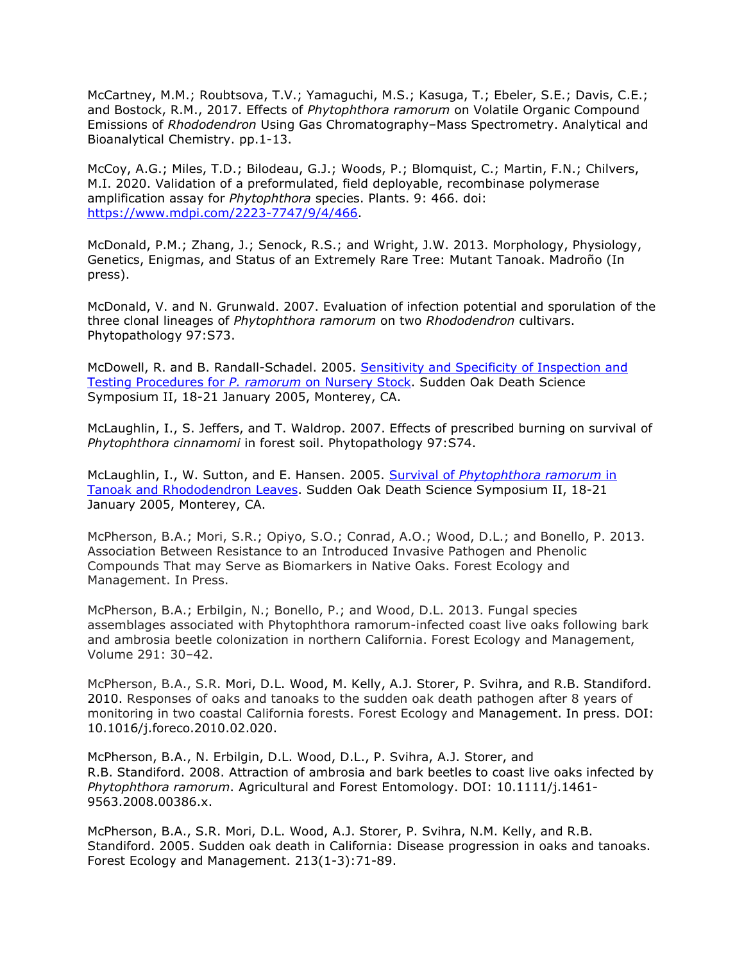McCartney, M.M.; Roubtsova, T.V.; Yamaguchi, M.S.; Kasuga, T.; Ebeler, S.E.; Davis, C.E.; and Bostock, R.M., 2017. Effects of *Phytophthora ramorum* on Volatile Organic Compound Emissions of *Rhododendron* Using Gas Chromatography–Mass Spectrometry. Analytical and Bioanalytical Chemistry. pp.1-13.

McCoy, A.G.; Miles, T.D.; Bilodeau, G.J.; Woods, P.; Blomquist, C.; Martin, F.N.; Chilvers, M.I. 2020. Validation of a preformulated, field deployable, recombinase polymerase amplification assay for *Phytophthora* species. Plants. 9: 466. doi: [https://www.mdpi.com/2223-7747/9/4/466.](https://www.mdpi.com/2223-7747/9/4/466)

McDonald, P.M.; Zhang, J.; Senock, R.S.; and Wright, J.W. 2013. Morphology, Physiology, Genetics, Enigmas, and Status of an Extremely Rare Tree: Mutant Tanoak. Madroño (In press).

McDonald, V. and N. Grunwald. 2007. Evaluation of infection potential and sporulation of the three clonal lineages of *Phytophthora ramorum* on two *Rhododendron* cultivars. Phytopathology 97:S73.

McDowell, R. and B. Randall-Schadel. 2005. [Sensitivity and Specificity of Inspection and](http://nature.berkeley.edu/comtf/pdf/Bibliography/22PosterMcDowell.pdf) [Testing Procedures for](http://nature.berkeley.edu/comtf/pdf/Bibliography/22PosterMcDowell.pdf) *P. ramorum* on Nursery Stock. Sudden Oak Death Science Symposium II, 18-21 January 2005, Monterey, CA.

McLaughlin, I., S. Jeffers, and T. Waldrop. 2007. Effects of prescribed burning on survival of *Phytophthora cinnamomi* in forest soil. Phytopathology 97:S74.

McLaughlin, I., W. Sutton, and E. Hansen. 2005. Survival of *[Phytophthora ramorum](http://nature.berkeley.edu/comtf/pdf/Bibliography/23PosterMcLaughlin.pdf)* in [Tanoak and Rhododendron Leaves.](http://nature.berkeley.edu/comtf/pdf/Bibliography/23PosterMcLaughlin.pdf) Sudden Oak Death Science Symposium II, 18-21 January 2005, Monterey, CA.

McPherson, B.A.; Mori, S.R.; Opiyo, S.O.; Conrad, A.O.; Wood, D.L.; and Bonello, P. 2013. Association Between Resistance to an Introduced Invasive Pathogen and Phenolic Compounds That may Serve as Biomarkers in Native Oaks. Forest Ecology and Management. In Press.

McPherson, B.A.; Erbilgin, N.; Bonello, P.; and Wood, D.L. 2013. Fungal species assemblages associated with Phytophthora ramorum-infected coast live oaks following bark and ambrosia beetle colonization in northern California. Forest Ecology and Management, Volume 291: 30–42.

McPherson, B.A., S.R. Mori, D.L. Wood, M. Kelly, A.J. Storer, P. Svihra, and R.B. Standiford. 2010. Responses of oaks and tanoaks to the sudden oak death pathogen after 8 years of monitoring in two coastal California forests. Forest Ecology and Management. In press. DOI: 10.1016/j.foreco.2010.02.020.

McPherson, B.A., N. Erbilgin, D.L. Wood, D.L., P. Svihra, A.J. Storer, and R.B. Standiford. 2008. Attraction of ambrosia and bark beetles to coast live oaks infected by *Phytophthora ramorum*. Agricultural and Forest Entomology. DOI: 10.1111/j.1461- 9563.2008.00386.x.

McPherson, B.A., S.R. Mori, D.L. Wood, A.J. Storer, P. Svihra, N.M. Kelly, and R.B. Standiford. 2005. Sudden oak death in California: Disease progression in oaks and tanoaks. Forest Ecology and Management. 213(1-3):71-89.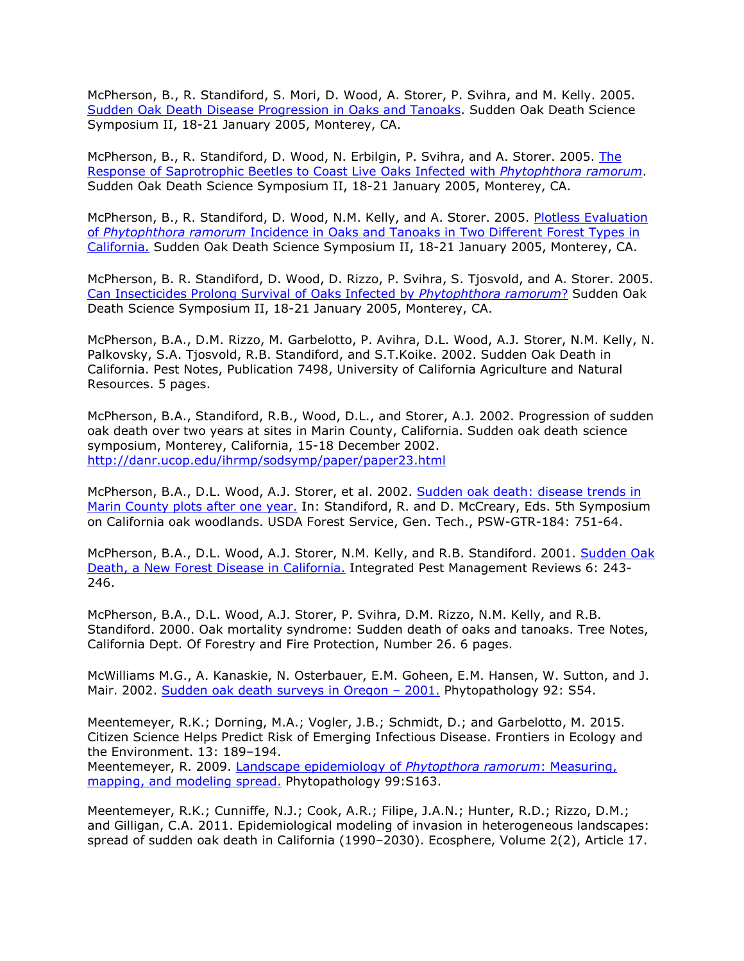McPherson, B., R. Standiford, S. Mori, D. Wood, A. Storer, P. Svihra, and M. Kelly. 2005. [Sudden Oak Death Disease Progression in Oaks and Tanoaks.](http://nature.berkeley.edu/comtf/pdf/Bibliography/75McPherson.pdf) Sudden Oak Death Science Symposium II, 18-21 January 2005, Monterey, CA.

McPherson, B., R. Standiford, D. Wood, N. Erbilgin, P. Svihra, and A. Storer. 2005. [The](http://nature.berkeley.edu/comtf/pdf/Bibliography/78McPherson.pdf) [Response of Saprotrophic Beetles to Coast Live Oaks Infected with](http://nature.berkeley.edu/comtf/pdf/Bibliography/78McPherson.pdf) *Phytophthora ramorum*. Sudden Oak Death Science Symposium II, 18-21 January 2005, Monterey, CA.

McPherson, B., R. Standiford, D. Wood, N.M. Kelly, and A. Storer. 2005. [Plotless Evaluation](http://nature.berkeley.edu/comtf/pdf/Bibliography/40PosterMcPherson.pdf) of *Phytophthora ramorum* [Incidence in Oaks and Tanoaks in Two Different Forest Types in](http://nature.berkeley.edu/comtf/pdf/Bibliography/40PosterMcPherson.pdf) [California.](http://nature.berkeley.edu/comtf/pdf/Bibliography/40PosterMcPherson.pdf) Sudden Oak Death Science Symposium II, 18-21 January 2005, Monterey, CA.

McPherson, B. R. Standiford, D. Wood, D. Rizzo, P. Svihra, S. Tjosvold, and A. Storer. 2005. [Can Insecticides Prolong Survival of Oaks Infected by](http://nature.berkeley.edu/comtf/pdf/Bibliography/46ManagementMcPherson.pdf) *Phytophthora ramorum*? Sudden Oak Death Science Symposium II, 18-21 January 2005, Monterey, CA.

McPherson, B.A., D.M. Rizzo, M. Garbelotto, P. Avihra, D.L. Wood, A.J. Storer, N.M. Kelly, N. Palkovsky, S.A. Tjosvold, R.B. Standiford, and S.T.Koike. 2002. Sudden Oak Death in California. Pest Notes, Publication 7498, University of California Agriculture and Natural Resources. 5 pages.

McPherson, B.A., Standiford, R.B., Wood, D.L., and Storer, A.J. 2002. Progression of sudden oak death over two years at sites in Marin County, California. Sudden oak death science symposium, Monterey, California, 15-18 December 2002. <http://danr.ucop.edu/ihrmp/sodsymp/paper/paper23.html>

McPherson, B.A., D.L. Wood, A.J. Storer, et al. 2002. [Sudden oak death: disease trends in](http://nature.berkeley.edu/comtf/pdf/Bibliography/mcpherson2002a.pdf) [Marin County plots after one year.](http://nature.berkeley.edu/comtf/pdf/Bibliography/mcpherson2002a.pdf) In: Standiford, R. and D. McCreary, Eds. 5th Symposium on California oak woodlands. USDA Forest Service, Gen. Tech., PSW-GTR-184: 751-64.

McPherson, B.A., D.L. Wood, A.J. Storer, N.M. Kelly, and R.B. Standiford. 2001. [Sudden Oak](http://nature.berkeley.edu/comtf/pdf/Bibliography/mcpherson2001a.pdf) [Death, a New Forest Disease in California.](http://nature.berkeley.edu/comtf/pdf/Bibliography/mcpherson2001a.pdf) Integrated Pest Management Reviews 6: 243- 246.

McPherson, B.A., D.L. Wood, A.J. Storer, P. Svihra, D.M. Rizzo, N.M. Kelly, and R.B. Standiford. 2000. Oak mortality syndrome: Sudden death of oaks and tanoaks. Tree Notes, California Dept. Of Forestry and Fire Protection, Number 26. 6 pages.

McWilliams M.G., A. Kanaskie, N. Osterbauer, E.M. Goheen, E.M. Hansen, W. Sutton, and J. Mair. 2002. Sudden oak death surveys in Oregon - 2001. Phytopathology 92: S54.

Meentemeyer, R.K.; Dorning, M.A.; Vogler, J.B.; Schmidt, D.; and Garbelotto, M. 2015. Citizen Science Helps Predict Risk of Emerging Infectious Disease. Frontiers in Ecology and the Environment. 13: 189–194.

Meentemeyer, R. 2009. [Landscape epidemiology of](http://nature.berkeley.edu/comtf/pdf/Meentemeyer_2009.pdf) *Phytopthora ramorum*: Measuring, [mapping, and modeling spread.](http://nature.berkeley.edu/comtf/pdf/Meentemeyer_2009.pdf) Phytopathology 99:S163.

Meentemeyer, R.K.; Cunniffe, N.J.; Cook, A.R.; Filipe, J.A.N.; Hunter, R.D.; Rizzo, D.M.; and Gilligan, C.A. 2011. Epidemiological modeling of invasion in heterogeneous landscapes: spread of sudden oak death in California (1990–2030). Ecosphere, Volume 2(2), Article 17.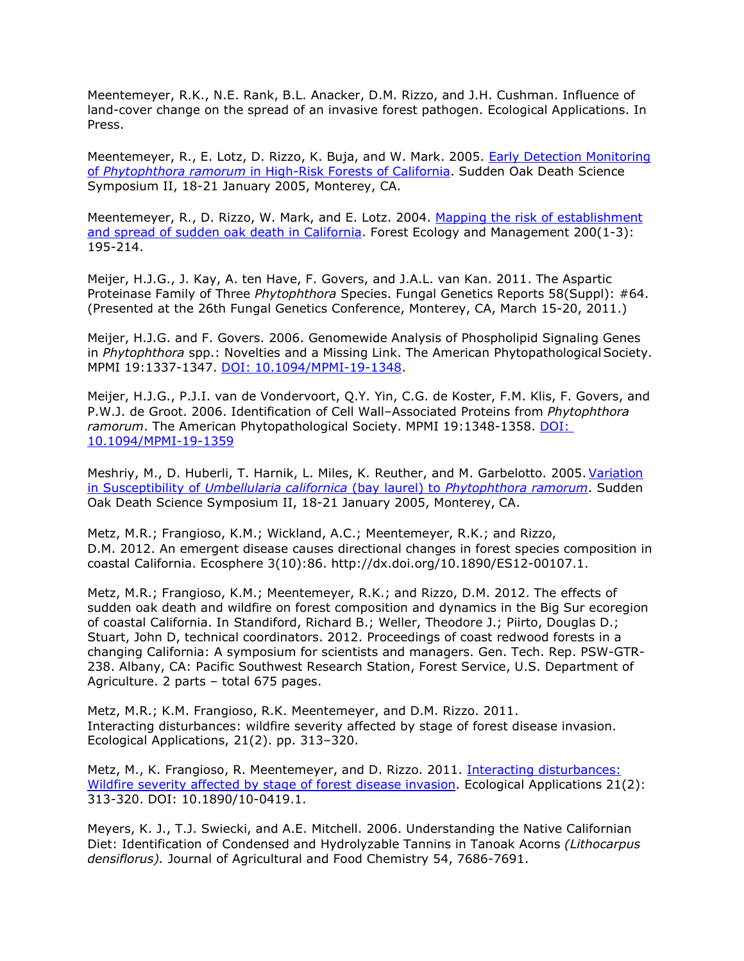Meentemeyer, R.K., N.E. Rank, B.L. Anacker, D.M. Rizzo, and J.H. Cushman. Influence of land-cover change on the spread of an invasive forest pathogen. Ecological Applications. In Press.

Meentemeyer, R., E. Lotz, D. Rizzo, K. Buja, and W. Mark. 2005. [Early Detection Monitoring](http://nature.berkeley.edu/comtf/pdf/Bibliography/67Meentemeyer.pdf) of *Phytophthora ramorum* [in High-Risk Forests of California.](http://nature.berkeley.edu/comtf/pdf/Bibliography/67Meentemeyer.pdf) Sudden Oak Death Science Symposium II, 18-21 January 2005, Monterey, CA.

Meentemeyer, R., D. Rizzo, W. Mark, and E. Lotz. 2004. [Mapping the risk of establishment](http://www.csa.com/partners/viewrecord.php?requester=gs&collection=ENV&recid=6144411&q=Meentemeyer%2C%2BR.%2Bsudden%2Boak%2Bdeath&uid=1220952&setcookie=yes) [and spread of sudden oak death in California.](http://www.csa.com/partners/viewrecord.php?requester=gs&collection=ENV&recid=6144411&q=Meentemeyer%2C%2BR.%2Bsudden%2Boak%2Bdeath&uid=1220952&setcookie=yes) Forest Ecology and Management 200(1-3): 195-214.

Meijer, H.J.G., J. Kay, A. ten Have, F. Govers, and J.A.L. van Kan. 2011. The Aspartic Proteinase Family of Three *Phytophthora* Species. Fungal Genetics Reports 58(Suppl): #64. (Presented at the 26th Fungal Genetics Conference, Monterey, CA, March 15-20, 2011.)

Meijer, H.J.G. and F. Govers. 2006. Genomewide Analysis of Phospholipid Signaling Genes in *Phytophthora* spp.: Novelties and a Missing Link. The American Phytopathological Society. MPMI 19:1337-1347. DOI: [10.1094/MPMI-19-1348.](http://www.ismpminet.org/mpmi/SubscriberContent/2006/MPMI-19-1348.pdf)

Meijer, H.J.G., P.J.I. van de Vondervoort, Q.Y. Yin, C.G. de Koster, F.M. Klis, F. Govers, and P.W.J. de Groot. 2006. Identification of Cell Wall–Associated Proteins from *Phytophthora ramorum*. The American Phytopathological Society. MPMI 19:1348-1358. [DOI:](http://www.ismpminet.org/mpmi/SubscriberContent/2006/MPMI-19-1359.pdf) [10.1094/MPMI-19-1359](http://www.ismpminet.org/mpmi/SubscriberContent/2006/MPMI-19-1359.pdf)

Meshriy, M., D. Huberli, T. Harnik, L. Miles, K. Reuther, and M. Garbelotto. 2005. [Variation](http://nature.berkeley.edu/comtf/pdf/Bibliography/MeshriyAbstract.pdf) in Susceptibility of *[Umbellularia californica](http://nature.berkeley.edu/comtf/pdf/Bibliography/MeshriyAbstract.pdf)* (bay laurel) to *Phytophthora ramorum*. Sudden Oak Death Science Symposium II, 18-21 January 2005, Monterey, CA.

Metz, M.R.; Frangioso, K.M.; Wickland, A.C.; Meentemeyer, R.K.; and Rizzo, D.M. 2012. An emergent disease causes directional changes in forest species composition in coastal California. Ecosphere 3(10):86. [http://dx.doi.org/10.1890/ES12-00107.1.](http://dx.doi.org/10.1890/ES12-00107.1)

Metz, M.R.; Frangioso, K.M.; Meentemeyer, R.K.; and Rizzo, D.M. 2012. The effects of sudden oak death and wildfire on forest composition and dynamics in the Big Sur ecoregion of coastal California. In Standiford, Richard B.; Weller, Theodore J.; Piirto, Douglas D.; Stuart, John D, technical coordinators. 2012. Proceedings of coast redwood forests in a changing California: A symposium for scientists and managers. Gen. Tech. Rep. PSW-GTR-238. Albany, CA: Pacific Southwest Research Station, Forest Service, U.S. Department of Agriculture. 2 parts – total 675 pages.

Metz, M.R.; K.M. Frangioso, R.K. Meentemeyer, and D.M. Rizzo. 2011. Interacting disturbances: wildfire severity affected by stage of forest disease invasion. Ecological Applications, 21(2). pp. 313–320.

Metz, M., K. Frangioso, R. Meentemeyer, and D. Rizzo. 2011. [Interacting disturbances:](http://www.suddenoakdeath.org/wp-content/uploads/2011/04/Metz-et-al.pdf) [Wildfire severity affected by stage of forest disease invasion.](http://www.suddenoakdeath.org/wp-content/uploads/2011/04/Metz-et-al.pdf) Ecological Applications 21(2): 313-320. DOI: 10.1890/10-0419.1.

Meyers, K. J., T.J. Swiecki, and A.E. Mitchell. 2006. Understanding the Native Californian Diet: Identification of Condensed and Hydrolyzable Tannins in Tanoak Acorns *(Lithocarpus densiflorus).* Journal of Agricultural and Food Chemistry 54, 7686-7691.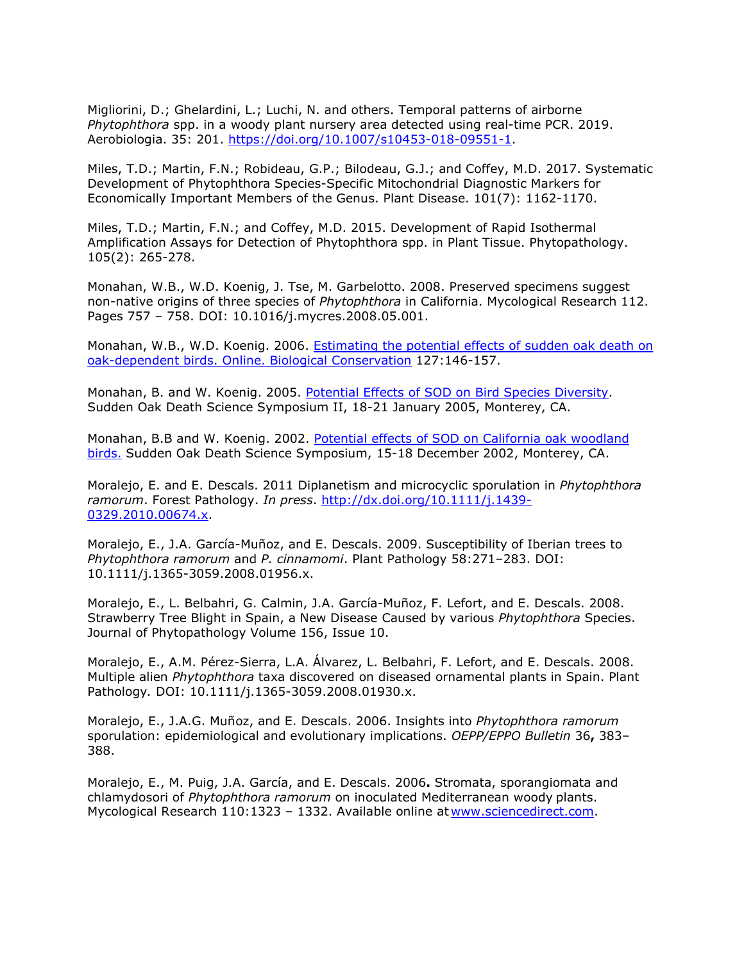Migliorini, D.; Ghelardini, L.; Luchi, N. and others. Temporal patterns of airborne *Phytophthora* spp. in a woody plant nursery area detected using real-time PCR. 2019. Aerobiologia. 35: 201. [https://doi.org/10.1007/s10453-018-09551-1.](https://doi.org/10.1007/s10453-018-09551-1)

Miles, T.D.; Martin, F.N.; Robideau, G.P.; Bilodeau, G.J.; and Coffey, M.D. 2017. Systematic Development of Phytophthora Species-Specific Mitochondrial Diagnostic Markers for Economically Important Members of the Genus. Plant Disease. 101(7): 1162-1170.

Miles, T.D.; Martin, F.N.; and Coffey, M.D. 2015. Development of Rapid Isothermal Amplification Assays for Detection of Phytophthora spp. in Plant Tissue. Phytopathology. 105(2): 265-278.

Monahan, W.B., W.D. Koenig, J. Tse, M. Garbelotto. 2008. Preserved specimens suggest non-native origins of three species of *Phytophthora* in California. Mycological Research 112. Pages 757 – 758. DOI: 10.1016/j.mycres.2008.05.001.

Monahan, W.B., W.D. Koenig. 2006. Estimating [the potential effects of sudden oak death on](http://www.elsevier.com/wps/find/journaldescription.cws_home/405853/description#description) [oak-dependent birds. Online. Biological Conservation](http://www.elsevier.com/wps/find/journaldescription.cws_home/405853/description#description) 127:146-157.

Monahan, B. and W. Koenig. 2005. [Potential Effects of SOD on Bird Species Diversity.](http://nature.berkeley.edu/comtf/pdf/Bibliography/53Monahan.pdf) Sudden Oak Death Science Symposium II, 18-21 January 2005, Monterey, CA.

Monahan, B.B and W. Koenig. 2002. [Potential effects of SOD on California oak woodland](http://danr.ucop.edu/ihrmp/sodsymp/paper/paper24.html) [birds.](http://danr.ucop.edu/ihrmp/sodsymp/paper/paper24.html) Sudden Oak Death Science Symposium, 15-18 December 2002, Monterey, CA.

Moralejo, E. and E. Descals. 2011 Diplanetism and microcyclic sporulation in *Phytophthora ramorum*. Forest Pathology. *In press*. [http://dx.doi.org/10.1111/j.1439-](http://dx.doi.org/10.1111/j.1439-0329.2010.00674.x) [0329.2010.00674.x.](http://dx.doi.org/10.1111/j.1439-0329.2010.00674.x)

Moralejo, E., J.A. García-Muñoz, and E. Descals. 2009. Susceptibility of Iberian trees to *Phytophthora ramorum* and *P. cinnamomi*. Plant Pathology 58:271–283. DOI: 10.1111/j.1365-3059.2008.01956.x.

Moralejo, E., L. Belbahri, G. Calmin, J.A. García-Muñoz, F. Lefort, and E. Descals. 2008. Strawberry Tree Blight in Spain, a New Disease Caused by various *Phytophthora* Species. Journal of Phytopathology Volume 156, Issue 10.

Moralejo, E., A.M. Pérez-Sierra, L.A. Álvarez, L. Belbahri, F. Lefort, and E. Descals. 2008. Multiple alien *Phytophthora* taxa discovered on diseased ornamental plants in Spain. Plant Pathology*.* DOI: 10.1111/j.1365-3059.2008.01930.x.

Moralejo, E., J.A.G. Muñoz, and E. Descals. 2006. Insights into *Phytophthora ramorum*  sporulation: epidemiological and evolutionary implications. *OEPP/EPPO Bulletin* 36**,** 383– 388.

Moralejo, E., M. Puig, J.A. García, and E. Descals. 2006**.** Stromata, sporangiomata and chlamydosori of *Phytophthora ramorum* on inoculated Mediterranean woody plants. Mycological Research 110:1323 - 1332. Available online at [www.sciencedirect.com.](http://www.sciencedirect.com/)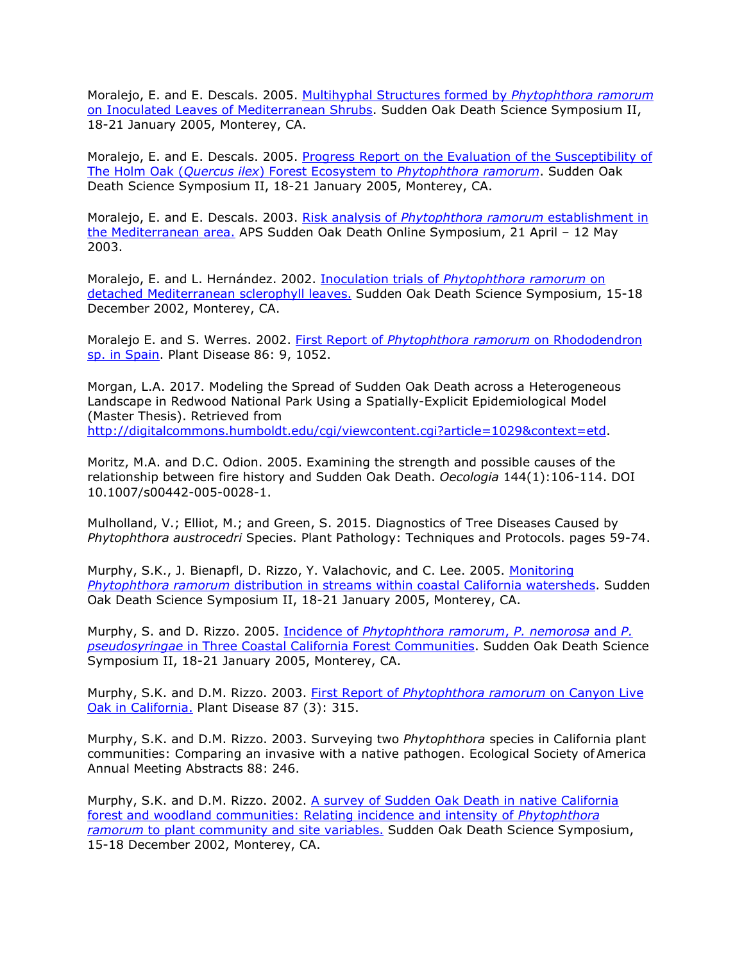Moralejo, E. and E. Descals. 2005. [Multihyphal Structures formed by](http://nature.berkeley.edu/comtf/pdf/Bibliography/24PosterMoralejo.pdf) *Phytophthora ramorum* [on Inoculated Leaves of Mediterranean Shrubs.](http://nature.berkeley.edu/comtf/pdf/Bibliography/24PosterMoralejo.pdf) Sudden Oak Death Science Symposium II, 18-21 January 2005, Monterey, CA.

Moralejo, E. and E. Descals. 2005. [Progress Report on the Evaluation of the Susceptibility of](http://nature.berkeley.edu/comtf/pdf/Bibliography/43EcologyMoralejo.pdf) The Holm Oak (*Quercus ilex*) Forest Ecosystem to *[Phytophthora ramorum](http://nature.berkeley.edu/comtf/pdf/Bibliography/43EcologyMoralejo.pdf)*. Sudden Oak Death Science Symposium II, 18-21 January 2005, Monterey, CA.

Moralejo, E. and E. Descals. 2003. Risk analysis of *[Phytophthora ramorum](http://nature.berkeley.edu/comtf/pdf/Bibliography/moralejo2003a.pdf)* establishment in [the Mediterranean area.](http://nature.berkeley.edu/comtf/pdf/Bibliography/moralejo2003a.pdf) APS Sudden Oak Death Online Symposium, 21 April – 12 May 2003.

Moralejo, E. and L. Hernández. 2002. Inoculation trials of *[Phytophthora ramorum](http://danr.ucop.edu/ihrmp/sodsymp/paper/paper25.html)* on [detached Mediterranean sclerophyll leaves.](http://danr.ucop.edu/ihrmp/sodsymp/paper/paper25.html) Sudden Oak Death Science Symposium, 15-18 December 2002, Monterey, CA.

Moralejo E. and S. Werres. 2002. First Report of *[Phytophthora ramorum](http://www.apsnet.org/online/proceedings/sod/Papers/APS/PDnote_86-9.html)* on Rhododendron [sp. in Spain.](http://www.apsnet.org/online/proceedings/sod/Papers/APS/PDnote_86-9.html) Plant Disease 86: 9, 1052.

Morgan, L.A. 2017. Modeling the Spread of Sudden Oak Death across a Heterogeneous Landscape in Redwood National Park Using a Spatially-Explicit Epidemiological Model (Master Thesis). Retrieved from [http://digitalcommons.humboldt.edu/cgi/viewcontent.cgi?article=1029&context=etd.](http://digitalcommons.humboldt.edu/cgi/viewcontent.cgi?article=1029&context=etd)

Moritz, M.A. and D.C. Odion. 2005. Examining the strength and possible causes of the relationship between fire history and Sudden Oak Death. *Oecologia* 144(1):106-114. DOI 10.1007/s00442-005-0028-1.

Mulholland, V.; Elliot, M.; and Green, S. 2015. Diagnostics of Tree Diseases Caused by *Phytophthora austrocedri* Species. Plant Pathology: Techniques and Protocols. pages 59-74.

Murphy, S.K., J. Bienapfl, D. Rizzo, Y. Valachovic, and C. Lee. 2005. [Monitoring](http://nature.berkeley.edu/comtf/pdf/Bibliography/25PosterMurphy.pdf) *Phytophthora ramorum* [distribution in streams within coastal California watersheds.](http://nature.berkeley.edu/comtf/pdf/Bibliography/25PosterMurphy.pdf) Sudden Oak Death Science Symposium II, 18-21 January 2005, Monterey, CA.

Murphy, S. and D. Rizzo. 2005. Incidence of *[Phytophthora ramorum](http://nature.berkeley.edu/comtf/pdf/Bibliography/9Murphy.pdf)*, *P. nemorosa* and *P. pseudosyringae* [in Three Coastal California Forest Communities.](http://nature.berkeley.edu/comtf/pdf/Bibliography/9Murphy.pdf) Sudden Oak Death Science Symposium II, 18-21 January 2005, Monterey, CA.

Murphy, S.K. and D.M. Rizzo. 2003. First Report of *[Phytophthora ramorum](http://apsjournals.apsnet.org/doi/abs/10.1094/PDIS.2003.87.3.315C)* on Canyon Live [Oak in California.](http://apsjournals.apsnet.org/doi/abs/10.1094/PDIS.2003.87.3.315C) Plant Disease 87 (3): 315.

Murphy, S.K. and D.M. Rizzo. 2003. Surveying two *Phytophthora* species in California plant communities: Comparing an invasive with a native pathogen. Ecological Society of America Annual Meeting Abstracts 88: 246.

Murphy, S.K. and D.M. Rizzo. 2002. [A survey of Sudden Oak Death in native California](http://danr.ucop.edu/ihrmp/sodsymp/poster/poster19.html) [forest and woodland communities: Relating incidence and intensity of](http://danr.ucop.edu/ihrmp/sodsymp/poster/poster19.html) *Phytophthora ramorum* [to plant community and site variables.](http://danr.ucop.edu/ihrmp/sodsymp/poster/poster19.html) Sudden Oak Death Science Symposium, 15-18 December 2002, Monterey, CA.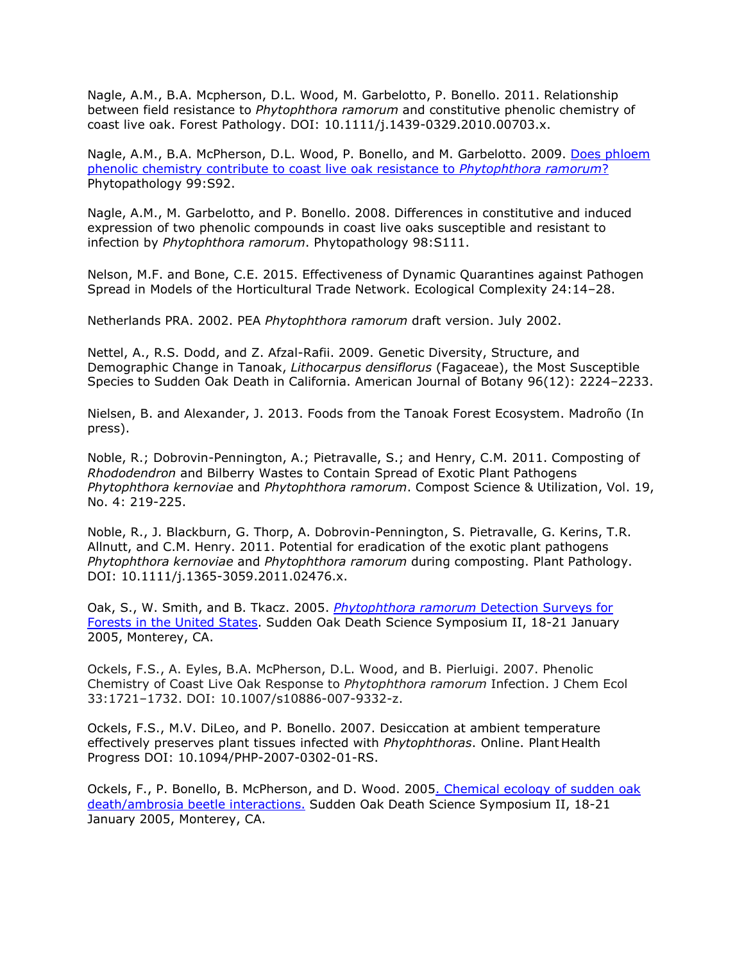Nagle, A.M., B.A. Mcpherson, D.L. Wood, M. Garbelotto, P. Bonello. 2011. Relationship between field resistance to *Phytophthora ramorum* and constitutive phenolic chemistry of coast live oak. Forest Pathology. DOI: 10.1111/j.1439-0329.2010.00703.x.

Nagle, A.M., B.A. McPherson, D.L. Wood, P. Bonello, and M. Garbelotto. 2009. [Does phloem](http://nature.berkeley.edu/comtf/pdf/Nagle_2009.pdf) [phenolic chemistry contribute to coast live oak resistance to](http://nature.berkeley.edu/comtf/pdf/Nagle_2009.pdf) *Phytophthora ramorum*? Phytopathology 99:S92.

Nagle, A.M., M. Garbelotto, and P. Bonello. 2008. Differences in constitutive and induced expression of two phenolic compounds in coast live oaks susceptible and resistant to infection by *Phytophthora ramorum*. Phytopathology 98:S111.

Nelson, M.F. and Bone, C.E. 2015. Effectiveness of Dynamic Quarantines against Pathogen Spread in Models of the Horticultural Trade Network. Ecological Complexity 24:14–28.

Netherlands PRA. 2002. PEA *Phytophthora ramorum* draft version. July 2002.

Nettel, A., R.S. Dodd, and Z. Afzal-Rafii. 2009. Genetic Diversity, Structure, and Demographic Change in Tanoak, *Lithocarpus densiflorus* (Fagaceae), the Most Susceptible Species to Sudden Oak Death in California. American Journal of Botany 96(12): 2224–2233.

Nielsen, B. and Alexander, J. 2013. Foods from the Tanoak Forest Ecosystem. Madroño (In press).

Noble, R.; Dobrovin-Pennington, A.; Pietravalle, S.; and Henry, C.M. 2011. Composting of *Rhododendron* and Bilberry Wastes to Contain Spread of Exotic Plant Pathogens *Phytophthora kernoviae* and *Phytophthora ramorum*. Compost Science & Utilization, Vol. 19, No. 4: 219-225.

Noble, R., J. Blackburn, G. Thorp, A. Dobrovin-Pennington, S. Pietravalle, G. Kerins, T.R. Allnutt, and C.M. Henry. 2011. Potential for eradication of the exotic plant pathogens *Phytophthora kernoviae* and *Phytophthora ramorum* during composting. Plant Pathology. DOI: 10.1111/j.1365-3059.2011.02476.x.

Oak, S., W. Smith, and B. Tkacz. 2005. *[Phytophthora ramorum](http://nature.berkeley.edu/comtf/pdf/Bibliography/69MonitoringOak.pdf)* Detection Surveys for [Forests in the United States.](http://nature.berkeley.edu/comtf/pdf/Bibliography/69MonitoringOak.pdf) Sudden Oak Death Science Symposium II, 18-21 January 2005, Monterey, CA.

Ockels, F.S., A. Eyles, B.A. McPherson, D.L. Wood, and B. Pierluigi. 2007. Phenolic Chemistry of Coast Live Oak Response to *Phytophthora ramorum* Infection. J Chem Ecol 33:1721–1732. DOI: 10.1007/s10886-007-9332-z.

Ockels, F.S., M.V. DiLeo, and P. Bonello. 2007. Desiccation at ambient temperature effectively preserves plant tissues infected with *Phytophthoras*. Online. Plant Health Progress DOI: 10.1094/PHP-2007-0302-01-RS.

Ockels, F., P. Bonello, B. McPherson, and D. Wood. 200[5. Chemical ecology of sudden oak](http://www.fs.fed.us/psw/publications/documents/psw_gtr196/psw_gtr196_007_062Ockels.pdf) [death/ambrosia beetle interactions.](http://www.fs.fed.us/psw/publications/documents/psw_gtr196/psw_gtr196_007_062Ockels.pdf) Sudden Oak Death Science Symposium II, 18-21 January 2005, Monterey, CA.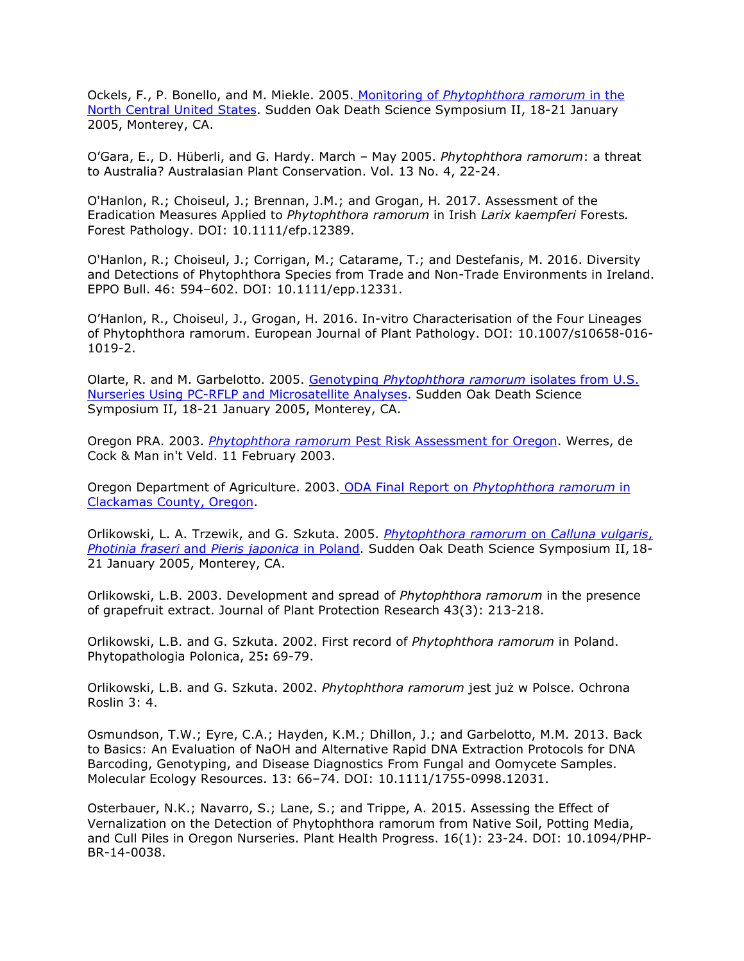Ockels, F., P. Bonello, and M. Miekle. 2005. Monitoring of *[Phytophthora ramorum](http://nature.berkeley.edu/comtf/pdf/Bibliography/80Ockels.pdf)* in the [North Central United States.](http://nature.berkeley.edu/comtf/pdf/Bibliography/80Ockels.pdf) Sudden Oak Death Science Symposium II, 18-21 January 2005, Monterey, CA.

O'Gara, E., D. Hüberli, and G. Hardy. March – May 2005. *Phytophthora ramorum*: a threat to Australia? Australasian Plant Conservation. Vol. 13 No. 4, 22-24.

O'Hanlon, R.; Choiseul, J.; Brennan, J.M.; and Grogan, H*.* 2017. Assessment of the Eradication Measures Applied to *Phytophthora ramorum* in Irish *Larix kaempferi* Forests*.*  Forest Pathology. DOI: 10.1111/efp.12389.

O'Hanlon, R.; Choiseul, J.; Corrigan, M.; Catarame, T.; and Destefanis, M. 2016. Diversity and Detections of Phytophthora Species from Trade and Non-Trade Environments in Ireland. EPPO Bull. 46: 594–602. DOI: 10.1111/epp.12331.

O'Hanlon, R., Choiseul, J., Grogan, H. 2016. In-vitro Characterisation of the Four Lineages of Phytophthora ramorum. European Journal of Plant Pathology. DOI: 10.1007/s10658-016- 1019-2.

Olarte, R. and M. Garbelotto. 2005. Genotyping *[Phytophthora ramorum](http://nature.berkeley.edu/comtf/pdf/Bibliography/27Olarte.pdf)* isolates from U.S. [Nurseries Using PC-RFLP and Microsatellite Analyses.](http://nature.berkeley.edu/comtf/pdf/Bibliography/27Olarte.pdf) Sudden Oak Death Science Symposium II, 18-21 January 2005, Monterey, CA.

Oregon PRA. 2003. *Phytophthora ramorum* [Pest Risk Assessment for Oregon.](http://oregon.gov/ODA) Werres, de Cock & Man in't Veld. 11 February 2003.

Oregon Department of Agriculture. 2003. ODA Final Report on *[Phytophthora ramorum](http://oregon.gov/ODA)* in [Clackamas County, Oregon.](http://oregon.gov/ODA)

Orlikowski, L. A. Trzewik, and G. Szkuta. 2005. *[Phytophthora ramorum](http://nature.berkeley.edu/comtf/pdf/Bibliography/42Orlikowski.pdf)* on *Calluna vulgaris*, *[Photinia fraseri](http://nature.berkeley.edu/comtf/pdf/Bibliography/42Orlikowski.pdf)* and *Pieris japonica* in Poland. Sudden Oak Death Science Symposium II, 18- 21 January 2005, Monterey, CA.

Orlikowski, L.B. 2003. Development and spread of *Phytophthora ramorum* in the presence of grapefruit extract. Journal of Plant Protection Research 43(3): 213-218.

Orlikowski, L.B. and G. Szkuta. 2002. First record of *Phytophthora ramorum* in Poland. Phytopathologia Polonica, 25**:** 69-79.

Orlikowski, L.B. and G. Szkuta. 2002. *Phytophthora ramorum* jest już w Polsce. Ochrona Roslin 3: 4.

Osmundson, T.W.; Eyre, C.A.; Hayden, K.M.; Dhillon, J.; and Garbelotto, M.M. 2013. Back to Basics: An Evaluation of NaOH and Alternative Rapid DNA Extraction Protocols for DNA Barcoding, Genotyping, and Disease Diagnostics From Fungal and Oomycete Samples. Molecular Ecology Resources. 13: 66–74. DOI: 10.1111/1755-0998.12031.

Osterbauer, N.K.; Navarro, S.; Lane, S.; and Trippe, A. 2015. Assessing the Effect of Vernalization on the Detection of Phytophthora ramorum from Native Soil, Potting Media, and Cull Piles in Oregon Nurseries. Plant Health Progress. 16(1): 23-24. DOI: 10.1094/PHP-BR-14-0038.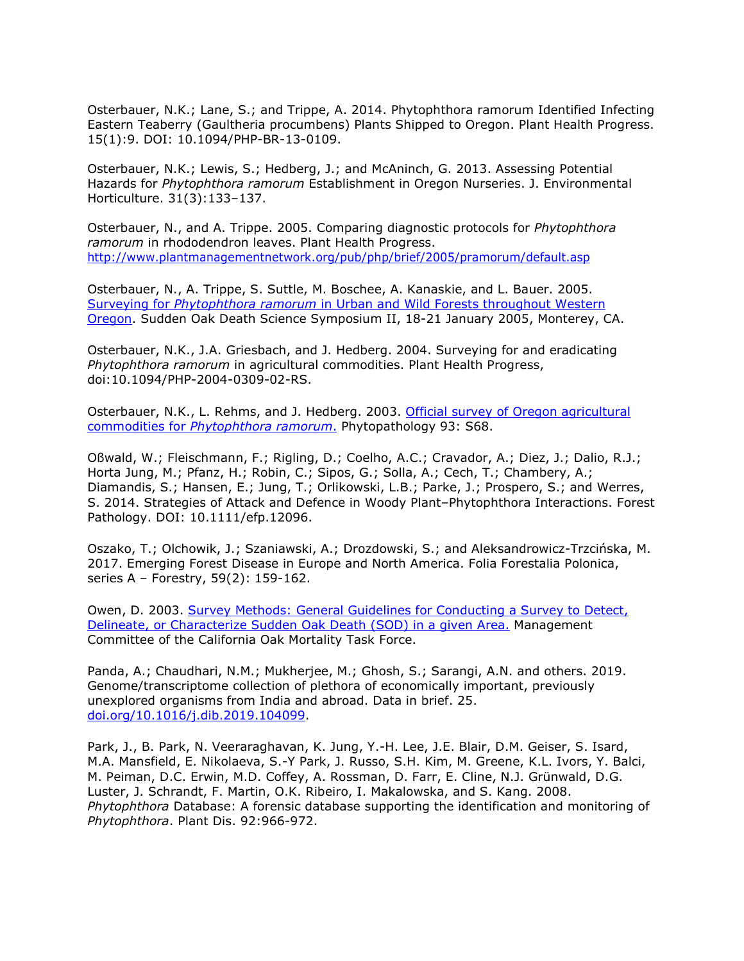Osterbauer, N.K.; Lane, S.; and Trippe, A. 2014. Phytophthora ramorum Identified Infecting Eastern Teaberry (Gaultheria procumbens) Plants Shipped to Oregon. Plant Health Progress. 15(1):9. DOI: 10.1094/PHP-BR-13-0109.

Osterbauer, N.K.; Lewis, S.; Hedberg, J.; and McAninch, G. 2013. Assessing Potential Hazards for *Phytophthora ramorum* Establishment in Oregon Nurseries. J. Environmental Horticulture. 31(3):133–137.

Osterbauer, N., and A. Trippe. 2005. Comparing diagnostic protocols for *Phytophthora ramorum* in rhododendron leaves. Plant Health Progress. <http://www.plantmanagementnetwork.org/pub/php/brief/2005/pramorum/default.asp>

Osterbauer, N., A. Trippe, S. Suttle, M. Boschee, A. Kanaskie, and L. Bauer. 2005. Surveying for *Phytophthora ramorum* [in Urban and Wild Forests throughout Western](http://nature.berkeley.edu/comtf/pdf/Bibliography/OsterbauerAbstract.pdf) [Oregon.](http://nature.berkeley.edu/comtf/pdf/Bibliography/OsterbauerAbstract.pdf) Sudden Oak Death Science Symposium II, 18-21 January 2005, Monterey, CA.

Osterbauer, N.K., J.A. Griesbach, and J. Hedberg. 2004. Surveying for and eradicating *Phytophthora ramorum* in agricultural commodities. Plant Health Progress, doi:10.1094/PHP-2004-0309-02-RS.

Osterbauer, N.K., L. Rehms, and J. Hedberg. 2003. [Official survey of Oregon agricultural](http://nature.berkeley.edu/comtf/html/aps_resources.html#03aps03) commodities for *[Phytophthora ramorum](http://nature.berkeley.edu/comtf/html/aps_resources.html#03aps03)*. Phytopathology 93: S68.

Oßwald, W.; Fleischmann, F.; Rigling, D.; Coelho, A.C.; Cravador, A.; Diez, J.; Dalio, R.J.; Horta Jung, M.; Pfanz, H.; Robin, C.; Sipos, G.; Solla, A.; Cech, T.; Chambery, A.; Diamandis, S.; Hansen, E.; Jung, T.; Orlikowski, L.B.; Parke, J.; Prospero, S.; and Werres, S. 2014. Strategies of Attack and Defence in Woody Plant–Phytophthora Interactions. Forest Pathology. DOI: 10.1111/efp.12096.

Oszako, T.; Olchowik, J.; Szaniawski, A.; Drozdowski, S.; and Aleksandrowicz-Trzcińska, M. 2017. Emerging Forest Disease in Europe and North America. Folia Forestalia Polonica, series A – Forestry, 59(2): 159-162.

Owen, D. 2003. [Survey Methods: General Guidelines for Conducting a Survey to Detect,](http://nature.berkeley.edu/comtf/pdf/Survey%20Methods.pdf) [Delineate, or Characterize Sudden Oak Death \(SOD\) in a given Area.](http://nature.berkeley.edu/comtf/pdf/Survey%20Methods.pdf) Management Committee of the California Oak Mortality Task Force.

Panda, A.; Chaudhari, N.M.; Mukherjee, M.; Ghosh, S.; Sarangi, A.N. and others. 2019. Genome/transcriptome collection of plethora of economically important, previously unexplored organisms from India and abroad. Data in brief. 25. [doi.org/10.1016/j.dib.2019.104099.](https://doi.org/10.1016/j.dib.2019.104099)

Park, J., B. Park, N. Veeraraghavan, K. Jung, Y.-H. Lee, J.E. Blair, D.M. Geiser, S. Isard, M.A. Mansfield, E. Nikolaeva, S.-Y Park, J. Russo, S.H. Kim, M. Greene, K.L. Ivors, Y. Balci, M. Peiman, D.C. Erwin, M.D. Coffey, A. Rossman, D. Farr, E. Cline, N.J. Grünwald, D.G. Luster, J. Schrandt, F. Martin, O.K. Ribeiro, I. Makalowska, and S. Kang. 2008. *Phytophthora* Database: A forensic database supporting the identification and monitoring of *Phytophthora*. Plant Dis. 92:966-972.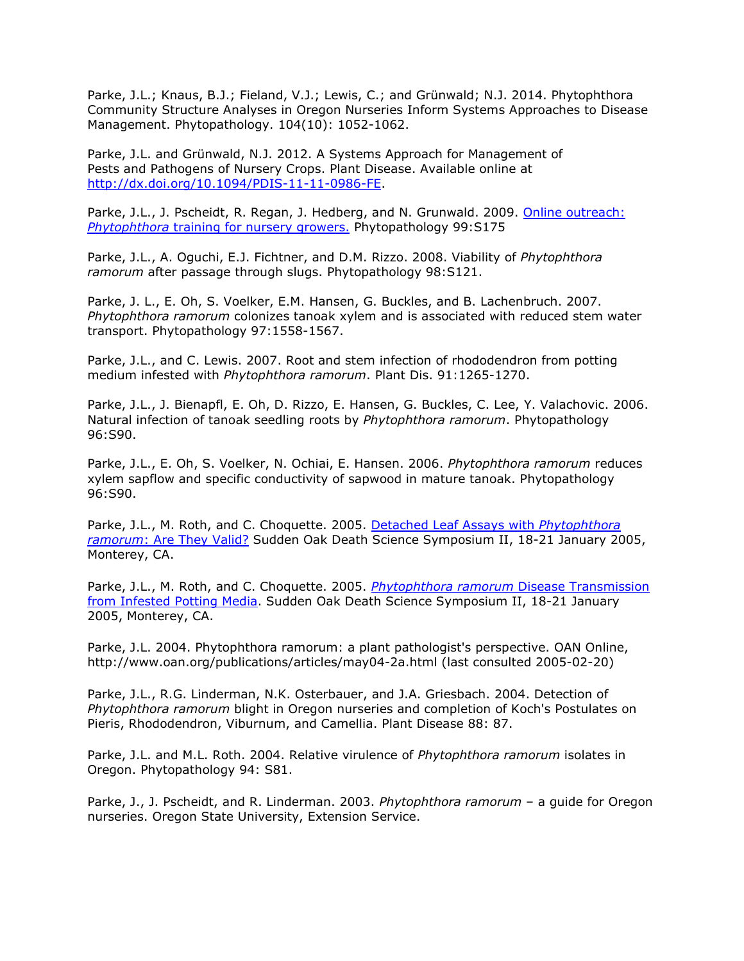Parke, J.L.; Knaus, B.J.; Fieland, V.J.; Lewis, C.; and Grünwald; N.J. 2014. Phytophthora Community Structure Analyses in Oregon Nurseries Inform Systems Approaches to Disease Management. Phytopathology. 104(10): 1052-1062.

Parke, J.L. and Grünwald, N.J. 2012. A Systems Approach for Management of Pests and Pathogens of Nursery Crops. Plant Disease. Available online at [http://dx.doi.org/10.1094/PDIS-11-11-0986-FE.](http://dx.doi.org/10.1094/PDIS-11-11-0986-FE)

Parke, J.L., J. Pscheidt, R. Regan, J. Hedberg, and N. Grunwald. 2009. [Online outreach:](http://nature.berkeley.edu/comtf/pdf/Parke_2009.pdf) *Phytophthora* [training for nursery growers.](http://nature.berkeley.edu/comtf/pdf/Parke_2009.pdf) Phytopathology 99:S175

Parke, J.L., A. Oguchi, E.J. Fichtner, and D.M. Rizzo. 2008. Viability of *Phytophthora ramorum* after passage through slugs. Phytopathology 98:S121.

Parke, J. L., E. Oh, S. Voelker, E.M. Hansen, G. Buckles, and B. Lachenbruch. 2007. *Phytophthora ramorum* colonizes tanoak xylem and is associated with reduced stem water transport. Phytopathology 97:1558-1567.

Parke, J.L., and C. Lewis. 2007. Root and stem infection of rhododendron from potting medium infested with *Phytophthora ramorum*. Plant Dis. 91:1265-1270.

Parke, J.L., J. Bienapfl, E. Oh, D. Rizzo, E. Hansen, G. Buckles, C. Lee, Y. Valachovic. 2006. Natural infection of tanoak seedling roots by *Phytophthora ramorum*. Phytopathology 96:S90.

Parke, J.L., E. Oh, S. Voelker, N. Ochiai, E. Hansen. 2006. *Phytophthora ramorum* reduces xylem sapflow and specific conductivity of sapwood in mature tanoak. Phytopathology 96:S90.

Parke, J.L., M. Roth, and C. Choquette. 2005. [Detached Leaf Assays with](http://nature.berkeley.edu/comtf/pdf/Bibliography/29PosterParke.pdf) *Phytophthora ramorum*[: Are They Valid?](http://nature.berkeley.edu/comtf/pdf/Bibliography/29PosterParke.pdf) Sudden Oak Death Science Symposium II, 18-21 January 2005, Monterey, CA.

Parke, J.L., M. Roth, and C. Choquette. 2005. *[Phytophthora ramorum](http://nature.berkeley.edu/comtf/pdf/Bibliography/54Parke.pdf)* Disease Transmission [from Infested Potting Media.](http://nature.berkeley.edu/comtf/pdf/Bibliography/54Parke.pdf) Sudden Oak Death Science Symposium II, 18-21 January 2005, Monterey, CA.

Parke, J.L. 2004. Phytophthora ramorum: a plant pathologist's perspective. OAN Online[,](http://www.oan.org/publications/articles/may04-2a.html) [http://www.oan.org/publications/articles/may04-2a.html \(](http://www.oan.org/publications/articles/may04-2a.html)last consulted 2005-02-20)

Parke, J.L., R.G. Linderman, N.K. Osterbauer, and J.A. Griesbach. 2004. Detection of *Phytophthora ramorum* blight in Oregon nurseries and completion of Koch's Postulates on Pieris, Rhododendron, Viburnum, and Camellia. Plant Disease 88: 87.

Parke, J.L. and M.L. Roth. 2004. Relative virulence of *Phytophthora ramorum* isolates in Oregon. Phytopathology 94: S81.

Parke, J., J. Pscheidt, and R. Linderman. 2003. *Phytophthora ramorum* – a guide for Oregon nurseries. Oregon State University, Extension Service.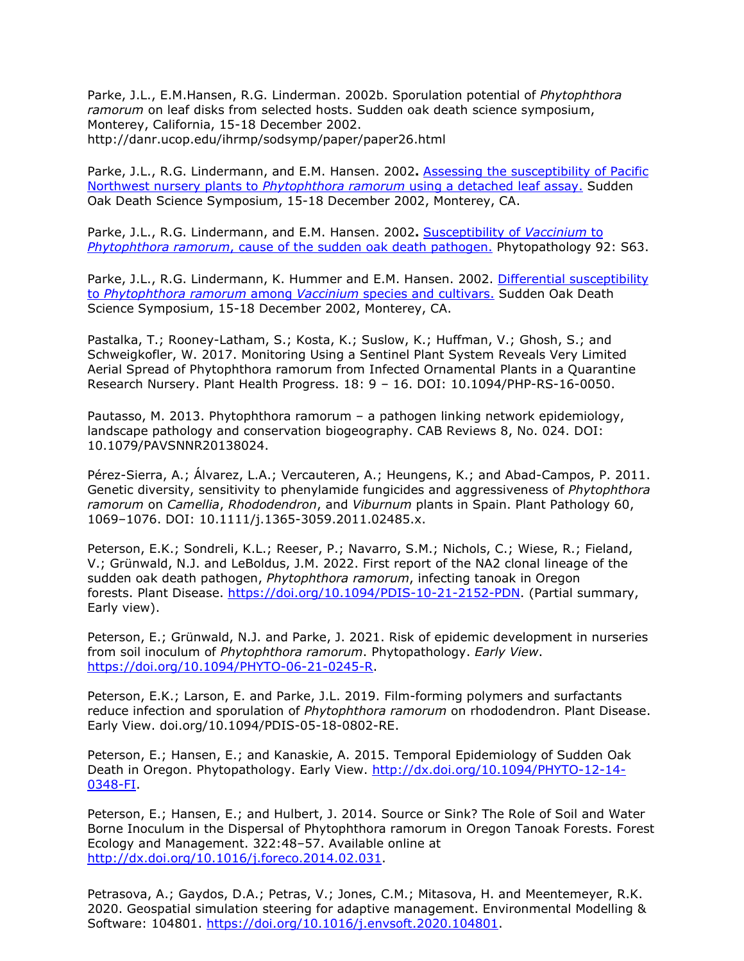Parke, J.L., E.M.Hansen, R.G. Linderman. 2002b. Sporulation potential of *Phytophthora ramorum* on leaf disks from selected hosts. [Sudden oak death science symposium,](http://danr.ucop.edu/ihrmp/sodsymp/paper/paper26.html)  Monterey, California, 15-18 December 2002. <http://danr.ucop.edu/ihrmp/sodsymp/paper/paper26.html>

Parke, J.L., R.G. Lindermann, and E.M. Hansen. 2002**.** [Assessing the susceptibility of Pacific](http://danr.ucop.edu/ihrmp/sodsymp/poster/poster53.html) [Northwest nursery plants to](http://danr.ucop.edu/ihrmp/sodsymp/poster/poster53.html) *Phytophthora ramorum* using a detached leaf assay. Sudden Oak Death Science Symposium, 15-18 December 2002, Monterey, CA.

Parke, J.L., R.G. Lindermann, and E.M. Hansen. 2002**.** [Susceptibility of](http://apsnet.org/meetings/2002/abstracts/a02ma456.htm) *Vaccinium* to *Phytophthora ramorum*[, cause of the sudden oak death pathogen.](http://apsnet.org/meetings/2002/abstracts/a02ma456.htm) Phytopathology 92: S63.

Parke, J.L., R.G. Lindermann, K. Hummer and E.M. Hansen. 2002. [Differential susceptibility](http://danr.ucop.edu/ihrmp/sodsymp/poster/poster21.html) to *[Phytophthora ramorum](http://danr.ucop.edu/ihrmp/sodsymp/poster/poster21.html)* among *Vaccinium* species and cultivars. Sudden Oak Death Science Symposium, 15-18 December 2002, Monterey, CA.

Pastalka, T.; Rooney-Latham, S.; Kosta, K.; Suslow, K.; Huffman, V.; Ghosh, S.; and Schweigkofler, W. 2017. Monitoring Using a Sentinel Plant System Reveals Very Limited Aerial Spread of Phytophthora ramorum from Infected Ornamental Plants in a Quarantine Research Nursery. Plant Health Progress. 18: 9 – 16. DOI: 10.1094/PHP-RS-16-0050.

Pautasso, M. 2013. Phytophthora ramorum – a pathogen linking network epidemiology, landscape pathology and conservation biogeography. CAB Reviews 8, No. 024. DOI: 10.1079/PAVSNNR20138024.

Pérez-Sierra, A.; Álvarez, L.A.; Vercauteren, A.; Heungens, K.; and Abad-Campos, P. 2011. Genetic diversity, sensitivity to phenylamide fungicides and aggressiveness of *Phytophthora ramorum* on *Camellia*, *Rhododendron*, and *Viburnum* plants in Spain. Plant Pathology 60, 1069–1076. DOI: 10.1111/j.1365-3059.2011.02485.x.

Peterson, E.K.; Sondreli, K.L.; Reeser, P.; Navarro, S.M.; Nichols, C.; Wiese, R.; Fieland, V.; Grünwald, N.J. and LeBoldus, J.M. 2022. First report of the NA2 clonal lineage of the sudden oak death pathogen, *Phytophthora ramorum*, infecting tanoak in Oregon forests. Plant Disease. [https://doi.org/10.1094/PDIS-10-21-2152-PDN.](https://doi.org/10.1094/PDIS-10-21-2152-PDN) (Partial summary, Early view).

Peterson, E.; Grünwald, N.J. and Parke, J. 2021. Risk of epidemic development in nurseries from soil inoculum of *Phytophthora ramorum*. Phytopathology. *Early View*. [https://doi.org/10.1094/PHYTO-06-21-0245-R.](https://doi.org/10.1094/PHYTO-06-21-0245-R)

Peterson, E.K.; Larson, E. and Parke, J.L. 2019. Film-forming polymers and surfactants reduce infection and sporulation of *Phytophthora ramorum* on rhododendron. Plant Disease. Early View. doi.org/10.1094/PDIS-05-18-0802-RE.

Peterson, E.; Hansen, E.; and Kanaskie, A. 2015. Temporal Epidemiology of Sudden Oak Death in Oregon. Phytopathology. Early View. [http://dx.doi.org/10.1094/PHYTO-12-14-](http://dx.doi.org/10.1094/PHYTO-12-14-0348-FI) [0348-FI.](http://dx.doi.org/10.1094/PHYTO-12-14-0348-FI)

Peterson, E.; Hansen, E.; and Hulbert, J. 2014. Source or Sink? The Role of Soil and Water Borne Inoculum in the Dispersal of Phytophthora ramorum in Oregon Tanoak Forests. Forest Ecology and Management. 322:48–57. Available online at [http://dx.doi.org/10.1016/j.foreco.2014.02.031.](http://dx.doi.org/10.1016/j.foreco.2014.02.031)

Petrasova, A.; Gaydos, D.A.; Petras, V.; Jones, C.M.; Mitasova, H. and Meentemeyer, R.K. 2020. Geospatial simulation steering for adaptive management. Environmental Modelling & Software: 104801. [https://doi.org/10.1016/j.envsoft.2020.104801.](https://doi.org/10.1016/j.envsoft.2020.104801)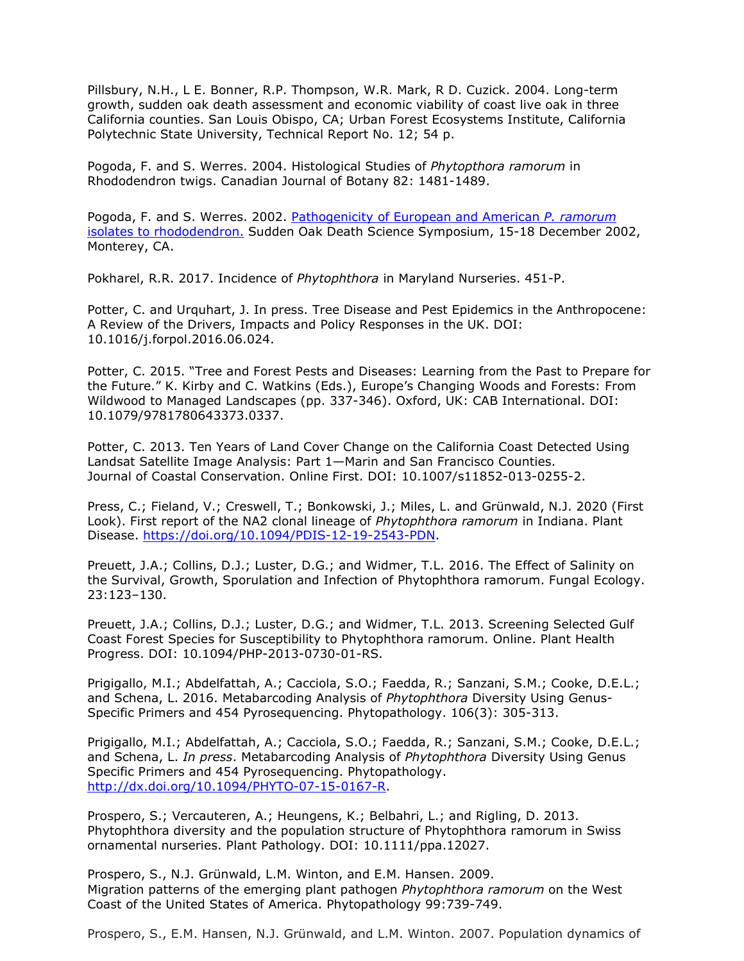Pillsbury, N.H., L E. Bonner, R.P. Thompson, W.R. Mark, R D. Cuzick. 2004. Long-term growth, sudden oak death assessment and economic viability of coast live oak in three California counties. San Louis Obispo, CA; Urban Forest Ecosystems Institute, California Polytechnic State University, Technical Report No. 12; 54 p.

Pogoda, F. and S. Werres. 2004. Histological Studies of *Phytopthora ramorum* in Rhododendron twigs. Canadian Journal of Botany 82: 1481-1489.

Pogoda, F. and S. Werres. 2002. [Pathogenicity of European and American](http://danr.ucop.edu/ihrmp/sodsymp/poster/poster26.html) *P. ramorum* [isolates to rhododendron.](http://danr.ucop.edu/ihrmp/sodsymp/poster/poster26.html) Sudden Oak Death Science Symposium, 15-18 December 2002, Monterey, CA.

Pokharel, R.R. 2017. Incidence of *Phytophthora* in Maryland Nurseries. 451-P.

Potter, C. and Urquhart, J. In press. Tree Disease and Pest Epidemics in the Anthropocene: A Review of the Drivers, Impacts and Policy Responses in the UK. DOI: 10.1016/j.forpol.2016.06.024.

Potter, C. 2015. "Tree and Forest Pests and Diseases: Learning from the Past to Prepare for the Future." K. Kirby and C. Watkins (Eds.), Europe's Changing Woods and Forests: From Wildwood to Managed Landscapes (pp. 337-346). Oxford, UK: CAB International. DOI: 10.1079/9781780643373.0337.

Potter, C. 2013. Ten Years of Land Cover Change on the California Coast Detected Using Landsat Satellite Image Analysis: Part 1—Marin and San Francisco Counties. Journal of Coastal Conservation. Online First. DOI: 10.1007/s11852-013-0255-2.

Press, C.; Fieland, V.; Creswell, T.; Bonkowski, J.; Miles, L. and Grünwald, N.J. 2020 (First Look). First report of the NA2 clonal lineage of *Phytophthora ramorum* in Indiana. Plant Disease. [https://doi.org/10.1094/PDIS-12-19-2543-PDN.](https://doi.org/10.1094/PDIS-12-19-2543-PDN)

Preuett, J.A.; Collins, D.J.; Luster, D.G.; and Widmer, T.L. 2016. The Effect of Salinity on the Survival, Growth, Sporulation and Infection of Phytophthora ramorum. Fungal Ecology. 23:123–130.

Preuett, J.A.; Collins, D.J.; Luster, D.G.; and Widmer, T.L. 2013. Screening Selected Gulf Coast Forest Species for Susceptibility to Phytophthora ramorum. Online. Plant Health Progress. DOI: 10.1094/PHP-2013-0730-01-RS.

Prigigallo, M.I.; Abdelfattah, A.; Cacciola, S.O.; Faedda, R.; Sanzani, S.M.; Cooke, D.E.L.; and Schena, L. 2016. Metabarcoding Analysis of *Phytophthora* Diversity Using Genus-Specific Primers and 454 Pyrosequencing. Phytopathology. 106(3): 305-313.

Prigigallo, M.I.; Abdelfattah, A.; Cacciola, S.O.; Faedda, R.; Sanzani, S.M.; Cooke, D.E.L.; and Schena, L. *In press*. Metabarcoding Analysis of *Phytophthora* Diversity Using Genus Specific Primers and 454 Pyrosequencing. Phytopathology. [http://dx.doi.org/10.1094/PHYTO-07-15-0167-R.](http://dx.doi.org/10.1094/PHYTO-07-15-0167-R)

Prospero, S.; Vercauteren, A.; Heungens, K.; Belbahri, L.; and Rigling, D. 2013. Phytophthora diversity and the population structure of Phytophthora ramorum in Swiss ornamental nurseries. Plant Pathology. DOI: 10.1111/ppa.12027.

Prospero, S., N.J. Grünwald, L.M. Winton, and E.M. Hansen. 2009. Migration patterns of the emerging plant pathogen *Phytophthora ramorum* on the West Coast of the United States of America. Phytopathology 99:739-749.

Prospero, S., E.M. Hansen, N.J. Grünwald, and L.M. Winton. 2007. Population dynamics of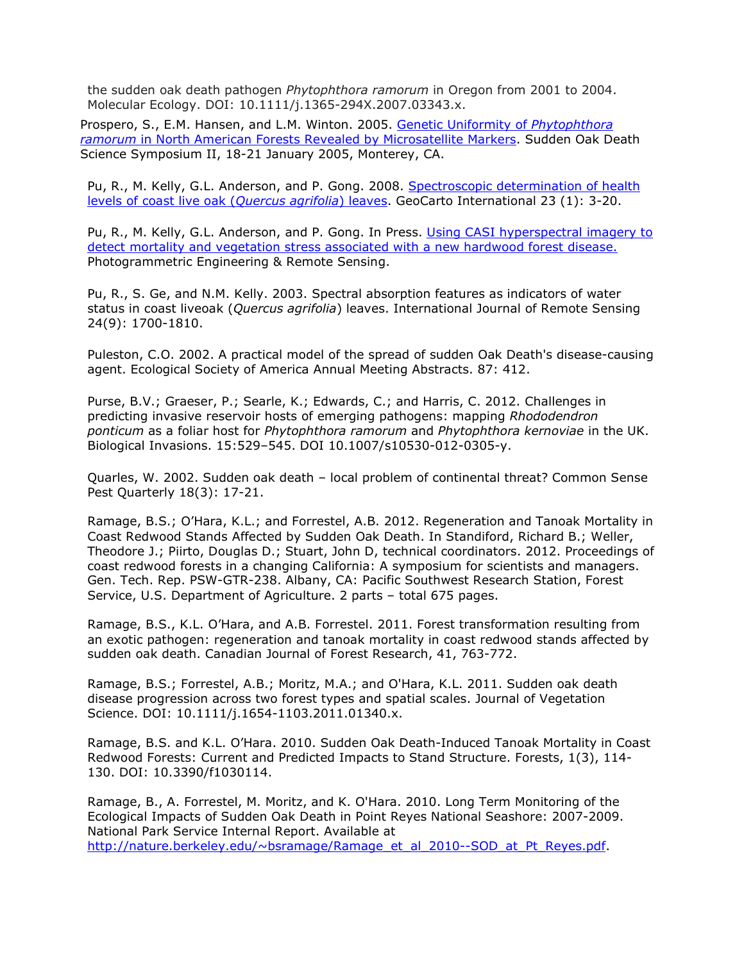the sudden oak death pathogen *Phytophthora ramorum* in Oregon from 2001 to 2004. Molecular Ecology. DOI: 10.1111/j.1365-294X.2007.03343.x.

Prospero, S., E.M. Hansen, and L.M. Winton. 2005. [Genetic Uniformity of](http://nature.berkeley.edu/comtf/pdf/Bibliography/30PosterProspero.pdf) *Phytophthora ramorum* [in North American Forests Revealed by Microsatellite Markers. Sudden Oak Death](http://nature.berkeley.edu/comtf/pdf/Bibliography/30PosterProspero.pdf) Science Symposium II, 18-21 January 2005, Monterey, CA.

Pu, R., M. Kelly, G.L. Anderson, and P. Gong. 2008. [Spectroscopic determination of health](http://nature.berkeley.edu/comtf/pdf/PuAbstract1.pdf) [levels of coast live oak \(](http://nature.berkeley.edu/comtf/pdf/PuAbstract1.pdf)*Quercus agrifolia*) leaves. GeoCarto International 23 (1): 3-20.

Pu, R., M. Kelly, G.L. Anderson, and P. Gong. In Press. [Using CASI hyperspectral imagery to](http://nature.berkeley.edu/comtf/pdf/PuAbstract2.pdf) [detect mortality and vegetation stress associated with a new hardwood forest disease.](http://nature.berkeley.edu/comtf/pdf/PuAbstract2.pdf) Photogrammetric Engineering & Remote Sensing.

Pu, R., S. Ge, and N.M. Kelly. 2003. Spectral absorption features as indicators of water status in coast liveoak (*Quercus agrifolia*) leaves. International Journal of Remote Sensing 24(9): 1700-1810.

Puleston, C.O. 2002. A practical model of the spread of sudden Oak Death's disease-causing agent. Ecological Society of America Annual Meeting Abstracts. 87: 412.

Purse, B.V.; Graeser, P.; Searle, K.; Edwards, C.; and Harris, C. 2012. Challenges in predicting invasive reservoir hosts of emerging pathogens: mapping *Rhododendron ponticum* as a foliar host for *Phytophthora ramorum* and *Phytophthora kernoviae* in the UK. Biological Invasions. 15:529–545. DOI 10.1007/s10530-012-0305-y.

Quarles, W. 2002. Sudden oak death – local problem of continental threat? Common Sense Pest Quarterly 18(3): 17-21.

Ramage, B.S.; O'Hara, K.L.; and Forrestel, A.B. 2012. Regeneration and Tanoak Mortality in Coast Redwood Stands Affected by Sudden Oak Death. In Standiford, Richard B.; Weller, Theodore J.; Piirto, Douglas D.; Stuart, John D, technical coordinators. 2012. Proceedings of coast redwood forests in a changing California: A symposium for scientists and managers. Gen. Tech. Rep. PSW-GTR-238. Albany, CA: Pacific Southwest Research Station, Forest Service, U.S. Department of Agriculture. 2 parts – total 675 pages.

Ramage, B.S., K.L. O'Hara, and A.B. Forrestel. 2011. Forest transformation resulting from an exotic pathogen: regeneration and tanoak mortality in coast redwood stands affected by sudden oak death. Canadian Journal of Forest Research, 41, 763-772.

Ramage, B.S.; Forrestel, A.B.; Moritz, M.A.; and O'Hara, K.L. 2011. Sudden oak death disease progression across two forest types and spatial scales. Journal of Vegetation Science. DOI: 10.1111/j.1654-1103.2011.01340.x.

Ramage, B.S. and K.L. O'Hara. 2010. Sudden Oak Death-Induced Tanoak Mortality in Coast Redwood Forests: Current and Predicted Impacts to Stand Structure. Forests, 1(3), 114- 130. DOI: [10.3390/f1030114.](http://dx.doi.org/10.3390/f1030114)

Ramage, B., A. Forrestel, M. Moritz, and K. O'Hara. 2010. Long Term Monitoring of the Ecological Impacts of Sudden Oak Death in Point Reyes National Seashore: 2007-2009. National Park Service Internal Report. Available at [http://nature.berkeley.edu/~bsramage/Ramage\\_et\\_al\\_2010--SOD\\_at\\_Pt\\_Reyes.pdf.](http://nature.berkeley.edu/%7Ebsramage/Ramage_et_al_2010--SOD_at_Pt_Reyes.pdf)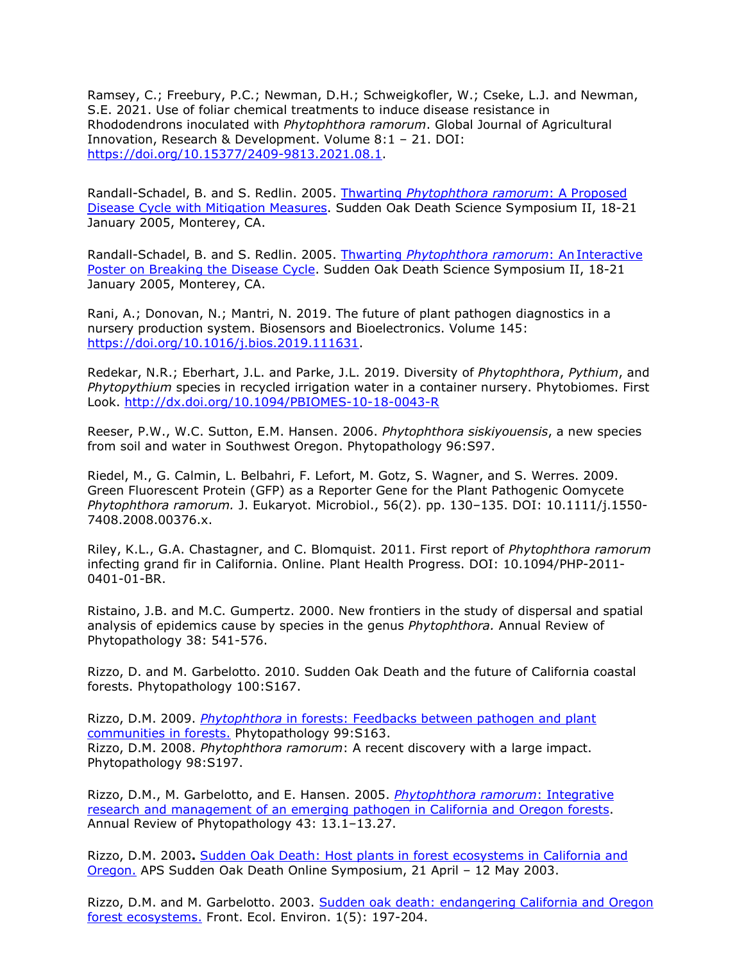Ramsey, C.; Freebury, P.C.; Newman, D.H.; Schweigkofler, W.; Cseke, L.J. and Newman, S.E. 2021. Use of foliar chemical treatments to induce disease resistance in Rhododendrons inoculated with *Phytophthora ramorum*. Global Journal of Agricultural Innovation, Research & Development. Volume 8:1 – 21. DOI: [https://doi.org/10.15377/2409-9813.2021.08.1.](https://doi.org/10.15377/2409-9813.2021.08.1)

Randall-Schadel, B. and S. Redlin. 2005. Thwarting *[Phytophthora ramorum](http://nature.berkeley.edu/comtf/pdf/Bibliography/50Randall-Schadel.pdf)*: A Proposed [Disease Cycle with Mitigation Measures. Sudden Oak Death Science Symposium II, 18-21](http://nature.berkeley.edu/comtf/pdf/Bibliography/50Randall-Schadel.pdf) January 2005, Monterey, CA.

Randall-Schadel, B. and S. Redlin. 2005. Thwarting *[Phytophthora ramorum](http://nature.berkeley.edu/comtf/pdf/Bibliography/41PosterRandall-Schadel.pdf)*: An Interactive [Poster on Breaking the Disease Cycle.](http://nature.berkeley.edu/comtf/pdf/Bibliography/41PosterRandall-Schadel.pdf) Sudden Oak Death Science Symposium II, 18-21 January 2005, Monterey, CA.

Rani, A.; Donovan, N.; Mantri, N. 2019. The future of plant pathogen diagnostics in a nursery production system. Biosensors and Bioelectronics. Volume 145: [https://doi.org/10.1016/j.bios.2019.111631.](https://doi.org/10.1016/j.bios.2019.111631)

Redekar, N.R.; Eberhart, J.L. and Parke, J.L. 2019. Diversity of *Phytophthora*, *Pythium*, and *Phytopythium* species in recycled irrigation water in a container nursery. Phytobiomes. First Look.<http://dx.doi.org/10.1094/PBIOMES-10-18-0043-R>

Reeser, P.W., W.C. Sutton, E.M. Hansen. 2006. *Phytophthora siskiyouensis*, a new species from soil and water in Southwest Oregon. Phytopathology 96:S97.

Riedel, M., G. Calmin, L. Belbahri, F. Lefort, M. Gotz, S. Wagner, and S. Werres. 2009. Green Fluorescent Protein (GFP) as a Reporter Gene for the Plant Pathogenic Oomycete *Phytophthora ramorum.* J. Eukaryot. Microbiol., 56(2). pp. 130–135. DOI: 10.1111/j.1550- 7408.2008.00376.x.

Riley, K.L., G.A. Chastagner, and C. Blomquist. 2011. First report of *Phytophthora ramorum*  infecting grand fir in California. Online. Plant Health Progress. DOI: 10.1094/PHP-2011- 0401-01-BR.

Ristaino, J.B. and M.C. Gumpertz. 2000. New frontiers in the study of dispersal and spatial analysis of epidemics cause by species in the genus *Phytophthora.* Annual Review of Phytopathology 38: 541-576.

Rizzo, D. and M. Garbelotto. 2010. Sudden Oak Death and the future of California coastal forests. Phytopathology 100:S167.

Rizzo, D.M. 2009. *Phytophthora* [in forests: Feedbacks between pathogen and plant](http://nature.berkeley.edu/comtf/pdf/Rizzo_2009.pdf) [communities in forests.](http://nature.berkeley.edu/comtf/pdf/Rizzo_2009.pdf) Phytopathology 99:S163. Rizzo, D.M. 2008. *Phytophthora ramorum*: A recent discovery with a large impact. Phytopathology 98:S197.

Rizzo, D.M., M. Garbelotto, and E. Hansen. 2005. *[Phytophthora ramorum](http://nature.berkeley.edu/comtf/pdf/Bibliography/AR250-PY43-13_001-027_.pdf)*: Integrative [research and management of an emerging pathogen in California and Oregon forests.](http://nature.berkeley.edu/comtf/pdf/Bibliography/AR250-PY43-13_001-027_.pdf) Annual Review of Phytopathology 43: 13.1–13.27.

Rizzo, D.M. 2003**.** [Sudden Oak Death: Host plants in forest ecosystems in California and](http://nature.berkeley.edu/comtf/pdf/Bibliography/rizzo2003b.pdf) [Oregon.](http://nature.berkeley.edu/comtf/pdf/Bibliography/rizzo2003b.pdf) APS Sudden Oak Death Online Symposium, 21 April – 12 May 2003.

Rizzo, D.M. and M. Garbelotto. 2003. [Sudden oak death: endangering California and Oregon](http://nature.berkeley.edu/comtf/pdf/Bibliography/rizzo2003a.pdf) [forest ecosystems.](http://nature.berkeley.edu/comtf/pdf/Bibliography/rizzo2003a.pdf) Front. Ecol. Environ. 1(5): 197-204.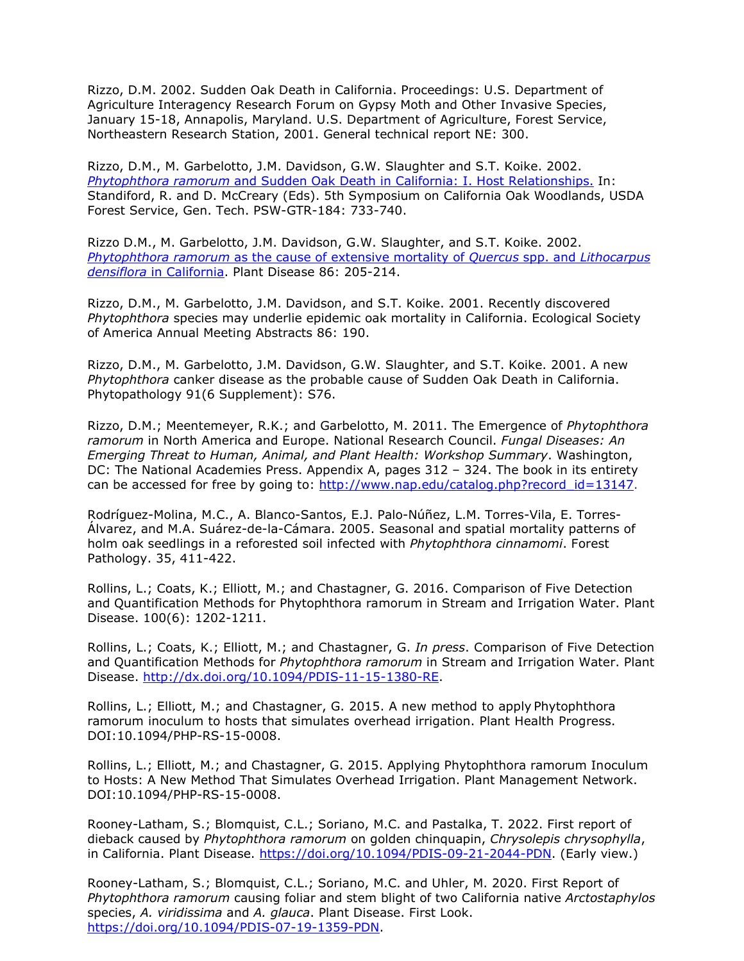Rizzo, D.M. 2002. Sudden Oak Death in California. Proceedings: U.S. Department of Agriculture Interagency Research Forum on Gypsy Moth and Other Invasive Species, January 15-18, Annapolis, Maryland. U.S. Department of Agriculture, Forest Service, Northeastern Research Station, 2001. General technical report NE: 300.

Rizzo, D.M., M. Garbelotto, J.M. Davidson, G.W. Slaughter and S.T. Koike. 2002. *Phytophthora ramorum* [and Sudden Oak Death in California: I. Host Relationships.](http://nature.berkeley.edu/comtf/pdf/Bibliography/rizzo2002b.pdf) In: Standiford, R. and D. McCreary (Eds). 5th Symposium on California Oak Woodlands, USDA Forest Service, Gen. Tech. PSW-GTR-184: 733-740.

Rizzo D.M., M. Garbelotto, J.M. Davidson, G.W. Slaughter, and S.T. Koike. 2002. *Phytophthora ramorum* [as the cause of extensive mortality of](http://nature.berkeley.edu/comtf/pdf/Bibliography/rizzo2002a.pdf) *Quercus* spp. and *Lithocarpus densiflora* [in California.](http://nature.berkeley.edu/comtf/pdf/Bibliography/rizzo2002a.pdf) Plant Disease 86: 205-214.

Rizzo, D.M., M. Garbelotto, J.M. Davidson, and S.T. Koike. 2001. Recently discovered *Phytophthora* species may underlie epidemic oak mortality in California. Ecological Society of America Annual Meeting Abstracts 86: 190.

Rizzo, D.M., M. Garbelotto, J.M. Davidson, G.W. Slaughter, and S.T. Koike. 2001. A new *Phytophthora* canker disease as the probable cause of Sudden Oak Death in California. Phytopathology 91(6 Supplement): S76.

Rizzo, D.M.; Meentemeyer, R.K.; and Garbelotto, M. 2011. The Emergence of *Phytophthora ramorum* in North America and Europe. National Research Council. *Fungal Diseases: An Emerging Threat to Human, Animal, and Plant Health: Workshop Summary*. Washington, DC: The National Academies Press. Appendix A, pages 312 – 324. The book in its entirety can be accessed for free by going to:  $\frac{http://www.nap.edu/catalog.php?record_id=13147.}{}$ 

Rodríguez-Molina, M.C., A. Blanco-Santos, E.J. Palo-Núñez, L.M. Torres-Vila, E. Torres-Álvarez, and M.A. Suárez-de-la-Cámara. 2005. Seasonal and spatial mortality patterns of holm oak seedlings in a reforested soil infected with *Phytophthora cinnamomi*. Forest Pathology. 35, 411-422.

Rollins, L.; Coats, K.; Elliott, M.; and Chastagner, G. 2016. Comparison of Five Detection and Quantification Methods for Phytophthora ramorum in Stream and Irrigation Water. Plant Disease. 100(6): 1202-1211.

Rollins, L.; Coats, K.; Elliott, M.; and Chastagner, G. *In press*. Comparison of Five Detection and Quantification Methods for *Phytophthora ramorum* in Stream and Irrigation Water. Plant Disease. [http://dx.doi.org/10.1094/PDIS-11-15-1380-RE.](http://dx.doi.org/10.1094/PDIS-11-15-1380-RE)

Rollins, L.; Elliott, M.; and Chastagner, G. 2015. A new method to apply Phytophthora ramorum inoculum to hosts that simulates overhead irrigation. Plant Health Progress. DOI:10.1094/PHP-RS-15-0008.

Rollins, L.; Elliott, M.; and Chastagner, G. 2015. Applying Phytophthora ramorum Inoculum to Hosts: A New Method That Simulates Overhead Irrigation. Plant Management Network. DOI:10.1094/PHP-RS-15-0008.

Rooney-Latham, S.; Blomquist, C.L.; Soriano, M.C. and Pastalka, T. 2022. First report of dieback caused by *Phytophthora ramorum* on golden chinquapin, *Chrysolepis chrysophylla*, in California. Plant Disease. [https://doi.org/10.1094/PDIS-09-21-2044-PDN.](https://doi.org/10.1094/PDIS-09-21-2044-PDN) (Early view.)

Rooney-Latham, S.; Blomquist, C.L.; Soriano, M.C. and Uhler, M. 2020. First Report of *Phytophthora ramorum* causing foliar and stem blight of two California native *Arctostaphylos*  species, *A. viridissima* and *A. glauca*. Plant Disease. First Look. [https://doi.org/10.1094/PDIS-07-19-1359-PDN.](https://doi.org/10.1094/PDIS-07-19-1359-PDN)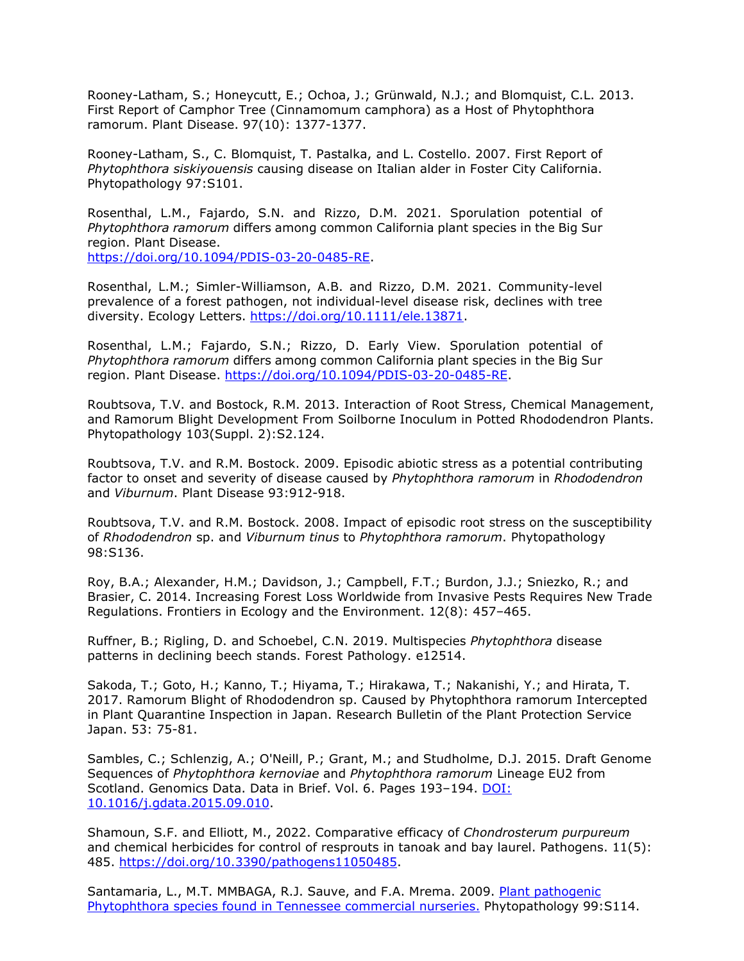Rooney-Latham, S.; Honeycutt, E.; Ochoa, J.; Grünwald, N.J.; and Blomquist, C.L. 2013. First Report of Camphor Tree (Cinnamomum camphora) as a Host of Phytophthora ramorum. Plant Disease. 97(10): 1377-1377.

Rooney-Latham, S., C. Blomquist, T. Pastalka, and L. Costello. 2007. First Report of *Phytophthora siskiyouensis* causing disease on Italian alder in Foster City California. Phytopathology 97:S101.

Rosenthal, L.M., Fajardo, S.N. and Rizzo, D.M. 2021. Sporulation potential of *Phytophthora ramorum* differs among common California plant species in the Big Sur region. Plant Disease. [https://doi.org/10.1094/PDIS-03-20-0485-RE.](https://doi.org/10.1094/PDIS-03-20-0485-RE)

Rosenthal, L.M.; Simler-Williamson, A.B. and Rizzo, D.M. 2021. Community-level prevalence of a forest pathogen, not individual-level disease risk, declines with tree diversity. Ecology Letters. [https://doi.org/10.1111/ele.13871.](https://doi.org/10.1111/ele.13871)

Rosenthal, L.M.; Fajardo, S.N.; Rizzo, D. Early View. Sporulation potential of *Phytophthora ramorum* differs among common California plant species in the Big Sur region. Plant Disease. [https://doi.org/10.1094/PDIS-03-20-0485-RE.](https://doi.org/10.1094/PDIS-03-20-0485-RE)

Roubtsova, T.V. and Bostock, R.M. 2013. Interaction of Root Stress, Chemical Management, and Ramorum Blight Development From Soilborne Inoculum in Potted Rhododendron Plants. Phytopathology 103(Suppl. 2):S2.124.

Roubtsova, T.V. and R.M. Bostock. 2009. Episodic abiotic stress as a potential contributing factor to onset and severity of disease caused by *Phytophthora ramorum* in *Rhododendron*  and *Viburnum*. Plant Disease 93:912-918.

Roubtsova, T.V. and R.M. Bostock. 2008. Impact of episodic root stress on the susceptibility of *Rhododendron* sp. and *Viburnum tinus* to *Phytophthora ramorum*. Phytopathology 98:S136.

Roy, B.A.; Alexander, H.M.; Davidson, J.; Campbell, F.T.; Burdon, J.J.; Sniezko, R.; and Brasier, C. 2014. Increasing Forest Loss Worldwide from Invasive Pests Requires New Trade Regulations. Frontiers in Ecology and the Environment. 12(8): 457–465.

Ruffner, B.; Rigling, D. and Schoebel, C.N. 2019. Multispecies *Phytophthora* disease patterns in declining beech stands. Forest Pathology. e12514.

Sakoda, T.; Goto, H.; Kanno, T.; Hiyama, T.; Hirakawa, T.; Nakanishi, Y.; and Hirata, T. 2017. Ramorum Blight of Rhododendron sp. Caused by Phytophthora ramorum Intercepted in Plant Quarantine Inspection in Japan. Research Bulletin of the Plant Protection Service Japan. 53: 75-81.

Sambles, C.; Schlenzig, A.; O'Neill, P.; Grant, M.; and Studholme, D.J. 2015. Draft Genome Sequences of *Phytophthora kernoviae* and *Phytophthora ramorum* Lineage EU2 from Scotland. Genomics Data. Data in Brief. Vol. 6. Pages 193–194. [DOI:](http://dx.doi.org/10.1016/j.gdata.2015.09.010) [10.1016/j.gdata.2015.09.010.](http://dx.doi.org/10.1016/j.gdata.2015.09.010)

Shamoun, S.F. and Elliott, M., 2022. Comparative efficacy of *Chondrosterum purpureum* and chemical herbicides for control of resprouts in tanoak and bay laurel. Pathogens. 11(5): 485. [https://doi.org/10.3390/pathogens11050485.](https://doi.org/10.3390/pathogens11050485)

Santamaria, L., M.T. MMBAGA, R.J. Sauve, and F.A. Mrema. 2009. [Plant pathogenic](http://nature.berkeley.edu/comtf/pdf/Santamaria_2009.pdf) [Phytophthora species found in Tennessee commercial nurseries.](http://nature.berkeley.edu/comtf/pdf/Santamaria_2009.pdf) Phytopathology 99:S114.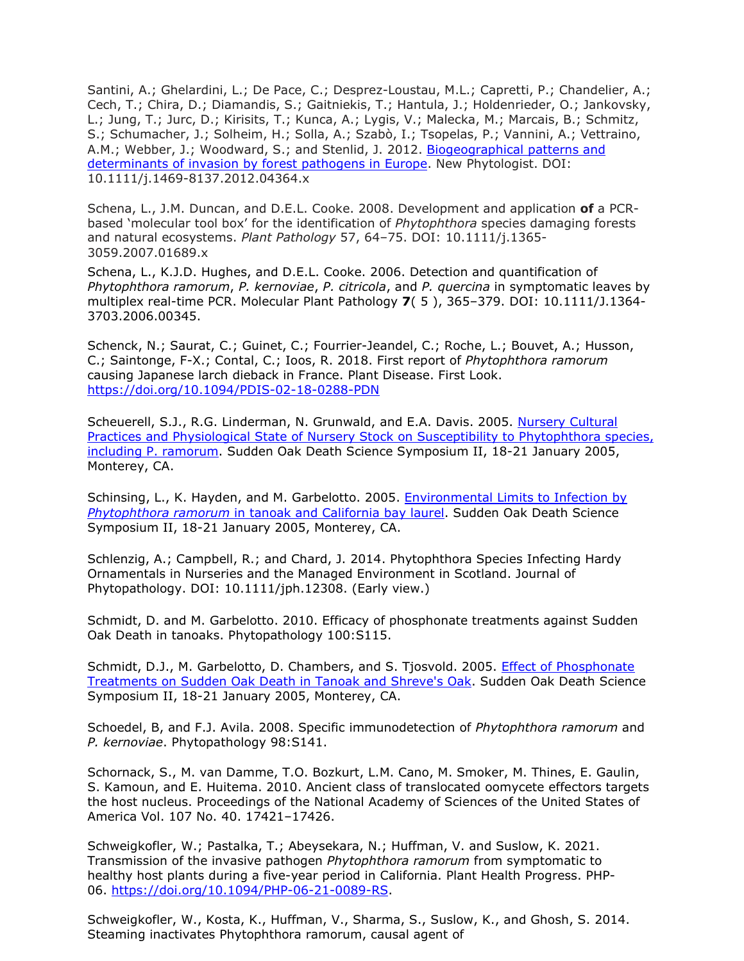Santini, A.; Ghelardini, L.; De Pace, C.; Desprez-Loustau, M.L.; Capretti, P.; Chandelier, A.; Cech, T.; Chira, D.; Diamandis, S.; Gaitniekis, T.; Hantula, J.; Holdenrieder, O.; Jankovsky, L.; Jung, T.; Jurc, D.; Kirisits, T.; Kunca, A.; Lygis, V.; Malecka, M.; Marcais, B.; Schmitz, S.; Schumacher, J.; Solheim, H.; Solla, A.; Szabò, I.; Tsopelas, P.; Vannini, A.; Vettraino, A.M.; Webber, J.; Woodward, S.; and Stenlid, J. 2012. [Biogeographical patterns and](http://onlinelibrary.wiley.com/doi/10.1111/j.1469-8137.2012.04364.x/abstract) [determinants of invasion by forest pathogens in Europe.](http://onlinelibrary.wiley.com/doi/10.1111/j.1469-8137.2012.04364.x/abstract) New Phytologist. DOI: 10.1111/j.1469-8137.2012.04364.x

Schena, L., J.M. Duncan, and D.E.L. Cooke. 2008. Development and application **of** a PCRbased 'molecular tool box' for the identification of *Phytophthora* species damaging forests and natural ecosystems. *Plant Pathology* 57, 64–75. DOI: 10.1111/j.1365- 3059.2007.01689.x

Schena, L., K.J.D. Hughes, and D.E.L. Cooke. 2006. Detection and quantification of *Phytophthora ramorum*, *P. kernoviae*, *P. citricola*, and *P. quercina* in symptomatic leaves by multiplex real-time PCR. Molecular Plant Pathology **7**( 5 ), 365–379. DOI: 10.1111/J.1364- 3703.2006.00345.

Schenck, N.; Saurat, C.; Guinet, C.; Fourrier-Jeandel, C.; Roche, L.; Bouvet, A.; Husson, C.; Saintonge, F-X.; Contal, C.; Ioos, R. 2018. First report of *Phytophthora ramorum*  causing Japanese larch dieback in France. Plant Disease. First Look. <https://doi.org/10.1094/PDIS-02-18-0288-PDN>

Scheuerell, S.J., R.G. Linderman, N. Grunwald, and E.A. Davis. 2005. [Nursery Cultural](http://nature.berkeley.edu/comtf/pdf/Bibliography/31PosterScheuerell.pdf) [Practices and Physiological State of Nursery Stock on Susceptibility to Phytophthora species,](http://nature.berkeley.edu/comtf/pdf/Bibliography/31PosterScheuerell.pdf) [including P. ramorum.](http://nature.berkeley.edu/comtf/pdf/Bibliography/31PosterScheuerell.pdf) Sudden Oak Death Science Symposium II, 18-21 January 2005, Monterey, CA.

Schinsing, L., K. Hayden, and M. Garbelotto. 2005. [Environmental Limits to Infection by](http://nature.berkeley.edu/comtf/pdf/Bibliography/32PosterSchinsing.pdf) *Phytophthora ramorum* [in tanoak and California bay laurel.](http://nature.berkeley.edu/comtf/pdf/Bibliography/32PosterSchinsing.pdf) Sudden Oak Death Science Symposium II, 18-21 January 2005, Monterey, CA.

Schlenzig, A.; Campbell, R.; and Chard, J. 2014. Phytophthora Species Infecting Hardy Ornamentals in Nurseries and the Managed Environment in Scotland. Journal of Phytopathology. DOI: 10.1111/jph.12308. (Early view.)

Schmidt, D. and M. Garbelotto. 2010. Efficacy of phosphonate treatments against Sudden Oak Death in tanoaks. Phytopathology 100:S115.

Schmidt, D.J., M. Garbelotto, D. Chambers, and S. Tjosvold. 2005. [Effect of Phosphonate](http://nature.berkeley.edu/comtf/pdf/Bibliography/38Schmidt.pdf) [Treatments on Sudden Oak Death in Tanoak and Shreve's Oak.](http://nature.berkeley.edu/comtf/pdf/Bibliography/38Schmidt.pdf) Sudden Oak Death Science Symposium II, 18-21 January 2005, Monterey, CA.

Schoedel, B, and F.J. Avila. 2008. Specific immunodetection of *Phytophthora ramorum* and *P. kernoviae*. Phytopathology 98:S141.

Schornack, S., M. van Damme, T.O. Bozkurt, L.M. Cano, M. Smoker, M. Thines, E. Gaulin, S. Kamoun, and E. Huitema. 2010. Ancient class of translocated oomycete effectors targets the host nucleus. Proceedings of the National Academy of Sciences of the United States of America Vol. 107 No. 40. 17421–17426.

Schweigkofler, W.; Pastalka, T.; Abeysekara, N.; Huffman, V. and Suslow, K. 2021. Transmission of the invasive pathogen *Phytophthora ramorum* from symptomatic to healthy host plants during a five-year period in California. Plant Health Progress. PHP-06. [https://doi.org/10.1094/PHP-06-21-0089-RS.](https://doi.org/10.1094/PHP-06-21-0089-RS)

Schweigkofler, W., Kosta, K., Huffman, V., Sharma, S., Suslow, K., and Ghosh, S. 2014. Steaming inactivates Phytophthora ramorum, causal agent of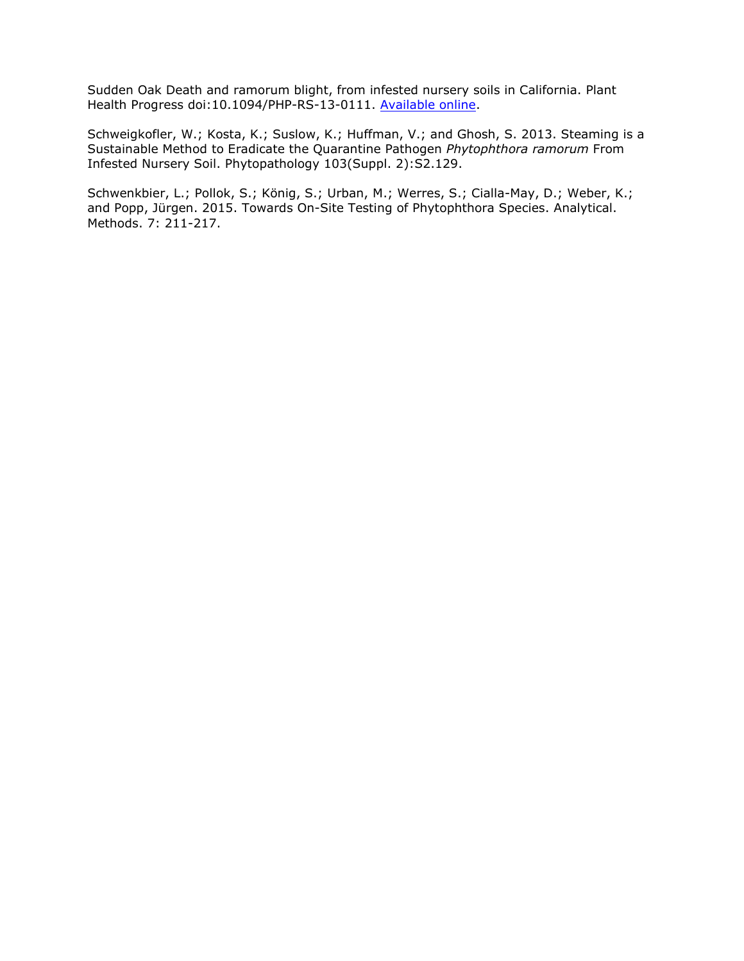Sudden Oak Death and ramorum blight, from infested nursery soils in California. Plant Health Progress doi:10.1094/PHP-RS-13-0111. [Available online.](http://www.suddenoakdeath.org/wp-content/uploads/2014/03/Schweigkofler-et-al-Steaming-2014.pdf)

Schweigkofler, W.; Kosta, K.; Suslow, K.; Huffman, V.; and Ghosh, S. 2013. Steaming is a Sustainable Method to Eradicate the Quarantine Pathogen *Phytophthora ramorum* From Infested Nursery Soil. Phytopathology 103(Suppl. 2):S2.129.

Schwenkbier, L.; Pollok, S.; König, S.; Urban, M.; Werres, S.; Cialla-May, D.; Weber, K.; and Popp, Jürgen. 2015. Towards On-Site Testing of Phytophthora Species. Analytical. Methods. 7: 211-217.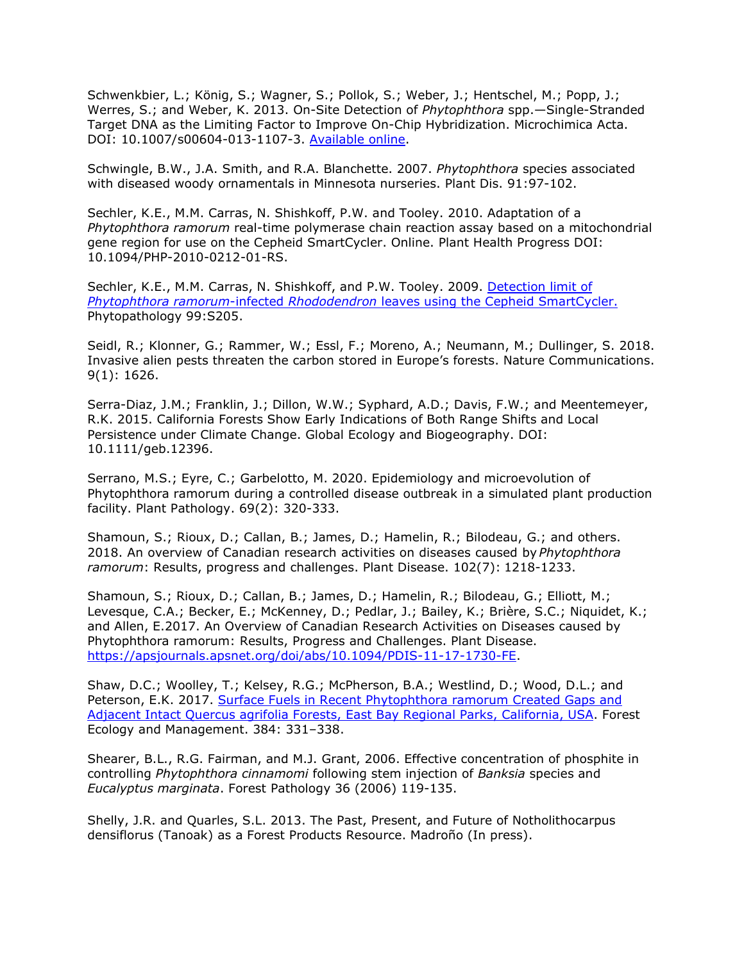Schwenkbier, L.; König, S.; Wagner, S.; Pollok, S.; Weber, J.; Hentschel, M.; Popp, J.; Werres, S.; and Weber, K. 2013. On-Site Detection of *Phytophthora* spp.—Single-Stranded Target DNA as the Limiting Factor to Improve On-Chip Hybridization. Microchimica Acta. DOI: 10.1007/s00604-013-1107-3. [Available online.](http://link.springer.com/article/10.1007%2Fs00604-013-1107-3)

Schwingle, B.W., J.A. Smith, and R.A. Blanchette. 2007. *Phytophthora* species associated with diseased woody ornamentals in Minnesota nurseries. Plant Dis. 91:97-102.

Sechler, K.E., M.M. Carras, N. Shishkoff, P.W. and Tooley. 2010. Adaptation of a *Phytophthora ramorum* real-time polymerase chain reaction assay based on a mitochondrial gene region for use on the Cepheid SmartCycler. Online. Plant Health Progress DOI: 10.1094/PHP-2010-0212-01-RS.

Sechler, K.E., M.M. Carras, N. Shishkoff, and P.W. Tooley. 2009. [Detection limit of](http://nature.berkeley.edu/comtf/pdf/Sechler_2009.pdf) *Phytophthora ramorum*-infected *Rhododendron* [leaves using the Cepheid SmartCycler.](http://nature.berkeley.edu/comtf/pdf/Sechler_2009.pdf) Phytopathology 99:S205.

Seidl, R.; Klonner, G.; Rammer, W.; Essl, F.; Moreno, A.; Neumann, M.; Dullinger, S. 2018. Invasive alien pests threaten the carbon stored in Europe's forests. Nature Communications. 9(1): 1626.

Serra-Diaz, J.M.; Franklin, J.; Dillon, W.W.; Syphard, A.D.; Davis, F.W.; and Meentemeyer, R.K. 2015. California Forests Show Early Indications of Both Range Shifts and Local Persistence under Climate Change. Global Ecology and Biogeography. DOI: 10.1111/geb.12396.

Serrano, M.S.; Eyre, C.; Garbelotto, M. 2020. Epidemiology and microevolution of Phytophthora ramorum during a controlled disease outbreak in a simulated plant production facility. Plant Pathology. 69(2): 320-333.

Shamoun, S.; Rioux, D.; Callan, B.; James, D.; Hamelin, R.; Bilodeau, G.; and others. 2018. An overview of Canadian research activities on diseases caused by *Phytophthora ramorum*: Results, progress and challenges. Plant Disease. 102(7): 1218-1233.

Shamoun, S.; Rioux, D.; Callan, B.; James, D.; Hamelin, R.; Bilodeau, G.; Elliott, M.; Levesque, C.A.; Becker, E.; McKenney, D.; Pedlar, J.; Bailey, K.; Brière, S.C.; Niquidet, K.; and Allen, E.2017. An Overview of Canadian Research Activities on Diseases caused by Phytophthora ramorum: Results, Progress and Challenges. Plant Disease. [https://apsjournals.apsnet.org/doi/abs/10.1094/PDIS-11-17-1730-FE.](https://apsjournals.apsnet.org/doi/abs/10.1094/PDIS-11-17-1730-FE)

Shaw, D.C.; Woolley, T.; Kelsey, R.G.; McPherson, B.A.; Westlind, D.; Wood, D.L.; and Peterson, E.K. 2017. [Surface Fuels in Recent Phytophthora ramorum Created Gaps and](http://www.suddenoakdeath.org/wp-content/uploads/2017/01/2016-IN-PRESS-Shaw-et-al.-SOD-East-Bay-Surface-Fuels.pdf) [Adjacent Intact Quercus agrifolia Forests, East Bay Regional Parks, California, USA.](http://www.suddenoakdeath.org/wp-content/uploads/2017/01/2016-IN-PRESS-Shaw-et-al.-SOD-East-Bay-Surface-Fuels.pdf) Forest Ecology and Management. 384: 331–338.

Shearer, B.L., R.G. Fairman, and M.J. Grant, 2006. Effective concentration of phosphite in controlling *Phytophthora cinnamomi* following stem injection of *Banksia* species and *Eucalyptus marginata*. Forest Pathology 36 (2006) 119-135.

Shelly, J.R. and Quarles, S.L. 2013. The Past, Present, and Future of Notholithocarpus densiflorus (Tanoak) as a Forest Products Resource. Madroño (In press).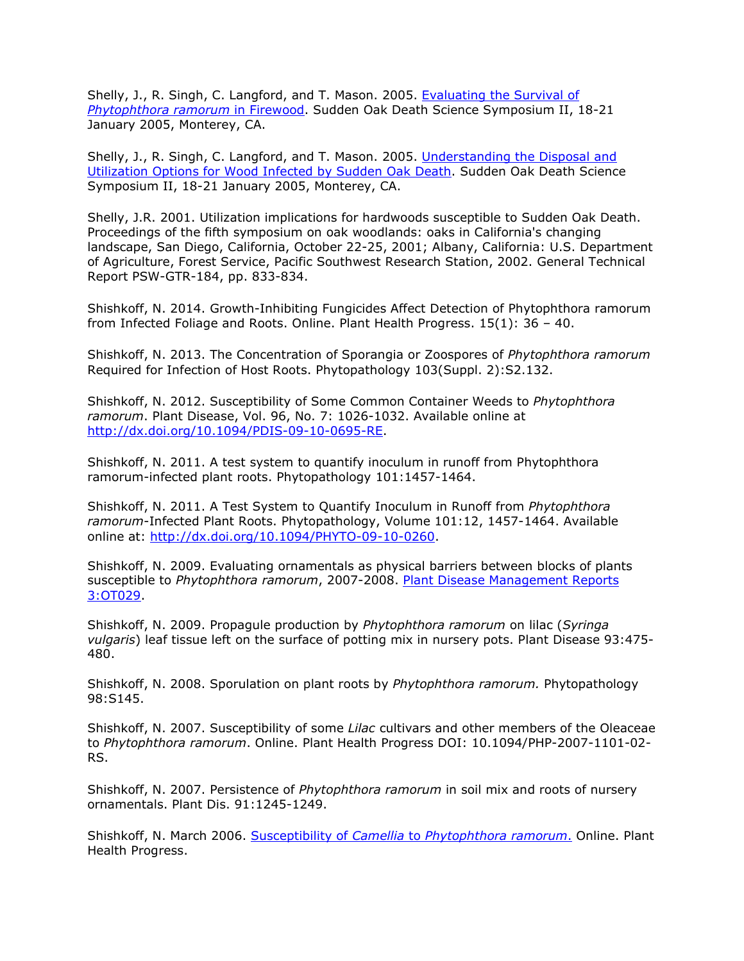Shelly, J., R. Singh, C. Langford, and T. Mason. 2005. [Evaluating the Survival of](http://nature.berkeley.edu/comtf/pdf/Bibliography/33Shelly.pdf) *[Phytophthora ramorum](http://nature.berkeley.edu/comtf/pdf/Bibliography/33Shelly.pdf)* in Firewood. Sudden Oak Death Science Symposium II, 18-21 January 2005, Monterey, CA.

Shelly, J., R. Singh, C. Langford, and T. Mason. 2005. [Understanding the Disposal and](http://nature.berkeley.edu/comtf/pdf/Bibliography/70ManagementShelly.pdf) [Utilization Options for Wood Infected by Sudden Oak Death.](http://nature.berkeley.edu/comtf/pdf/Bibliography/70ManagementShelly.pdf) Sudden Oak Death Science Symposium II, 18-21 January 2005, Monterey, CA.

Shelly, J.R. 2001. Utilization implications for hardwoods susceptible to Sudden Oak Death. Proceedings of the fifth symposium on oak woodlands: oaks in California's changing landscape, San Diego, California, October 22-25, 2001; Albany, California: U.S. Department of Agriculture, Forest Service, Pacific Southwest Research Station, 2002. General Technical Report PSW-GTR-184, pp. 833-834.

Shishkoff, N. 2014. Growth-Inhibiting Fungicides Affect Detection of Phytophthora ramorum from Infected Foliage and Roots. Online. Plant Health Progress. 15(1): 36 – 40.

Shishkoff, N. 2013. The Concentration of Sporangia or Zoospores of *Phytophthora ramorum* Required for Infection of Host Roots. Phytopathology 103(Suppl. 2):S2.132.

Shishkoff, N. 2012. Susceptibility of Some Common Container Weeds to *Phytophthora ramorum*. Plant Disease, Vol. 96, No. 7: 1026-1032. Available online at [http://dx.doi.org/10.1094/PDIS-09-10-0695-RE.](http://dx.doi.org/10.1094/PDIS-09-10-0695-RE)

Shishkoff, N. 2011. A test system to quantify inoculum in runoff from Phytophthora ramorum-infected plant roots. Phytopathology 101:1457-1464.

Shishkoff, N. 2011. A Test System to Quantify Inoculum in Runoff from *Phytophthora ramorum*-Infected Plant Roots. Phytopathology, Volume 101:12, 1457-1464. Available online at: [http://dx.doi.org/10.1094/PHYTO-09-10-0260.](http://dx.doi.org/10.1094/PHYTO-09-10-0260)

Shishkoff, N. 2009. Evaluating ornamentals as physical barriers between blocks of plants susceptible to *Phytophthora ramorum*, 2007-2008. [Plant Disease Management Reports](http://nature.berkeley.edu/comtf/pdf/Shishkoff.pdf) [3:OT029.](http://nature.berkeley.edu/comtf/pdf/Shishkoff.pdf)

Shishkoff, N. 2009. Propagule production by *Phytophthora ramorum* on lilac (*Syringa vulgaris*) leaf tissue left on the surface of potting mix in nursery pots. Plant Disease 93:475- 480.

Shishkoff, N. 2008. Sporulation on plant roots by *Phytophthora ramorum.* Phytopathology 98:S145.

Shishkoff, N. 2007. Susceptibility of some *Lilac* cultivars and other members of the Oleaceae to *Phytophthora ramorum*. Online. Plant Health Progress DOI: 10.1094/PHP-2007-1101-02- RS.

Shishkoff, N. 2007. Persistence of *Phytophthora ramorum* in soil mix and roots of nursery ornamentals. Plant Dis. 91:1245-1249.

Shishkoff, N. March 2006. Susceptibility of *Camellia* to *[Phytophthora ramorum](http://www.plantmanagementnetwork.org/update/current/)*. Online. Plant Health Progress.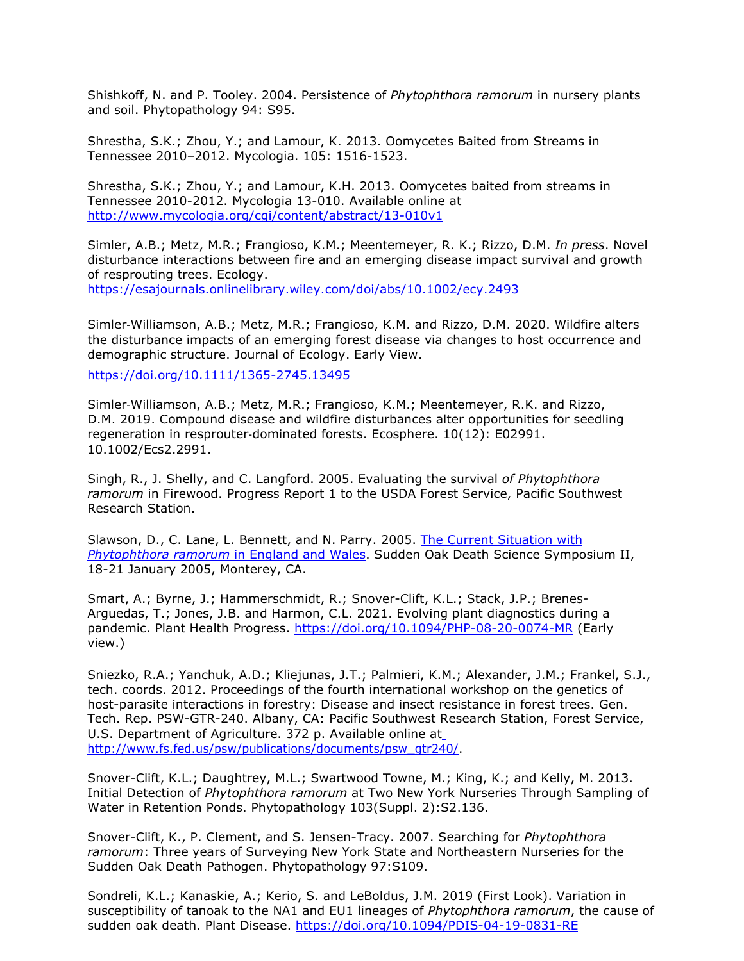Shishkoff, N. and P. Tooley. 2004. Persistence of *Phytophthora ramorum* in nursery plants and soil. Phytopathology 94: S95.

Shrestha, S.K.; Zhou, Y.; and Lamour, K. 2013. Oomycetes Baited from Streams in Tennessee 2010–2012. Mycologia. 105: 1516-1523.

Shrestha, S.K.; Zhou, Y.; and Lamour, K.H. 2013. Oomycetes baited from streams in Tennessee 2010-2012. Mycologia 13-010. Available online at [http://www.mycologia.org/cgi/content/abstract/13-010v1](http://www.mycologia.org/cgi/content/abstract/13-010v1?papetoc)

Simler, A.B.; Metz, M.R.; Frangioso, K.M.; Meentemeyer, R. K.; Rizzo, D.M. *In press*. Novel disturbance interactions between fire and an emerging disease impact survival and growth of resprouting trees. Ecology.

<https://esajournals.onlinelibrary.wiley.com/doi/abs/10.1002/ecy.2493>

Simler‐Williamson, A.B.; Metz, M.R.; Frangioso, K.M. and Rizzo, D.M. 2020. Wildfire alters the disturbance impacts of an emerging forest disease via changes to host occurrence and demographic structure. Journal of Ecology. Early View.

<https://doi.org/10.1111/1365-2745.13495>

Simler‐Williamson, A.B.; Metz, M.R.; Frangioso, K.M.; Meentemeyer, R.K. and Rizzo, D.M. 2019. Compound disease and wildfire disturbances alter opportunities for seedling regeneration in resprouter-dominated forests. Ecosphere. 10(12): E02991. 10.1002/Ecs2.2991.

Singh, R., J. Shelly, and C. Langford. 2005. Evaluating the survival *of Phytophthora ramorum* in Firewood. Progress Report 1 to the USDA Forest Service, Pacific Southwest Research Station.

Slawson, D., C. Lane, L. Bennett, and N. Parry. 2005. [The Current Situation with](http://nature.berkeley.edu/comtf/pdf/Bibliography/62ManagementSlawson.pdf) *[Phytophthora ramorum](http://nature.berkeley.edu/comtf/pdf/Bibliography/62ManagementSlawson.pdf)* in England and Wales. Sudden Oak Death Science Symposium II, 18-21 January 2005, Monterey, CA.

Smart, A.; Byrne, J.; Hammerschmidt, R.; Snover-Clift, K.L.; Stack, J.P.; Brenes-Arguedas, T.; Jones, J.B. and Harmon, C.L. 2021. Evolving plant diagnostics during a pandemic. Plant Health Progress.<https://doi.org/10.1094/PHP-08-20-0074-MR> (Early view.)

Sniezko, R.A.; Yanchuk, A.D.; Kliejunas, J.T.; Palmieri, K.M.; Alexander, J.M.; Frankel, S.J., tech. coords. 2012. Proceedings of the fourth international workshop on the genetics of host-parasite interactions in forestry: Disease and insect resistance in forest trees. Gen. Tech. Rep. PSW-GTR-240. Albany, CA: Pacific Southwest [Research Station, Forest Service,](http://www.fs.fed.us/psw/publications/documents/psw_gtr240/) U.S. Department of Agriculture. 372 p. Available online at [http://www.fs.fed.us/psw/publications/documents/psw\\_gtr240/.](http://www.fs.fed.us/psw/publications/documents/psw_gtr240/)

Snover-Clift, K.L.; Daughtrey, M.L.; Swartwood Towne, M.; King, K.; and Kelly, M. 2013. Initial Detection of *Phytophthora ramorum* at Two New York Nurseries Through Sampling of Water in Retention Ponds. Phytopathology 103(Suppl. 2):S2.136.

Snover-Clift, K., P. Clement, and S. Jensen-Tracy. 2007. Searching for *Phytophthora ramorum*: Three years of Surveying New York State and Northeastern Nurseries for the Sudden Oak Death Pathogen. Phytopathology 97:S109.

Sondreli, K.L.; Kanaskie, A.; Kerio, S. and LeBoldus, J.M. 2019 (First Look). Variation in susceptibility of tanoak to the NA1 and EU1 lineages of *Phytophthora ramorum*, the cause of sudden oak death. Plant Disease.<https://doi.org/10.1094/PDIS-04-19-0831-RE>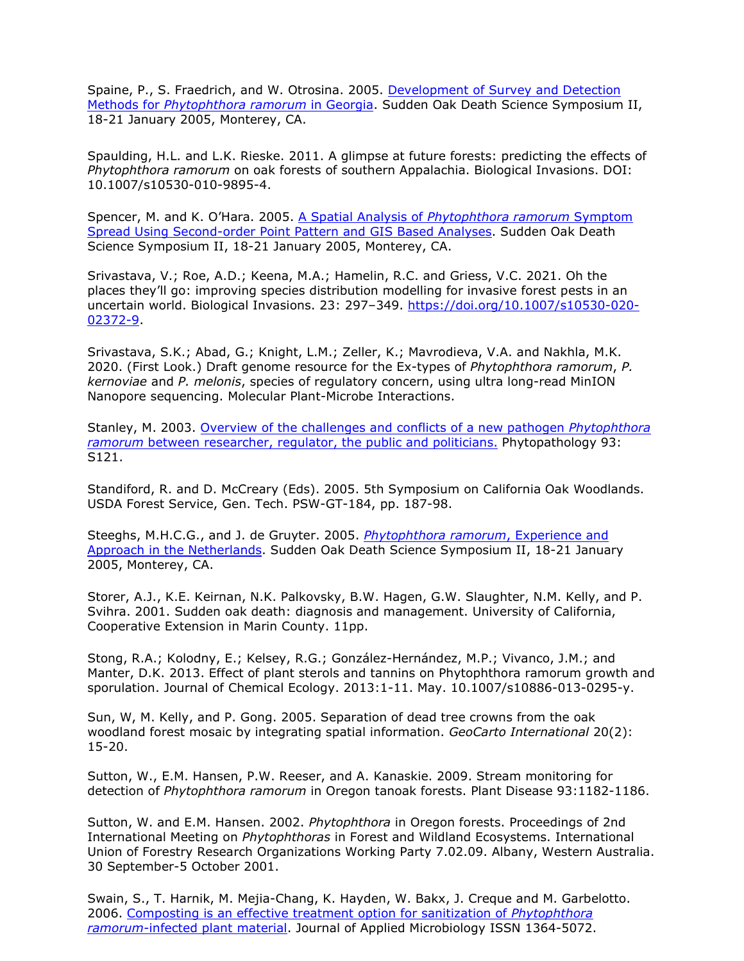Spaine, P., S. Fraedrich, and W. Otrosina. 2005. [Development of Survey and Detection](http://nature.berkeley.edu/comtf/pdf/Bibliography/34PosterSpaine.pdf) Methods for *[Phytophthora ramorum](http://nature.berkeley.edu/comtf/pdf/Bibliography/34PosterSpaine.pdf)* in Georgia. Sudden Oak Death Science Symposium II, 18-21 January 2005, Monterey, CA.

Spaulding, H.L. and L.K. Rieske. 2011. A glimpse at future forests: predicting the effects of *Phytophthora ramorum* on oak forests of southern Appalachia. Biological Invasions. DOI: 10.1007/s10530-010-9895-4.

Spencer, M. and K. O'Hara. 2005. A Spatial Analysis of *[Phytophthora ramorum](http://nature.berkeley.edu/comtf/pdf/Bibliography/45Spencer.pdf)* Symptom [Spread Using Second-order Point Pattern and GIS Based Analyses.](http://nature.berkeley.edu/comtf/pdf/Bibliography/45Spencer.pdf) Sudden Oak Death Science Symposium II, 18-21 January 2005, Monterey, CA.

Srivastava, V.; Roe, A.D.; Keena, M.A.; Hamelin, R.C. and Griess, V.C. 2021. Oh the places they'll go: improving species distribution modelling for invasive forest pests in an uncertain world. Biological Invasions. 23: 297–349. [https://doi.org/10.1007/s10530-020-](https://doi.org/10.1007/s10530-020-02372-9) [02372-9.](https://doi.org/10.1007/s10530-020-02372-9)

Srivastava, S.K.; Abad, G.; Knight, L.M.; Zeller, K.; Mavrodieva, V.A. and Nakhla, M.K. 2020. (First Look.) Draft genome resource for the Ex-types of *Phytophthora ramorum*, *P. kernoviae* and *P. melonis*, species of regulatory concern, using ultra long-read MinION Nanopore sequencing. Molecular Plant-Microbe Interactions.

Stanley, M. 2003. [Overview of the challenges and conflicts of a new pathogen](http://nature.berkeley.edu/comtf/html/aps_resources.html#03aps12) *Phytophthora ramorum* [between researcher, regulator, the public and politicians.](http://nature.berkeley.edu/comtf/html/aps_resources.html#03aps12) Phytopathology 93: S121.

Standiford, R. and D. McCreary (Eds). 2005. 5th Symposium on California Oak Woodlands. USDA Forest Service, Gen. Tech. PSW-GT-184, pp. 187-98.

Steeghs, M.H.C.G., and J. de Gruyter. 2005. *[Phytophthora ramorum](http://nature.berkeley.edu/comtf/pdf/Bibliography/71MonitoringSteeghs.pdf)*, Experience and [Approach in the Netherlands.](http://nature.berkeley.edu/comtf/pdf/Bibliography/71MonitoringSteeghs.pdf) Sudden Oak Death Science Symposium II, 18-21 January 2005, Monterey, CA.

Storer, A.J., K.E. Keirnan, N.K. Palkovsky, B.W. Hagen, G.W. Slaughter, N.M. Kelly, and P. Svihra. 2001. Sudden oak death: diagnosis and management. University of California, Cooperative Extension in Marin County. 11pp.

Stong, R.A.; Kolodny, E.; Kelsey, R.G.; González-Hernández, M.P.; Vivanco, J.M.; and Manter, D.K. 2013. Effect of plant sterols and tannins on Phytophthora ramorum growth and sporulation. Journal of Chemical Ecology. 2013:1-11. May. 10.1007/s10886-013-0295-y.

Sun, W, M. Kelly, and P. Gong. 2005. Separation of dead tree crowns from the oak woodland forest mosaic by integrating spatial information. *GeoCarto International* 20(2): 15-20.

Sutton, W., E.M. Hansen, P.W. Reeser, and A. Kanaskie. 2009. Stream monitoring for detection of *Phytophthora ramorum* in Oregon tanoak forests. Plant Disease 93:1182-1186.

Sutton, W. and E.M. Hansen. 2002. *Phytophthora* in Oregon forests. Proceedings of 2nd International Meeting on *Phytophthoras* in Forest and Wildland Ecosystems. International Union of Forestry Research Organizations Working Party 7.02.09. Albany, Western Australia. 30 September-5 October 2001.

Swain, S., T. Harnik, M. Mejia-Chang, K. Hayden, W. Bakx, J. Creque and M. Garbelotto. 2006. [Composting is an effective treatment option for sanitization of](http://nature.berkeley.edu/comtf/pdf/Bibliography/swain2006.pdf) *Phytophthora ramorum*[-infected plant material.](http://nature.berkeley.edu/comtf/pdf/Bibliography/swain2006.pdf) Journal of Applied Microbiology ISSN 1364-5072.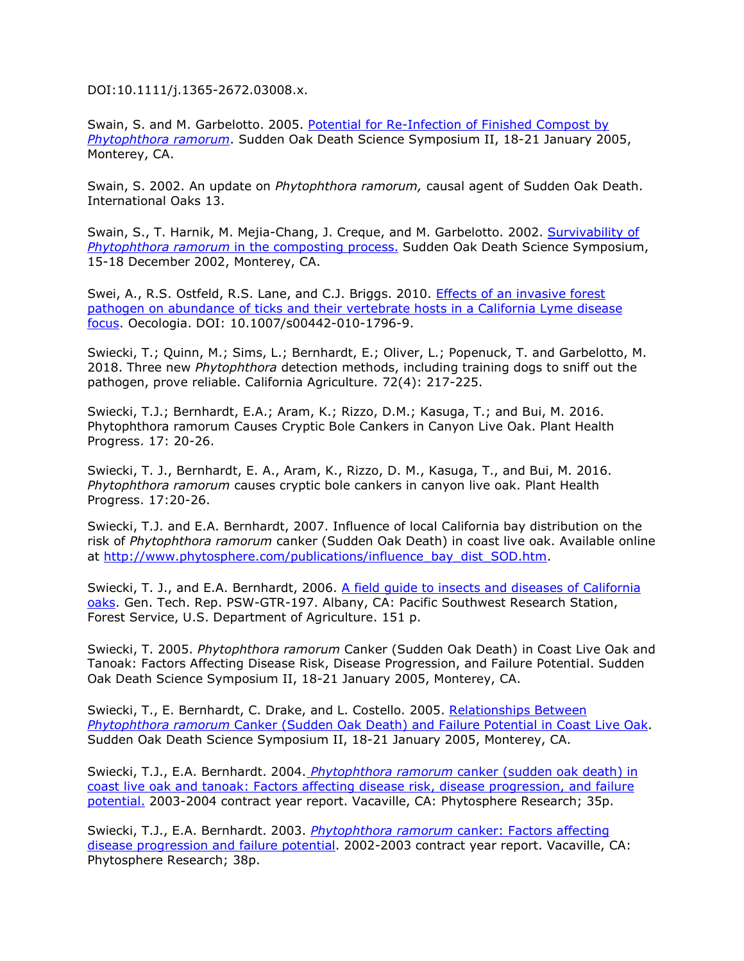DOI:10.1111/j.1365-2672.03008.x.

Swain, S. and M. Garbelotto. 2005. [Potential for Re-Infection of Finished Compost by](http://nature.berkeley.edu/comtf/pdf/Bibliography/72ManagementSwain.pdf) *[Phytophthora ramorum](http://nature.berkeley.edu/comtf/pdf/Bibliography/72ManagementSwain.pdf)*. Sudden O[ak Death Science Symposium II, 18-21 January 2005,](http://nature.berkeley.edu/comtf/pdf/Bibliography/72ManagementSwain.pdf) Monterey, CA.

Swain, S. 2002. An update on *Phytophthora ramorum,* causal agent of Sudden Oak Death. International Oaks 13.

Swain, S., T. Harnik, M. Mejia-Chang, J. Creque, and M. Garbelotto. 2002. [Survivability of](http://danr.ucop.edu/ihrmp/sodsymp/paper/paper31.html) *Phytophthora ramorum* [in the composting process.](http://danr.ucop.edu/ihrmp/sodsymp/paper/paper31.html) Sudden Oak Death Science Symposium, 15-18 December 2002, Monterey, CA.

Swei, A., R.S. Ostfeld, R.S. Lane, and C.J. Briggs. 2010. **Effects of an invasive forest** pathogen on abundance of ticks and their vertebrate hosts in a California Lyme disease focus. Oecologia. DOI: 10.1007/s00442-010-1796-9.

Swiecki, T.; Quinn, M.; Sims, L.; Bernhardt, E.; Oliver, L.; Popenuck, T. and Garbelotto, M. 2018. Three new *Phytophthora* detection methods, including training dogs to sniff out the pathogen, prove reliable. California Agriculture. 72(4): 217-225.

Swiecki, T.J.; Bernhardt, E.A.; Aram, K.; Rizzo, D.M.; Kasuga, T.; and Bui, M. 2016. Phytophthora ramorum Causes Cryptic Bole Cankers in Canyon Live Oak. Plant Health Progress. 17: 20-26.

Swiecki, T. J., Bernhardt, E. A., Aram, K., Rizzo, D. M., Kasuga, T., and Bui, M. 2016. *Phytophthora ramorum* causes cryptic bole cankers in canyon live oak. Plant Health Progress. 17:20-26.

Swiecki, T.J. and E.A. Bernhardt, 2007. Influence of local California bay distribution on the risk of *Phytophthora ramorum* canker (Sudden Oak Death) in coast live oak. Available online at [http://www.phytosphere.com/publications/influence\\_bay\\_dist\\_SOD.htm.](http://www.phytosphere.com/publications/influence_bay_dist_SOD.htm)

Swiecki, T. J., and E.A. Bernhardt, 2006. [A field guide to insects and diseases of California](http://nature.berkeley.edu/comtf/pdf/psw_gtr197.pdf) [oaks.](http://nature.berkeley.edu/comtf/pdf/psw_gtr197.pdf) Gen. Tech. Rep. PSW-GTR-197. Albany, CA: Pacific Southwest Research Station, Forest Service, U.S. Department of Agriculture. 151 p.

Swiecki, T. 2005. *Phytophthora ramorum* Canker (Sudden Oak Death) in Coast Live Oak and Tanoak: Factors Affecting Disease Risk, Disease Progression, and Failure Potential. Sudden Oak Death Science Symposium II, 18-21 January 2005, Monterey, CA.

Swiecki, T., E. Bernhardt, C. Drake, and L. Costello. 2005. [Relationships Between](http://nature.berkeley.edu/comtf/pdf/Bibliography/SwieckiAbstract.pdf) *Phytophthora ramorum* [Canker \(Sudden Oak Death\) and Failure Potential in Coast Live Oak.](http://nature.berkeley.edu/comtf/pdf/Bibliography/SwieckiAbstract.pdf) Sudden Oak Death Science Symposium II, 18-21 January 2005, Monterey, CA.

Swiecki, T.J., E.A. Bernhardt. 2004. *Phytophthora ramorum* [canker \(sudden oak death\) in](http://www.phytosphere.com/publications/Phytophthora_case-control2004.htm) [coast live oak and tanoak: Factors affecting disease risk, disease progression, and failure](http://www.phytosphere.com/publications/Phytophthora_case-control2004.htm) [potential.](http://www.phytosphere.com/publications/Phytophthora_case-control2004.htm) 2003-2004 contract year report. Vacaville, CA: Phytosphere Research; 35p.

Swiecki, T.J., E.A. Bernhardt. 2003. *Phytophthora ramorum* [canker: Factors affecting](http://www.phytosphere.com/publications/Phytophthora_case-control2003.htm) [disease progression and failure potential.](http://www.phytosphere.com/publications/Phytophthora_case-control2003.htm) 2002-2003 contract year report. Vacaville, CA: Phytosphere Research; 38p.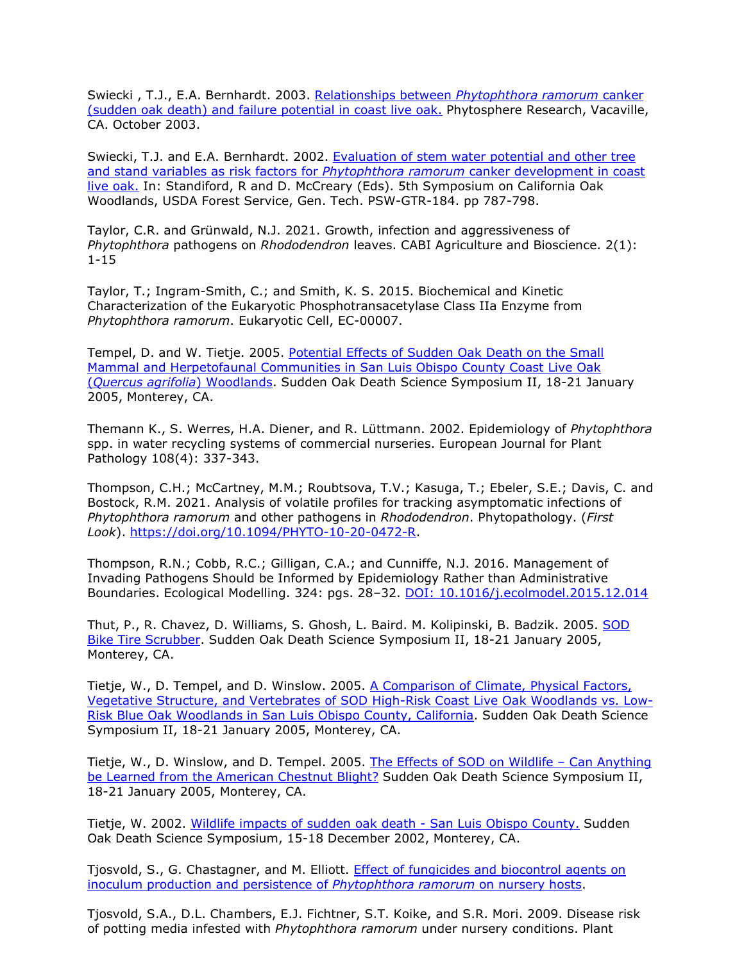Swiecki , T.J., E.A. Bernhardt. 2003. Relationships between *[Phytophthora ramorum](http://www.phytosphere.com/publications/Phytophthora_failurel2003.htm)* canker [\(sudden oak death\) and failure potential in coast live oak.](http://www.phytosphere.com/publications/Phytophthora_failurel2003.htm) [Phytosphere Research, Vacaville,](http://www.phytosphere.com/publications/Phytophthora_failurel2003.htm) CA. October 2003.

Swiecki, T.J. and E.A. Bernhardt. 2002. [Evaluation of stem water potential and other tree](http://nature.berkeley.edu/comtf/pdf/Bibliography/swiecki2002a.pdf) [and stand variables as risk factors for](http://nature.berkeley.edu/comtf/pdf/Bibliography/swiecki2002a.pdf) *Phytophthora ramorum* canker development in coast [live oak.](http://nature.berkeley.edu/comtf/pdf/Bibliography/swiecki2002a.pdf) In: Standiford, R and D. McCreary (Eds). 5th Symposium on California Oak Woodlands, USDA Forest Service, Gen. Tech. PSW-GTR-184. pp 787-798.

Taylor, C.R. and Grünwald, N.J. 2021. Growth, infection and aggressiveness of *Phytophthora* pathogens on *Rhododendron* leaves. CABI Agriculture and Bioscience. 2(1): 1-15

Taylor, T.; Ingram-Smith, C.; and Smith, K. S. 2015. Biochemical and Kinetic Characterization of the Eukaryotic Phosphotransacetylase Class IIa Enzyme from *Phytophthora ramorum*. Eukaryotic Cell, EC-00007.

Tempel, D. and W. Tietje. 2005. [Potential Effects of Sudden Oak Death on the Small](http://nature.berkeley.edu/comtf/pdf/Bibliography/55Tempel.pdf) [Mammal and Herpetofaunal Communities in San Luis Obispo County Coast Live Oak](http://nature.berkeley.edu/comtf/pdf/Bibliography/55Tempel.pdf) (*[Quercus agrifolia](http://nature.berkeley.edu/comtf/pdf/Bibliography/55Tempel.pdf)*) Woodlands. Sudden Oak Death Science Symposium II, 18-21 January 2005, Monterey, CA.

Themann K., S. Werres, H.A. Diener, and R. Lüttmann. 2002. Epidemiology of *Phytophthora*  spp. in water recycling systems of commercial nurseries. European Journal for Plant Pathology 108(4): 337-343.

Thompson, C.H.; McCartney, M.M.; Roubtsova, T.V.; Kasuga, T.; Ebeler, S.E.; Davis, C. and Bostock, R.M. 2021. Analysis of volatile profiles for tracking asymptomatic infections of *Phytophthora ramorum* and other pathogens in *Rhododendron*. Phytopathology. (*First Look*). [https://doi.org/10.1094/PHYTO-10-20-0472-R.](https://doi.org/10.1094/PHYTO-10-20-0472-R)

Thompson, R.N.; Cobb, R.C.; Gilligan, C.A.; and Cunniffe, N.J. 2016. Management of Invading Pathogens Should be Informed by Epidemiology Rather than Administrative Boundaries. Ecological Modelling. 324: pgs. 28–32. [DOI: 10.1016/j.ecolmodel.2015.12.014](http://dx.doi.org/10.1016/j.ecolmodel.2015.12.014)

Thut, P., R. Chavez, D. Williams, S. Ghosh, L. Baird. M. Kolipinski, B. Badzik. 2005. [SOD](http://nature.berkeley.edu/comtf/pdf/Bibliography/35PosterThut.pdf) [Bike Tire Scrubber.](http://nature.berkeley.edu/comtf/pdf/Bibliography/35PosterThut.pdf) Sudden Oak Death Science Symposium II, 18-21 January 2005, Monterey, CA.

Tietje, W., D. Tempel, and D. Winslow. 2005. [A Comparison of Climate, Physical Factors,](http://nature.berkeley.edu/comtf/pdf/Bibliography/57EcologyTietje.pdf) [Vegetative Structure, and Vertebrates of SOD High-Risk Coast Live Oak Woodlands vs. Low-](http://nature.berkeley.edu/comtf/pdf/Bibliography/57EcologyTietje.pdf)[Risk Blue Oak Woodlands in San Luis Obispo County, California.](http://nature.berkeley.edu/comtf/pdf/Bibliography/57EcologyTietje.pdf) Sudden Oak Death Science Symposium II, 18-21 January 2005, Monterey, CA.

Tietje, W., D. Winslow, and D. Tempel. 2005. [The Effects of SOD on Wildlife –](http://nature.berkeley.edu/comtf/pdf/Bibliography/46PosterTietje.pdf) Can Anything be Learned [from the American Chestnut Blight?](http://nature.berkeley.edu/comtf/pdf/Bibliography/46PosterTietje.pdf) Sudden Oak Death Science Symposium II, 18-21 January 2005, Monterey, CA.

Tietje, W. 2002. [Wildlife impacts of sudden oak death -](http://danr.ucop.edu/ihrmp/sodsymp/paper/paper33.html) San Luis Obispo County. Sudden Oak Death Science Symposium, 15-18 December 2002, Monterey, CA.

Tjosvold, S., G. Chastagner, and M. Elliott. [Effect of fungicides and biocontrol agents on](http://nature.berkeley.edu/comtf/pdf/Monthly%20Reports/Oct2010/Tjosvold.pdf) [inoculum production and persistence of](http://nature.berkeley.edu/comtf/pdf/Monthly%20Reports/Oct2010/Tjosvold.pdf) *Phytophthora ramorum* on nursery hosts.

Tjosvold, S.A., D.L. Chambers, E.J. Fichtner, S.T. Koike, and S.R. Mori. 2009. Disease risk of potting media infested with *Phytophthora ramorum* under nursery conditions. Plant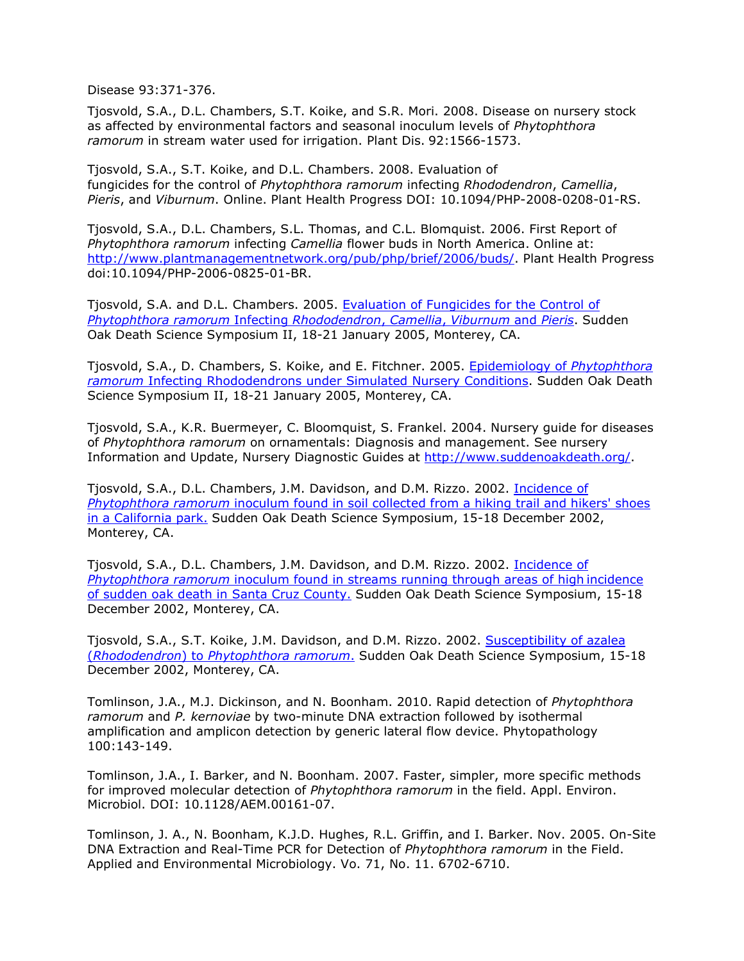Disease 93:371-376.

Tjosvold, S.A., D.L. Chambers, S.T. Koike, and S.R. Mori. 2008. Disease on nursery stock as affected by environmental factors and seasonal inoculum levels of *Phytophthora ramorum* in stream water used for irrigation. Plant Dis. 92:1566-1573.

Tjosvold, S.A., S.T. Koike, and D.L. Chambers. 2008. Evaluation of fungicides for the control of *Phytophthora ramorum* infecting *Rhododendron*, *Camellia*, *Pieris*, and *Viburnum*. Online. Plant Health Progress DOI: 10.1094/PHP-2008-0208-01-RS.

Tjosvold, S.A., D.L. Chambers, S.L. Thomas, and C.L. Blomquist. 2006. First Report of *Phytophthora ramorum* infecting *Camellia* flower buds in North America. Online at: [http://www.plantmanagementnetwork.org/pub/php/brief/2006/buds/.](http://www.plantmanagementnetwork.org/pub/php/brief/2006/buds/) Plant Health Progress doi:10.1094/PHP-2006-0825-01-BR.

Tjosvold, S.A. and D.L. Chambers. 2005. [Evaluation of Fungicides for the Control of](http://nature.berkeley.edu/comtf/pdf/Bibliography/42ManagementTjosvold.pdf) *[Phytophthora ramorum](http://nature.berkeley.edu/comtf/pdf/Bibliography/42ManagementTjosvold.pdf)* Infecting *Rhododendron*, *Camellia*, *Viburnum* and *Pieris*. Sudden Oak Death Science Symposium II, 18-21 January 2005, Monterey, CA.

Tjosvold, S.A., D. Chambers, S. Koike, and E. Fitchner. 2005. [Epidemiology of](http://nature.berkeley.edu/comtf/pdf/Bibliography/64ManagementTjosvold.pdf) *Phytophthora ramorum* [Infecting Rhododendrons under Simulated Nursery Conditions.](http://nature.berkeley.edu/comtf/pdf/Bibliography/64ManagementTjosvold.pdf) Sudden Oak Death Science Symposium II, 18-21 January 2005, Monterey, CA.

Tjosvold, S.A., K.R. Buermeyer, C. Bloomquist, S. Frankel. 2004. Nursery guide for diseases of *Phytophthora ramorum* on ornamentals: Diagnosis and management. See nursery Information and Update, Nursery Diagnostic Guides at [http://www.suddenoakdeath.org/.](http://www.suddenoakdeath.org/)

Tjosvold, S.A., D.L. Chambers, J.M. Davidson, and D.M. Rizzo. 2002. [Incidence of](http://danr.ucop.edu/ihrmp/sodsymp/poster/poster46.html) *Phytophthora ramorum* [inoculum found in soil collected from a hiking trail and hikers' shoes](http://danr.ucop.edu/ihrmp/sodsymp/poster/poster46.html) [in a California park.](http://danr.ucop.edu/ihrmp/sodsymp/poster/poster46.html) Sudden Oak Death Science Symposium, 15-18 December 2002, Monterey, CA.

Tjosvold, S.A., D.L. Chambers, J.M. Davidson, and D.M. Rizzo. 2002. [Incidence of](http://danr.ucop.edu/ihrmp/sodsymp/poster/poster24.html) *Phytophthora ramorum* [inoculum found in streams running through areas of high](http://danr.ucop.edu/ihrmp/sodsymp/poster/poster24.html) incidence [of sudden oak death in Santa Cruz County.](http://danr.ucop.edu/ihrmp/sodsymp/poster/poster24.html) Sudden Oak Death Science Symposium, 15-18 December 2002, Monterey, CA.

Tjosvold, S.A., S.T. Koike, J.M. Davidson, and D.M. Rizzo. 2002. [Susceptibility of azalea](http://danr.ucop.edu/ihrmp/sodsymp/poster/poster45.html) (*Rhododendron*) to *[Phytophthora ramorum](http://danr.ucop.edu/ihrmp/sodsymp/poster/poster45.html)*. Sudden Oak Death Science Symposium, 15-18 December 2002, Monterey, CA.

Tomlinson, J.A., M.J. Dickinson, and N. Boonham. 2010. Rapid detection of *Phytophthora ramorum* and *P. kernoviae* by two-minute DNA extraction followed by isothermal amplification and amplicon detection by generic lateral flow device. Phytopathology 100:143-149.

Tomlinson, J.A., I. Barker, and N. Boonham. 2007. Faster, simpler, more specific methods for improved molecular detection of *Phytophthora ramorum* in the field. Appl. Environ. Microbiol. DOI: 10.1128/AEM.00161-07.

Tomlinson, J. A., N. Boonham, K.J.D. Hughes, R.L. Griffin, and I. Barker. Nov. 2005. On-Site DNA Extraction and Real-Time PCR for Detection of *Phytophthora ramorum* in the Field. Applied and Environmental Microbiology. Vo. 71, No. 11. 6702-6710.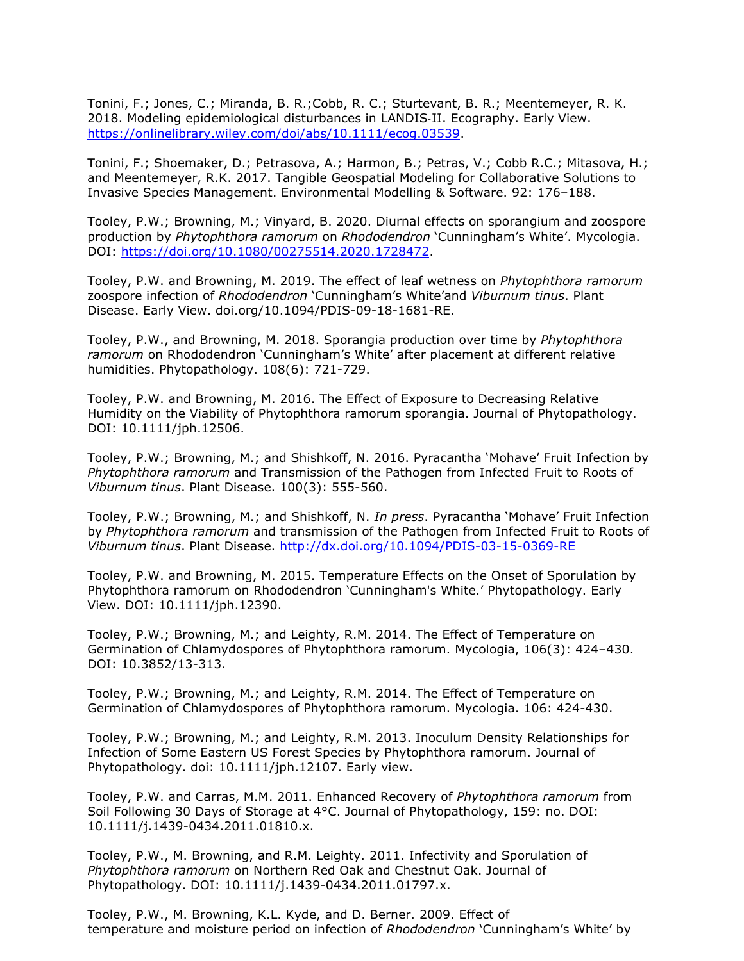Tonini, F.; Jones, C.; Miranda, B. R.;Cobb, R. C.; Sturtevant, B. R.; Meentemeyer, R. K. 2018. Modeling epidemiological disturbances in LANDIS‐II. Ecography. Early View. [https://onlinelibrary.wiley.com/doi/abs/10.1111/ecog.03539.](https://onlinelibrary.wiley.com/doi/abs/10.1111/ecog.03539)

Tonini, F.; Shoemaker, D.; Petrasova, A.; Harmon, B.; Petras, V.; Cobb R.C.; Mitasova, H.; and Meentemeyer, R.K. 2017. Tangible Geospatial Modeling for Collaborative Solutions to Invasive Species Management. Environmental Modelling & Software. 92: 176–188.

Tooley, P.W.; Browning, M.; Vinyard, B. 2020. Diurnal effects on sporangium and zoospore production by *Phytophthora ramorum* on *Rhododendron* 'Cunningham's White'. Mycologia. DOI: [https://doi.org/10.1080/00275514.2020.1728472.](https://doi.org/10.1080/00275514.2020.1728472)

Tooley, P.W. and Browning, M. 2019. The effect of leaf wetness on *Phytophthora ramorum*  zoospore infection of *Rhododendron* 'Cunningham's White'and *Viburnum tinus*. Plant Disease. Early View. doi.org/10.1094/PDIS-09-18-1681-RE.

Tooley, P.W., and Browning, M. 2018. Sporangia production over time by *Phytophthora ramorum* on Rhododendron 'Cunningham's White' after placement at different relative humidities. Phytopathology. 108(6): 721-729.

Tooley, P.W. and Browning, M. 2016. The Effect of Exposure to Decreasing Relative Humidity on the Viability of Phytophthora ramorum sporangia. Journal of Phytopathology. DOI: 10.1111/jph.12506.

Tooley, P.W.; Browning, M.; and Shishkoff, N. 2016. Pyracantha 'Mohave' Fruit Infection by *Phytophthora ramorum* and Transmission of the Pathogen from Infected Fruit to Roots of *Viburnum tinus*. Plant Disease. 100(3): 555-560.

Tooley, P.W.; Browning, M.; and Shishkoff, N. *In press*. Pyracantha 'Mohave' Fruit Infection by *Phytophthora ramorum* and transmission of the Pathogen from Infected Fruit to Roots of *Viburnum tinus*. Plant Disease.<http://dx.doi.org/10.1094/PDIS-03-15-0369-RE>

Tooley, P.W. and Browning, M. 2015. Temperature Effects on the Onset of Sporulation by Phytophthora ramorum on Rhododendron 'Cunningham's White.' Phytopathology. Early View. DOI: 10.1111/jph.12390.

Tooley, P.W.; Browning, M.; and Leighty, R.M. 2014. The Effect of Temperature on Germination of Chlamydospores of Phytophthora ramorum. Mycologia, 106(3): 424–430. DOI: 10.3852/13-313.

Tooley, P.W.; Browning, M.; and Leighty, R.M. 2014. The Effect of Temperature on Germination of Chlamydospores of Phytophthora ramorum. Mycologia. 106: 424-430.

Tooley, P.W.; Browning, M.; and Leighty, R.M. 2013. Inoculum Density Relationships for Infection of Some Eastern US Forest Species by Phytophthora ramorum. Journal of Phytopathology. doi: 10.1111/jph.12107. Early view.

Tooley, P.W. and Carras, M.M. 2011. Enhanced Recovery of *Phytophthora ramorum* from Soil Following 30 Days of Storage at 4°C. Journal of Phytopathology, 159: no. DOI: 10.1111/j.1439-0434.2011.01810.x.

Tooley, P.W., M. Browning, and R.M. Leighty. 2011. Infectivity and Sporulation of *Phytophthora ramorum* on Northern Red Oak and Chestnut Oak. Journal of Phytopathology. DOI: 10.1111/j.1439-0434.2011.01797.x.

Tooley, P.W., M. Browning, K.L. Kyde, and D. Berner. 2009. Effect of temperature and moisture period on infection of *Rhododendron* 'Cunningham's White' by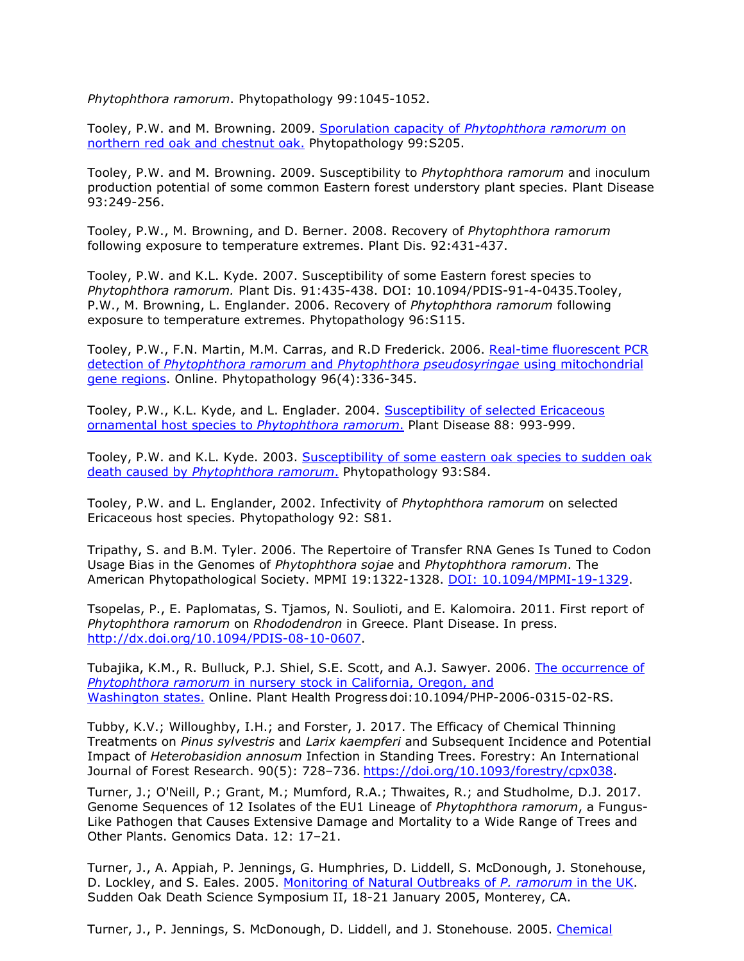*Phytophthora ramorum*. Phytopathology 99:1045-1052.

Tooley, P.W. and M. Browning. 2009. [Sporulation capacity of](http://nature.berkeley.edu/comtf/pdf/Tooley_2009.pdf) *Phytophthora ramorum* on [northern red oak and chestnut oak.](http://nature.berkeley.edu/comtf/pdf/Tooley_2009.pdf) Phytopathology 99:S205.

Tooley, P.W. and M. Browning. 2009. Susceptibility to *Phytophthora ramorum* and inoculum production potential of some common Eastern forest understory plant species. Plant Disease 93:249-256.

Tooley, P.W., M. Browning, and D. Berner. 2008. Recovery of *Phytophthora ramorum* following exposure to temperature extremes. Plant Dis. 92:431-437.

Tooley, P.W. and K.L. Kyde. 2007. Susceptibility of some Eastern forest species to *Phytophthora ramorum.* Plant Dis. 91:435-438. DOI: 10.1094/PDIS-91-4-0435.Tooley, P.W., M. Browning, L. Englander. 2006. Recovery of *Phytophthora ramorum* following exposure to temperature extremes. Phytopathology 96:S115.

Tooley, P.W., F.N. Martin, M.M. Carras, and R.D Frederick. 2006. [Real-time fluorescent PCR](http://www.apsnet.org/phyto/current/top.asp) detection of *Phytophthora ramorum* and *[Phytophthora pseudosyringae](http://www.apsnet.org/phyto/current/top.asp)* using mitochondrial [gene regions.](http://www.apsnet.org/phyto/current/top.asp) Online. Phytopathology 96(4):336-345.

Tooley, P.W., K.L. Kyde, and L. Englader. 2004. [Susceptibility of selected Ericaceous](http://nature.berkeley.edu/comtf/pdf/TooleyetalReprint1.pdf) [ornamental host species to](http://nature.berkeley.edu/comtf/pdf/TooleyetalReprint1.pdf) *Phytophthora ramorum*. Plant Disease 88: 993-999.

Tooley, P.W. and K.L. Kyde. 2003. [Susceptibility of some eastern oak species to sudden oak](http://nature.berkeley.edu/comtf/html/aps_resources.html#03aps01) death caused by *[Phytophthora ramorum](http://nature.berkeley.edu/comtf/html/aps_resources.html#03aps01)*. Phytopathology 93:S84.

Tooley, P.W. and L. Englander, 2002. Infectivity of *Phytophthora ramorum* on selected Ericaceous host species. Phytopathology 92: S81.

Tripathy, S. and B.M. Tyler. 2006. The Repertoire of Transfer RNA Genes Is Tuned to Codon Usage Bias in the Genomes of *Phytophthora sojae* and *Phytophthora ramorum*. The American Phytopathological Society. MPMI 19:1322-1328. [DOI: 10.1094/MPMI-19-1329.](http://www.ismpminet.org/mpmi/SubscriberContent/2006/MPMI-19-1329.pdf)

Tsopelas, P., E. Paplomatas, S. Tjamos, N. Soulioti, and E. Kalomoira. 2011. First report of *Phytophthora ramorum* on *Rhododendron* in Greece. Plant Disease. In press. [http://dx.doi.org/10.1094/PDIS-08-10-0607.](http://dx.doi.org/10.1094/PDIS-08-10-0607)

Tubajika, K.M., R. Bulluck, P.J. Shiel, S.E. Scott, and A.J. Sawyer. 2006. [The occurrence of](http://www.plantmanagementnetwork.org/php/) *Phytophthora ramorum* [in nursery stock in California, Oregon, and](http://www.plantmanagementnetwork.org/php/) [Washington states.](http://www.plantmanagementnetwork.org/php/) Online. Plant Health Progress doi:10.1094/PHP-2006-0315-02-RS.

Tubby, K.V.; Willoughby, I.H.; and Forster, J. 2017. The Efficacy of Chemical Thinning Treatments on *Pinus sylvestris* and *Larix kaempferi* and Subsequent Incidence and Potential Impact of *Heterobasidion annosum* Infection in Standing Trees. Forestry: An International Journal of Forest Research. 90(5): 728–736. [https://doi.org/10.1093/forestry/cpx038.](https://doi.org/10.1093/forestry/cpx038)

Turner, J.; O'Neill, P.; Grant, M.; Mumford, R.A.; Thwaites, R.; and Studholme, D.J. 2017. Genome Sequences of 12 Isolates of the EU1 Lineage of *Phytophthora ramorum*, a Fungus-Like Pathogen that Causes Extensive Damage and Mortality to a Wide Range of Trees and Other Plants. Genomics Data. 12: 17–21.

Turner, J., A. Appiah, P. Jennings, G. Humphries, D. Liddell, S. McDonough, J. Stonehouse, D. Lockley, and S. Eales. 2005. [Monitoring of Natural Outbreaks of](http://nature.berkeley.edu/comtf/pdf/Bibliography/35BiologyTurner.pdf) *P. ramorum* in the UK. Sudden Oak Death Science Symposium II, 18-21 January 2005, Monterey, CA.

Turner, J., P. Jennings, S. McDonough, D. Liddell, and J. Stonehouse. 2005. [Chemical](http://nature.berkeley.edu/comtf/pdf/Bibliography/44ManagementTurner.pdf)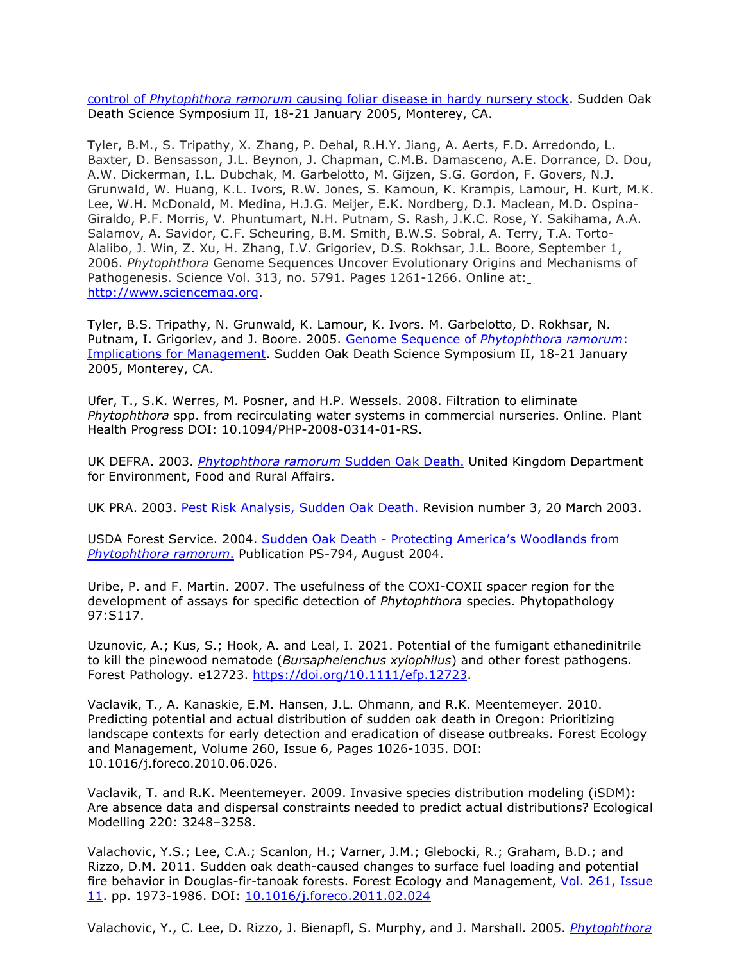control of *Phytophthora ramorum* [causing foliar disease in hardy nursery stock.](http://nature.berkeley.edu/comtf/pdf/Bibliography/44ManagementTurner.pdf) Sudden Oak Death Science Symposium II, 18-21 January 2005, Monterey, CA.

Tyler, B.M., S. Tripathy, X. Zhang, P. Dehal, R.H.Y. Jiang, A. Aerts, F.D. Arredondo, L. Baxter, D. Bensasson, J.L. Beynon, J. Chapman, C.M.B. Damasceno, A.E. Dorrance, D. Dou, A.W. Dickerman, I.L. Dubchak, M. Garbelotto, M. Gijzen, S.G. Gordon, F. Govers, N.J. Grunwald, W. Huang, K.L. Ivors, R.W. Jones, S. Kamoun, K. Krampis, Lamour, H. Kurt, M.K. Lee, W.H. McDonald, M. Medina, H.J.G. Meijer, E.K. Nordberg, D.J. Maclean, M.D. Ospina-Giraldo, P.F. Morris, V. Phuntumart, N.H. Putnam, S. Rash, J.K.C. Rose, Y. Sakihama, A.A. Salamov, A. Savidor, C.F. Scheuring, B.M. Smith, B.W.S. Sobral, A. Terry, T.A. Torto-Alalibo, J. Win, Z. Xu, H. Zhang, I.V. Grigoriev, D.S. Rokhsar, J.L. Boore, September 1, 2006. *Phytophthora* Genome Sequences Uncover Evolutionary Origins and Mechanisms of Pathogenesis. Science Vol. 313, no. 5791. Pages 1261-1266. Online at[:](http://www.sciencemag.org/) [http://www.sciencemag.org.](http://www.sciencemag.org/)

Tyler, B.S. Tripathy, N. Grunwald, K. Lamour, K. Ivors. M. Garbelotto, D. Rokhsar, N. Putnam, I. Grigoriev, and J. Boore. 2005. Genome Sequence of *[Phytophthora ramorum](http://nature.berkeley.edu/comtf/pdf/Bibliography/30Tyler.pdf)*: [Implications for Management.](http://nature.berkeley.edu/comtf/pdf/Bibliography/30Tyler.pdf) Sudden Oak Death Science Symposium II, 18-21 January 2005, Monterey, CA.

Ufer, T., S.K. Werres, M. Posner, and H.P. Wessels. 2008. Filtration to eliminate *Phytophthora* spp. from recirculating water systems in commercial nurseries. Online. Plant Health Progress DOI: 10.1094/PHP-2008-0314-01-RS.

UK DEFRA. 2003. *[Phytophthora ramorum](http://www.fera.defra.gov.uk/plants/plantHealth/pestsDiseases/pRamorum.cfm)* Sudden Oak Death. United Kingdom Department for Environment, Food and Rural Affairs.

UK PRA. 2003. [Pest Risk Analysis, Sudden Oak Death.](http://www.fera.defra.gov.uk/plants/plantHealth/pestsDiseases/praTableNew.cfm) Revision number 3, 20 March 2003.

USDA Forest Service. 2004. Sudden Oak Death - [Protecting America's Woodlands from](http://nature.berkeley.edu/comtf/pdf/SOD.Report.pdf) *[Phytophthora ramorum](http://nature.berkeley.edu/comtf/pdf/SOD.Report.pdf)*. Publication PS-794, August 2004.

Uribe, P. and F. Martin. 2007. The usefulness of the COXI-COXII spacer region for the development of assays for specific detection of *Phytophthora* species. Phytopathology 97:S117.

Uzunovic, A.; Kus, S.; Hook, A. and Leal, I. 2021. Potential of the fumigant ethanedinitrile to kill the pinewood nematode (*Bursaphelenchus xylophilus*) and other forest pathogens. Forest Pathology. e12723. [https://doi.org/10.1111/efp.12723.](https://doi.org/10.1111/efp.12723)

Vaclavik, T., A. Kanaskie, E.M. Hansen, J.L. Ohmann, and R.K. Meentemeyer. 2010. Predicting potential and actual distribution of sudden oak death in Oregon: Prioritizing landscape contexts for early detection and eradication of disease outbreaks. Forest Ecology and Management, Volume 260, Issue 6, Pages 1026-1035. DOI: 10.1016/j.foreco.2010.06.026.

Vaclavik, T. and R.K. Meentemeyer. 2009. Invasive species distribution modeling (iSDM): Are absence data and dispersal constraints needed to predict actual distributions? Ecological Modelling 220: 3248–3258.

Valachovic, Y.S.; Lee, C.A.; Scanlon, H.; Varner, J.M.; Glebocki, R.; Graham, B.D.; and Rizzo, D.M. 2011. Sudden oak death-caused changes to surface fuel loading and potential fire behavior in Douglas-fir-tanoak forests. Forest Ecology and Management, [Vol. 261, Issue](http://www.sciencedirect.com/science?_ob=PublicationURL&_tockey=%23TOC%235042%232011%23997389988%233124744%23FLA%23&_cdi=5042&_pubType=J&view=c&_auth=y&_acct=C000050221&_version=1&_urlVersion=0&_userid=10&md5=8cb0ef1bef6313505b0e8dce16f912b2) [11.](http://www.sciencedirect.com/science?_ob=PublicationURL&_tockey=%23TOC%235042%232011%23997389988%233124744%23FLA%23&_cdi=5042&_pubType=J&view=c&_auth=y&_acct=C000050221&_version=1&_urlVersion=0&_userid=10&md5=8cb0ef1bef6313505b0e8dce16f912b2) pp. 1973-1986. DOI: [10.1016/j.foreco.2011.02.024](http://dx.doi.org/10.1016/j.foreco.2011.02.024)

Valachovic, Y., C. Lee, D. Rizzo, J. Bienapfl, S. Murphy, and J. Marshall. 2005. *[Phytophthora](http://nature.berkeley.edu/comtf/pdf/Bibliography/37PosterYana.pdf)*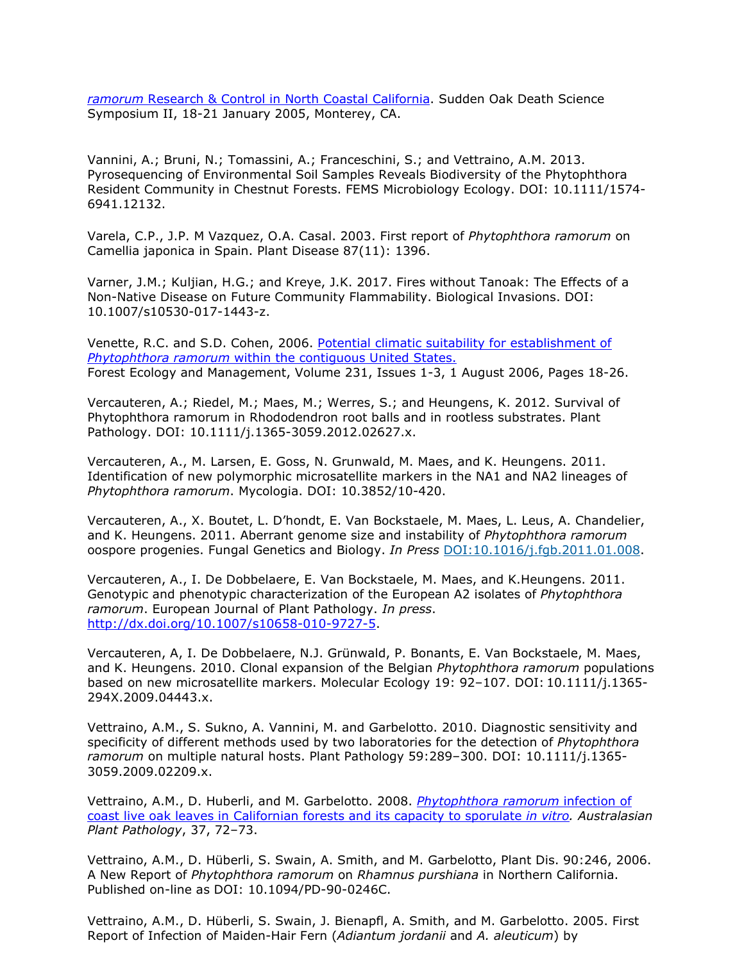*ramorum* [Research & Control in North Coastal California.](http://nature.berkeley.edu/comtf/pdf/Bibliography/37PosterYana.pdf) Sudden Oak Death Science Symposium II, 18-21 January 2005, Monterey, CA.

Vannini, A.; Bruni, N.; Tomassini, A.; Franceschini, S.; and Vettraino, A.M. 2013. Pyrosequencing of Environmental Soil Samples Reveals Biodiversity of the Phytophthora Resident Community in Chestnut Forests. FEMS Microbiology Ecology. DOI: 10.1111/1574- 6941.12132.

Varela, C.P., J.P. M Vazquez, O.A. Casal. 2003. First report of *Phytophthora ramorum* on Camellia japonica in Spain. Plant Disease 87(11): 1396.

Varner, J.M.; Kuljian, H.G.; and Kreye, J.K. 2017. Fires without Tanoak: The Effects of a Non-Native Disease on Future Community Flammability. Biological Invasions. DOI: 10.1007/s10530-017-1443-z.

Venette, R.C. and S.D. Cohen, 2006. [Potential climatic suitability for establishment of](http://nature.berkeley.edu/comtf/pdf/Venette%20%26%20Cohen%202006.pdf) *Phytophthora ramorum* [within the contiguous United States.](http://nature.berkeley.edu/comtf/pdf/Venette%20%26%20Cohen%202006.pdf) Forest Ecology and Management, Volume 231, Issues 1-3, 1 August 2006, Pages 18-26.

Vercauteren, A.; Riedel, M.; Maes, M.; Werres, S.; and Heungens, K. 2012. Survival of Phytophthora ramorum in Rhododendron root balls and in rootless substrates. Plant Pathology. DOI: 10.1111/j.1365-3059.2012.02627.x.

Vercauteren, A., M. Larsen, E. Goss, N. Grunwald, M. Maes, and K. Heungens. 2011. Identification of new polymorphic microsatellite markers in the NA1 and NA2 lineages of *Phytophthora ramorum*. Mycologia. DOI: 10.3852/10-420.

Vercauteren, A., X. Boutet, L. D'hondt, E. Van Bockstaele, M. Maes, L. Leus, A. Chandelier, and K. Heungens. 2011. Aberrant genome size and instability of *Phytophthora ramorum*  oospore progenies. Fungal Genetics and Biology. *In Press* DOI:10.1016/j.fgb.2011.01.008.

Vercauteren, A., I. De Dobbelaere, E. Van Bockstaele, M. Maes, and K.Heungens. 2011. Genotypic and phenotypic characterization of the European A2 isolates of *Phytophthora ramorum*. European Journal of Plant Pathology. *In press*. [http://dx.doi.org/10.1007/s10658-010-9727-5.](http://dx.doi.org/10.1007/s10658-010-9727-5)

Vercauteren, A, I. De Dobbelaere, N.J. Grünwald, P. Bonants, E. Van Bockstaele, M. Maes, and K. Heungens. 2010. Clonal expansion of the Belgian *Phytophthora ramorum* populations based on new microsatellite markers. Molecular Ecology 19: 92–107. DOI: 10.1111/j.1365- 294X.2009.04443.x.

Vettraino, A.M., S. Sukno, A. Vannini, M. and Garbelotto. 2010. Diagnostic sensitivity and specificity of different methods used by two laboratories for the detection of *Phytophthora ramorum* on multiple natural hosts. Plant Pathology 59:289–300. DOI: 10.1111/j.1365- 3059.2009.02209.x.

Vettraino, A.M., D. Huberli, and M. Garbelotto. 2008. *[Phytophthora ramorum](http://nature.berkeley.edu/comtf/pdf/VettrainoAbstract.pdf)* infection of [coast live oak leaves in Californian forests and its capacity to sporulate](http://nature.berkeley.edu/comtf/pdf/VettrainoAbstract.pdf) *in vitro. Australasian Plant Pathology*, 37, 72–73.

Vettraino, A.M., D. Hüberli, S. Swain, A. Smith, and M. Garbelotto, Plant Dis. 90:246, 2006. A New Report of *Phytophthora ramorum* on *Rhamnus purshiana* in Northern California. Published on-line as DOI: 10.1094/PD-90-0246C.

Vettraino, A.M., D. Hüberli, S. Swain, J. Bienapfl, A. Smith, and M. Garbelotto. 2005. First Report of Infection of Maiden-Hair Fern (*Adiantum jordanii* and *A. aleuticum*) by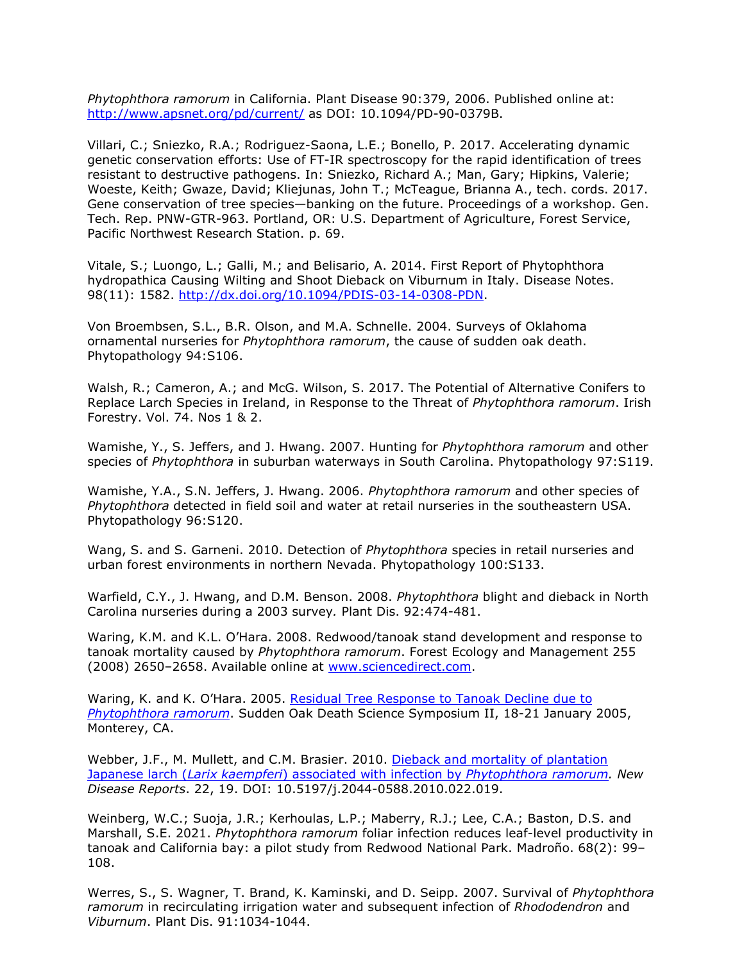*Phytophthora ramorum* in California. Plant Disease 90:379, 2006. Published online at: <http://www.apsnet.org/pd/current/> as DOI: 10.1094/PD-90-0379B.

Villari, C.; Sniezko, R.A.; Rodriguez-Saona, L.E.; Bonello, P. 2017. Accelerating dynamic genetic conservation efforts: Use of FT-IR spectroscopy for the rapid identification of trees resistant to destructive pathogens. In: Sniezko, Richard A.; Man, Gary; Hipkins, Valerie; Woeste, Keith; Gwaze, David; Kliejunas, John T.; McTeague, Brianna A., tech. cords. 2017. Gene conservation of tree species—banking on the future. Proceedings of a workshop. Gen. Tech. Rep. PNW-GTR-963. Portland, OR: U.S. Department of Agriculture, Forest Service, Pacific Northwest Research Station. p. 69.

Vitale, S.; Luongo, L.; Galli, M.; and Belisario, A. 2014. First Report of Phytophthora hydropathica Causing Wilting and Shoot Dieback on Viburnum in Italy. Disease Notes. 98(11): 1582. [http://dx.doi.org/10.1094/PDIS-03-14-0308-PDN.](http://dx.doi.org/10.1094/PDIS-03-14-0308-PDN)

Von Broembsen, S.L., B.R. Olson, and M.A. Schnelle. 2004. Surveys of Oklahoma ornamental nurseries for *Phytophthora ramorum*, the cause of sudden oak death. Phytopathology 94:S106.

Walsh, R.; Cameron, A.; and McG. Wilson, S. 2017. The Potential of Alternative Conifers to Replace Larch Species in Ireland, in Response to the Threat of *Phytophthora ramorum*. Irish Forestry. Vol. 74. Nos 1 & 2.

Wamishe, Y., S. Jeffers, and J. Hwang. 2007. Hunting for *Phytophthora ramorum* and other species of *Phytophthora* in suburban waterways in South Carolina. Phytopathology 97:S119.

Wamishe, Y.A., S.N. Jeffers, J. Hwang. 2006. *Phytophthora ramorum* and other species of *Phytophthora* detected in field soil and water at retail nurseries in the southeastern USA. Phytopathology 96:S120.

Wang, S. and S. Garneni. 2010. Detection of *Phytophthora* species in retail nurseries and urban forest environments in northern Nevada. Phytopathology 100:S133.

Warfield, C.Y., J. Hwang, and D.M. Benson. 2008. *Phytophthora* blight and dieback in North Carolina nurseries during a 2003 survey*.* Plant Dis. 92:474-481.

Waring, K.M. and K.L. O'Hara. 2008. Redwood/tanoak stand development and response to tanoak mortality caused by *Phytophthora ramorum*. Forest Ecology and Management 255 (2008) 2650–2658. Available online at [www.sciencedirect.com.](http://www.sciencedirect.com/)

Waring, K. and K. O'Hara. 2005. [Residual Tree Response to Tanoak Decline due to](http://nature.berkeley.edu/comtf/pdf/Bibliography/WaringAbstract.pdf) *[Phytophthora ramorum](http://nature.berkeley.edu/comtf/pdf/Bibliography/WaringAbstract.pdf)*. Sudden Oak Death Science Symposium II, 18-21 January 2005, Monterey, CA.

Webber, J.F., M. Mullett, and C.M. Brasier. 2010. [Dieback and mortality of plantation](http://nature.berkeley.edu/comtf/pdf/Monthly%20Reports/Oct2010/Webber.pdf) Japanese larch (*Larix kaempferi*[\) associated with infection by](http://nature.berkeley.edu/comtf/pdf/Monthly%20Reports/Oct2010/Webber.pdf) *Phytophthora ramorum. New Disease Reports*. 22, 19. DOI: 10.5197/j.2044-0588.2010.022.019.

Weinberg, W.C.; Suoja, J.R.; Kerhoulas, L.P.; Maberry, R.J.; Lee, C.A.; Baston, D.S. and Marshall, S.E. 2021. *Phytophthora ramorum* foliar infection reduces leaf-level productivity in tanoak and California bay: a pilot study from Redwood National Park. Madroño. 68(2): 99– 108.

Werres, S., S. Wagner, T. Brand, K. Kaminski, and D. Seipp. 2007. Survival of *Phytophthora ramorum* in recirculating irrigation water and subsequent infection of *Rhododendron* and *Viburnum*. Plant Dis. 91:1034-1044.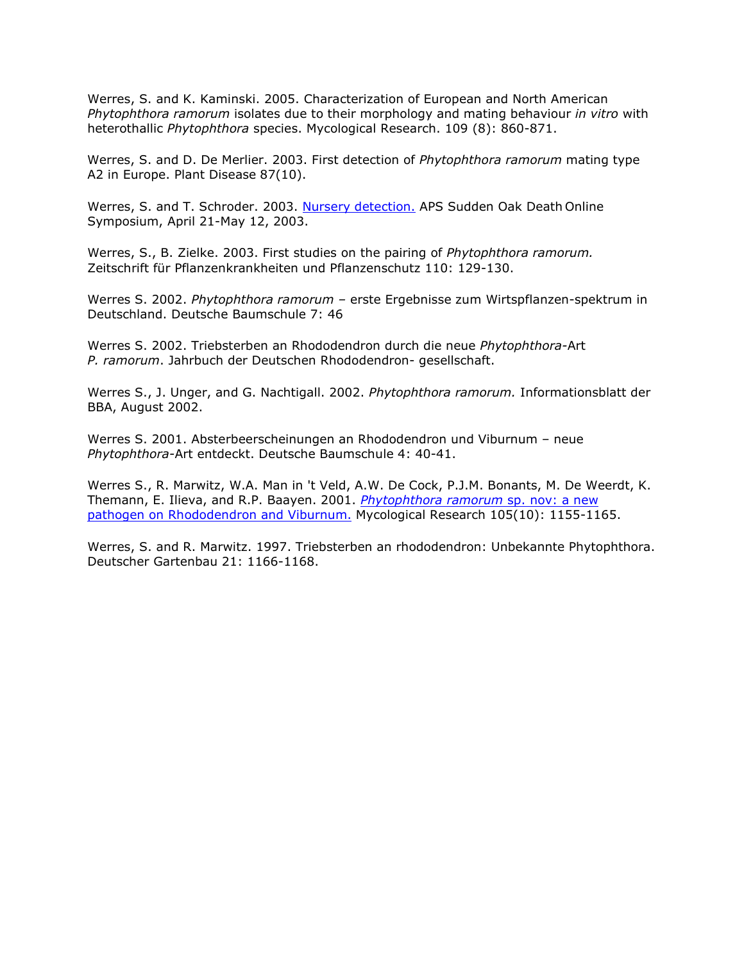Werres, S. and K. Kaminski. 2005. Characterization of European and North American *Phytophthora ramorum* isolates due to their morphology and mating behaviour *in vitro* with heterothallic *Phytophthora* species. Mycological Research. 109 (8): 860-871.

Werres, S. and D. De Merlier. 2003. First detection of *Phytophthora ramorum* mating type A2 in Europe. Plant Disease 87(10).

Werres, S. and T. Schroder. 2003. [Nursery detection.](http://nature.berkeley.edu/comtf/pdf/Bibliography/werres2003a.pdf) APS Sudden Oak Death Online Symposium, April 21-May 12, 2003.

Werres, S., B. Zielke. 2003. First studies on the pairing of *Phytophthora ramorum.* Zeitschrift für Pflanzenkrankheiten und Pflanzenschutz 110: 129-130.

Werres S. 2002. *Phytophthora ramorum –* erste Ergebnisse zum Wirtspflanzen-spektrum in Deutschland. Deutsche Baumschule 7: 46

Werres S. 2002. Triebsterben an Rhododendron durch die neue *Phytophthora-*Art *P. ramorum*. Jahrbuch der Deutschen Rhododendron- gesellschaft.

Werres S., J. Unger, and G. Nachtigall. 2002. *Phytophthora ramorum.* Informationsblatt der BBA, August 2002.

Werres S. 2001. Absterbeerscheinungen an Rhododendron und Viburnum – neue *Phytophthora-*Art entdeckt. Deutsche Baumschule 4: 40-41.

Werres S., R. Marwitz, W.A. Man in 't Veld, A.W. De Cock, P.J.M. Bonants, M. De Weerdt, K. Themann, E. Ilieva, and R.P. Baayen. 2001. *[Phytophthora ramorum](http://nature.berkeley.edu/comtf/pdf/Bibliography/werres2001a.pdf)* sp. nov: a new [pathogen on Rhododendron and Viburnum.](http://nature.berkeley.edu/comtf/pdf/Bibliography/werres2001a.pdf) Mycological Research 105(10): 1155-1165.

Werres, S. and R. Marwitz. 1997. Triebsterben an rhododendron: Unbekannte Phytophthora. Deutscher Gartenbau 21: 1166-1168.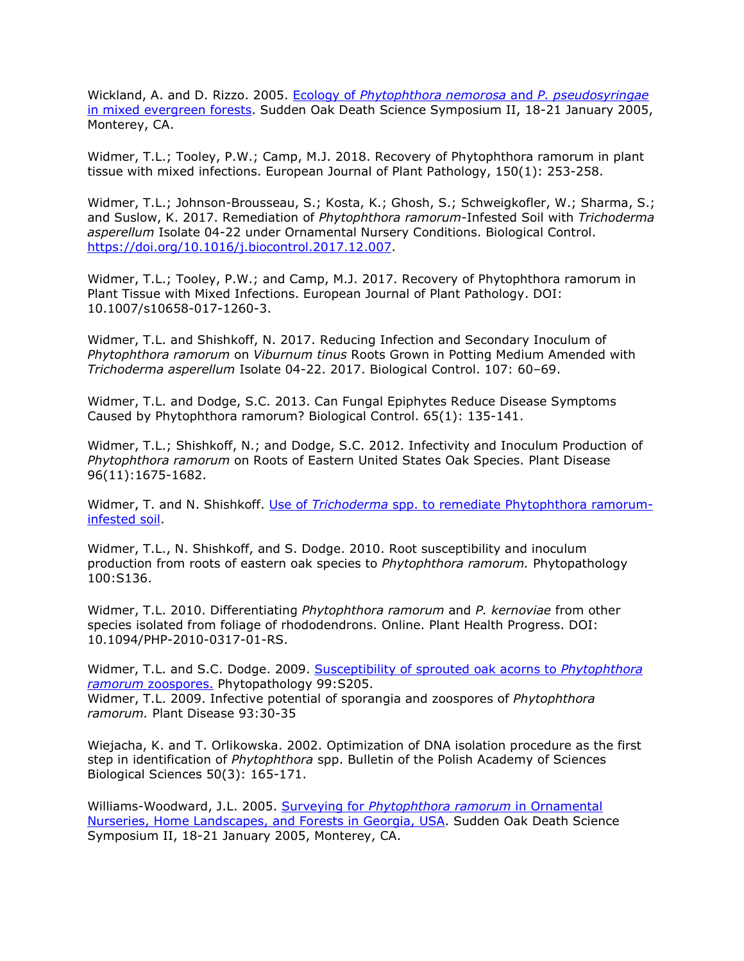Wickland, A. and D. Rizzo. 2005. Ecology of *[Phytophthora nemorosa](http://nature.berkeley.edu/comtf/pdf/Bibliography/11BiologyWickland.pdf)* and *P. pseudosyringae* [in mixed evergreen forests.](http://nature.berkeley.edu/comtf/pdf/Bibliography/11BiologyWickland.pdf) Sudden Oak Death Science Symposium II, 18-21 January 2005, Monterey, CA.

Widmer, T.L.; Tooley, P.W.; Camp, M.J. 2018. Recovery of Phytophthora ramorum in plant tissue with mixed infections. European Journal of Plant Pathology, 150(1): 253-258.

Widmer, T.L.; Johnson-Brousseau, S.; Kosta, K.; Ghosh, S.; Schweigkofler, W.; Sharma, S.; and Suslow, K. 2017. Remediation of *Phytophthora ramorum*-Infested Soil with *Trichoderma asperellum* Isolate 04-22 under Ornamental Nursery Conditions. Biological Control. [https://doi.org/10.1016/j.biocontrol.2017.12.007.](https://doi.org/10.1016/j.biocontrol.2017.12.007)

Widmer, T.L.; Tooley, P.W.; and Camp, M.J. 2017. Recovery of Phytophthora ramorum in Plant Tissue with Mixed Infections. European Journal of Plant Pathology. DOI: 10.1007/s10658-017-1260-3.

Widmer, T.L. and Shishkoff, N. 2017. Reducing Infection and Secondary Inoculum of *Phytophthora ramorum* on *Viburnum tinus* Roots Grown in Potting Medium Amended with *Trichoderma asperellum* Isolate 04-22. 2017. Biological Control. 107: 60–69.

Widmer, T.L. and Dodge, S.C. 2013. Can Fungal Epiphytes Reduce Disease Symptoms Caused by Phytophthora ramorum? Biological Control. 65(1): 135-141.

Widmer, T.L.; Shishkoff, N.; and Dodge, S.C. 2012. Infectivity and Inoculum Production of *Phytophthora ramorum* on Roots of Eastern United States Oak Species. Plant Disease 96(11):1675-1682.

Widmer, T. and N. Shishkoff. Use of *Trichoderma* [spp. to remediate Phytophthora ramorum](http://nature.berkeley.edu/comtf/pdf/Monthly%20Reports/Oct2010/Widmer.pdf)[infested soil.](http://nature.berkeley.edu/comtf/pdf/Monthly%20Reports/Oct2010/Widmer.pdf)

Widmer, T.L., N. Shishkoff, and S. Dodge. 2010. Root susceptibility and inoculum production from roots of eastern oak species to *Phytophthora ramorum.* Phytopathology 100:S136.

Widmer, T.L. 2010. Differentiating *Phytophthora ramorum* and *P. kernoviae* from other species isolated from foliage of rhododendrons. Online. Plant Health Progress. DOI: 10.1094/PHP-2010-0317-01-RS.

Widmer, T.L. and S.C. Dodge. 2009. [Susceptibility of sprouted oak acorns to](http://nature.berkeley.edu/comtf/pdf/Widmer_2009.pdf) *Phytophthora ramorum* [zoospores.](http://nature.berkeley.edu/comtf/pdf/Widmer_2009.pdf) Phytopathology 99:S205. Widmer, T.L. 2009. Infective potential of sporangia and zoospores of *Phytophthora ramorum.* Plant Disease 93:30-35

Wiejacha, K. and T. Orlikowska. 2002. Optimization of DNA isolation procedure as the first step in identification of *Phytophthora* spp. Bulletin of the Polish Academy of Sciences Biological Sciences 50(3): 165-171.

Williams-Woodward, J.L. 2005. Surveying for *[Phytophthora ramorum](http://nature.berkeley.edu/comtf/pdf/Bibliography/39PosterWilliams-Woodward.pdf)* in Ornamental [Nurseries, Home Landscapes, and Forests in Georgia, USA.](http://nature.berkeley.edu/comtf/pdf/Bibliography/39PosterWilliams-Woodward.pdf) Sudden Oak Death Science Symposium II, 18-21 January 2005, Monterey, CA.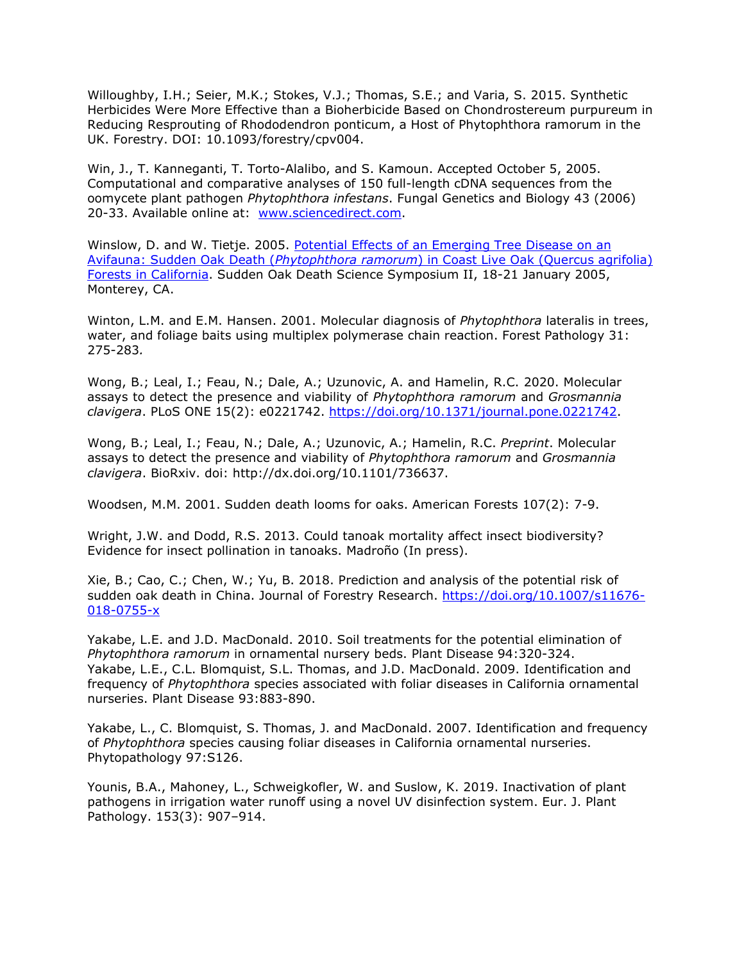Willoughby, I.H.; Seier, M.K.; Stokes, V.J.; Thomas, S.E.; and Varia, S. 2015. Synthetic Herbicides Were More Effective than a Bioherbicide Based on Chondrostereum purpureum in Reducing Resprouting of Rhododendron ponticum, a Host of Phytophthora ramorum in the UK. Forestry. DOI: 10.1093/forestry/cpv004.

Win, J., T. Kanneganti, T. Torto-Alalibo, and S. Kamoun. Accepted October 5, 2005. Computational and comparative analyses of 150 full-length cDNA sequences from the oomycete plant pathogen *Phytophthora infestans*. Fungal Genetics and Biology 43 (2006) 20-33. Available online at: [www.sciencedirect.com.](http://www.sciencedirect.com/)

Winslow, D. and W. Tietje. 2005. [Potential Effects of an Emerging Tree Disease on an](http://nature.berkeley.edu/comtf/pdf/Bibliography/59Winslow.pdf) Avifauna: Sudden Oak Death (*Phytophthora ramorum*[\) in Coast Live Oak \(Quercus agrifolia\)](http://nature.berkeley.edu/comtf/pdf/Bibliography/59Winslow.pdf) [Forests in California.](http://nature.berkeley.edu/comtf/pdf/Bibliography/59Winslow.pdf) Sudden Oak Death Science Symposium II, 18-21 January 2005, Monterey, CA.

Winton, L.M. and E.M. Hansen. 2001. Molecular diagnosis of *Phytophthora* lateralis in trees, water, and foliage baits using multiplex polymerase chain reaction. Forest Pathology 31: 275-283*.*

Wong, B.; Leal, I.; Feau, N.; Dale, A.; Uzunovic, A. and Hamelin, R.C. 2020. Molecular assays to detect the presence and viability of *Phytophthora ramorum* and *Grosmannia clavigera*. PLoS ONE 15(2): e0221742. [https://doi.org/10.1371/journal.pone.0221742.](https://doi.org/10.1371/journal.pone.0221742)

Wong, B.; Leal, I.; Feau, N.; Dale, A.; Uzunovic, A.; Hamelin, R.C. *Preprint*. Molecular assays to detect the presence and viability of *Phytophthora ramorum* and *Grosmannia clavigera*. BioRxiv. doi: [http://dx.doi.org/10.1101/736637.](http://dx.doi.org/10.1101/736637)

Woodsen, M.M. 2001. Sudden death looms for oaks. American Forests 107(2): 7-9.

Wright, J.W. and Dodd, R.S. 2013. Could tanoak mortality affect insect biodiversity? Evidence for insect pollination in tanoaks. Madroño (In press).

Xie, B.; Cao, C.; Chen, W.; Yu, B. 2018. Prediction and analysis of the potential risk of sudden oak death in China. Journal of Forestry Research. [https://doi.org/10.1007/s11676-](https://doi.org/10.1007/s11676-018-0755-x) [018-0755-x](https://doi.org/10.1007/s11676-018-0755-x)

Yakabe, L.E. and J.D. MacDonald. 2010. Soil treatments for the potential elimination of *Phytophthora ramorum* in ornamental nursery beds. Plant Disease 94:320-324. Yakabe, L.E., C.L. Blomquist, S.L. Thomas, and J.D. MacDonald. 2009. Identification and frequency of *Phytophthora* species associated with foliar diseases in California ornamental nurseries. Plant Disease 93:883-890.

Yakabe, L., C. Blomquist, S. Thomas, J. and MacDonald. 2007. Identification and frequency of *Phytophthora* species causing foliar diseases in California ornamental nurseries. Phytopathology 97:S126.

Younis, B.A., Mahoney, L., Schweigkofler, W. and Suslow, K. 2019. Inactivation of plant pathogens in irrigation water runoff using a novel UV disinfection system. Eur. J. Plant Pathology. 153(3): 907–914.